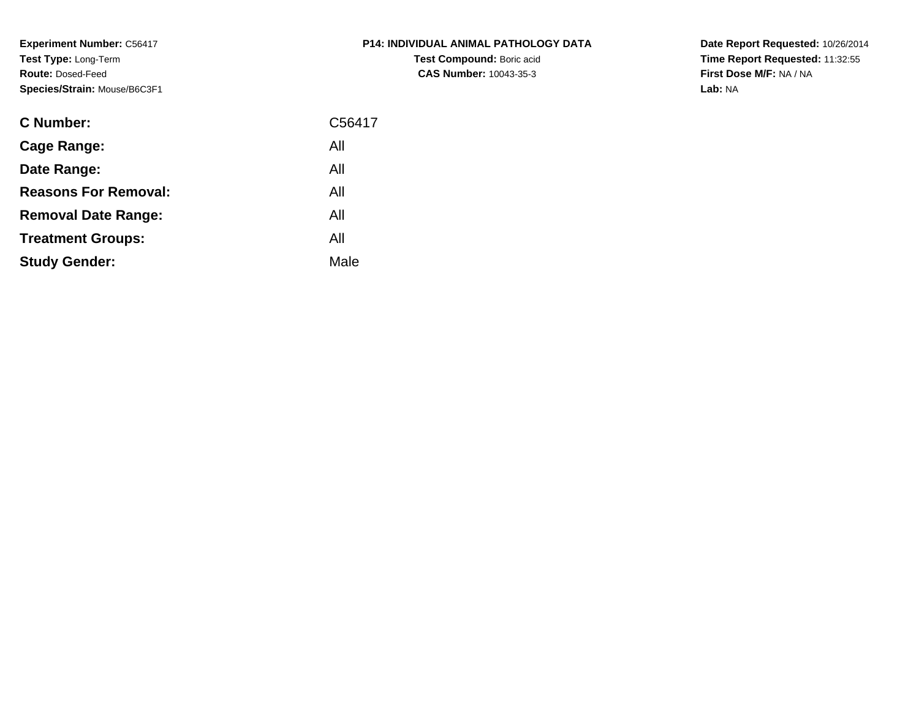**Experiment Number:** C56417**Test Type:** Long-Term**Route:** Dosed-Feed**Species/Strain:** Mouse/B6C3F1

| <b>C Number:</b>            | C56417 |
|-----------------------------|--------|
| <b>Cage Range:</b>          | All    |
| Date Range:                 | All    |
| <b>Reasons For Removal:</b> | All    |
| <b>Removal Date Range:</b>  | All    |
| <b>Treatment Groups:</b>    | All    |
| <b>Study Gender:</b>        | Male   |
|                             |        |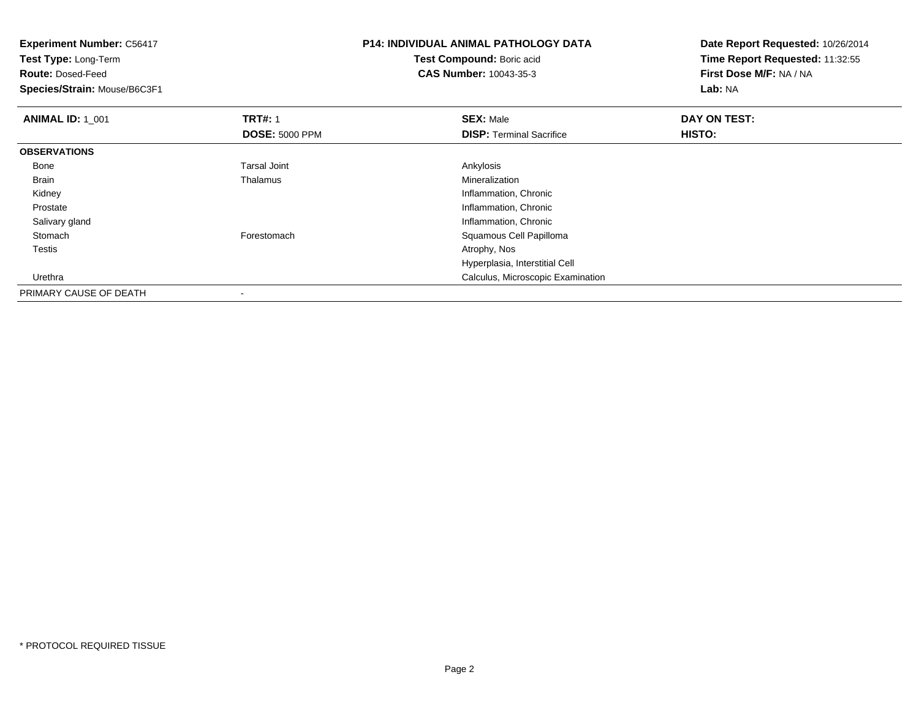| <b>Experiment Number: C56417</b><br>Test Type: Long-Term<br><b>Route: Dosed-Feed</b><br>Species/Strain: Mouse/B6C3F1 |                       | <b>P14: INDIVIDUAL ANIMAL PATHOLOGY DATA</b><br>Test Compound: Boric acid<br>CAS Number: 10043-35-3 | Date Report Requested: 10/26/2014<br>Time Report Requested: 11:32:55<br>First Dose M/F: NA / NA<br>Lab: NA |
|----------------------------------------------------------------------------------------------------------------------|-----------------------|-----------------------------------------------------------------------------------------------------|------------------------------------------------------------------------------------------------------------|
| <b>ANIMAL ID: 1_001</b>                                                                                              | <b>TRT#: 1</b>        | <b>SEX: Male</b>                                                                                    | DAY ON TEST:                                                                                               |
|                                                                                                                      | <b>DOSE: 5000 PPM</b> | <b>DISP:</b> Terminal Sacrifice                                                                     | HISTO:                                                                                                     |
| <b>OBSERVATIONS</b>                                                                                                  |                       |                                                                                                     |                                                                                                            |
| Bone                                                                                                                 | <b>Tarsal Joint</b>   | Ankylosis                                                                                           |                                                                                                            |
| <b>Brain</b>                                                                                                         | Thalamus              | Mineralization                                                                                      |                                                                                                            |
| Kidney                                                                                                               |                       | Inflammation, Chronic                                                                               |                                                                                                            |
| Prostate                                                                                                             |                       | Inflammation, Chronic                                                                               |                                                                                                            |
| Salivary gland                                                                                                       |                       | Inflammation, Chronic                                                                               |                                                                                                            |
| Stomach                                                                                                              | Forestomach           | Squamous Cell Papilloma                                                                             |                                                                                                            |
| Testis                                                                                                               |                       | Atrophy, Nos                                                                                        |                                                                                                            |
|                                                                                                                      |                       | Hyperplasia, Interstitial Cell                                                                      |                                                                                                            |
| Urethra                                                                                                              |                       | Calculus, Microscopic Examination                                                                   |                                                                                                            |
| PRIMARY CAUSE OF DEATH                                                                                               |                       |                                                                                                     |                                                                                                            |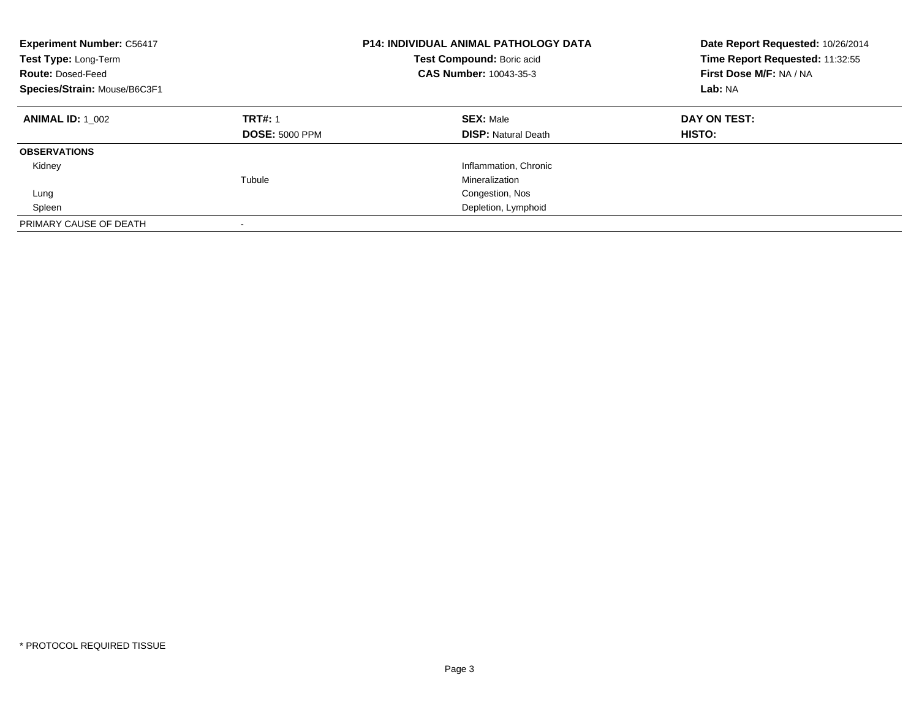| <b>Experiment Number: C56417</b><br>Test Type: Long-Term<br><b>Route: Dosed-Feed</b><br>Species/Strain: Mouse/B6C3F1 |                                         | <b>P14: INDIVIDUAL ANIMAL PATHOLOGY DATA</b><br>Date Report Requested: 10/26/2014<br>Time Report Requested: 11:32:55<br>Test Compound: Boric acid<br><b>CAS Number: 10043-35-3</b><br>First Dose M/F: NA / NA<br>Lab: NA |                        |
|----------------------------------------------------------------------------------------------------------------------|-----------------------------------------|--------------------------------------------------------------------------------------------------------------------------------------------------------------------------------------------------------------------------|------------------------|
| <b>ANIMAL ID: 1 002</b>                                                                                              | <b>TRT#: 1</b><br><b>DOSE: 5000 PPM</b> | <b>SEX: Male</b><br><b>DISP: Natural Death</b>                                                                                                                                                                           | DAY ON TEST:<br>HISTO: |
| <b>OBSERVATIONS</b>                                                                                                  |                                         |                                                                                                                                                                                                                          |                        |
| Kidney                                                                                                               |                                         | Inflammation, Chronic                                                                                                                                                                                                    |                        |
|                                                                                                                      | Tubule                                  | Mineralization                                                                                                                                                                                                           |                        |
| Lung                                                                                                                 |                                         | Congestion, Nos                                                                                                                                                                                                          |                        |
| Spleen                                                                                                               |                                         | Depletion, Lymphoid                                                                                                                                                                                                      |                        |
| PRIMARY CAUSE OF DEATH                                                                                               |                                         |                                                                                                                                                                                                                          |                        |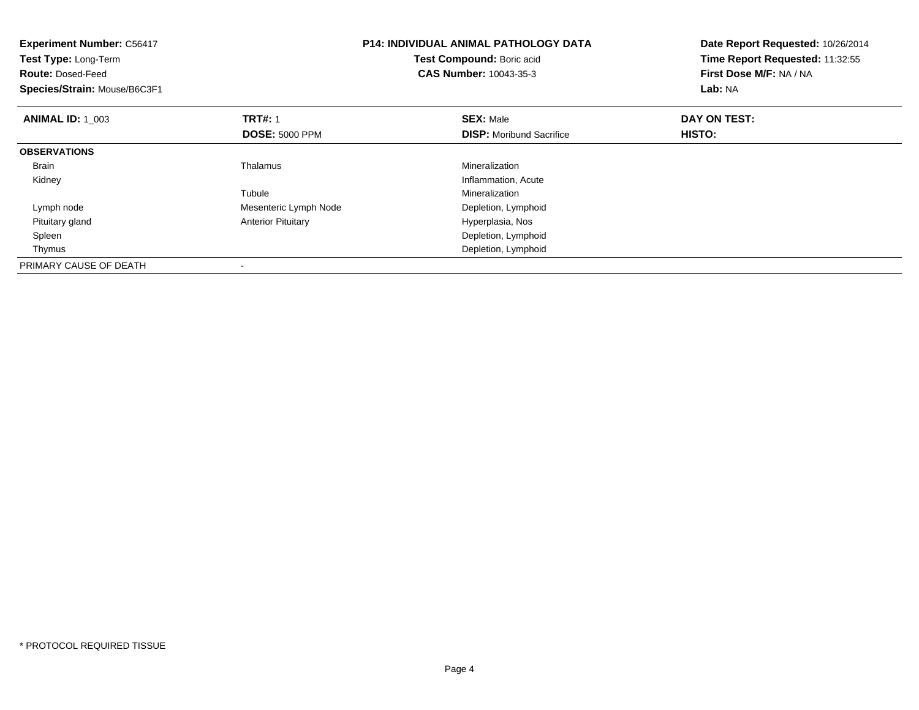| <b>Experiment Number: C56417</b><br><b>Test Type: Long-Term</b><br><b>Route: Dosed-Feed</b><br>Species/Strain: Mouse/B6C3F1 |                           | <b>P14: INDIVIDUAL ANIMAL PATHOLOGY DATA</b><br>Test Compound: Boric acid<br><b>CAS Number: 10043-35-3</b> | Date Report Requested: 10/26/2014<br>Time Report Requested: 11:32:55<br>First Dose M/F: NA / NA<br>Lab: NA |
|-----------------------------------------------------------------------------------------------------------------------------|---------------------------|------------------------------------------------------------------------------------------------------------|------------------------------------------------------------------------------------------------------------|
| <b>ANIMAL ID: 1 003</b>                                                                                                     | <b>TRT#: 1</b>            | <b>SEX: Male</b>                                                                                           | DAY ON TEST:                                                                                               |
|                                                                                                                             | <b>DOSE: 5000 PPM</b>     | <b>DISP:</b> Moribund Sacrifice                                                                            | HISTO:                                                                                                     |
| <b>OBSERVATIONS</b>                                                                                                         |                           |                                                                                                            |                                                                                                            |
| <b>Brain</b>                                                                                                                | Thalamus                  | Mineralization                                                                                             |                                                                                                            |
| Kidney                                                                                                                      |                           | Inflammation, Acute                                                                                        |                                                                                                            |
|                                                                                                                             | Tubule                    | Mineralization                                                                                             |                                                                                                            |
| Lymph node                                                                                                                  | Mesenteric Lymph Node     | Depletion, Lymphoid                                                                                        |                                                                                                            |
| Pituitary gland                                                                                                             | <b>Anterior Pituitary</b> | Hyperplasia, Nos                                                                                           |                                                                                                            |
| Spleen                                                                                                                      |                           | Depletion, Lymphoid                                                                                        |                                                                                                            |
| Thymus                                                                                                                      |                           | Depletion, Lymphoid                                                                                        |                                                                                                            |
| PRIMARY CAUSE OF DEATH                                                                                                      |                           |                                                                                                            |                                                                                                            |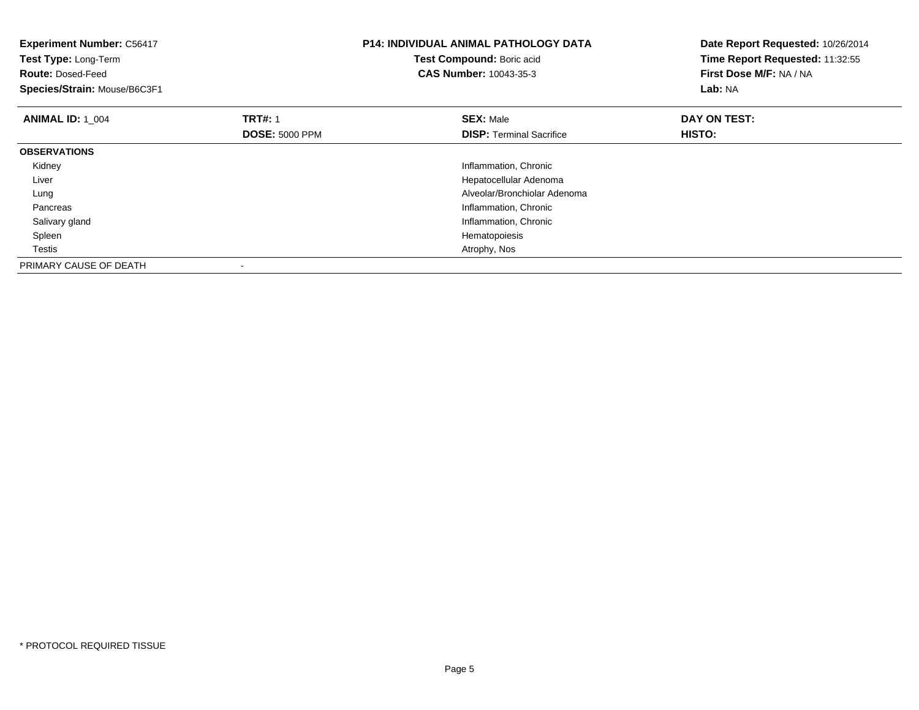| <b>Experiment Number: C56417</b><br>Test Type: Long-Term<br><b>Route: Dosed-Feed</b><br>Species/Strain: Mouse/B6C3F1 |                       | <b>P14: INDIVIDUAL ANIMAL PATHOLOGY DATA</b><br>Test Compound: Boric acid<br><b>CAS Number: 10043-35-3</b> | Date Report Requested: 10/26/2014<br>Time Report Requested: 11:32:55<br>First Dose M/F: NA / NA<br>Lab: NA |
|----------------------------------------------------------------------------------------------------------------------|-----------------------|------------------------------------------------------------------------------------------------------------|------------------------------------------------------------------------------------------------------------|
| <b>ANIMAL ID: 1 004</b>                                                                                              | <b>TRT#: 1</b>        | <b>SEX: Male</b>                                                                                           | DAY ON TEST:                                                                                               |
|                                                                                                                      | <b>DOSE: 5000 PPM</b> | <b>DISP:</b> Terminal Sacrifice                                                                            | HISTO:                                                                                                     |
| <b>OBSERVATIONS</b>                                                                                                  |                       |                                                                                                            |                                                                                                            |
| Kidney                                                                                                               |                       | Inflammation, Chronic                                                                                      |                                                                                                            |
| Liver                                                                                                                |                       | Hepatocellular Adenoma                                                                                     |                                                                                                            |
| Lung                                                                                                                 |                       | Alveolar/Bronchiolar Adenoma                                                                               |                                                                                                            |
| Pancreas                                                                                                             |                       | Inflammation, Chronic                                                                                      |                                                                                                            |
| Salivary gland                                                                                                       |                       | Inflammation, Chronic                                                                                      |                                                                                                            |
| Spleen                                                                                                               |                       | Hematopoiesis                                                                                              |                                                                                                            |
| Testis                                                                                                               |                       | Atrophy, Nos                                                                                               |                                                                                                            |
| PRIMARY CAUSE OF DEATH                                                                                               | $\,$                  |                                                                                                            |                                                                                                            |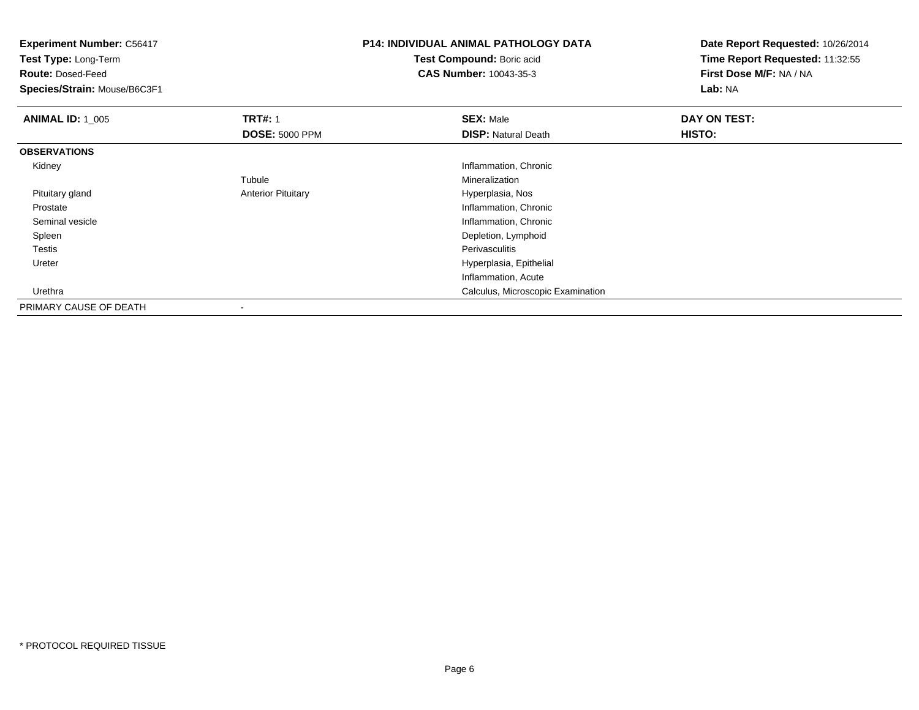| <b>Experiment Number: C56417</b> |                           | <b>P14: INDIVIDUAL ANIMAL PATHOLOGY DATA</b> | Date Report Requested: 10/26/2014 |
|----------------------------------|---------------------------|----------------------------------------------|-----------------------------------|
| Test Type: Long-Term             |                           | Test Compound: Boric acid                    | Time Report Requested: 11:32:55   |
| <b>Route: Dosed-Feed</b>         |                           | <b>CAS Number: 10043-35-3</b>                | First Dose M/F: NA / NA           |
| Species/Strain: Mouse/B6C3F1     |                           |                                              | Lab: NA                           |
| <b>ANIMAL ID: 1_005</b>          | <b>TRT#: 1</b>            | <b>SEX: Male</b>                             | DAY ON TEST:                      |
|                                  | <b>DOSE: 5000 PPM</b>     | <b>DISP: Natural Death</b>                   | HISTO:                            |
| <b>OBSERVATIONS</b>              |                           |                                              |                                   |
| Kidney                           |                           | Inflammation, Chronic                        |                                   |
|                                  | Tubule                    | Mineralization                               |                                   |
| Pituitary gland                  | <b>Anterior Pituitary</b> | Hyperplasia, Nos                             |                                   |
| Prostate                         |                           | Inflammation, Chronic                        |                                   |
| Seminal vesicle                  |                           | Inflammation, Chronic                        |                                   |
| Spleen                           |                           | Depletion, Lymphoid                          |                                   |
| Testis                           |                           | Perivasculitis                               |                                   |
| Ureter                           |                           | Hyperplasia, Epithelial                      |                                   |
|                                  |                           | Inflammation, Acute                          |                                   |
| Urethra                          |                           | Calculus, Microscopic Examination            |                                   |
| PRIMARY CAUSE OF DEATH           |                           |                                              |                                   |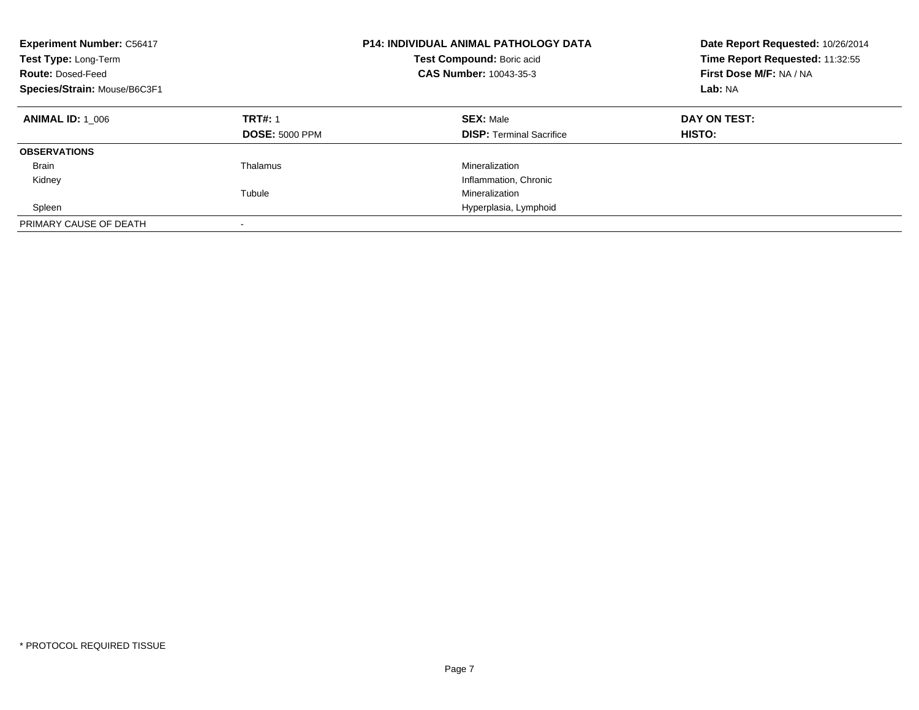| <b>Experiment Number: C56417</b><br>Test Type: Long-Term<br><b>Route: Dosed-Feed</b><br>Species/Strain: Mouse/B6C3F1 |                                         | <b>P14: INDIVIDUAL ANIMAL PATHOLOGY DATA</b><br>Date Report Requested: 10/26/2014<br>Time Report Requested: 11:32:55<br>Test Compound: Boric acid<br>First Dose M/F: NA / NA<br><b>CAS Number: 10043-35-3</b><br>Lab: NA |                        |
|----------------------------------------------------------------------------------------------------------------------|-----------------------------------------|--------------------------------------------------------------------------------------------------------------------------------------------------------------------------------------------------------------------------|------------------------|
| <b>ANIMAL ID: 1 006</b>                                                                                              | <b>TRT#: 1</b><br><b>DOSE: 5000 PPM</b> | <b>SEX: Male</b><br><b>DISP:</b> Terminal Sacrifice                                                                                                                                                                      | DAY ON TEST:<br>HISTO: |
| <b>OBSERVATIONS</b>                                                                                                  |                                         |                                                                                                                                                                                                                          |                        |
| <b>Brain</b>                                                                                                         | Thalamus                                | Mineralization                                                                                                                                                                                                           |                        |
| Kidney                                                                                                               |                                         | Inflammation, Chronic                                                                                                                                                                                                    |                        |
|                                                                                                                      | Tubule                                  | Mineralization                                                                                                                                                                                                           |                        |
| Spleen                                                                                                               |                                         | Hyperplasia, Lymphoid                                                                                                                                                                                                    |                        |
| PRIMARY CAUSE OF DEATH                                                                                               | -                                       |                                                                                                                                                                                                                          |                        |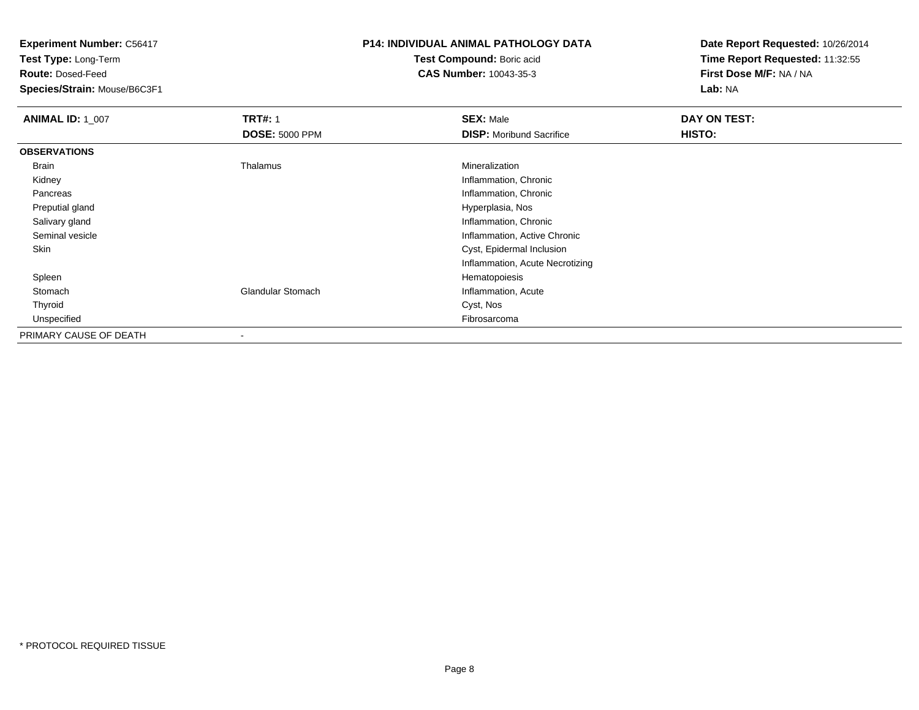**Test Type:** Long-Term

**Route:** Dosed-Feed

**Species/Strain:** Mouse/B6C3F1

## **P14: INDIVIDUAL ANIMAL PATHOLOGY DATA**

**Test Compound:** Boric acid**CAS Number:** 10043-35-3

| <b>ANIMAL ID: 1_007</b> | <b>TRT#: 1</b>           | <b>SEX: Male</b>                | DAY ON TEST: |  |
|-------------------------|--------------------------|---------------------------------|--------------|--|
|                         | <b>DOSE: 5000 PPM</b>    | <b>DISP:</b> Moribund Sacrifice | HISTO:       |  |
| <b>OBSERVATIONS</b>     |                          |                                 |              |  |
| Brain                   | Thalamus                 | Mineralization                  |              |  |
| Kidney                  |                          | Inflammation, Chronic           |              |  |
| Pancreas                |                          | Inflammation, Chronic           |              |  |
| Preputial gland         |                          | Hyperplasia, Nos                |              |  |
| Salivary gland          |                          | Inflammation, Chronic           |              |  |
| Seminal vesicle         |                          | Inflammation, Active Chronic    |              |  |
| Skin                    |                          | Cyst, Epidermal Inclusion       |              |  |
|                         |                          | Inflammation, Acute Necrotizing |              |  |
| Spleen                  |                          | Hematopoiesis                   |              |  |
| Stomach                 | <b>Glandular Stomach</b> | Inflammation, Acute             |              |  |
| Thyroid                 |                          | Cyst, Nos                       |              |  |
| Unspecified             |                          | Fibrosarcoma                    |              |  |
| PRIMARY CAUSE OF DEATH  | $\,$                     |                                 |              |  |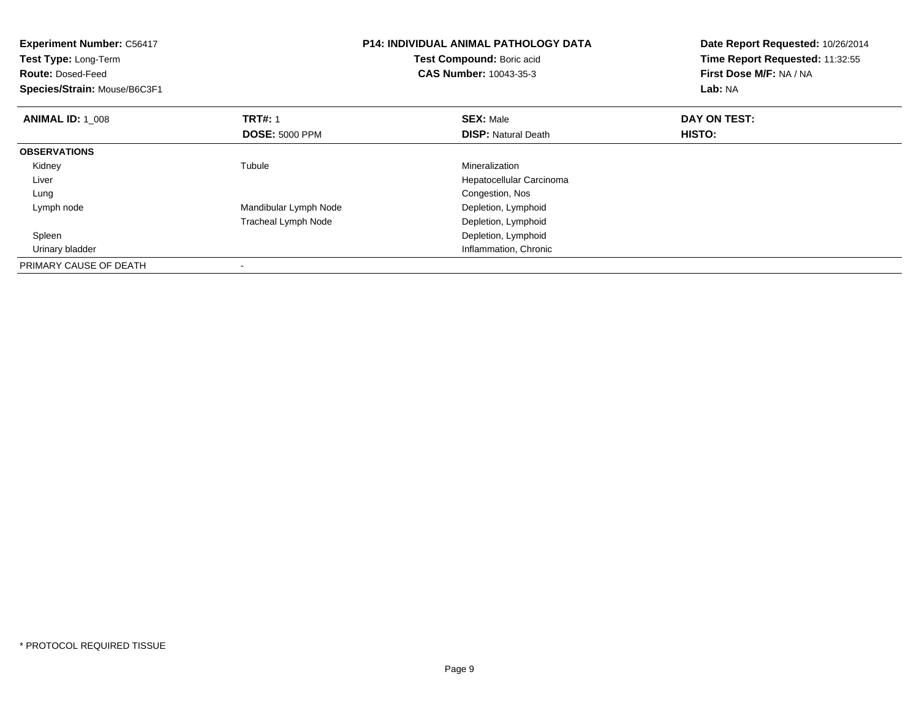| <b>Experiment Number: C56417</b><br>Test Type: Long-Term<br><b>Route: Dosed-Feed</b><br>Species/Strain: Mouse/B6C3F1 |                       | <b>P14: INDIVIDUAL ANIMAL PATHOLOGY DATA</b><br>Test Compound: Boric acid<br><b>CAS Number: 10043-35-3</b> | Date Report Requested: 10/26/2014<br>Time Report Requested: 11:32:55<br>First Dose M/F: NA / NA<br>Lab: NA |
|----------------------------------------------------------------------------------------------------------------------|-----------------------|------------------------------------------------------------------------------------------------------------|------------------------------------------------------------------------------------------------------------|
| <b>ANIMAL ID: 1_008</b>                                                                                              | <b>TRT#: 1</b>        | <b>SEX: Male</b>                                                                                           | DAY ON TEST:                                                                                               |
|                                                                                                                      | <b>DOSE: 5000 PPM</b> | <b>DISP: Natural Death</b>                                                                                 | HISTO:                                                                                                     |
| <b>OBSERVATIONS</b>                                                                                                  |                       |                                                                                                            |                                                                                                            |
| Kidney                                                                                                               | Tubule                | Mineralization                                                                                             |                                                                                                            |
| Liver                                                                                                                |                       | Hepatocellular Carcinoma                                                                                   |                                                                                                            |
| Lung                                                                                                                 |                       | Congestion, Nos                                                                                            |                                                                                                            |
| Lymph node                                                                                                           | Mandibular Lymph Node | Depletion, Lymphoid                                                                                        |                                                                                                            |
|                                                                                                                      | Tracheal Lymph Node   | Depletion, Lymphoid                                                                                        |                                                                                                            |
| Spleen                                                                                                               |                       | Depletion, Lymphoid                                                                                        |                                                                                                            |
| Urinary bladder                                                                                                      |                       | Inflammation, Chronic                                                                                      |                                                                                                            |
| PRIMARY CAUSE OF DEATH                                                                                               | $\,$                  |                                                                                                            |                                                                                                            |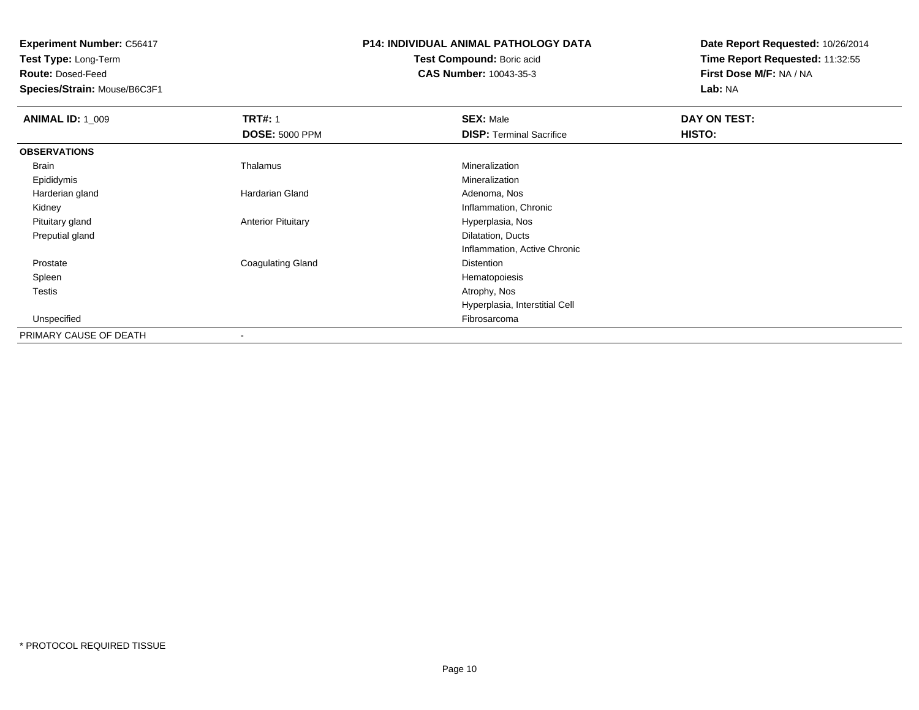**Test Type:** Long-Term

**Route:** Dosed-Feed

**Species/Strain:** Mouse/B6C3F1

# **P14: INDIVIDUAL ANIMAL PATHOLOGY DATA**

**Test Compound:** Boric acid**CAS Number:** 10043-35-3

| <b>ANIMAL ID: 1 009</b> | <b>TRT#: 1</b>            | <b>SEX: Male</b>                | DAY ON TEST: |  |
|-------------------------|---------------------------|---------------------------------|--------------|--|
|                         | <b>DOSE: 5000 PPM</b>     | <b>DISP: Terminal Sacrifice</b> | HISTO:       |  |
| <b>OBSERVATIONS</b>     |                           |                                 |              |  |
| Brain                   | Thalamus                  | Mineralization                  |              |  |
| Epididymis              |                           | Mineralization                  |              |  |
| Harderian gland         | Hardarian Gland           | Adenoma, Nos                    |              |  |
| Kidney                  |                           | Inflammation, Chronic           |              |  |
| Pituitary gland         | <b>Anterior Pituitary</b> | Hyperplasia, Nos                |              |  |
| Preputial gland         |                           | Dilatation, Ducts               |              |  |
|                         |                           | Inflammation, Active Chronic    |              |  |
| Prostate                | <b>Coagulating Gland</b>  | Distention                      |              |  |
| Spleen                  |                           | Hematopoiesis                   |              |  |
| Testis                  |                           | Atrophy, Nos                    |              |  |
|                         |                           | Hyperplasia, Interstitial Cell  |              |  |
| Unspecified             |                           | Fibrosarcoma                    |              |  |
| PRIMARY CAUSE OF DEATH  | $\overline{\phantom{a}}$  |                                 |              |  |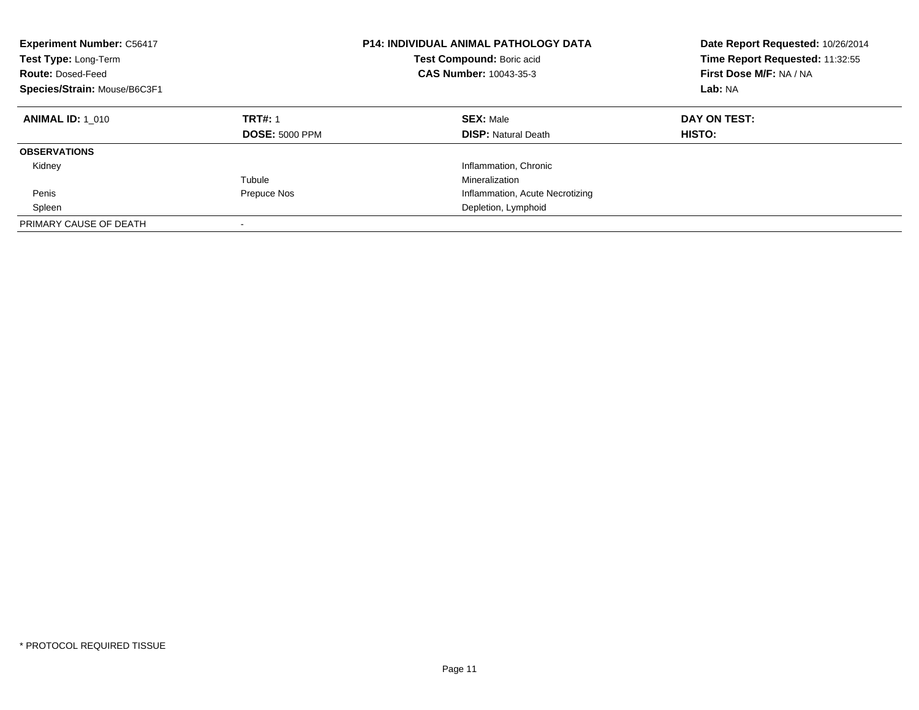| <b>Experiment Number: C56417</b><br>Test Type: Long-Term<br><b>Route: Dosed-Feed</b><br>Species/Strain: Mouse/B6C3F1 |                                         | <b>P14: INDIVIDUAL ANIMAL PATHOLOGY DATA</b><br>Test Compound: Boric acid<br><b>CAS Number: 10043-35-3</b> | Date Report Requested: 10/26/2014<br>Time Report Requested: 11:32:55<br>First Dose M/F: NA / NA<br>Lab: NA |
|----------------------------------------------------------------------------------------------------------------------|-----------------------------------------|------------------------------------------------------------------------------------------------------------|------------------------------------------------------------------------------------------------------------|
| <b>ANIMAL ID: 1 010</b>                                                                                              | <b>TRT#: 1</b><br><b>DOSE: 5000 PPM</b> | <b>SEX: Male</b><br><b>DISP:</b> Natural Death                                                             | DAY ON TEST:<br>HISTO:                                                                                     |
| <b>OBSERVATIONS</b>                                                                                                  |                                         |                                                                                                            |                                                                                                            |
| Kidney                                                                                                               |                                         | Inflammation, Chronic                                                                                      |                                                                                                            |
|                                                                                                                      | Tubule                                  | Mineralization                                                                                             |                                                                                                            |
| Penis                                                                                                                | Prepuce Nos                             | Inflammation, Acute Necrotizing                                                                            |                                                                                                            |
| Spleen                                                                                                               |                                         | Depletion, Lymphoid                                                                                        |                                                                                                            |
| PRIMARY CAUSE OF DEATH                                                                                               |                                         |                                                                                                            |                                                                                                            |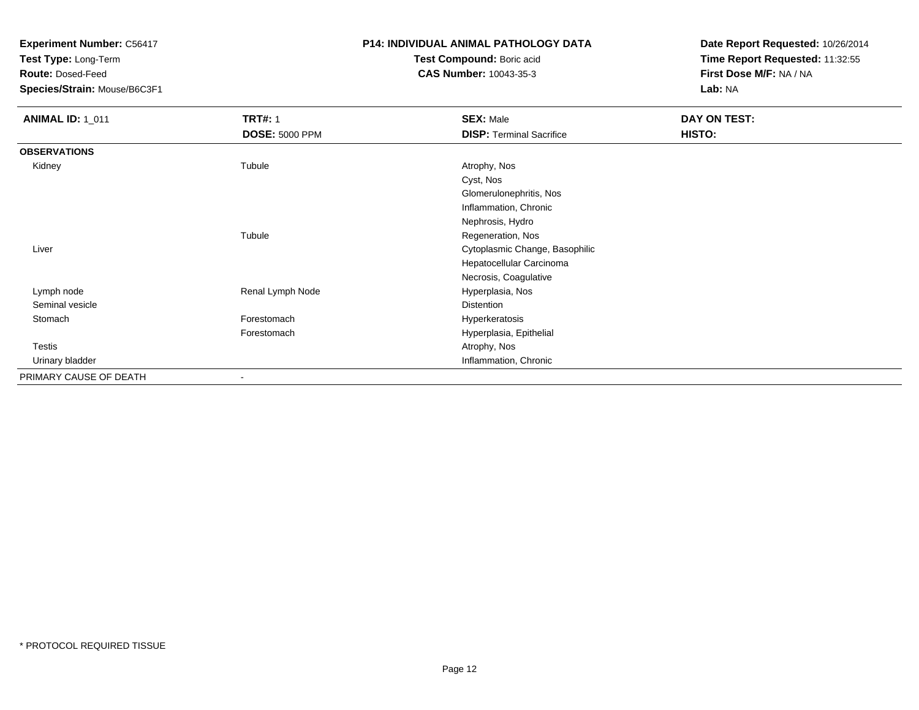**Test Type:** Long-Term

**Route:** Dosed-Feed

**Species/Strain:** Mouse/B6C3F1

## **P14: INDIVIDUAL ANIMAL PATHOLOGY DATA**

**Test Compound:** Boric acid**CAS Number:** 10043-35-3

| <b>ANIMAL ID: 1_011</b> | <b>TRT#: 1</b>        | <b>SEX: Male</b>                | DAY ON TEST: |  |
|-------------------------|-----------------------|---------------------------------|--------------|--|
|                         | <b>DOSE: 5000 PPM</b> | <b>DISP: Terminal Sacrifice</b> | HISTO:       |  |
| <b>OBSERVATIONS</b>     |                       |                                 |              |  |
| Kidney                  | Tubule                | Atrophy, Nos                    |              |  |
|                         |                       | Cyst, Nos                       |              |  |
|                         |                       | Glomerulonephritis, Nos         |              |  |
|                         |                       | Inflammation, Chronic           |              |  |
|                         |                       | Nephrosis, Hydro                |              |  |
|                         | Tubule                | Regeneration, Nos               |              |  |
| Liver                   |                       | Cytoplasmic Change, Basophilic  |              |  |
|                         |                       | Hepatocellular Carcinoma        |              |  |
|                         |                       | Necrosis, Coagulative           |              |  |
| Lymph node              | Renal Lymph Node      | Hyperplasia, Nos                |              |  |
| Seminal vesicle         |                       | Distention                      |              |  |
| Stomach                 | Forestomach           | Hyperkeratosis                  |              |  |
|                         | Forestomach           | Hyperplasia, Epithelial         |              |  |
| Testis                  |                       | Atrophy, Nos                    |              |  |
| Urinary bladder         |                       | Inflammation, Chronic           |              |  |
| PRIMARY CAUSE OF DEATH  | $\blacksquare$        |                                 |              |  |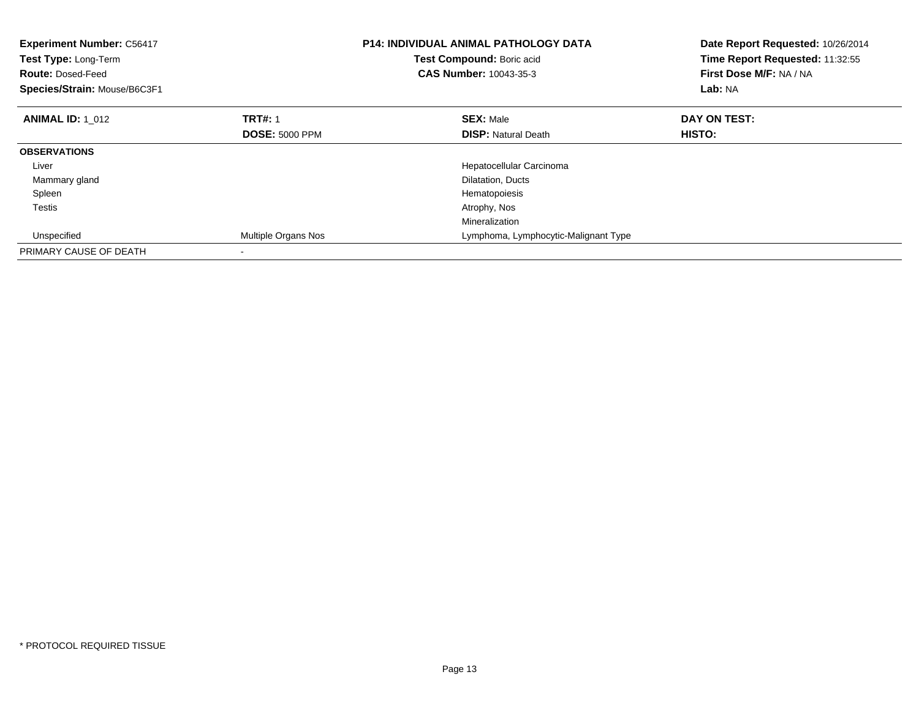| <b>Experiment Number: C56417</b><br>Test Type: Long-Term<br><b>Route: Dosed-Feed</b><br>Species/Strain: Mouse/B6C3F1 |                       | <b>P14: INDIVIDUAL ANIMAL PATHOLOGY DATA</b><br>Test Compound: Boric acid<br>CAS Number: 10043-35-3 | Date Report Requested: 10/26/2014<br>Time Report Requested: 11:32:55<br>First Dose M/F: NA / NA<br>Lab: NA |
|----------------------------------------------------------------------------------------------------------------------|-----------------------|-----------------------------------------------------------------------------------------------------|------------------------------------------------------------------------------------------------------------|
| <b>ANIMAL ID: 1 012</b>                                                                                              | <b>TRT#: 1</b>        | <b>SEX: Male</b>                                                                                    | DAY ON TEST:                                                                                               |
|                                                                                                                      | <b>DOSE: 5000 PPM</b> | <b>DISP:</b> Natural Death                                                                          | HISTO:                                                                                                     |
| <b>OBSERVATIONS</b>                                                                                                  |                       |                                                                                                     |                                                                                                            |
| Liver                                                                                                                |                       | Hepatocellular Carcinoma                                                                            |                                                                                                            |
| Mammary gland                                                                                                        |                       | Dilatation, Ducts                                                                                   |                                                                                                            |
| Spleen                                                                                                               |                       | Hematopoiesis                                                                                       |                                                                                                            |
| Testis                                                                                                               |                       | Atrophy, Nos                                                                                        |                                                                                                            |
|                                                                                                                      |                       | Mineralization                                                                                      |                                                                                                            |
| Unspecified                                                                                                          | Multiple Organs Nos   | Lymphoma, Lymphocytic-Malignant Type                                                                |                                                                                                            |
| PRIMARY CAUSE OF DEATH                                                                                               |                       |                                                                                                     |                                                                                                            |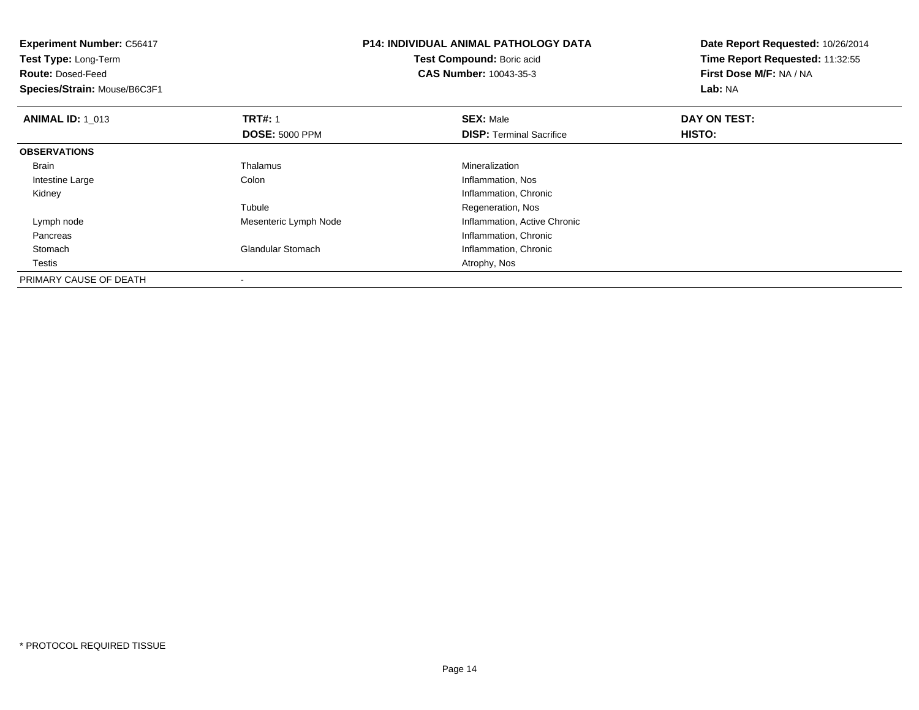| <b>Experiment Number: C56417</b><br>Test Type: Long-Term<br><b>Route: Dosed-Feed</b><br>Species/Strain: Mouse/B6C3F1 |                                         | <b>P14: INDIVIDUAL ANIMAL PATHOLOGY DATA</b><br>Test Compound: Boric acid<br><b>CAS Number: 10043-35-3</b> | Date Report Requested: 10/26/2014<br>Time Report Requested: 11:32:55<br>First Dose M/F: NA / NA<br>Lab: NA |  |
|----------------------------------------------------------------------------------------------------------------------|-----------------------------------------|------------------------------------------------------------------------------------------------------------|------------------------------------------------------------------------------------------------------------|--|
| <b>ANIMAL ID: 1 013</b>                                                                                              | <b>TRT#: 1</b><br><b>DOSE: 5000 PPM</b> | <b>SEX: Male</b><br><b>DISP:</b> Terminal Sacrifice                                                        | DAY ON TEST:<br><b>HISTO:</b>                                                                              |  |
| <b>OBSERVATIONS</b>                                                                                                  |                                         |                                                                                                            |                                                                                                            |  |
| <b>Brain</b>                                                                                                         | Thalamus                                | Mineralization                                                                                             |                                                                                                            |  |
| Intestine Large                                                                                                      | Colon                                   | Inflammation, Nos                                                                                          |                                                                                                            |  |
| Kidney                                                                                                               |                                         | Inflammation, Chronic                                                                                      |                                                                                                            |  |
|                                                                                                                      | Tubule                                  | Regeneration, Nos                                                                                          |                                                                                                            |  |
| Lymph node                                                                                                           | Mesenteric Lymph Node                   | Inflammation, Active Chronic                                                                               |                                                                                                            |  |
| Pancreas                                                                                                             |                                         | Inflammation, Chronic                                                                                      |                                                                                                            |  |
| Stomach                                                                                                              | <b>Glandular Stomach</b>                | Inflammation, Chronic                                                                                      |                                                                                                            |  |
| Testis                                                                                                               |                                         | Atrophy, Nos                                                                                               |                                                                                                            |  |
| PRIMARY CAUSE OF DEATH                                                                                               |                                         |                                                                                                            |                                                                                                            |  |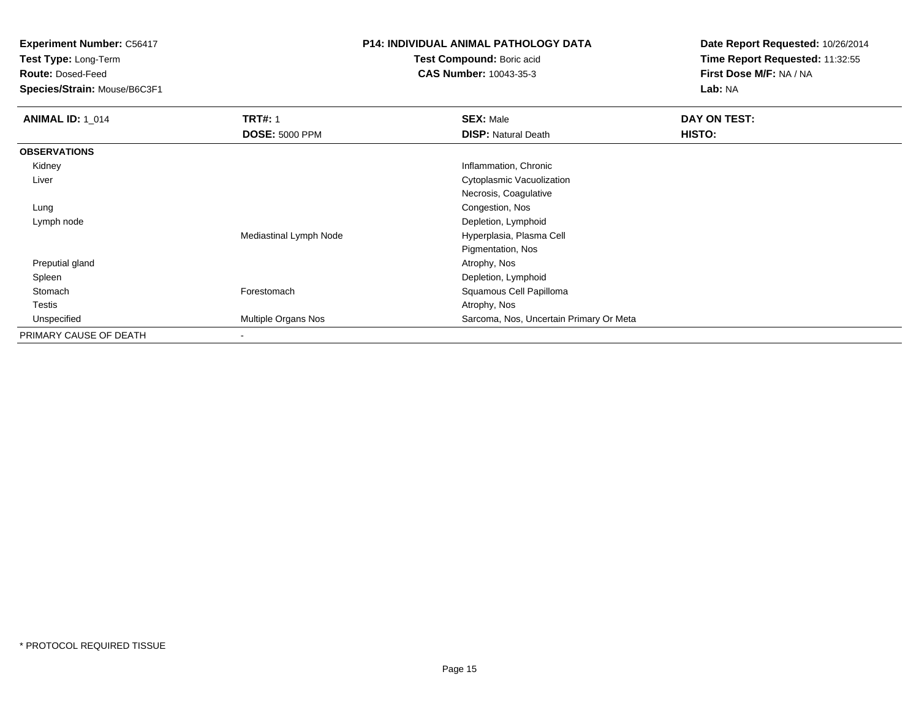**Test Type:** Long-Term

**Route:** Dosed-Feed

**Species/Strain:** Mouse/B6C3F1

#### **P14: INDIVIDUAL ANIMAL PATHOLOGY DATA**

**Test Compound:** Boric acid**CAS Number:** 10043-35-3

| <b>ANIMAL ID: 1 014</b> | <b>TRT#: 1</b>         | <b>SEX: Male</b>                        | DAY ON TEST: |  |
|-------------------------|------------------------|-----------------------------------------|--------------|--|
|                         | <b>DOSE: 5000 PPM</b>  | <b>DISP: Natural Death</b>              | HISTO:       |  |
| <b>OBSERVATIONS</b>     |                        |                                         |              |  |
| Kidney                  |                        | Inflammation, Chronic                   |              |  |
| Liver                   |                        | Cytoplasmic Vacuolization               |              |  |
|                         |                        | Necrosis, Coagulative                   |              |  |
| Lung                    |                        | Congestion, Nos                         |              |  |
| Lymph node              |                        | Depletion, Lymphoid                     |              |  |
|                         | Mediastinal Lymph Node | Hyperplasia, Plasma Cell                |              |  |
|                         |                        | Pigmentation, Nos                       |              |  |
| Preputial gland         |                        | Atrophy, Nos                            |              |  |
| Spleen                  |                        | Depletion, Lymphoid                     |              |  |
| Stomach                 | Forestomach            | Squamous Cell Papilloma                 |              |  |
| <b>Testis</b>           |                        | Atrophy, Nos                            |              |  |
| Unspecified             | Multiple Organs Nos    | Sarcoma, Nos, Uncertain Primary Or Meta |              |  |
| PRIMARY CAUSE OF DEATH  |                        |                                         |              |  |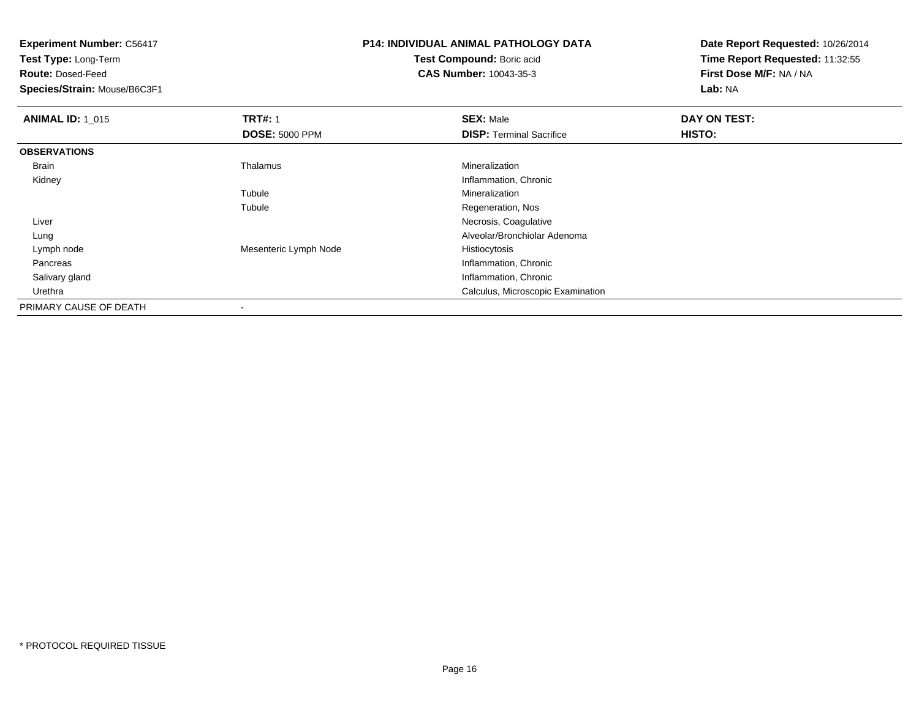**Experiment Number:** C56417**Test Type:** Long-Term**Route:** Dosed-Feed **Species/Strain:** Mouse/B6C3F1**P14: INDIVIDUAL ANIMAL PATHOLOGY DATATest Compound:** Boric acid **CAS Number:** 10043-35-3**Date Report Requested:** 10/26/2014**Time Report Requested:** 11:32:55**First Dose M/F:** NA / NA**Lab:** NA**ANIMAL ID: 1\_015 TRT#:** <sup>1</sup> **SEX:** Male **DAY ON TEST: DOSE:** 5000 PPM**DISP:** Terminal Sacrifice **HISTO: OBSERVATIONS** Brain Thalamus Mineralization Kidney Inflammation, Chronic Tubule Mineralization Tubule Regeneration, Nos Liver Necrosis, Coagulative Alveolar/Bronchiolar Adenoma Lung Lymph nodeMesenteric Lymph Node Histiocytosis Pancreas Inflammation, Chronic Salivary gland Inflammation, Chronic Urethra Calculus, Microscopic Examination PRIMARY CAUSE OF DEATH

-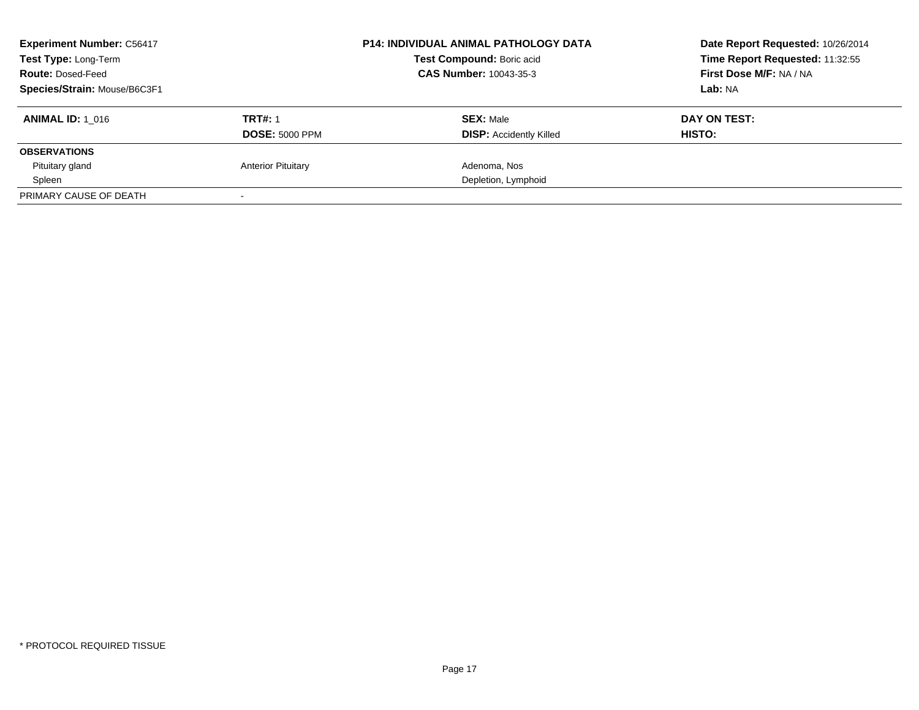| <b>Experiment Number: C56417</b><br>Test Type: Long-Term<br><b>Route: Dosed-Feed</b><br>Species/Strain: Mouse/B6C3F1 |                                         | <b>P14: INDIVIDUAL ANIMAL PATHOLOGY DATA</b><br>Test Compound: Boric acid<br>CAS Number: 10043-35-3 | Date Report Requested: 10/26/2014<br>Time Report Requested: 11:32:55<br>First Dose M/F: NA / NA<br>Lab: NA |  |
|----------------------------------------------------------------------------------------------------------------------|-----------------------------------------|-----------------------------------------------------------------------------------------------------|------------------------------------------------------------------------------------------------------------|--|
| <b>ANIMAL ID: 1 016</b>                                                                                              | <b>TRT#: 1</b><br><b>DOSE: 5000 PPM</b> | <b>SEX: Male</b><br><b>DISP: Accidently Killed</b>                                                  | DAY ON TEST:<br>HISTO:                                                                                     |  |
| <b>OBSERVATIONS</b>                                                                                                  |                                         |                                                                                                     |                                                                                                            |  |
| Pituitary gland                                                                                                      | <b>Anterior Pituitary</b>               | Adenoma, Nos                                                                                        |                                                                                                            |  |
| Spleen                                                                                                               |                                         | Depletion, Lymphoid                                                                                 |                                                                                                            |  |
| PRIMARY CAUSE OF DEATH                                                                                               |                                         |                                                                                                     |                                                                                                            |  |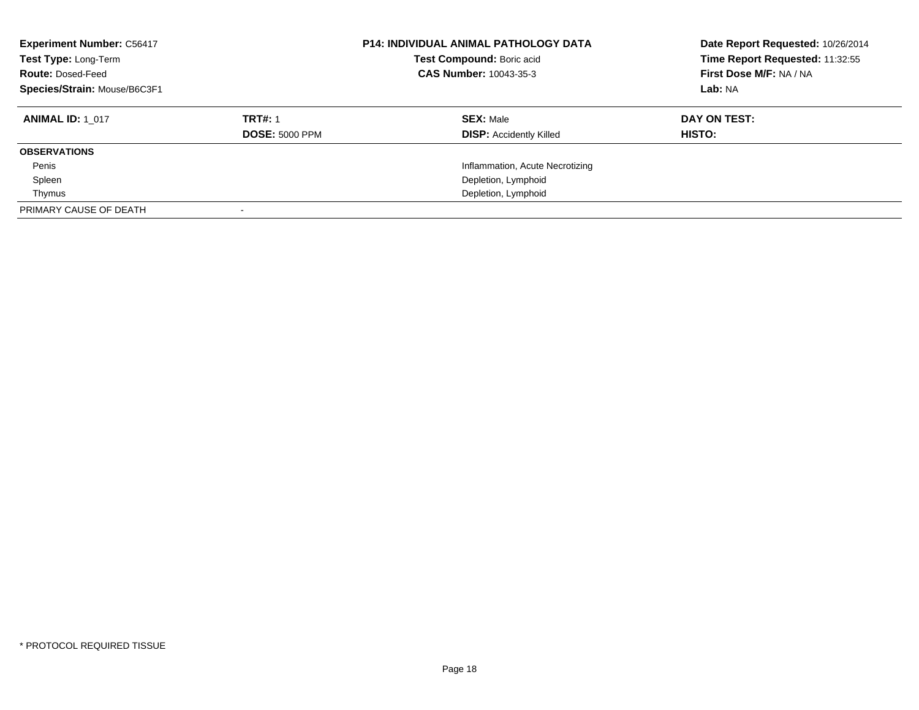| <b>Experiment Number: C56417</b><br>Test Type: Long-Term<br><b>Route: Dosed-Feed</b><br>Species/Strain: Mouse/B6C3F1 | <b>P14: INDIVIDUAL ANIMAL PATHOLOGY DATA</b><br>Test Compound: Boric acid<br>CAS Number: 10043-35-3 |                                                    | Date Report Requested: 10/26/2014<br>Time Report Requested: 11:32:55<br>First Dose M/F: NA / NA<br>Lab: NA |
|----------------------------------------------------------------------------------------------------------------------|-----------------------------------------------------------------------------------------------------|----------------------------------------------------|------------------------------------------------------------------------------------------------------------|
| <b>ANIMAL ID: 1 017</b>                                                                                              | <b>TRT#: 1</b><br><b>DOSE: 5000 PPM</b>                                                             | <b>SEX: Male</b><br><b>DISP:</b> Accidently Killed | DAY ON TEST:<br>HISTO:                                                                                     |
| <b>OBSERVATIONS</b>                                                                                                  |                                                                                                     |                                                    |                                                                                                            |
| Penis                                                                                                                |                                                                                                     | Inflammation, Acute Necrotizing                    |                                                                                                            |
| Spleen                                                                                                               |                                                                                                     | Depletion, Lymphoid                                |                                                                                                            |
| Thymus                                                                                                               |                                                                                                     | Depletion, Lymphoid                                |                                                                                                            |
| PRIMARY CAUSE OF DEATH                                                                                               |                                                                                                     |                                                    |                                                                                                            |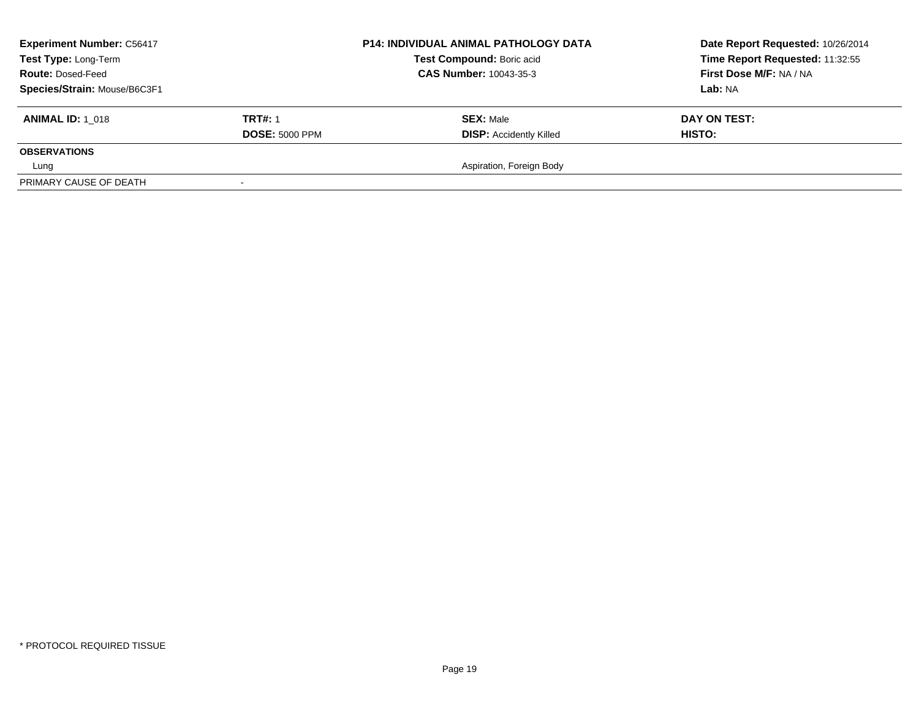| <b>Experiment Number: C56417</b><br>Test Type: Long-Term<br><b>Route: Dosed-Feed</b><br>Species/Strain: Mouse/B6C3F1 |                                         | <b>P14: INDIVIDUAL ANIMAL PATHOLOGY DATA</b><br>Test Compound: Boric acid<br><b>CAS Number: 10043-35-3</b> | Date Report Requested: 10/26/2014<br>Time Report Requested: 11:32:55<br>First Dose M/F: NA / NA<br>Lab: NA |  |
|----------------------------------------------------------------------------------------------------------------------|-----------------------------------------|------------------------------------------------------------------------------------------------------------|------------------------------------------------------------------------------------------------------------|--|
| <b>ANIMAL ID: 1 018</b>                                                                                              | <b>TRT#: 1</b><br><b>DOSE: 5000 PPM</b> | <b>SEX: Male</b><br><b>DISP: Accidently Killed</b>                                                         | DAY ON TEST:<br>HISTO:                                                                                     |  |
| <b>OBSERVATIONS</b>                                                                                                  |                                         | Aspiration, Foreign Body                                                                                   |                                                                                                            |  |
| Lung<br>PRIMARY CAUSE OF DEATH                                                                                       |                                         |                                                                                                            |                                                                                                            |  |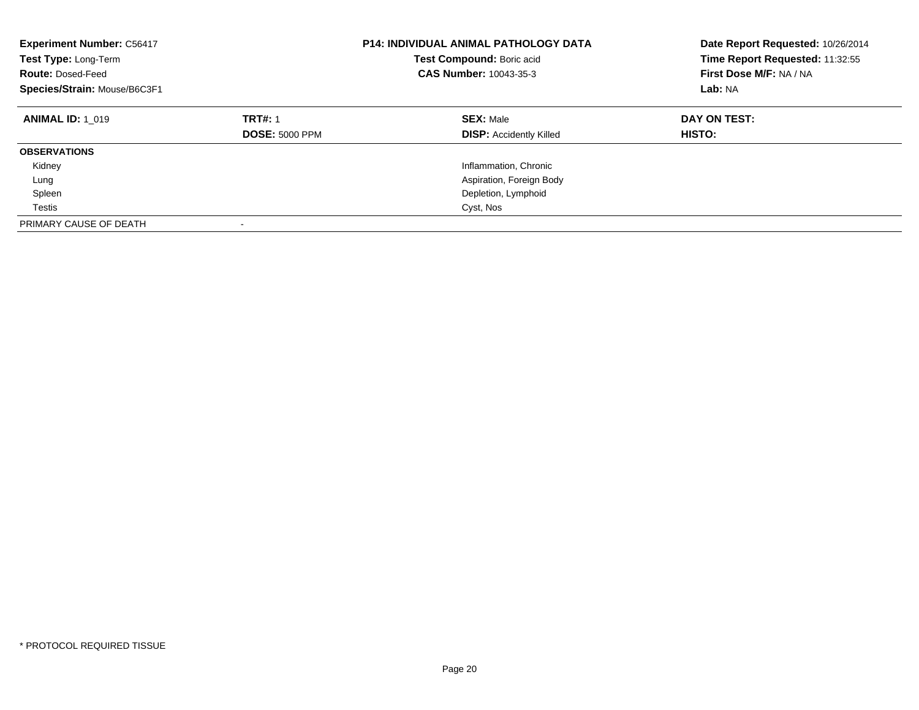| <b>Experiment Number: C56417</b><br>Test Type: Long-Term<br><b>Route: Dosed-Feed</b><br>Species/Strain: Mouse/B6C3F1 | <b>P14: INDIVIDUAL ANIMAL PATHOLOGY DATA</b><br>Test Compound: Boric acid<br><b>CAS Number: 10043-35-3</b> |                                                    | Date Report Requested: 10/26/2014<br>Time Report Requested: 11:32:55<br>First Dose M/F: NA / NA<br>Lab: NA |
|----------------------------------------------------------------------------------------------------------------------|------------------------------------------------------------------------------------------------------------|----------------------------------------------------|------------------------------------------------------------------------------------------------------------|
| <b>ANIMAL ID: 1 019</b>                                                                                              | <b>TRT#: 1</b><br><b>DOSE: 5000 PPM</b>                                                                    | <b>SEX: Male</b><br><b>DISP: Accidently Killed</b> | DAY ON TEST:<br>HISTO:                                                                                     |
| <b>OBSERVATIONS</b>                                                                                                  |                                                                                                            |                                                    |                                                                                                            |
| Kidney                                                                                                               |                                                                                                            | Inflammation, Chronic                              |                                                                                                            |
| Lung                                                                                                                 |                                                                                                            | Aspiration, Foreign Body                           |                                                                                                            |
| Spleen                                                                                                               |                                                                                                            | Depletion, Lymphoid                                |                                                                                                            |
| Testis                                                                                                               |                                                                                                            | Cyst, Nos                                          |                                                                                                            |
| PRIMARY CAUSE OF DEATH                                                                                               |                                                                                                            |                                                    |                                                                                                            |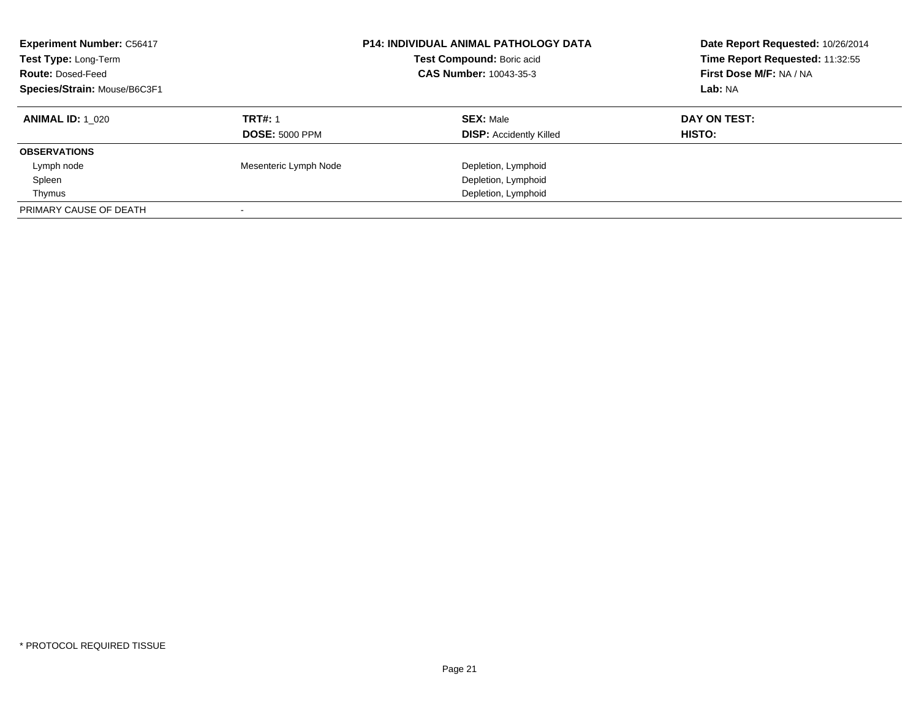| <b>Experiment Number: C56417</b><br>Test Type: Long-Term<br><b>Route: Dosed-Feed</b><br>Species/Strain: Mouse/B6C3F1 |                                         | <b>P14: INDIVIDUAL ANIMAL PATHOLOGY DATA</b><br>Test Compound: Boric acid<br>CAS Number: 10043-35-3 | Date Report Requested: 10/26/2014<br>Time Report Requested: 11:32:55<br>First Dose M/F: NA / NA<br>Lab: NA |
|----------------------------------------------------------------------------------------------------------------------|-----------------------------------------|-----------------------------------------------------------------------------------------------------|------------------------------------------------------------------------------------------------------------|
| <b>ANIMAL ID:</b> 1 020                                                                                              | <b>TRT#: 1</b><br><b>DOSE: 5000 PPM</b> | <b>SEX: Male</b><br><b>DISP:</b> Accidently Killed                                                  | DAY ON TEST:<br>HISTO:                                                                                     |
| <b>OBSERVATIONS</b>                                                                                                  |                                         |                                                                                                     |                                                                                                            |
| Lymph node                                                                                                           | Mesenteric Lymph Node                   | Depletion, Lymphoid                                                                                 |                                                                                                            |
| Spleen                                                                                                               |                                         | Depletion, Lymphoid                                                                                 |                                                                                                            |
| Thymus                                                                                                               |                                         | Depletion, Lymphoid                                                                                 |                                                                                                            |
| PRIMARY CAUSE OF DEATH                                                                                               |                                         |                                                                                                     |                                                                                                            |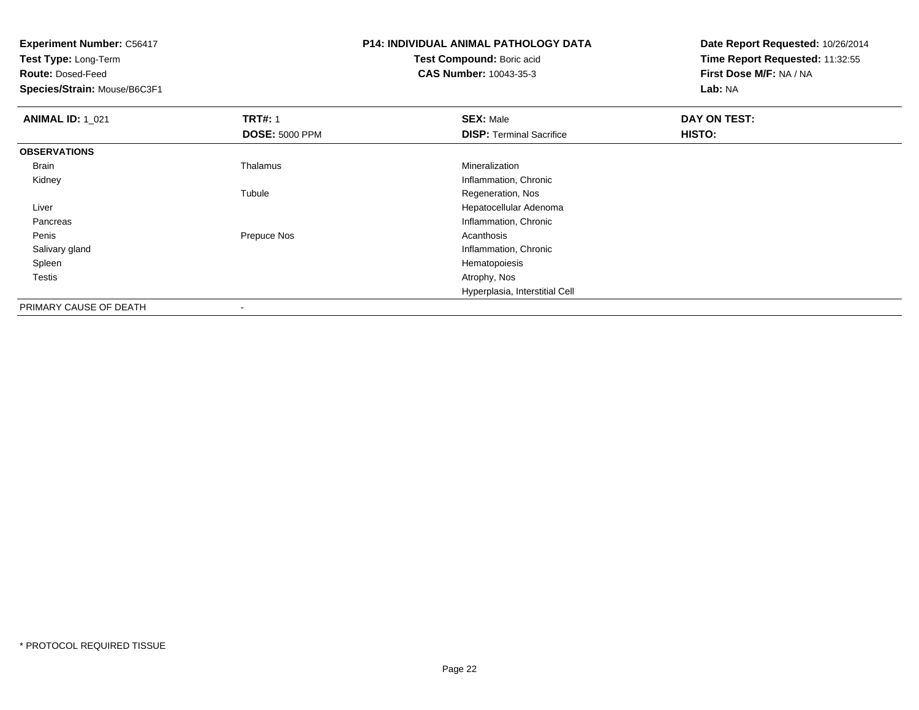**Experiment Number:** C56417**Test Type:** Long-Term**Route:** Dosed-Feed **Species/Strain:** Mouse/B6C3F1**P14: INDIVIDUAL ANIMAL PATHOLOGY DATATest Compound:** Boric acid **CAS Number:** 10043-35-3**Date Report Requested:** 10/26/2014**Time Report Requested:** 11:32:55**First Dose M/F:** NA / NA**Lab:** NA**ANIMAL ID: 1 021 TRT#:** 1 **SEX:** Male **DAY ON TEST: DOSE:** 5000 PPM**DISP:** Terminal Sacrifice **HISTO: OBSERVATIONS** Brain Thalamus Mineralization Kidney Inflammation, Chronic Tubule Regeneration, Nos Liver Hepatocellular Adenoma**Pancreas**  Inflammation, Chronic Peniss and the settlement of the Prepuce Nos and the settlement of the Acanthosis Acanthosis Salivary glandInflammation, Chronic<br>Hematopoiesis Spleenn and the state of the state of the state of the state of the state of the state of the state of the state of the state of the state of the state of the state of the state of the state of the state of the state of the stat Testiss and the contract of the contract of the contract of the contract of the contract of the contract of the contract of the contract of the contract of the contract of the contract of the contract of the contract of the cont Hyperplasia, Interstitial Cell

PRIMARY CAUSE OF DEATH-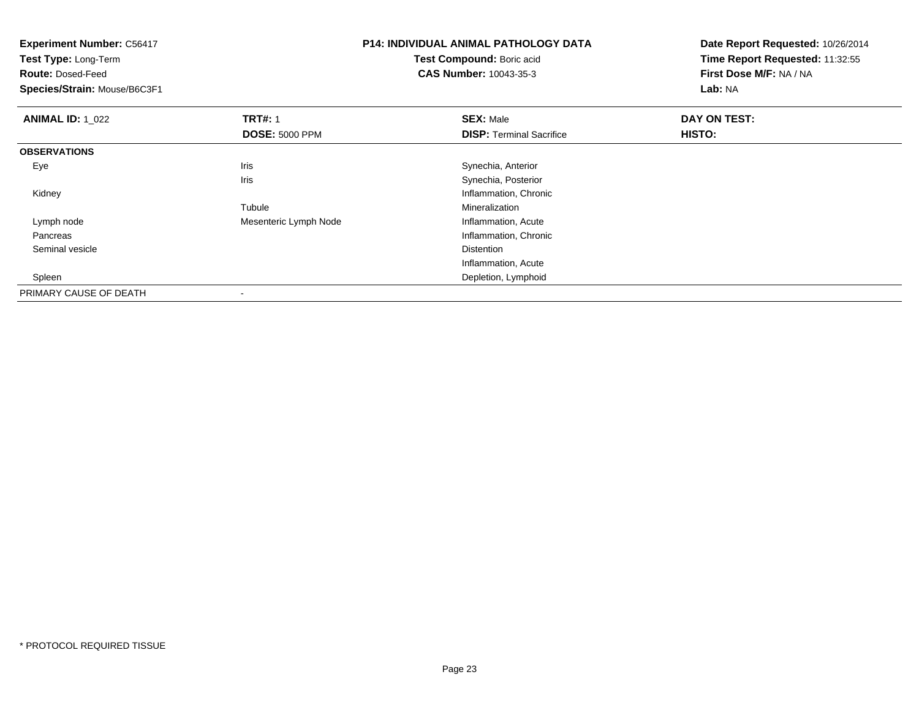**Experiment Number:** C56417**Test Type:** Long-Term**Route:** Dosed-Feed **Species/Strain:** Mouse/B6C3F1**P14: INDIVIDUAL ANIMAL PATHOLOGY DATATest Compound:** Boric acid **CAS Number:** 10043-35-3**Date Report Requested:** 10/26/2014**Time Report Requested:** 11:32:55**First Dose M/F:** NA / NA**Lab:** NA**ANIMAL ID: 1\_022 2 DAY ON TRT#:** 1 **SEX:** Male **SEX:** Male **DAY ON TEST: DOSE:** 5000 PPM**DISP:** Terminal Sacrifice **HISTO: OBSERVATIONS** EyeIris **Iris** Synechia, Anterior Iris Synechia, Posterior Kidney Inflammation, Chronic TubuleMineralization<br>Inflammation, Acute Lymph nodeMesenteric Lymph Node Pancreas Inflammation, Chronic Seminal vesiclee distance de la proposition de la proposition de la proposition de la proposition de la proposition de la pro<br>Distance de la proposition de la proposition de la proposition de la proposition de la proposition de la propo Inflammation, Acute Depletion, Lymphoid SpleenPRIMARY CAUSE OF DEATH-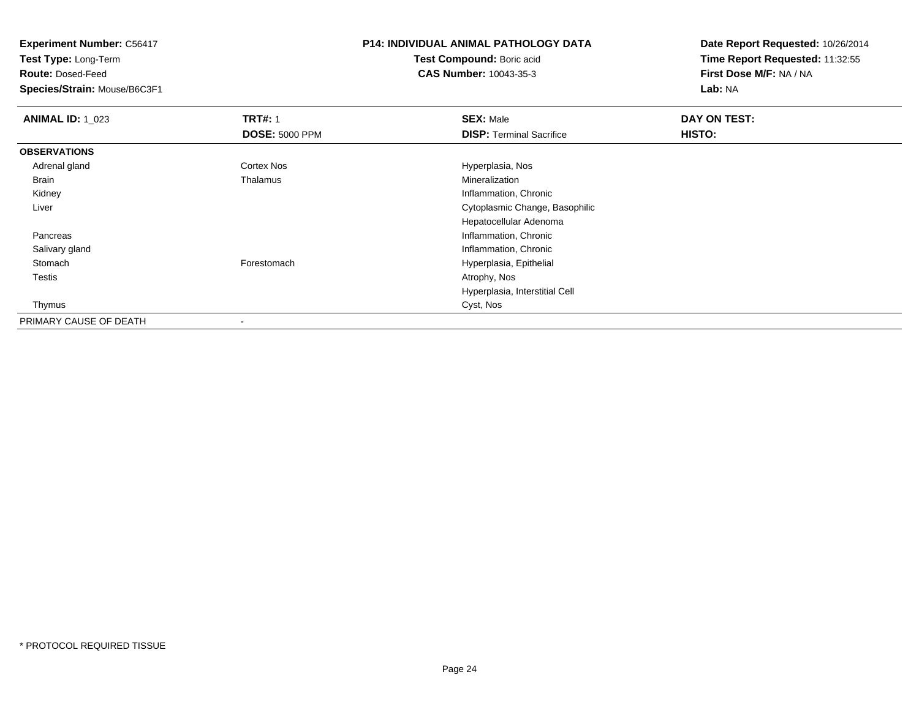**Test Type:** Long-Term

**Route:** Dosed-Feed

**Species/Strain:** Mouse/B6C3F1

# **P14: INDIVIDUAL ANIMAL PATHOLOGY DATA**

**Test Compound:** Boric acid**CAS Number:** 10043-35-3

| <b>ANIMAL ID: 1_023</b> | <b>TRT#: 1</b>        | <b>SEX: Male</b>                | DAY ON TEST: |  |
|-------------------------|-----------------------|---------------------------------|--------------|--|
|                         | <b>DOSE: 5000 PPM</b> | <b>DISP:</b> Terminal Sacrifice | HISTO:       |  |
| <b>OBSERVATIONS</b>     |                       |                                 |              |  |
| Adrenal gland           | Cortex Nos            | Hyperplasia, Nos                |              |  |
| Brain                   | Thalamus              | Mineralization                  |              |  |
| Kidney                  |                       | Inflammation, Chronic           |              |  |
| Liver                   |                       | Cytoplasmic Change, Basophilic  |              |  |
|                         |                       | Hepatocellular Adenoma          |              |  |
| Pancreas                |                       | Inflammation, Chronic           |              |  |
| Salivary gland          |                       | Inflammation, Chronic           |              |  |
| Stomach                 | Forestomach           | Hyperplasia, Epithelial         |              |  |
| <b>Testis</b>           |                       | Atrophy, Nos                    |              |  |
|                         |                       | Hyperplasia, Interstitial Cell  |              |  |
| Thymus                  |                       | Cyst, Nos                       |              |  |
| PRIMARY CAUSE OF DEATH  |                       |                                 |              |  |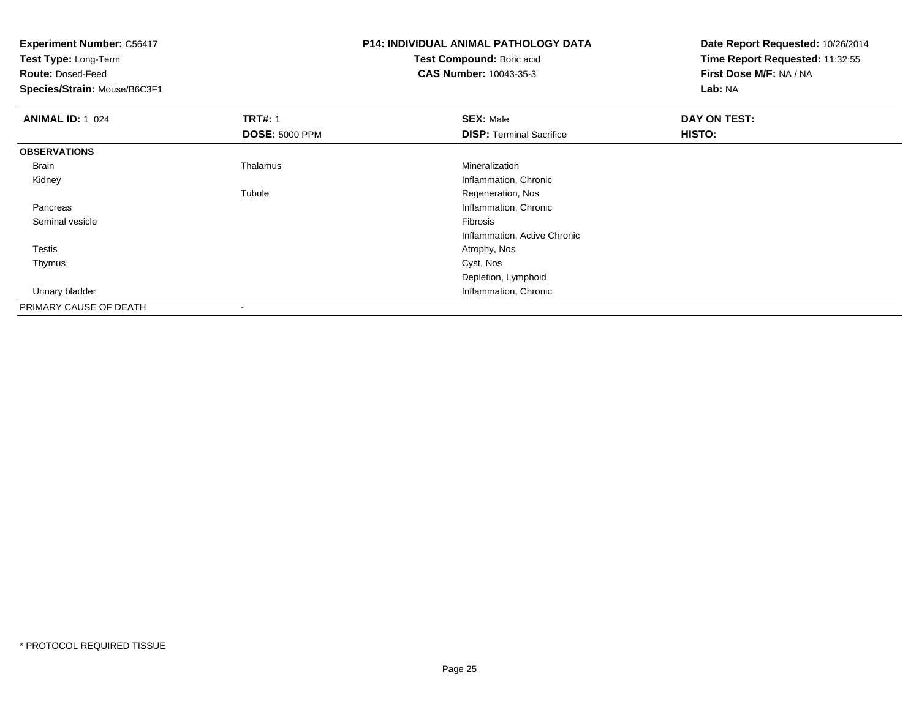| <b>Experiment Number: C56417</b> |                       | <b>P14: INDIVIDUAL ANIMAL PATHOLOGY DATA</b> | Date Report Requested: 10/26/2014 |  |
|----------------------------------|-----------------------|----------------------------------------------|-----------------------------------|--|
| Test Type: Long-Term             |                       | Test Compound: Boric acid                    | Time Report Requested: 11:32:55   |  |
| <b>Route: Dosed-Feed</b>         |                       | <b>CAS Number: 10043-35-3</b>                | First Dose M/F: NA / NA           |  |
| Species/Strain: Mouse/B6C3F1     |                       |                                              | Lab: NA                           |  |
| <b>ANIMAL ID: 1_024</b>          | <b>TRT#: 1</b>        | <b>SEX: Male</b>                             | DAY ON TEST:                      |  |
|                                  | <b>DOSE: 5000 PPM</b> | <b>DISP: Terminal Sacrifice</b>              | HISTO:                            |  |
| <b>OBSERVATIONS</b>              |                       |                                              |                                   |  |
| Brain                            | Thalamus              | Mineralization                               |                                   |  |
| Kidney                           |                       | Inflammation, Chronic                        |                                   |  |
|                                  | Tubule                | Regeneration, Nos                            |                                   |  |
| Pancreas                         |                       | Inflammation, Chronic                        |                                   |  |
| Seminal vesicle                  |                       | Fibrosis                                     |                                   |  |
|                                  |                       | Inflammation, Active Chronic                 |                                   |  |
| Testis                           |                       | Atrophy, Nos                                 |                                   |  |
| Thymus                           |                       | Cyst, Nos                                    |                                   |  |
|                                  |                       | Depletion, Lymphoid                          |                                   |  |
| Urinary bladder                  |                       | Inflammation, Chronic                        |                                   |  |
| PRIMARY CAUSE OF DEATH           |                       |                                              |                                   |  |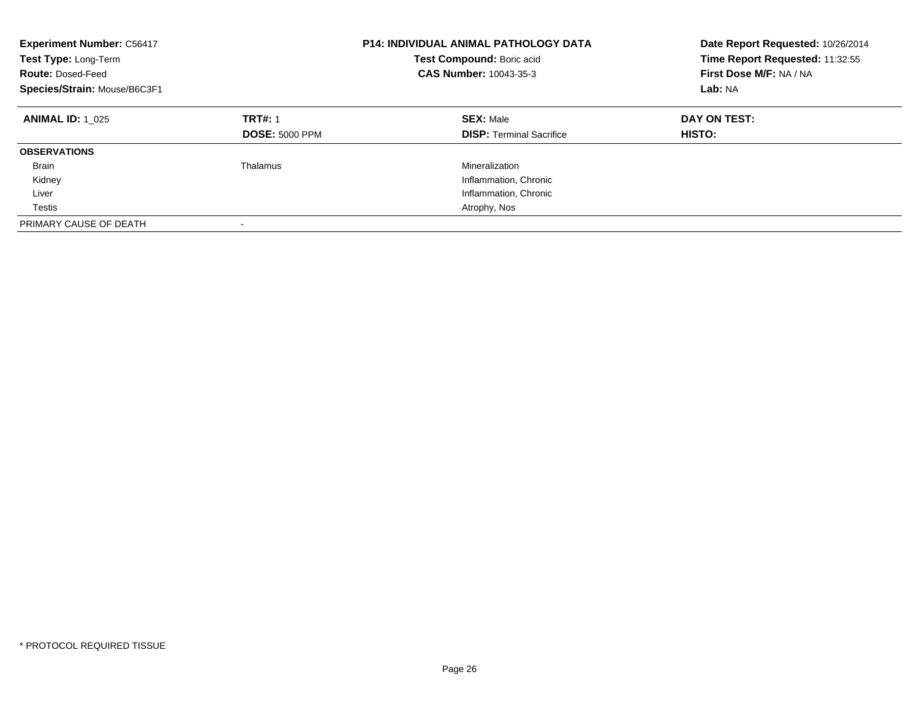| <b>Experiment Number: C56417</b><br>Test Type: Long-Term<br><b>Route: Dosed-Feed</b><br>Species/Strain: Mouse/B6C3F1 | <b>P14: INDIVIDUAL ANIMAL PATHOLOGY DATA</b><br>Test Compound: Boric acid<br><b>CAS Number: 10043-35-3</b> |                                                     | Date Report Requested: 10/26/2014<br>Time Report Requested: 11:32:55<br>First Dose M/F: NA / NA<br>Lab: NA |
|----------------------------------------------------------------------------------------------------------------------|------------------------------------------------------------------------------------------------------------|-----------------------------------------------------|------------------------------------------------------------------------------------------------------------|
| <b>ANIMAL ID: 1 025</b>                                                                                              | <b>TRT#: 1</b><br><b>DOSE: 5000 PPM</b>                                                                    | <b>SEX: Male</b><br><b>DISP:</b> Terminal Sacrifice | DAY ON TEST:<br>HISTO:                                                                                     |
| <b>OBSERVATIONS</b>                                                                                                  |                                                                                                            |                                                     |                                                                                                            |
| <b>Brain</b>                                                                                                         | Thalamus                                                                                                   | Mineralization                                      |                                                                                                            |
| Kidney                                                                                                               |                                                                                                            | Inflammation, Chronic                               |                                                                                                            |
| Liver                                                                                                                |                                                                                                            | Inflammation, Chronic                               |                                                                                                            |
| Testis                                                                                                               |                                                                                                            | Atrophy, Nos                                        |                                                                                                            |
| PRIMARY CAUSE OF DEATH                                                                                               |                                                                                                            |                                                     |                                                                                                            |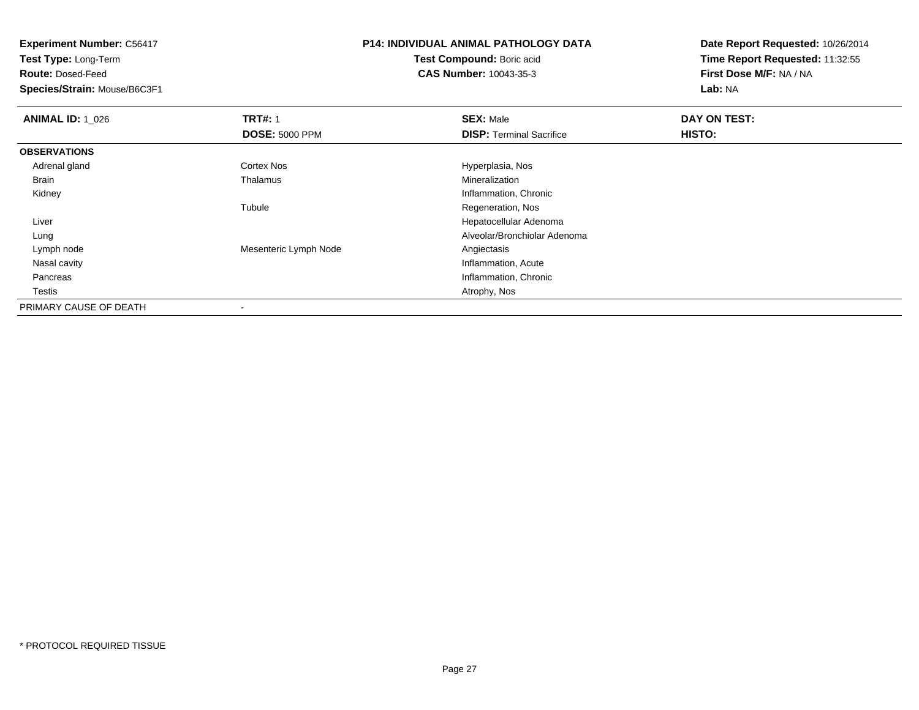**Test Type:** Long-Term

**Route:** Dosed-Feed

**Species/Strain:** Mouse/B6C3F1

# **P14: INDIVIDUAL ANIMAL PATHOLOGY DATA**

**Test Compound:** Boric acid**CAS Number:** 10043-35-3

| <b>ANIMAL ID: 1_026</b> | <b>TRT#: 1</b>        | <b>SEX: Male</b>                | DAY ON TEST: |  |
|-------------------------|-----------------------|---------------------------------|--------------|--|
|                         | <b>DOSE: 5000 PPM</b> | <b>DISP: Terminal Sacrifice</b> | HISTO:       |  |
| <b>OBSERVATIONS</b>     |                       |                                 |              |  |
| Adrenal gland           | <b>Cortex Nos</b>     | Hyperplasia, Nos                |              |  |
| <b>Brain</b>            | Thalamus              | Mineralization                  |              |  |
| Kidney                  |                       | Inflammation, Chronic           |              |  |
|                         | Tubule                | Regeneration, Nos               |              |  |
| Liver                   |                       | Hepatocellular Adenoma          |              |  |
| Lung                    |                       | Alveolar/Bronchiolar Adenoma    |              |  |
| Lymph node              | Mesenteric Lymph Node | Angiectasis                     |              |  |
| Nasal cavity            |                       | Inflammation, Acute             |              |  |
| Pancreas                |                       | Inflammation, Chronic           |              |  |
| Testis                  |                       | Atrophy, Nos                    |              |  |
| PRIMARY CAUSE OF DEATH  |                       |                                 |              |  |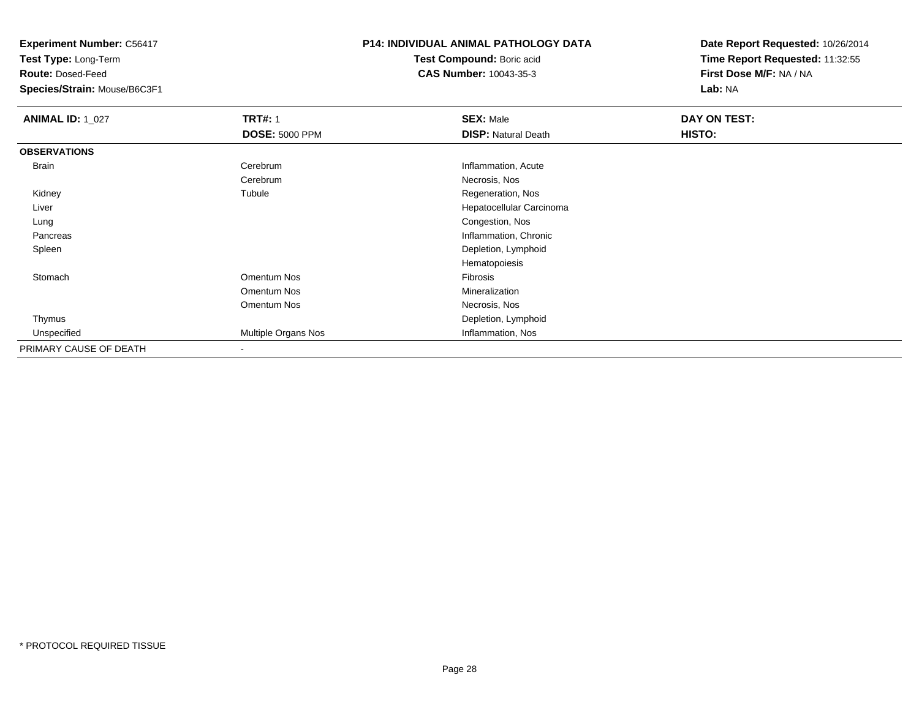**Test Type:** Long-Term

**Route:** Dosed-Feed

**Species/Strain:** Mouse/B6C3F1

### **P14: INDIVIDUAL ANIMAL PATHOLOGY DATA**

**Test Compound:** Boric acid**CAS Number:** 10043-35-3

| <b>ANIMAL ID: 1_027</b> | <b>TRT#: 1</b>           | <b>SEX: Male</b>           | DAY ON TEST: |  |
|-------------------------|--------------------------|----------------------------|--------------|--|
|                         | <b>DOSE: 5000 PPM</b>    | <b>DISP: Natural Death</b> | HISTO:       |  |
| <b>OBSERVATIONS</b>     |                          |                            |              |  |
| Brain                   | Cerebrum                 | Inflammation, Acute        |              |  |
|                         | Cerebrum                 | Necrosis, Nos              |              |  |
| Kidney                  | Tubule                   | Regeneration, Nos          |              |  |
| Liver                   |                          | Hepatocellular Carcinoma   |              |  |
| Lung                    |                          | Congestion, Nos            |              |  |
| Pancreas                |                          | Inflammation, Chronic      |              |  |
| Spleen                  |                          | Depletion, Lymphoid        |              |  |
|                         |                          | Hematopoiesis              |              |  |
| Stomach                 | Omentum Nos              | Fibrosis                   |              |  |
|                         | Omentum Nos              | Mineralization             |              |  |
|                         | Omentum Nos              | Necrosis, Nos              |              |  |
| Thymus                  |                          | Depletion, Lymphoid        |              |  |
| Unspecified             | Multiple Organs Nos      | Inflammation, Nos          |              |  |
| PRIMARY CAUSE OF DEATH  | $\overline{\phantom{a}}$ |                            |              |  |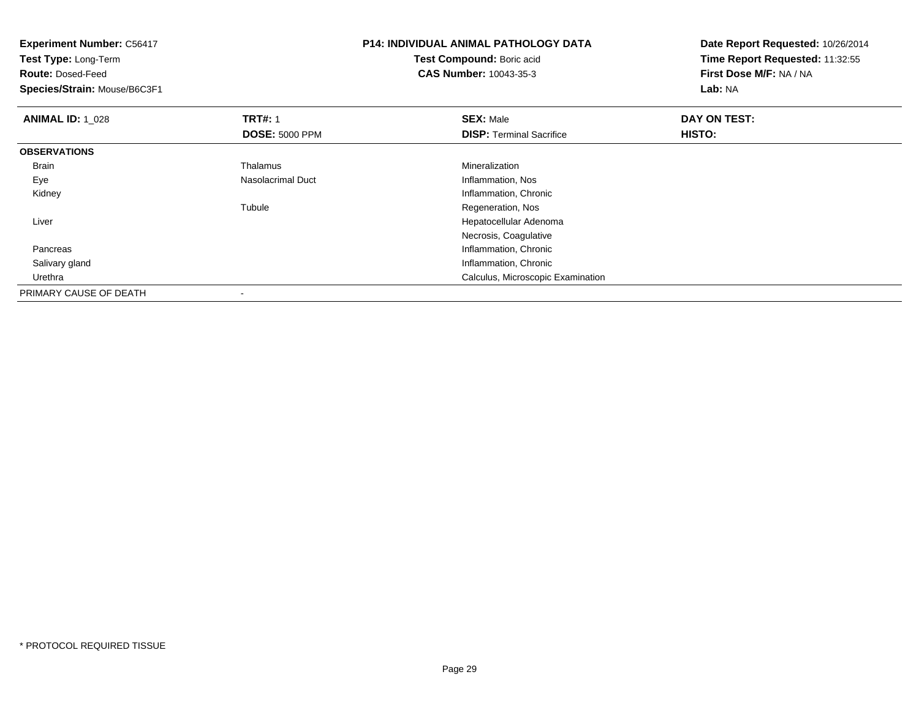| <b>Experiment Number: C56417</b><br>Test Type: Long-Term<br><b>Route: Dosed-Feed</b><br>Species/Strain: Mouse/B6C3F1 |                       | <b>P14: INDIVIDUAL ANIMAL PATHOLOGY DATA</b><br>Test Compound: Boric acid<br><b>CAS Number: 10043-35-3</b> | Date Report Requested: 10/26/2014<br>Time Report Requested: 11:32:55<br>First Dose M/F: NA / NA<br>Lab: NA |  |
|----------------------------------------------------------------------------------------------------------------------|-----------------------|------------------------------------------------------------------------------------------------------------|------------------------------------------------------------------------------------------------------------|--|
| <b>ANIMAL ID: 1 028</b>                                                                                              | <b>TRT#: 1</b>        | <b>SEX: Male</b>                                                                                           | DAY ON TEST:                                                                                               |  |
|                                                                                                                      | <b>DOSE: 5000 PPM</b> | <b>DISP: Terminal Sacrifice</b>                                                                            | <b>HISTO:</b>                                                                                              |  |
| <b>OBSERVATIONS</b>                                                                                                  |                       |                                                                                                            |                                                                                                            |  |
| Brain                                                                                                                | Thalamus              | Mineralization                                                                                             |                                                                                                            |  |
| Eye                                                                                                                  | Nasolacrimal Duct     | Inflammation, Nos                                                                                          |                                                                                                            |  |
| Kidney                                                                                                               |                       | Inflammation, Chronic                                                                                      |                                                                                                            |  |
|                                                                                                                      | Tubule                | Regeneration, Nos                                                                                          |                                                                                                            |  |
| Liver                                                                                                                |                       | Hepatocellular Adenoma                                                                                     |                                                                                                            |  |
|                                                                                                                      |                       | Necrosis, Coagulative                                                                                      |                                                                                                            |  |
| Pancreas                                                                                                             |                       | Inflammation, Chronic                                                                                      |                                                                                                            |  |
| Salivary gland                                                                                                       |                       | Inflammation, Chronic                                                                                      |                                                                                                            |  |
| Urethra                                                                                                              |                       | Calculus, Microscopic Examination                                                                          |                                                                                                            |  |
| PRIMARY CAUSE OF DEATH                                                                                               |                       |                                                                                                            |                                                                                                            |  |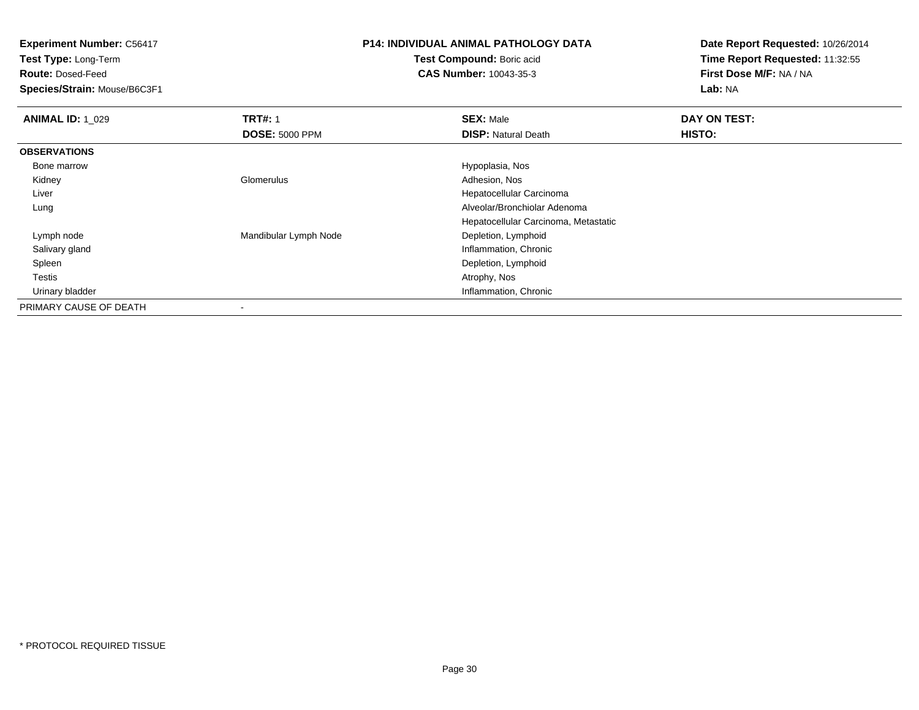**Test Type:** Long-Term

**Route:** Dosed-Feed

**Species/Strain:** Mouse/B6C3F1

## **P14: INDIVIDUAL ANIMAL PATHOLOGY DATA**

**Test Compound:** Boric acid**CAS Number:** 10043-35-3

| <b>ANIMAL ID: 1_029</b> | <b>TRT#: 1</b>        | <b>SEX: Male</b>                     | DAY ON TEST: |
|-------------------------|-----------------------|--------------------------------------|--------------|
|                         | <b>DOSE: 5000 PPM</b> | <b>DISP: Natural Death</b>           | HISTO:       |
| <b>OBSERVATIONS</b>     |                       |                                      |              |
| Bone marrow             |                       | Hypoplasia, Nos                      |              |
| Kidney                  | Glomerulus            | Adhesion, Nos                        |              |
| Liver                   |                       | Hepatocellular Carcinoma             |              |
| Lung                    |                       | Alveolar/Bronchiolar Adenoma         |              |
|                         |                       | Hepatocellular Carcinoma, Metastatic |              |
| Lymph node              | Mandibular Lymph Node | Depletion, Lymphoid                  |              |
| Salivary gland          |                       | Inflammation, Chronic                |              |
| Spleen                  |                       | Depletion, Lymphoid                  |              |
| <b>Testis</b>           |                       | Atrophy, Nos                         |              |
| Urinary bladder         |                       | Inflammation, Chronic                |              |
| PRIMARY CAUSE OF DEATH  |                       |                                      |              |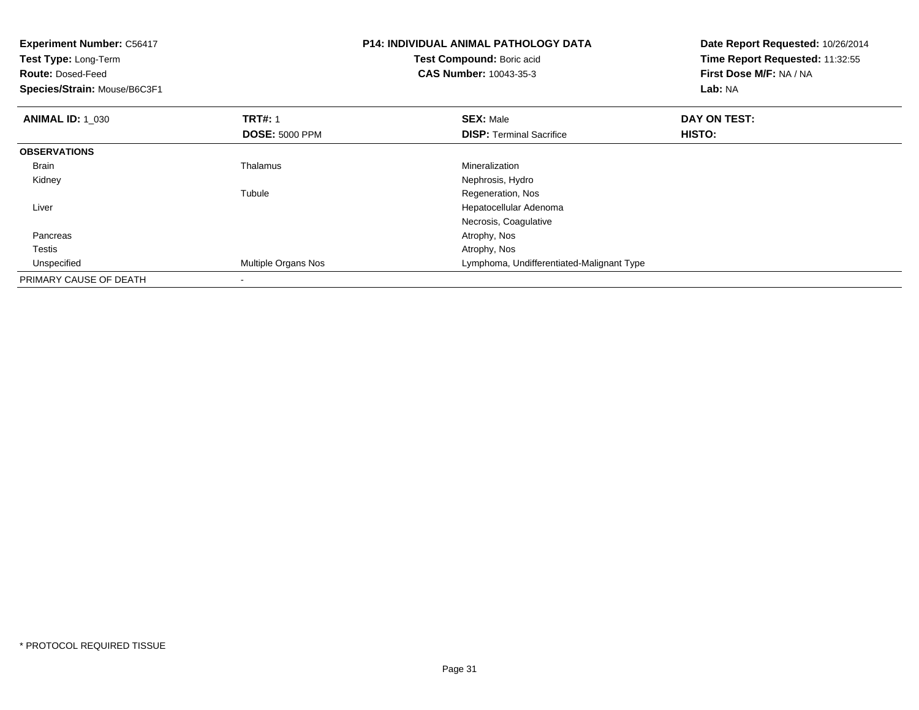| <b>Experiment Number: C56417</b><br>Test Type: Long-Term<br><b>Route: Dosed-Feed</b><br>Species/Strain: Mouse/B6C3F1 |                       | <b>P14: INDIVIDUAL ANIMAL PATHOLOGY DATA</b><br>Test Compound: Boric acid<br><b>CAS Number: 10043-35-3</b> | Date Report Requested: 10/26/2014<br>Time Report Requested: 11:32:55<br><b>First Dose M/F: NA / NA</b><br>Lab: NA |
|----------------------------------------------------------------------------------------------------------------------|-----------------------|------------------------------------------------------------------------------------------------------------|-------------------------------------------------------------------------------------------------------------------|
| <b>ANIMAL ID: 1_030</b>                                                                                              | <b>TRT#: 1</b>        | <b>SEX: Male</b>                                                                                           | DAY ON TEST:                                                                                                      |
|                                                                                                                      | <b>DOSE: 5000 PPM</b> | <b>DISP:</b> Terminal Sacrifice                                                                            | HISTO:                                                                                                            |
| <b>OBSERVATIONS</b>                                                                                                  |                       |                                                                                                            |                                                                                                                   |
| <b>Brain</b>                                                                                                         | Thalamus              | Mineralization                                                                                             |                                                                                                                   |
| Kidney                                                                                                               |                       | Nephrosis, Hydro                                                                                           |                                                                                                                   |
|                                                                                                                      | Tubule                | Regeneration, Nos                                                                                          |                                                                                                                   |
| Liver                                                                                                                |                       | Hepatocellular Adenoma                                                                                     |                                                                                                                   |
|                                                                                                                      |                       | Necrosis, Coagulative                                                                                      |                                                                                                                   |
| Pancreas                                                                                                             |                       | Atrophy, Nos                                                                                               |                                                                                                                   |
| Testis                                                                                                               |                       | Atrophy, Nos                                                                                               |                                                                                                                   |
| Unspecified                                                                                                          | Multiple Organs Nos   | Lymphoma, Undifferentiated-Malignant Type                                                                  |                                                                                                                   |
| PRIMARY CAUSE OF DEATH                                                                                               |                       |                                                                                                            |                                                                                                                   |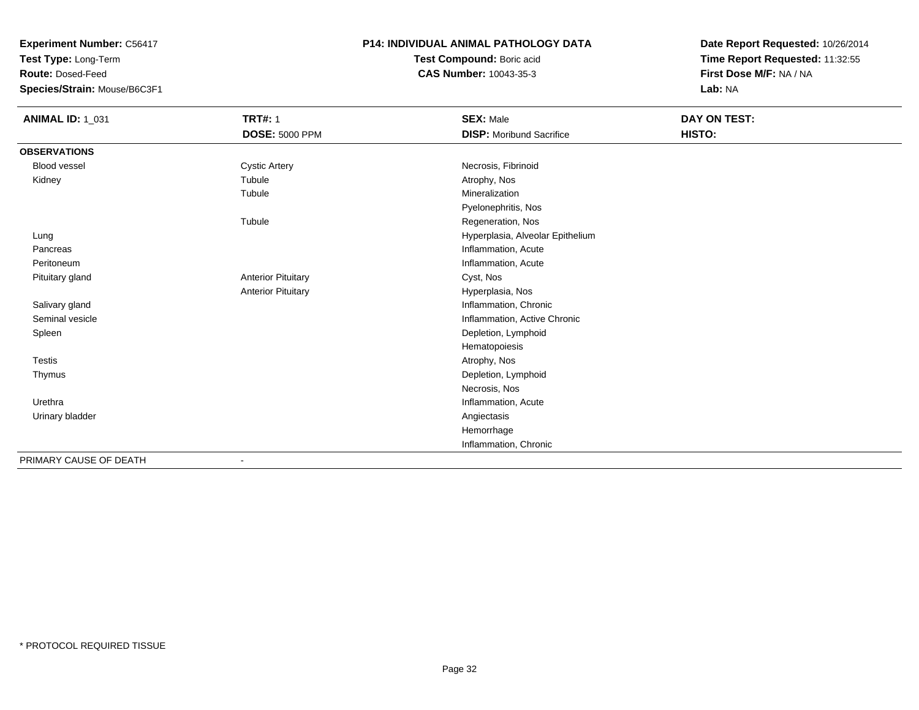**Test Type:** Long-Term

**Route:** Dosed-Feed

**Species/Strain:** Mouse/B6C3F1

#### **P14: INDIVIDUAL ANIMAL PATHOLOGY DATA**

**Test Compound:** Boric acid**CAS Number:** 10043-35-3

| <b>ANIMAL ID: 1_031</b> | <b>TRT#: 1</b>            | <b>SEX: Male</b>                 | DAY ON TEST: |
|-------------------------|---------------------------|----------------------------------|--------------|
|                         | <b>DOSE: 5000 PPM</b>     | <b>DISP:</b> Moribund Sacrifice  | HISTO:       |
| <b>OBSERVATIONS</b>     |                           |                                  |              |
| Blood vessel            | <b>Cystic Artery</b>      | Necrosis, Fibrinoid              |              |
| Kidney                  | Tubule                    | Atrophy, Nos                     |              |
|                         | Tubule                    | Mineralization                   |              |
|                         |                           | Pyelonephritis, Nos              |              |
|                         | Tubule                    | Regeneration, Nos                |              |
| Lung                    |                           | Hyperplasia, Alveolar Epithelium |              |
| Pancreas                |                           | Inflammation, Acute              |              |
| Peritoneum              |                           | Inflammation, Acute              |              |
| Pituitary gland         | <b>Anterior Pituitary</b> | Cyst, Nos                        |              |
|                         | <b>Anterior Pituitary</b> | Hyperplasia, Nos                 |              |
| Salivary gland          |                           | Inflammation, Chronic            |              |
| Seminal vesicle         |                           | Inflammation, Active Chronic     |              |
| Spleen                  |                           | Depletion, Lymphoid              |              |
|                         |                           | Hematopoiesis                    |              |
| <b>Testis</b>           |                           | Atrophy, Nos                     |              |
| Thymus                  |                           | Depletion, Lymphoid              |              |
|                         |                           | Necrosis, Nos                    |              |
| Urethra                 |                           | Inflammation, Acute              |              |
| Urinary bladder         |                           | Angiectasis                      |              |
|                         |                           | Hemorrhage                       |              |
|                         |                           | Inflammation, Chronic            |              |
| PRIMARY CAUSE OF DEATH  |                           |                                  |              |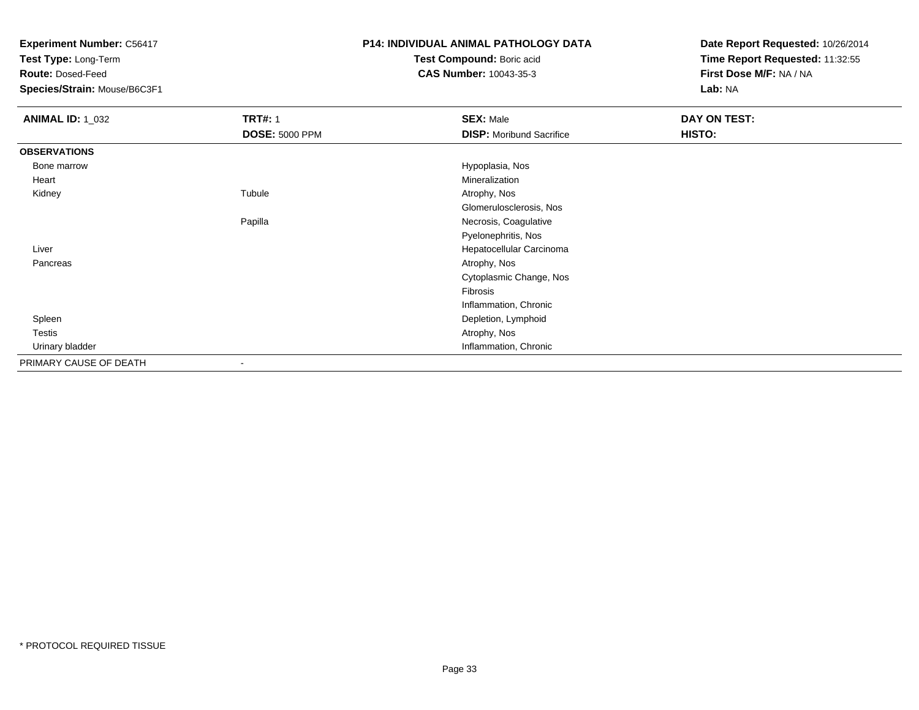**Test Type:** Long-Term

**Route:** Dosed-Feed

**Species/Strain:** Mouse/B6C3F1

#### **P14: INDIVIDUAL ANIMAL PATHOLOGY DATA**

**Test Compound:** Boric acid**CAS Number:** 10043-35-3

| <b>ANIMAL ID: 1_032</b> | <b>TRT#: 1</b>        | <b>SEX: Male</b>                | DAY ON TEST: |  |
|-------------------------|-----------------------|---------------------------------|--------------|--|
|                         | <b>DOSE: 5000 PPM</b> | <b>DISP:</b> Moribund Sacrifice | HISTO:       |  |
| <b>OBSERVATIONS</b>     |                       |                                 |              |  |
| Bone marrow             |                       | Hypoplasia, Nos                 |              |  |
| Heart                   |                       | Mineralization                  |              |  |
| Kidney                  | Tubule                | Atrophy, Nos                    |              |  |
|                         |                       | Glomerulosclerosis, Nos         |              |  |
|                         | Papilla               | Necrosis, Coagulative           |              |  |
|                         |                       | Pyelonephritis, Nos             |              |  |
| Liver                   |                       | Hepatocellular Carcinoma        |              |  |
| Pancreas                |                       | Atrophy, Nos                    |              |  |
|                         |                       | Cytoplasmic Change, Nos         |              |  |
|                         |                       | Fibrosis                        |              |  |
|                         |                       | Inflammation, Chronic           |              |  |
| Spleen                  |                       | Depletion, Lymphoid             |              |  |
| Testis                  |                       | Atrophy, Nos                    |              |  |
| Urinary bladder         |                       | Inflammation, Chronic           |              |  |
| PRIMARY CAUSE OF DEATH  |                       |                                 |              |  |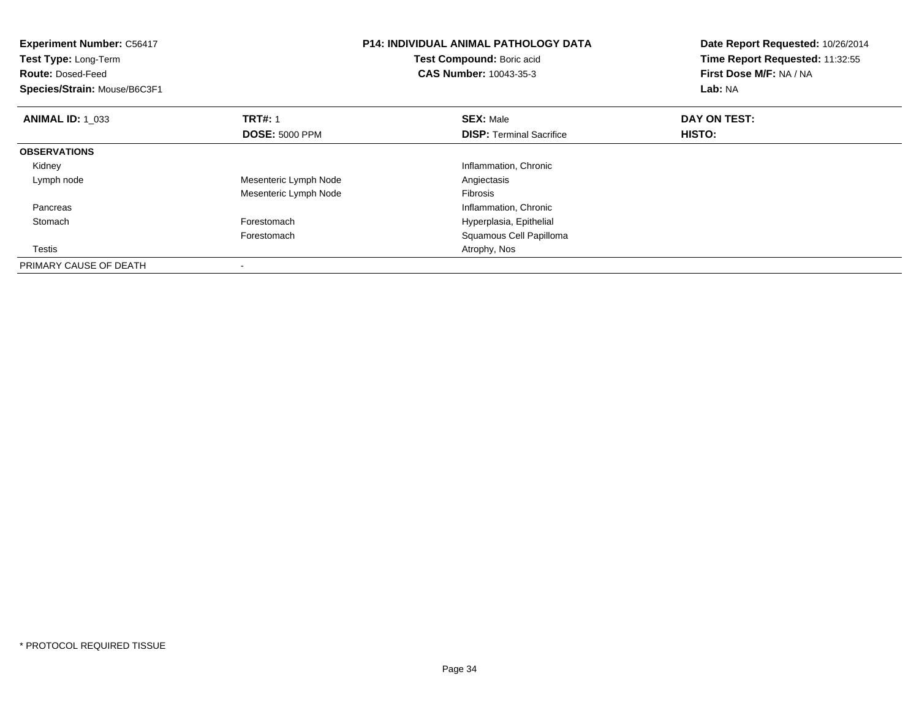| <b>Experiment Number: C56417</b><br>Test Type: Long-Term<br><b>Route: Dosed-Feed</b><br>Species/Strain: Mouse/B6C3F1 |                       | <b>P14: INDIVIDUAL ANIMAL PATHOLOGY DATA</b><br>Test Compound: Boric acid<br><b>CAS Number: 10043-35-3</b> | Date Report Requested: 10/26/2014<br>Time Report Requested: 11:32:55<br>First Dose M/F: NA / NA<br>Lab: NA |  |
|----------------------------------------------------------------------------------------------------------------------|-----------------------|------------------------------------------------------------------------------------------------------------|------------------------------------------------------------------------------------------------------------|--|
| <b>ANIMAL ID: 1 033</b>                                                                                              | <b>TRT#: 1</b>        | <b>SEX: Male</b>                                                                                           | DAY ON TEST:                                                                                               |  |
|                                                                                                                      | <b>DOSE: 5000 PPM</b> | <b>DISP:</b> Terminal Sacrifice                                                                            | HISTO:                                                                                                     |  |
| <b>OBSERVATIONS</b>                                                                                                  |                       |                                                                                                            |                                                                                                            |  |
| Kidney                                                                                                               |                       | Inflammation, Chronic                                                                                      |                                                                                                            |  |
| Lymph node                                                                                                           | Mesenteric Lymph Node | Angiectasis                                                                                                |                                                                                                            |  |
|                                                                                                                      | Mesenteric Lymph Node | Fibrosis                                                                                                   |                                                                                                            |  |
| Pancreas                                                                                                             |                       | Inflammation, Chronic                                                                                      |                                                                                                            |  |
| Stomach                                                                                                              | Forestomach           | Hyperplasia, Epithelial                                                                                    |                                                                                                            |  |
|                                                                                                                      | Forestomach           | Squamous Cell Papilloma                                                                                    |                                                                                                            |  |
| Testis                                                                                                               |                       | Atrophy, Nos                                                                                               |                                                                                                            |  |
| PRIMARY CAUSE OF DEATH                                                                                               |                       |                                                                                                            |                                                                                                            |  |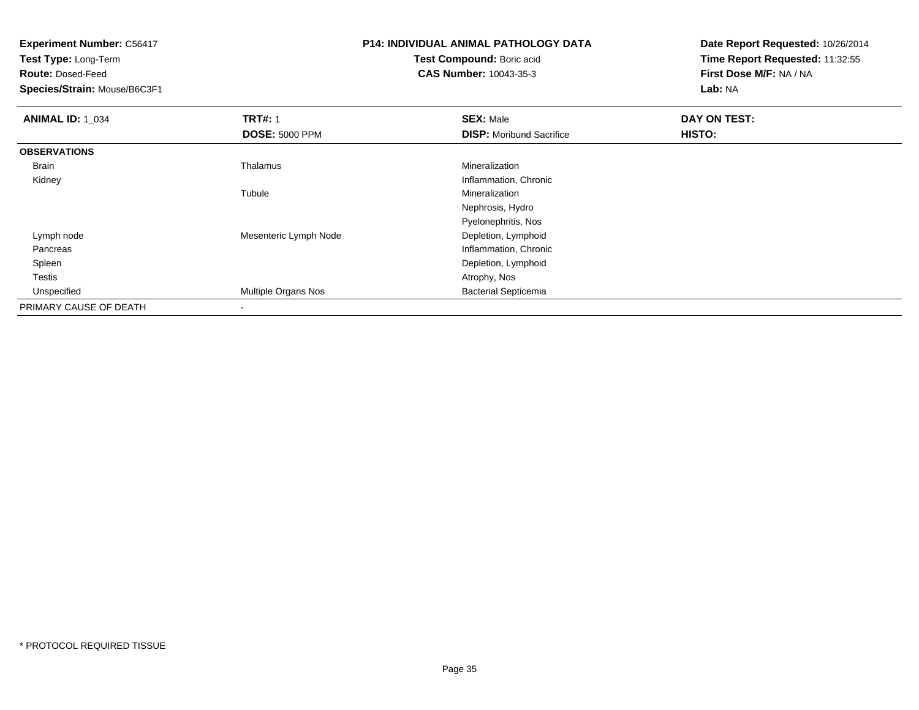**Test Type:** Long-Term

**Route:** Dosed-Feed

**Species/Strain:** Mouse/B6C3F1

# **P14: INDIVIDUAL ANIMAL PATHOLOGY DATA**

**Test Compound:** Boric acid**CAS Number:** 10043-35-3

| <b>ANIMAL ID: 1 034</b> | <b>TRT#: 1</b>             | <b>SEX: Male</b>                | DAY ON TEST: |  |
|-------------------------|----------------------------|---------------------------------|--------------|--|
|                         | <b>DOSE: 5000 PPM</b>      | <b>DISP:</b> Moribund Sacrifice | HISTO:       |  |
| <b>OBSERVATIONS</b>     |                            |                                 |              |  |
| Brain                   | Thalamus                   | Mineralization                  |              |  |
| Kidney                  |                            | Inflammation, Chronic           |              |  |
|                         | Tubule                     | Mineralization                  |              |  |
|                         |                            | Nephrosis, Hydro                |              |  |
|                         |                            | Pyelonephritis, Nos             |              |  |
| Lymph node              | Mesenteric Lymph Node      | Depletion, Lymphoid             |              |  |
| Pancreas                |                            | Inflammation, Chronic           |              |  |
| Spleen                  |                            | Depletion, Lymphoid             |              |  |
| Testis                  |                            | Atrophy, Nos                    |              |  |
| Unspecified             | <b>Multiple Organs Nos</b> | <b>Bacterial Septicemia</b>     |              |  |
| PRIMARY CAUSE OF DEATH  |                            |                                 |              |  |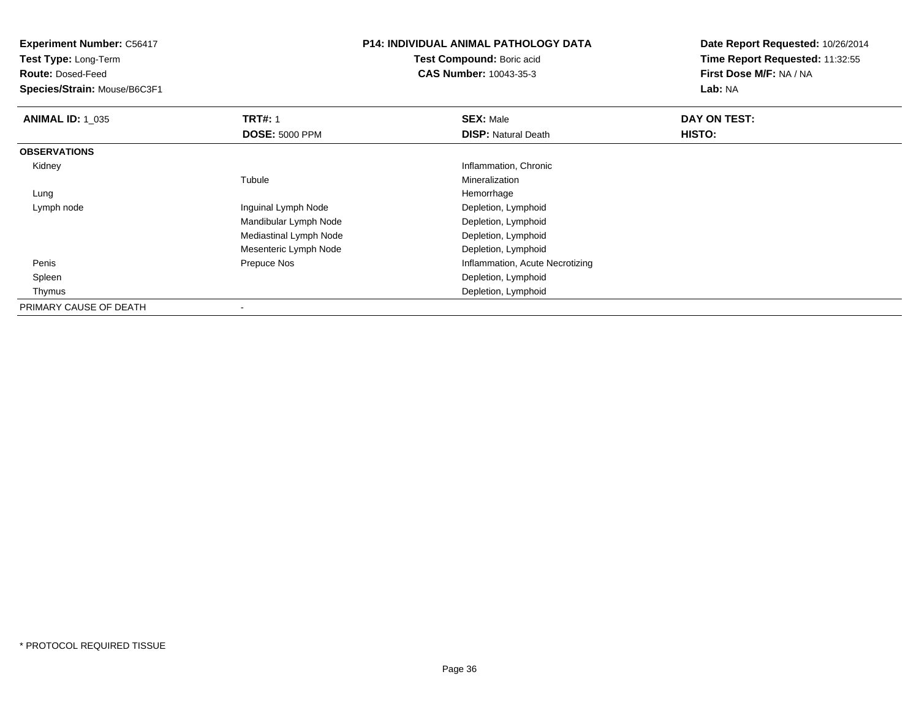**Test Type:** Long-Term

**Route:** Dosed-Feed

**Species/Strain:** Mouse/B6C3F1

## **P14: INDIVIDUAL ANIMAL PATHOLOGY DATA**

**Test Compound:** Boric acid**CAS Number:** 10043-35-3

| <b>ANIMAL ID: 1 035</b> | <b>TRT#: 1</b>         | <b>SEX: Male</b>                | DAY ON TEST: |  |
|-------------------------|------------------------|---------------------------------|--------------|--|
|                         | <b>DOSE: 5000 PPM</b>  | <b>DISP: Natural Death</b>      | HISTO:       |  |
| <b>OBSERVATIONS</b>     |                        |                                 |              |  |
| Kidney                  |                        | Inflammation, Chronic           |              |  |
|                         | Tubule                 | Mineralization                  |              |  |
| Lung                    |                        | Hemorrhage                      |              |  |
| Lymph node              | Inguinal Lymph Node    | Depletion, Lymphoid             |              |  |
|                         | Mandibular Lymph Node  | Depletion, Lymphoid             |              |  |
|                         | Mediastinal Lymph Node | Depletion, Lymphoid             |              |  |
|                         | Mesenteric Lymph Node  | Depletion, Lymphoid             |              |  |
| Penis                   | Prepuce Nos            | Inflammation, Acute Necrotizing |              |  |
| Spleen                  |                        | Depletion, Lymphoid             |              |  |
| Thymus                  |                        | Depletion, Lymphoid             |              |  |
| PRIMARY CAUSE OF DEATH  |                        |                                 |              |  |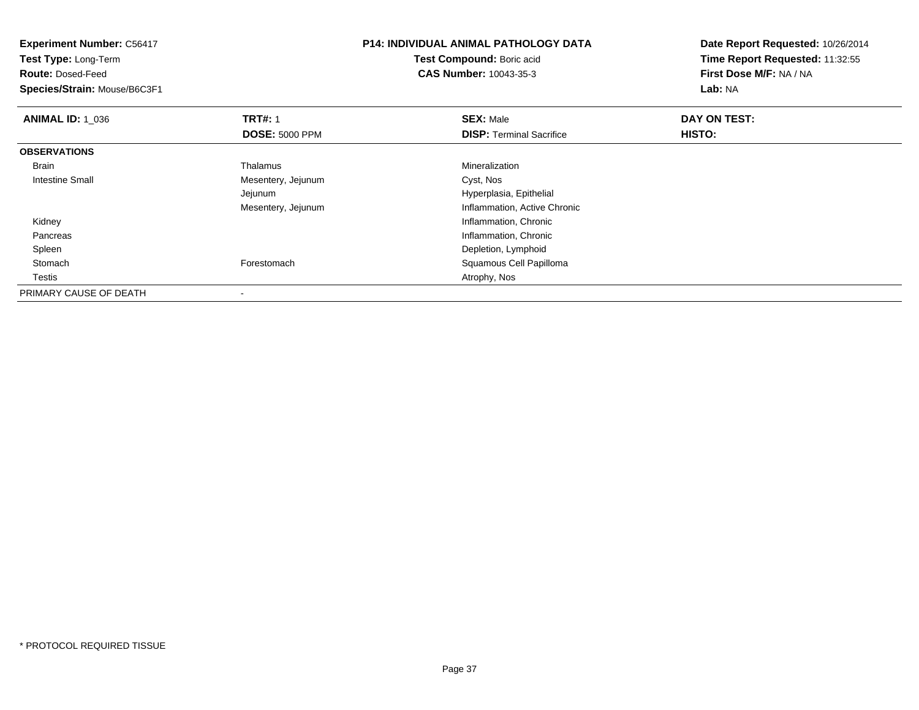| <b>Experiment Number: C56417</b><br>Test Type: Long-Term |                       | <b>P14: INDIVIDUAL ANIMAL PATHOLOGY DATA</b> | Date Report Requested: 10/26/2014 |
|----------------------------------------------------------|-----------------------|----------------------------------------------|-----------------------------------|
|                                                          |                       | Test Compound: Boric acid                    | Time Report Requested: 11:32:55   |
| <b>Route: Dosed-Feed</b>                                 |                       | <b>CAS Number: 10043-35-3</b>                | First Dose M/F: NA / NA           |
| Species/Strain: Mouse/B6C3F1                             |                       |                                              | Lab: NA                           |
| <b>ANIMAL ID: 1 036</b>                                  | <b>TRT#: 1</b>        | <b>SEX: Male</b>                             | DAY ON TEST:                      |
|                                                          | <b>DOSE: 5000 PPM</b> | <b>DISP:</b> Terminal Sacrifice              | <b>HISTO:</b>                     |
| <b>OBSERVATIONS</b>                                      |                       |                                              |                                   |
| Brain                                                    | Thalamus              | Mineralization                               |                                   |
| Intestine Small                                          | Mesentery, Jejunum    | Cyst, Nos                                    |                                   |
|                                                          | Jejunum               | Hyperplasia, Epithelial                      |                                   |
|                                                          | Mesentery, Jejunum    | Inflammation, Active Chronic                 |                                   |
| Kidney                                                   |                       | Inflammation, Chronic                        |                                   |
| Pancreas                                                 |                       | Inflammation, Chronic                        |                                   |
| Spleen                                                   |                       | Depletion, Lymphoid                          |                                   |
| Stomach                                                  | Forestomach           | Squamous Cell Papilloma                      |                                   |
| Testis                                                   |                       | Atrophy, Nos                                 |                                   |
| PRIMARY CAUSE OF DEATH                                   |                       |                                              |                                   |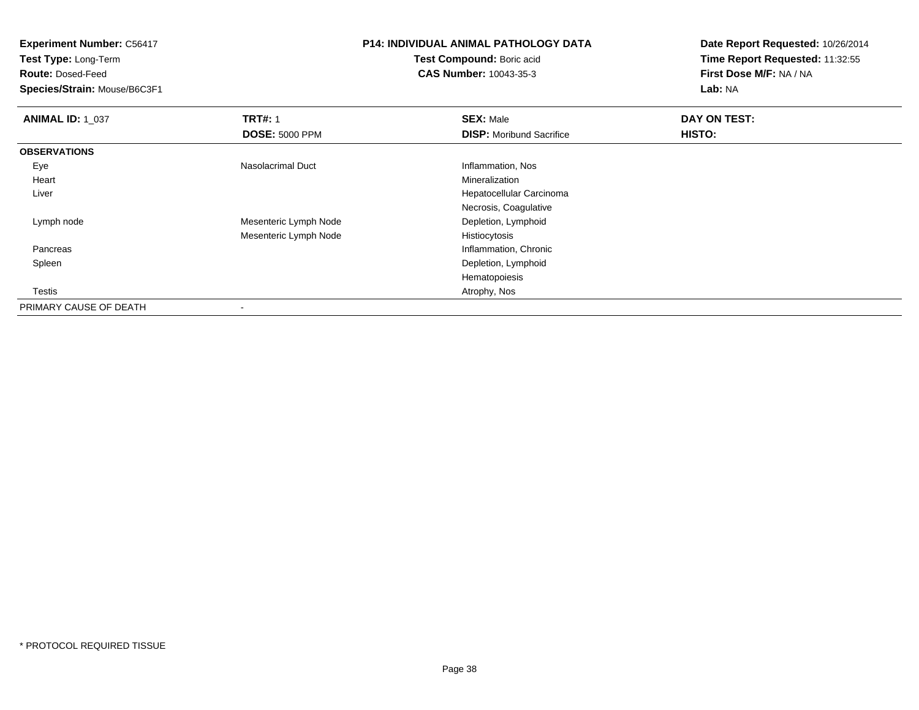**Test Type:** Long-Term

**Route:** Dosed-Feed

**Species/Strain:** Mouse/B6C3F1

# **P14: INDIVIDUAL ANIMAL PATHOLOGY DATA**

**Test Compound:** Boric acid**CAS Number:** 10043-35-3

| <b>ANIMAL ID: 1_037</b> | <b>TRT#: 1</b>        | <b>SEX: Male</b>                | DAY ON TEST: |  |
|-------------------------|-----------------------|---------------------------------|--------------|--|
|                         | <b>DOSE: 5000 PPM</b> | <b>DISP:</b> Moribund Sacrifice | HISTO:       |  |
| <b>OBSERVATIONS</b>     |                       |                                 |              |  |
| Eye                     | Nasolacrimal Duct     | Inflammation, Nos               |              |  |
| Heart                   |                       | Mineralization                  |              |  |
| Liver                   |                       | Hepatocellular Carcinoma        |              |  |
|                         |                       | Necrosis, Coagulative           |              |  |
| Lymph node              | Mesenteric Lymph Node | Depletion, Lymphoid             |              |  |
|                         | Mesenteric Lymph Node | Histiocytosis                   |              |  |
| Pancreas                |                       | Inflammation, Chronic           |              |  |
| Spleen                  |                       | Depletion, Lymphoid             |              |  |
|                         |                       | Hematopoiesis                   |              |  |
| Testis                  |                       | Atrophy, Nos                    |              |  |
| PRIMARY CAUSE OF DEATH  |                       |                                 |              |  |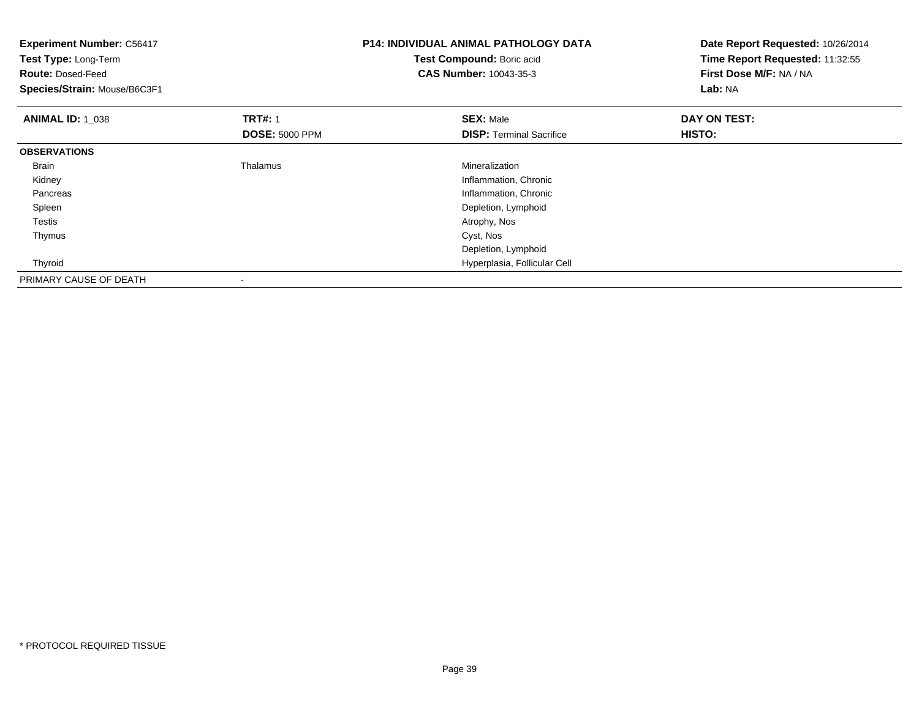| <b>Experiment Number: C56417</b><br>Test Type: Long-Term<br><b>Route: Dosed-Feed</b><br>Species/Strain: Mouse/B6C3F1 |                                         | <b>P14: INDIVIDUAL ANIMAL PATHOLOGY DATA</b><br>Test Compound: Boric acid<br>CAS Number: 10043-35-3 | Date Report Requested: 10/26/2014<br>Time Report Requested: 11:32:55<br>First Dose M/F: NA / NA<br>Lab: NA |
|----------------------------------------------------------------------------------------------------------------------|-----------------------------------------|-----------------------------------------------------------------------------------------------------|------------------------------------------------------------------------------------------------------------|
| <b>ANIMAL ID: 1 038</b>                                                                                              | <b>TRT#: 1</b><br><b>DOSE: 5000 PPM</b> | <b>SEX: Male</b><br><b>DISP:</b> Terminal Sacrifice                                                 | DAY ON TEST:<br>HISTO:                                                                                     |
| <b>OBSERVATIONS</b>                                                                                                  |                                         |                                                                                                     |                                                                                                            |
| <b>Brain</b>                                                                                                         | Thalamus                                | Mineralization                                                                                      |                                                                                                            |
| Kidney                                                                                                               |                                         | Inflammation, Chronic                                                                               |                                                                                                            |
| Pancreas                                                                                                             |                                         | Inflammation, Chronic                                                                               |                                                                                                            |
| Spleen                                                                                                               |                                         | Depletion, Lymphoid                                                                                 |                                                                                                            |
| <b>Testis</b>                                                                                                        |                                         | Atrophy, Nos                                                                                        |                                                                                                            |
| Thymus                                                                                                               |                                         | Cyst, Nos                                                                                           |                                                                                                            |
|                                                                                                                      |                                         | Depletion, Lymphoid                                                                                 |                                                                                                            |
| Thyroid                                                                                                              |                                         | Hyperplasia, Follicular Cell                                                                        |                                                                                                            |
| PRIMARY CAUSE OF DEATH                                                                                               | $\overline{\phantom{a}}$                |                                                                                                     |                                                                                                            |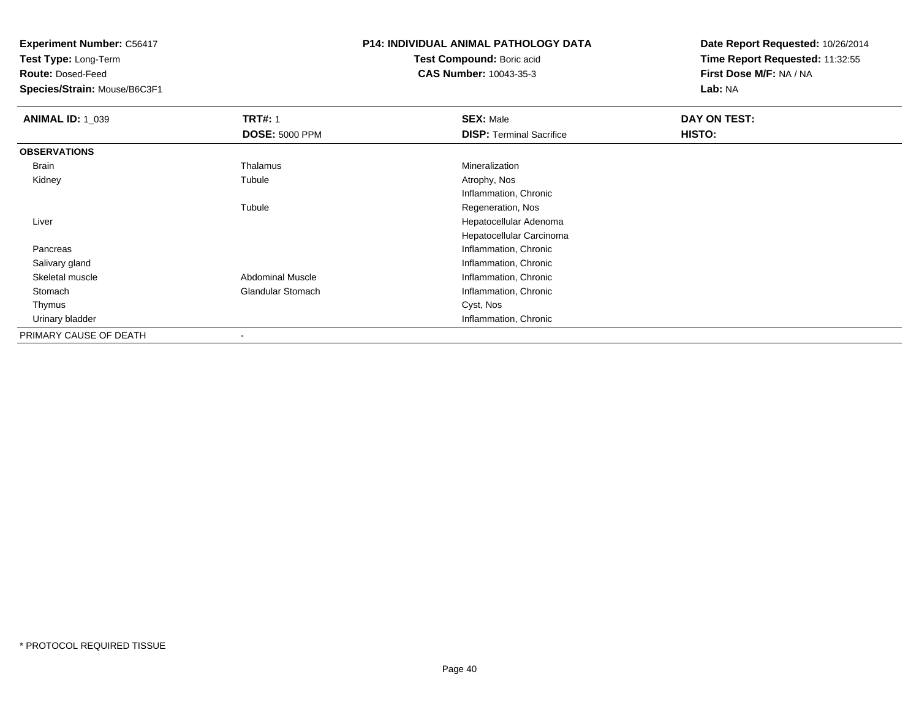**Test Type:** Long-Term

**Route:** Dosed-Feed

**Species/Strain:** Mouse/B6C3F1

# **P14: INDIVIDUAL ANIMAL PATHOLOGY DATA**

**Test Compound:** Boric acid**CAS Number:** 10043-35-3

| <b>ANIMAL ID: 1_039</b> | <b>TRT#: 1</b>           | <b>SEX: Male</b>                | DAY ON TEST: |  |
|-------------------------|--------------------------|---------------------------------|--------------|--|
|                         | <b>DOSE: 5000 PPM</b>    | <b>DISP: Terminal Sacrifice</b> | HISTO:       |  |
| <b>OBSERVATIONS</b>     |                          |                                 |              |  |
| Brain                   | Thalamus                 | Mineralization                  |              |  |
| Kidney                  | Tubule                   | Atrophy, Nos                    |              |  |
|                         |                          | Inflammation, Chronic           |              |  |
|                         | Tubule                   | Regeneration, Nos               |              |  |
| Liver                   |                          | Hepatocellular Adenoma          |              |  |
|                         |                          | Hepatocellular Carcinoma        |              |  |
| Pancreas                |                          | Inflammation, Chronic           |              |  |
| Salivary gland          |                          | Inflammation, Chronic           |              |  |
| Skeletal muscle         | <b>Abdominal Muscle</b>  | Inflammation, Chronic           |              |  |
| Stomach                 | <b>Glandular Stomach</b> | Inflammation, Chronic           |              |  |
| Thymus                  |                          | Cyst, Nos                       |              |  |
| Urinary bladder         |                          | Inflammation, Chronic           |              |  |
| PRIMARY CAUSE OF DEATH  |                          |                                 |              |  |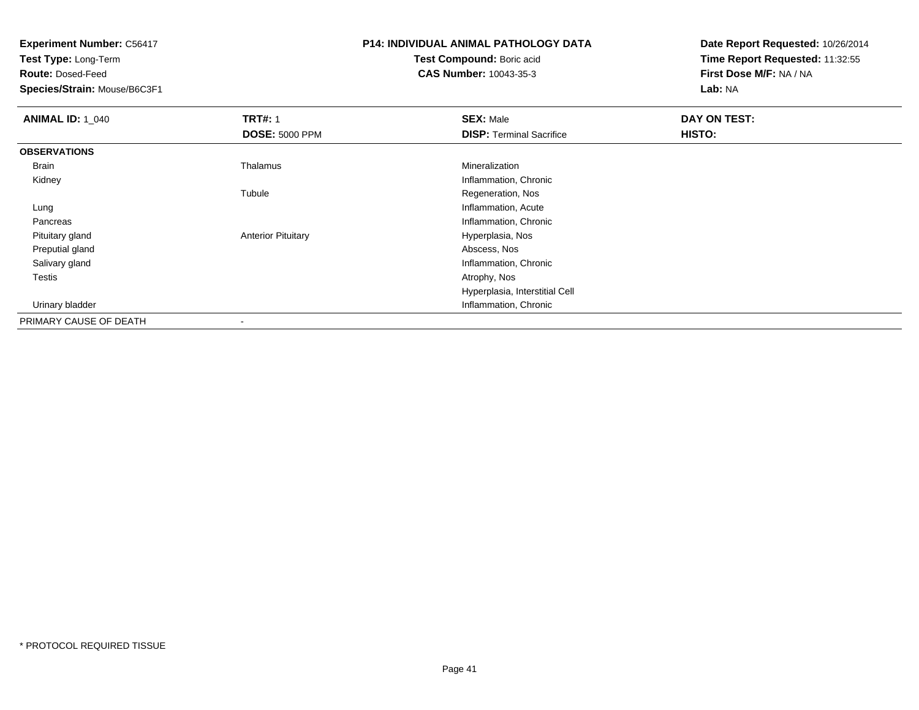**Test Type:** Long-Term

**Route:** Dosed-Feed

**Species/Strain:** Mouse/B6C3F1

## **P14: INDIVIDUAL ANIMAL PATHOLOGY DATA**

**Test Compound:** Boric acid**CAS Number:** 10043-35-3

| <b>ANIMAL ID: 1 040</b> | <b>TRT#: 1</b>            | <b>SEX: Male</b>                | DAY ON TEST: |  |
|-------------------------|---------------------------|---------------------------------|--------------|--|
|                         | <b>DOSE: 5000 PPM</b>     | <b>DISP:</b> Terminal Sacrifice | HISTO:       |  |
| <b>OBSERVATIONS</b>     |                           |                                 |              |  |
| Brain                   | Thalamus                  | Mineralization                  |              |  |
| Kidney                  |                           | Inflammation, Chronic           |              |  |
|                         | Tubule                    | Regeneration, Nos               |              |  |
| Lung                    |                           | Inflammation, Acute             |              |  |
| Pancreas                |                           | Inflammation, Chronic           |              |  |
| Pituitary gland         | <b>Anterior Pituitary</b> | Hyperplasia, Nos                |              |  |
| Preputial gland         |                           | Abscess, Nos                    |              |  |
| Salivary gland          |                           | Inflammation, Chronic           |              |  |
| Testis                  |                           | Atrophy, Nos                    |              |  |
|                         |                           | Hyperplasia, Interstitial Cell  |              |  |
| Urinary bladder         |                           | Inflammation, Chronic           |              |  |
| PRIMARY CAUSE OF DEATH  | $\overline{\phantom{a}}$  |                                 |              |  |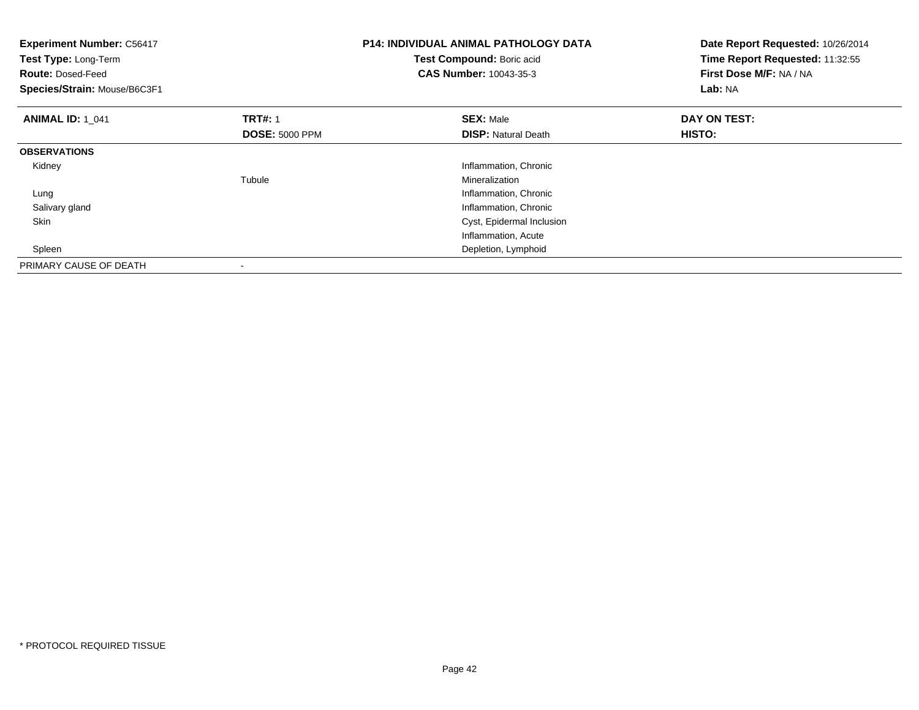| <b>Experiment Number: C56417</b><br>Test Type: Long-Term<br><b>Route: Dosed-Feed</b><br>Species/Strain: Mouse/B6C3F1 |                       | <b>P14: INDIVIDUAL ANIMAL PATHOLOGY DATA</b><br>Test Compound: Boric acid<br>CAS Number: 10043-35-3 | Date Report Requested: 10/26/2014<br>Time Report Requested: 11:32:55<br>First Dose M/F: NA / NA<br>Lab: NA |  |
|----------------------------------------------------------------------------------------------------------------------|-----------------------|-----------------------------------------------------------------------------------------------------|------------------------------------------------------------------------------------------------------------|--|
| <b>ANIMAL ID: 1 041</b>                                                                                              | <b>TRT#: 1</b>        | <b>SEX: Male</b>                                                                                    | DAY ON TEST:                                                                                               |  |
|                                                                                                                      | <b>DOSE: 5000 PPM</b> | <b>DISP:</b> Natural Death                                                                          | HISTO:                                                                                                     |  |
| <b>OBSERVATIONS</b>                                                                                                  |                       |                                                                                                     |                                                                                                            |  |
| Kidney                                                                                                               |                       | Inflammation, Chronic                                                                               |                                                                                                            |  |
|                                                                                                                      | Tubule                | Mineralization                                                                                      |                                                                                                            |  |
| Lung                                                                                                                 |                       | Inflammation, Chronic                                                                               |                                                                                                            |  |
| Salivary gland                                                                                                       |                       | Inflammation, Chronic                                                                               |                                                                                                            |  |
| <b>Skin</b>                                                                                                          |                       | Cyst, Epidermal Inclusion                                                                           |                                                                                                            |  |
|                                                                                                                      |                       | Inflammation, Acute                                                                                 |                                                                                                            |  |
| Spleen                                                                                                               |                       | Depletion, Lymphoid                                                                                 |                                                                                                            |  |
| PRIMARY CAUSE OF DEATH                                                                                               |                       |                                                                                                     |                                                                                                            |  |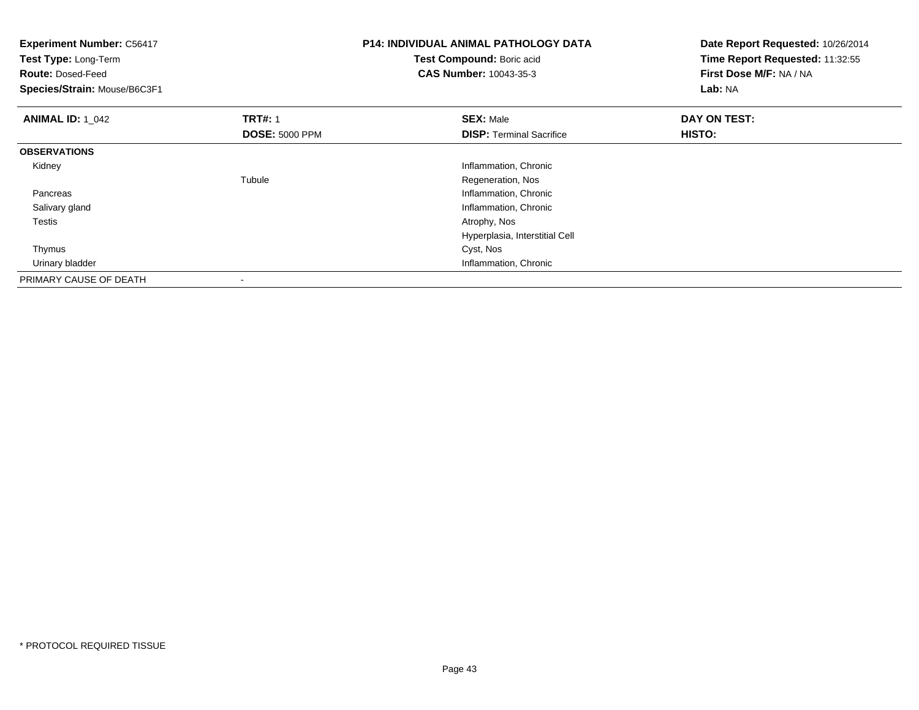| <b>Experiment Number: C56417</b><br>Test Type: Long-Term<br><b>Route: Dosed-Feed</b><br>Species/Strain: Mouse/B6C3F1 |                       | <b>P14: INDIVIDUAL ANIMAL PATHOLOGY DATA</b><br>Test Compound: Boric acid<br><b>CAS Number: 10043-35-3</b> | Date Report Requested: 10/26/2014<br>Time Report Requested: 11:32:55<br>First Dose M/F: NA / NA<br>Lab: NA |
|----------------------------------------------------------------------------------------------------------------------|-----------------------|------------------------------------------------------------------------------------------------------------|------------------------------------------------------------------------------------------------------------|
| <b>ANIMAL ID: 1 042</b>                                                                                              | <b>TRT#: 1</b>        | <b>SEX: Male</b>                                                                                           | DAY ON TEST:                                                                                               |
|                                                                                                                      | <b>DOSE: 5000 PPM</b> | <b>DISP: Terminal Sacrifice</b>                                                                            | HISTO:                                                                                                     |
| <b>OBSERVATIONS</b>                                                                                                  |                       |                                                                                                            |                                                                                                            |
| Kidney                                                                                                               |                       | Inflammation, Chronic                                                                                      |                                                                                                            |
|                                                                                                                      | Tubule                | Regeneration, Nos                                                                                          |                                                                                                            |
| Pancreas                                                                                                             |                       | Inflammation, Chronic                                                                                      |                                                                                                            |
| Salivary gland                                                                                                       |                       | Inflammation, Chronic                                                                                      |                                                                                                            |
| <b>Testis</b>                                                                                                        |                       | Atrophy, Nos                                                                                               |                                                                                                            |
|                                                                                                                      |                       | Hyperplasia, Interstitial Cell                                                                             |                                                                                                            |
| Thymus                                                                                                               |                       | Cyst, Nos                                                                                                  |                                                                                                            |
| Urinary bladder                                                                                                      |                       | Inflammation, Chronic                                                                                      |                                                                                                            |
| PRIMARY CAUSE OF DEATH                                                                                               |                       |                                                                                                            |                                                                                                            |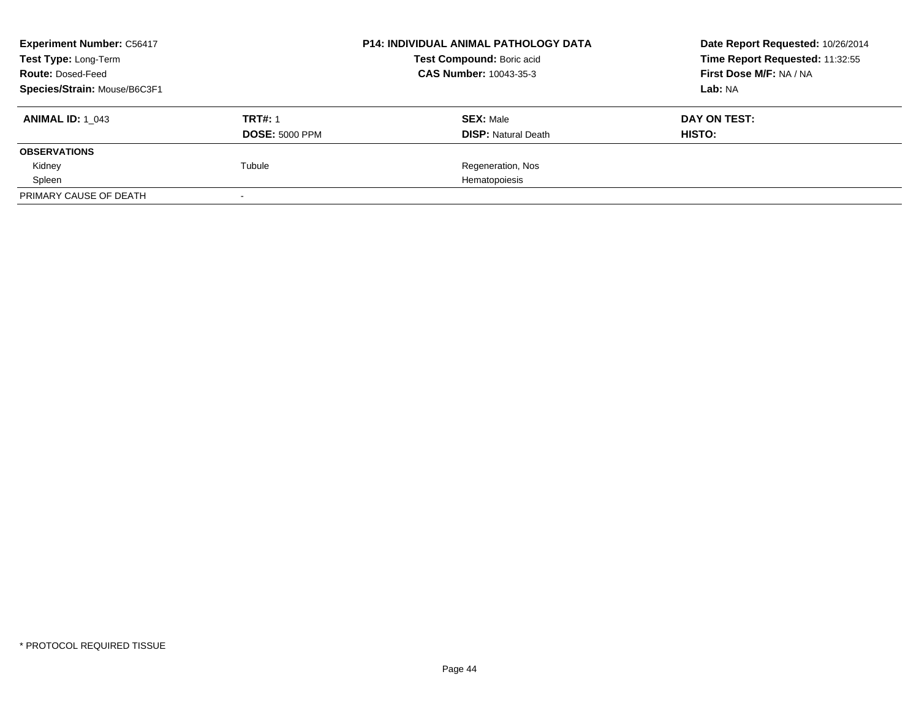| <b>Experiment Number: C56417</b><br>Test Type: Long-Term<br><b>Route: Dosed-Feed</b><br>Species/Strain: Mouse/B6C3F1 |                                         | <b>P14: INDIVIDUAL ANIMAL PATHOLOGY DATA</b><br>Test Compound: Boric acid<br><b>CAS Number: 10043-35-3</b> | Date Report Requested: 10/26/2014<br>Time Report Requested: 11:32:55<br>First Dose M/F: NA / NA<br>Lab: NA |
|----------------------------------------------------------------------------------------------------------------------|-----------------------------------------|------------------------------------------------------------------------------------------------------------|------------------------------------------------------------------------------------------------------------|
| <b>ANIMAL ID: 1 043</b>                                                                                              | <b>TRT#: 1</b><br><b>DOSE: 5000 PPM</b> | <b>SEX: Male</b><br><b>DISP: Natural Death</b>                                                             | DAY ON TEST:<br>HISTO:                                                                                     |
| <b>OBSERVATIONS</b>                                                                                                  |                                         |                                                                                                            |                                                                                                            |
| Kidney                                                                                                               | Tubule                                  | Regeneration, Nos                                                                                          |                                                                                                            |
| Spleen                                                                                                               |                                         | Hematopoiesis                                                                                              |                                                                                                            |
| PRIMARY CAUSE OF DEATH                                                                                               |                                         |                                                                                                            |                                                                                                            |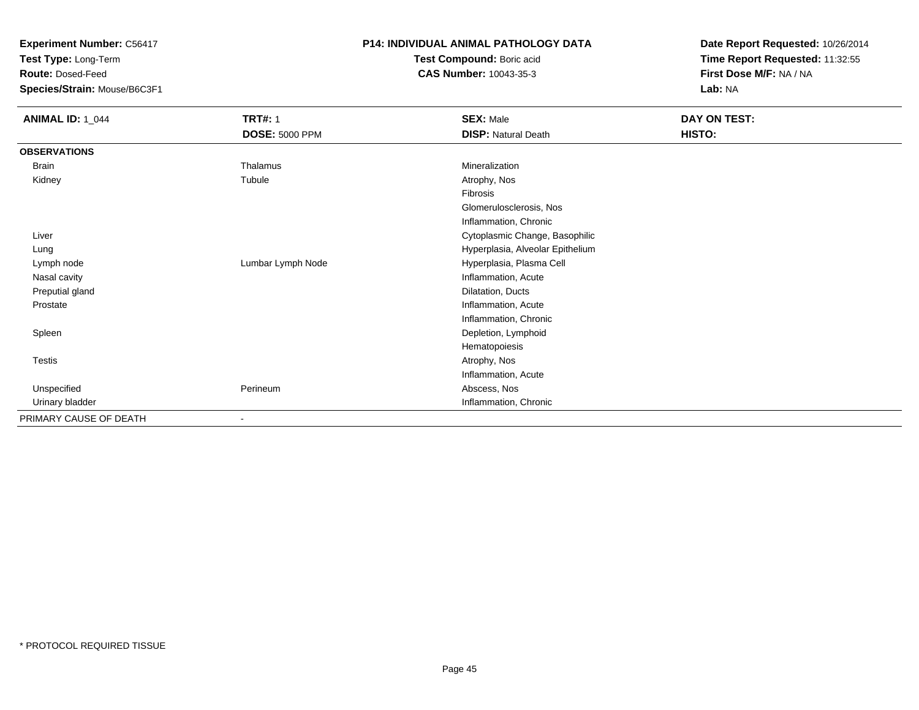**Test Type:** Long-Term

**Route:** Dosed-Feed

**Species/Strain:** Mouse/B6C3F1

#### **P14: INDIVIDUAL ANIMAL PATHOLOGY DATA**

**Test Compound:** Boric acid**CAS Number:** 10043-35-3

| <b>ANIMAL ID: 1_044</b> | <b>TRT#: 1</b>        | <b>SEX: Male</b>                 | DAY ON TEST: |
|-------------------------|-----------------------|----------------------------------|--------------|
|                         | <b>DOSE: 5000 PPM</b> | <b>DISP: Natural Death</b>       | HISTO:       |
| <b>OBSERVATIONS</b>     |                       |                                  |              |
| Brain                   | Thalamus              | Mineralization                   |              |
| Kidney                  | Tubule                | Atrophy, Nos                     |              |
|                         |                       | Fibrosis                         |              |
|                         |                       | Glomerulosclerosis, Nos          |              |
|                         |                       | Inflammation, Chronic            |              |
| Liver                   |                       | Cytoplasmic Change, Basophilic   |              |
| Lung                    |                       | Hyperplasia, Alveolar Epithelium |              |
| Lymph node              | Lumbar Lymph Node     | Hyperplasia, Plasma Cell         |              |
| Nasal cavity            |                       | Inflammation, Acute              |              |
| Preputial gland         |                       | Dilatation, Ducts                |              |
| Prostate                |                       | Inflammation, Acute              |              |
|                         |                       | Inflammation, Chronic            |              |
| Spleen                  |                       | Depletion, Lymphoid              |              |
|                         |                       | Hematopoiesis                    |              |
| Testis                  |                       | Atrophy, Nos                     |              |
|                         |                       | Inflammation, Acute              |              |
| Unspecified             | Perineum              | Abscess, Nos                     |              |
| Urinary bladder         |                       | Inflammation, Chronic            |              |
| PRIMARY CAUSE OF DEATH  |                       |                                  |              |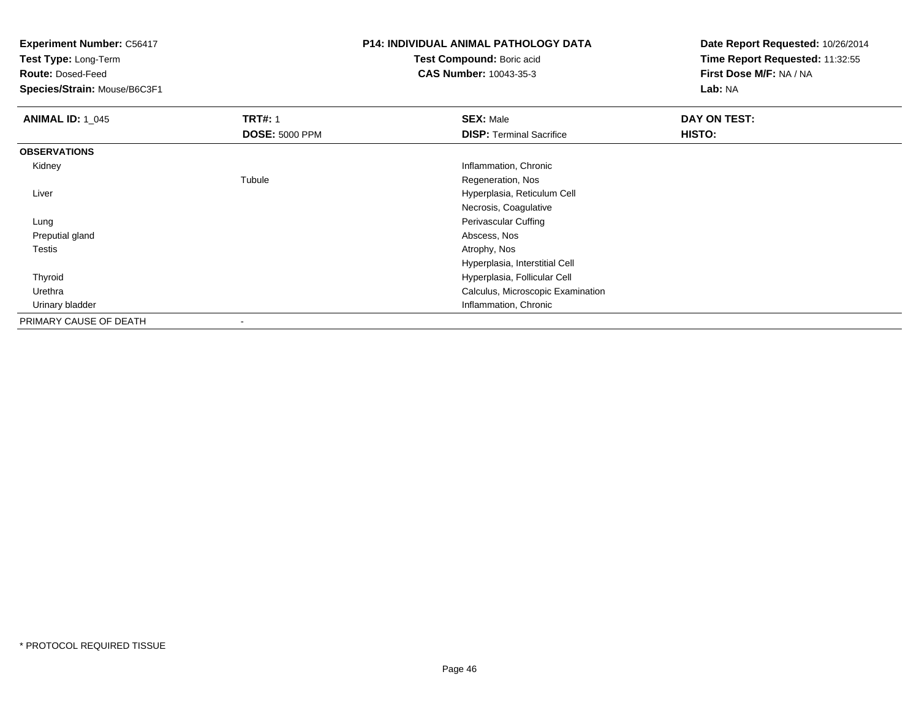**Test Type:** Long-Term

**Route:** Dosed-Feed

**Species/Strain:** Mouse/B6C3F1

## **P14: INDIVIDUAL ANIMAL PATHOLOGY DATA**

**Test Compound:** Boric acid**CAS Number:** 10043-35-3

| <b>ANIMAL ID: 1 045</b> | <b>TRT#: 1</b>        | <b>SEX: Male</b>                  | DAY ON TEST: |
|-------------------------|-----------------------|-----------------------------------|--------------|
|                         | <b>DOSE: 5000 PPM</b> | <b>DISP: Terminal Sacrifice</b>   | HISTO:       |
| <b>OBSERVATIONS</b>     |                       |                                   |              |
| Kidney                  |                       | Inflammation, Chronic             |              |
|                         | Tubule                | Regeneration, Nos                 |              |
| Liver                   |                       | Hyperplasia, Reticulum Cell       |              |
|                         |                       | Necrosis, Coagulative             |              |
| Lung                    |                       | Perivascular Cuffing              |              |
| Preputial gland         |                       | Abscess, Nos                      |              |
| <b>Testis</b>           |                       | Atrophy, Nos                      |              |
|                         |                       | Hyperplasia, Interstitial Cell    |              |
| Thyroid                 |                       | Hyperplasia, Follicular Cell      |              |
| Urethra                 |                       | Calculus, Microscopic Examination |              |
| Urinary bladder         |                       | Inflammation, Chronic             |              |
| PRIMARY CAUSE OF DEATH  | $\blacksquare$        |                                   |              |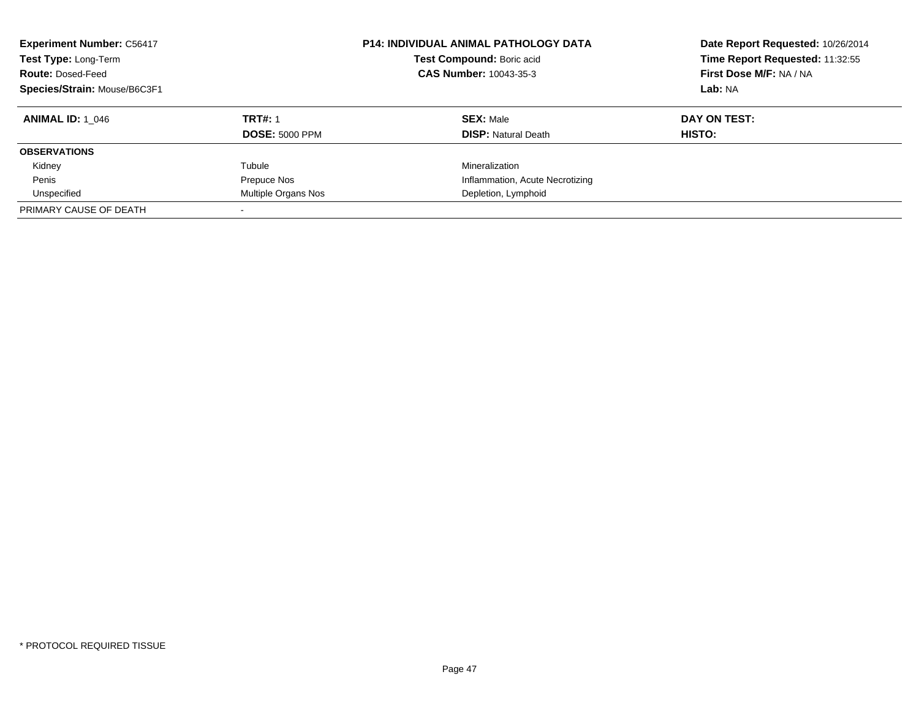| <b>Experiment Number: C56417</b><br>Test Type: Long-Term<br><b>Route: Dosed-Feed</b><br>Species/Strain: Mouse/B6C3F1 |                       | <b>P14: INDIVIDUAL ANIMAL PATHOLOGY DATA</b><br>Test Compound: Boric acid<br>CAS Number: 10043-35-3 | Date Report Requested: 10/26/2014<br>Time Report Requested: 11:32:55<br>First Dose M/F: NA / NA<br>Lab: NA |
|----------------------------------------------------------------------------------------------------------------------|-----------------------|-----------------------------------------------------------------------------------------------------|------------------------------------------------------------------------------------------------------------|
| <b>ANIMAL ID: 1 046</b>                                                                                              | <b>TRT#: 1</b>        | <b>SEX: Male</b>                                                                                    | DAY ON TEST:                                                                                               |
|                                                                                                                      | <b>DOSE: 5000 PPM</b> | <b>DISP:</b> Natural Death                                                                          | HISTO:                                                                                                     |
| <b>OBSERVATIONS</b>                                                                                                  |                       |                                                                                                     |                                                                                                            |
| Kidney                                                                                                               | Tubule                | Mineralization                                                                                      |                                                                                                            |
| Penis                                                                                                                | Prepuce Nos           | Inflammation, Acute Necrotizing                                                                     |                                                                                                            |
| Unspecified                                                                                                          | Multiple Organs Nos   | Depletion, Lymphoid                                                                                 |                                                                                                            |
| PRIMARY CAUSE OF DEATH                                                                                               |                       |                                                                                                     |                                                                                                            |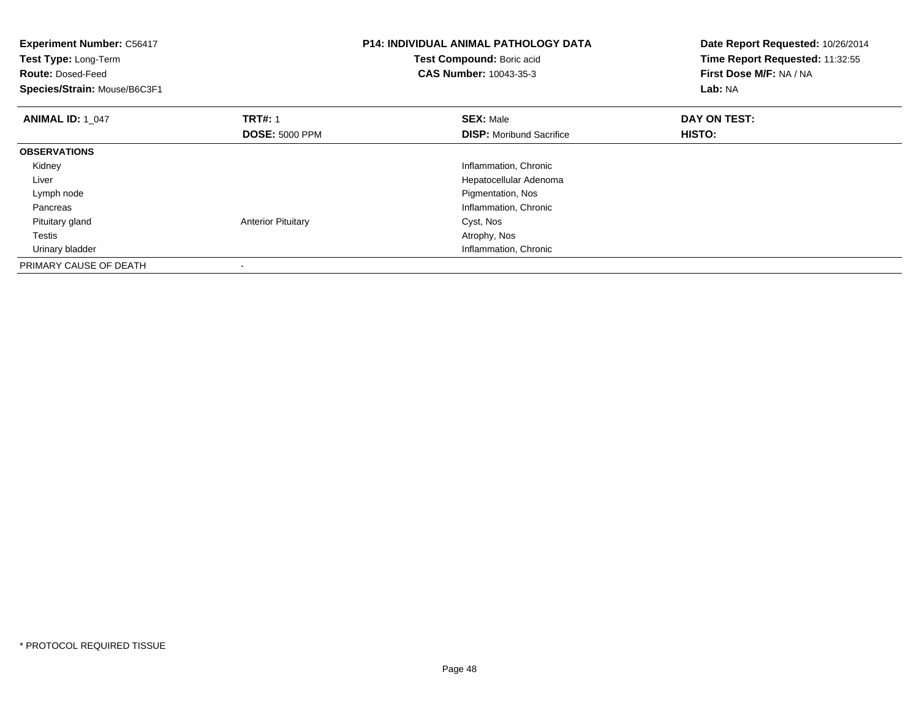| <b>Experiment Number: C56417</b><br>Test Type: Long-Term<br><b>Route: Dosed-Feed</b><br>Species/Strain: Mouse/B6C3F1 |                                         | <b>P14: INDIVIDUAL ANIMAL PATHOLOGY DATA</b><br>Test Compound: Boric acid<br><b>CAS Number: 10043-35-3</b> | Date Report Requested: 10/26/2014<br>Time Report Requested: 11:32:55<br>First Dose M/F: NA / NA<br>Lab: NA |
|----------------------------------------------------------------------------------------------------------------------|-----------------------------------------|------------------------------------------------------------------------------------------------------------|------------------------------------------------------------------------------------------------------------|
| <b>ANIMAL ID: 1 047</b>                                                                                              | <b>TRT#: 1</b><br><b>DOSE: 5000 PPM</b> | <b>SEX: Male</b><br><b>DISP:</b> Moribund Sacrifice                                                        | DAY ON TEST:<br>HISTO:                                                                                     |
| <b>OBSERVATIONS</b>                                                                                                  |                                         |                                                                                                            |                                                                                                            |
| Kidney                                                                                                               |                                         | Inflammation, Chronic                                                                                      |                                                                                                            |
| Liver                                                                                                                |                                         | Hepatocellular Adenoma                                                                                     |                                                                                                            |
| Lymph node                                                                                                           |                                         | Pigmentation, Nos                                                                                          |                                                                                                            |
| Pancreas                                                                                                             |                                         | Inflammation, Chronic                                                                                      |                                                                                                            |
| Pituitary gland                                                                                                      | <b>Anterior Pituitary</b>               | Cyst, Nos                                                                                                  |                                                                                                            |
| Testis                                                                                                               |                                         | Atrophy, Nos                                                                                               |                                                                                                            |
| Urinary bladder                                                                                                      |                                         | Inflammation, Chronic                                                                                      |                                                                                                            |
| PRIMARY CAUSE OF DEATH                                                                                               |                                         |                                                                                                            |                                                                                                            |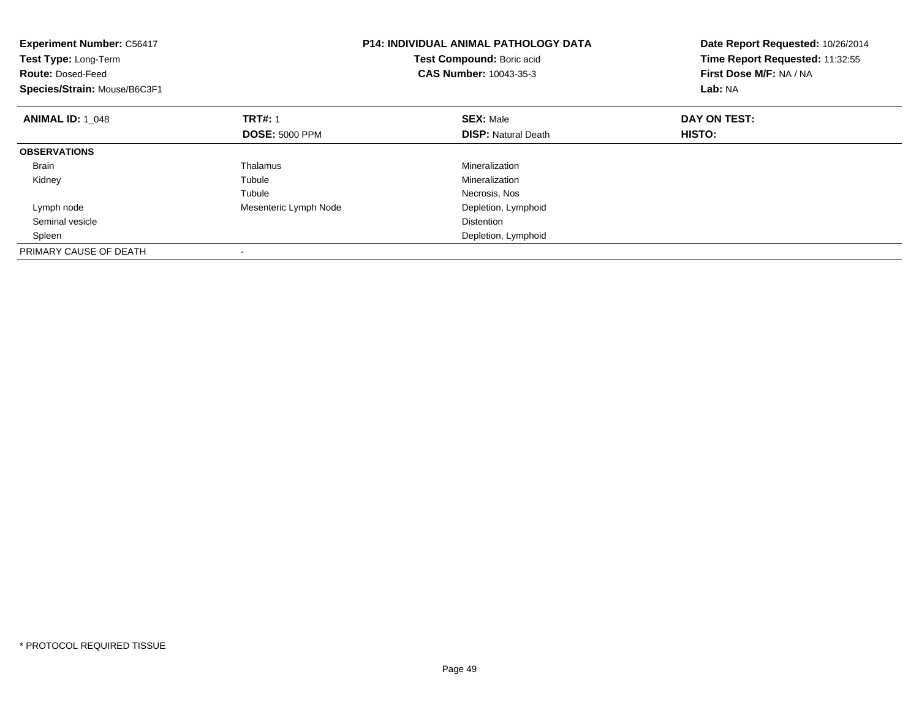| <b>Experiment Number: C56417</b><br>Test Type: Long-Term<br><b>Route: Dosed-Feed</b><br>Species/Strain: Mouse/B6C3F1 |                       | <b>P14: INDIVIDUAL ANIMAL PATHOLOGY DATA</b><br>Test Compound: Boric acid<br><b>CAS Number: 10043-35-3</b> | Date Report Requested: 10/26/2014<br>Time Report Requested: 11:32:55<br>First Dose M/F: NA / NA<br>Lab: NA |
|----------------------------------------------------------------------------------------------------------------------|-----------------------|------------------------------------------------------------------------------------------------------------|------------------------------------------------------------------------------------------------------------|
| <b>ANIMAL ID: 1_048</b>                                                                                              | <b>TRT#: 1</b>        | <b>SEX: Male</b>                                                                                           | DAY ON TEST:                                                                                               |
|                                                                                                                      | <b>DOSE: 5000 PPM</b> | <b>DISP:</b> Natural Death                                                                                 | <b>HISTO:</b>                                                                                              |
| <b>OBSERVATIONS</b>                                                                                                  |                       |                                                                                                            |                                                                                                            |
| <b>Brain</b>                                                                                                         | Thalamus              | Mineralization                                                                                             |                                                                                                            |
| Kidney                                                                                                               | Tubule                | Mineralization                                                                                             |                                                                                                            |
|                                                                                                                      | Tubule                | Necrosis, Nos                                                                                              |                                                                                                            |
| Lymph node                                                                                                           | Mesenteric Lymph Node | Depletion, Lymphoid                                                                                        |                                                                                                            |
| Seminal vesicle                                                                                                      |                       | <b>Distention</b>                                                                                          |                                                                                                            |
| Spleen                                                                                                               |                       | Depletion, Lymphoid                                                                                        |                                                                                                            |
| PRIMARY CAUSE OF DEATH                                                                                               |                       |                                                                                                            |                                                                                                            |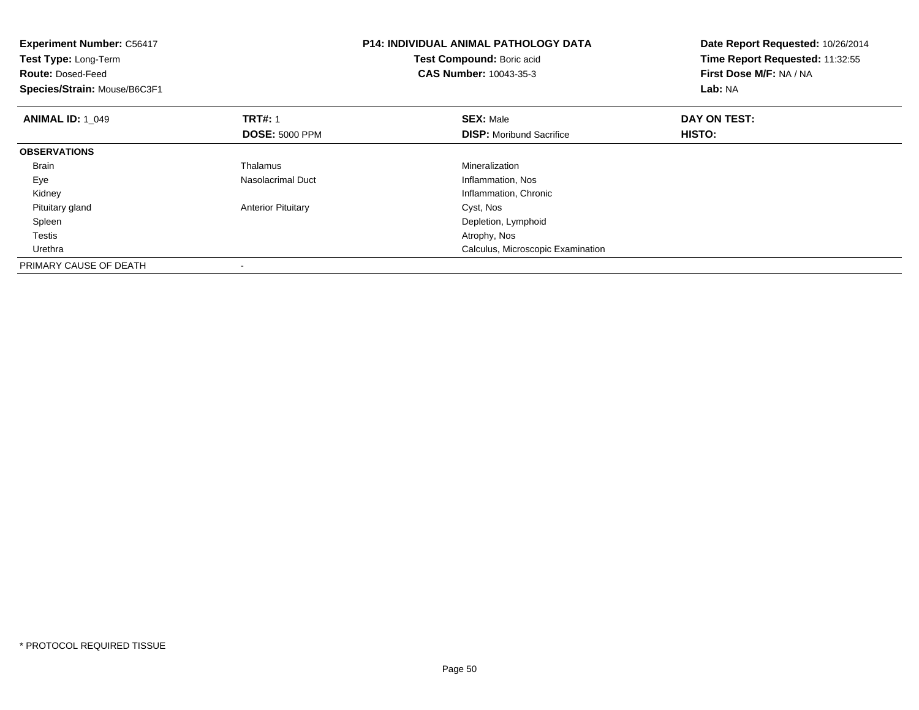| <b>Experiment Number: C56417</b><br>Test Type: Long-Term<br><b>Route: Dosed-Feed</b><br>Species/Strain: Mouse/B6C3F1 |                                         | <b>P14: INDIVIDUAL ANIMAL PATHOLOGY DATA</b><br>Date Report Requested: 10/26/2014<br>Time Report Requested: 11:32:55<br>Test Compound: Boric acid<br>First Dose M/F: NA / NA<br><b>CAS Number: 10043-35-3</b><br>Lab: NA |                        |
|----------------------------------------------------------------------------------------------------------------------|-----------------------------------------|--------------------------------------------------------------------------------------------------------------------------------------------------------------------------------------------------------------------------|------------------------|
| <b>ANIMAL ID: 1 049</b>                                                                                              | <b>TRT#: 1</b><br><b>DOSE: 5000 PPM</b> | <b>SEX: Male</b><br><b>DISP:</b> Moribund Sacrifice                                                                                                                                                                      | DAY ON TEST:<br>HISTO: |
| <b>OBSERVATIONS</b>                                                                                                  |                                         |                                                                                                                                                                                                                          |                        |
| Brain                                                                                                                | Thalamus                                | Mineralization                                                                                                                                                                                                           |                        |
| Eye                                                                                                                  | Nasolacrimal Duct                       | Inflammation, Nos                                                                                                                                                                                                        |                        |
| Kidney                                                                                                               |                                         | Inflammation, Chronic                                                                                                                                                                                                    |                        |
| Pituitary gland                                                                                                      | <b>Anterior Pituitary</b>               | Cyst, Nos                                                                                                                                                                                                                |                        |
| Spleen                                                                                                               |                                         | Depletion, Lymphoid                                                                                                                                                                                                      |                        |
| Testis                                                                                                               |                                         | Atrophy, Nos                                                                                                                                                                                                             |                        |
| Urethra                                                                                                              |                                         | Calculus, Microscopic Examination                                                                                                                                                                                        |                        |
| PRIMARY CAUSE OF DEATH                                                                                               |                                         |                                                                                                                                                                                                                          |                        |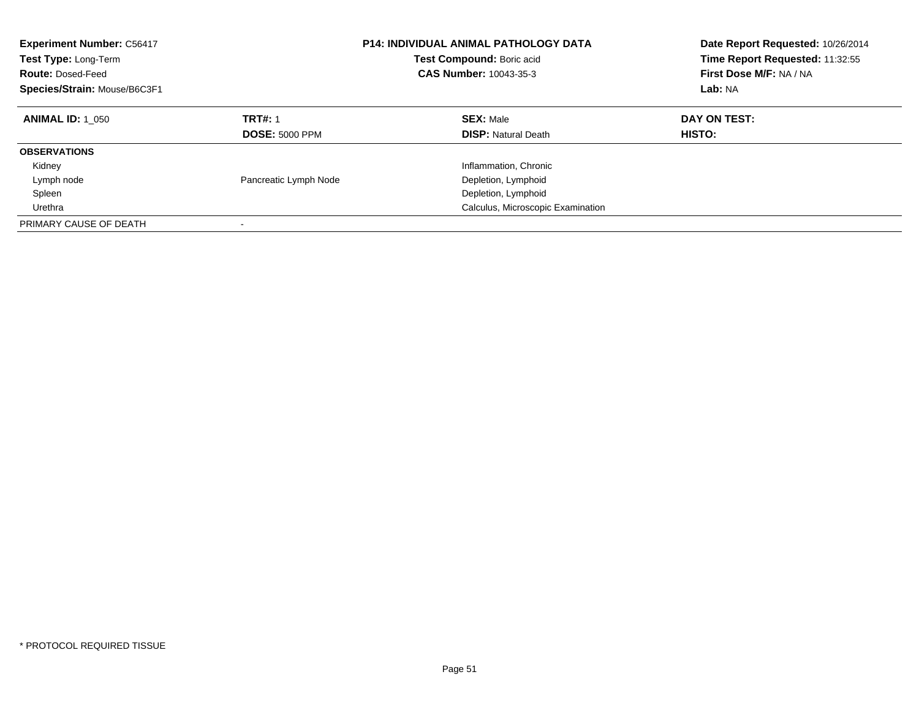| <b>Experiment Number: C56417</b><br>Test Type: Long-Term<br><b>Route: Dosed-Feed</b><br>Species/Strain: Mouse/B6C3F1 |                                         | <b>P14: INDIVIDUAL ANIMAL PATHOLOGY DATA</b><br>Test Compound: Boric acid<br><b>CAS Number: 10043-35-3</b> | Date Report Requested: 10/26/2014<br>Time Report Requested: 11:32:55<br>First Dose M/F: NA / NA<br>Lab: NA |
|----------------------------------------------------------------------------------------------------------------------|-----------------------------------------|------------------------------------------------------------------------------------------------------------|------------------------------------------------------------------------------------------------------------|
| <b>ANIMAL ID:</b> 1 050                                                                                              | <b>TRT#: 1</b><br><b>DOSE: 5000 PPM</b> | <b>SEX: Male</b><br><b>DISP: Natural Death</b>                                                             | DAY ON TEST:<br><b>HISTO:</b>                                                                              |
| <b>OBSERVATIONS</b>                                                                                                  |                                         |                                                                                                            |                                                                                                            |
| Kidney                                                                                                               |                                         | Inflammation, Chronic                                                                                      |                                                                                                            |
| Lymph node                                                                                                           | Pancreatic Lymph Node                   | Depletion, Lymphoid                                                                                        |                                                                                                            |
| Spleen                                                                                                               |                                         | Depletion, Lymphoid                                                                                        |                                                                                                            |
| Urethra                                                                                                              |                                         | Calculus, Microscopic Examination                                                                          |                                                                                                            |
| PRIMARY CAUSE OF DEATH                                                                                               |                                         |                                                                                                            |                                                                                                            |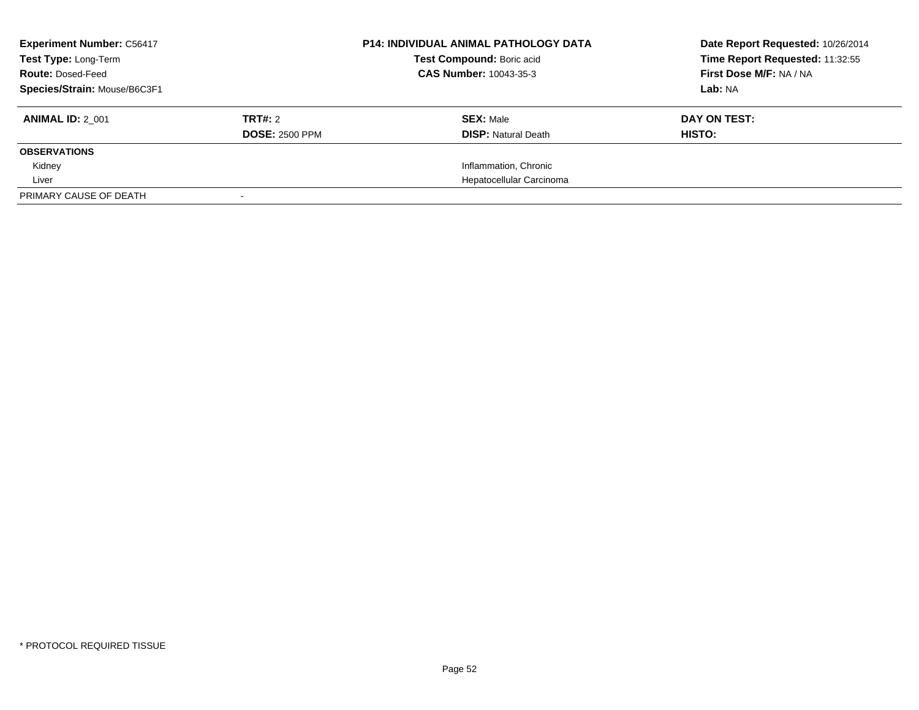| <b>Experiment Number: C56417</b><br>Test Type: Long-Term<br><b>Route: Dosed-Feed</b><br>Species/Strain: Mouse/B6C3F1 |                                         | <b>P14: INDIVIDUAL ANIMAL PATHOLOGY DATA</b><br>Test Compound: Boric acid<br>CAS Number: 10043-35-3 | Date Report Requested: 10/26/2014<br>Time Report Requested: 11:32:55<br>First Dose M/F: NA / NA<br>Lab: NA |
|----------------------------------------------------------------------------------------------------------------------|-----------------------------------------|-----------------------------------------------------------------------------------------------------|------------------------------------------------------------------------------------------------------------|
| <b>ANIMAL ID: 2 001</b>                                                                                              | <b>TRT#:</b> 2<br><b>DOSE: 2500 PPM</b> | <b>SEX: Male</b><br><b>DISP:</b> Natural Death                                                      | DAY ON TEST:<br>HISTO:                                                                                     |
| <b>OBSERVATIONS</b>                                                                                                  |                                         |                                                                                                     |                                                                                                            |
| Kidney                                                                                                               |                                         | Inflammation, Chronic                                                                               |                                                                                                            |
| Liver                                                                                                                |                                         | Hepatocellular Carcinoma                                                                            |                                                                                                            |
| PRIMARY CAUSE OF DEATH                                                                                               |                                         |                                                                                                     |                                                                                                            |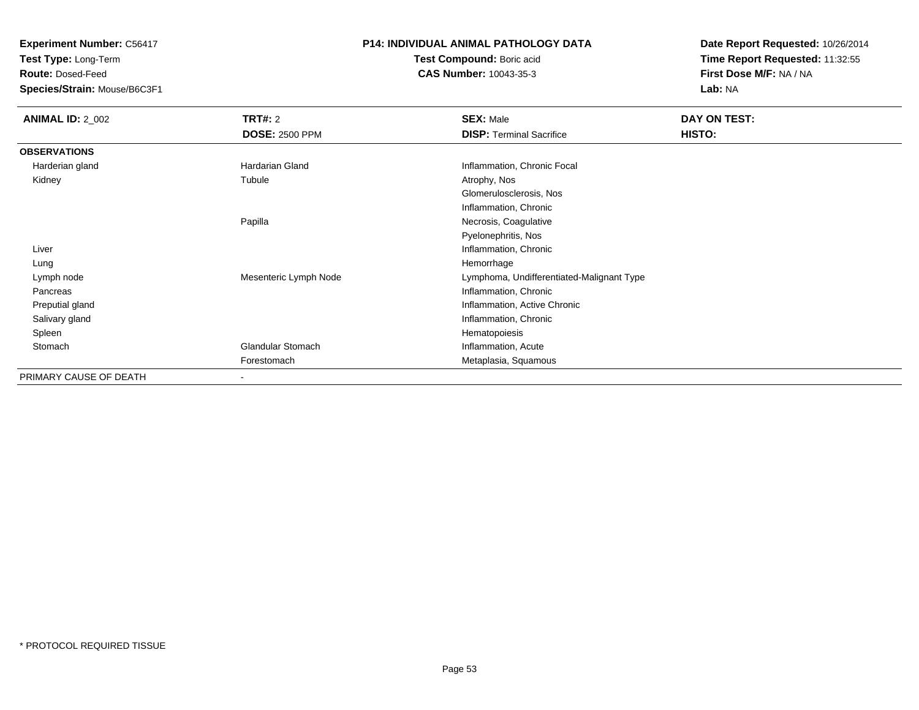**Test Type:** Long-Term

**Route:** Dosed-Feed

**Species/Strain:** Mouse/B6C3F1

# **P14: INDIVIDUAL ANIMAL PATHOLOGY DATA**

**Test Compound:** Boric acid**CAS Number:** 10043-35-3

| <b>ANIMAL ID: 2_002</b> | <b>TRT#: 2</b>           | <b>SEX: Male</b>                          | DAY ON TEST: |  |
|-------------------------|--------------------------|-------------------------------------------|--------------|--|
|                         | <b>DOSE: 2500 PPM</b>    | <b>DISP: Terminal Sacrifice</b>           | HISTO:       |  |
| <b>OBSERVATIONS</b>     |                          |                                           |              |  |
| Harderian gland         | Hardarian Gland          | Inflammation, Chronic Focal               |              |  |
| Kidney                  | Tubule                   | Atrophy, Nos                              |              |  |
|                         |                          | Glomerulosclerosis, Nos                   |              |  |
|                         |                          | Inflammation, Chronic                     |              |  |
|                         | Papilla                  | Necrosis, Coagulative                     |              |  |
|                         |                          | Pyelonephritis, Nos                       |              |  |
| Liver                   |                          | Inflammation, Chronic                     |              |  |
| Lung                    |                          | Hemorrhage                                |              |  |
| Lymph node              | Mesenteric Lymph Node    | Lymphoma, Undifferentiated-Malignant Type |              |  |
| Pancreas                |                          | Inflammation, Chronic                     |              |  |
| Preputial gland         |                          | Inflammation, Active Chronic              |              |  |
| Salivary gland          |                          | Inflammation, Chronic                     |              |  |
| Spleen                  |                          | Hematopoiesis                             |              |  |
| Stomach                 | <b>Glandular Stomach</b> | Inflammation, Acute                       |              |  |
|                         | Forestomach              | Metaplasia, Squamous                      |              |  |
| PRIMARY CAUSE OF DEATH  | $\overline{\phantom{a}}$ |                                           |              |  |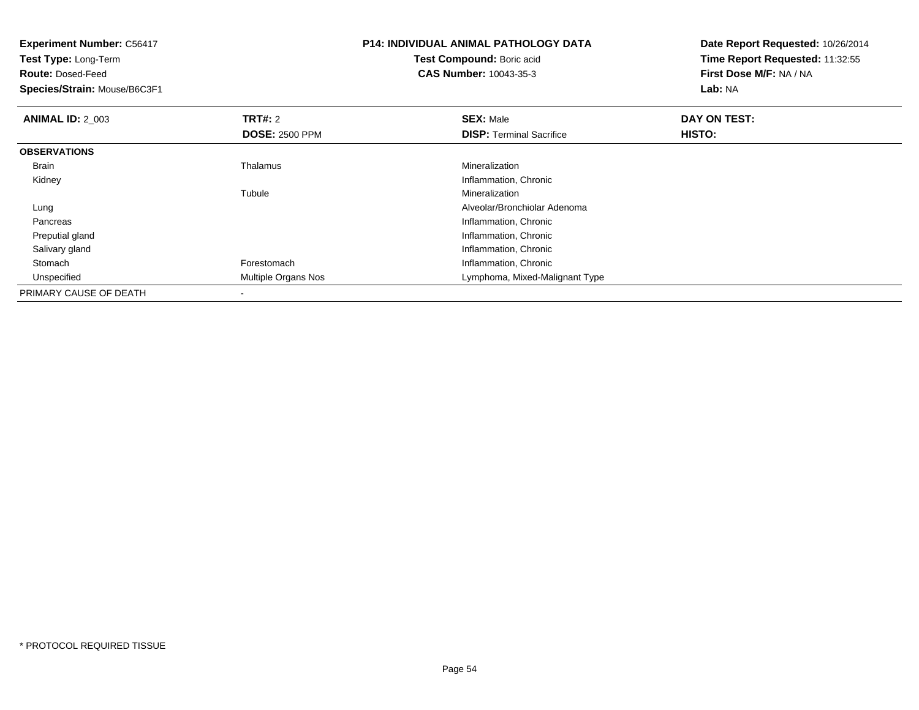| <b>Experiment Number: C56417</b><br>Test Type: Long-Term<br><b>Route: Dosed-Feed</b><br>Species/Strain: Mouse/B6C3F1 |                       | <b>P14: INDIVIDUAL ANIMAL PATHOLOGY DATA</b><br>Date Report Requested: 10/26/2014<br>Time Report Requested: 11:32:55<br><b>Test Compound: Boric acid</b><br>First Dose M/F: NA / NA<br><b>CAS Number: 10043-35-3</b><br>Lab: NA |              |
|----------------------------------------------------------------------------------------------------------------------|-----------------------|---------------------------------------------------------------------------------------------------------------------------------------------------------------------------------------------------------------------------------|--------------|
| <b>ANIMAL ID: 2 003</b>                                                                                              | <b>TRT#: 2</b>        | <b>SEX: Male</b>                                                                                                                                                                                                                | DAY ON TEST: |
|                                                                                                                      | <b>DOSE: 2500 PPM</b> | <b>DISP:</b> Terminal Sacrifice                                                                                                                                                                                                 | HISTO:       |
| <b>OBSERVATIONS</b>                                                                                                  |                       |                                                                                                                                                                                                                                 |              |
| <b>Brain</b>                                                                                                         | Thalamus              | Mineralization                                                                                                                                                                                                                  |              |
| Kidney                                                                                                               |                       | Inflammation, Chronic                                                                                                                                                                                                           |              |
|                                                                                                                      | Tubule                | Mineralization                                                                                                                                                                                                                  |              |
| Lung                                                                                                                 |                       | Alveolar/Bronchiolar Adenoma                                                                                                                                                                                                    |              |
| Pancreas                                                                                                             |                       | Inflammation, Chronic                                                                                                                                                                                                           |              |
| Preputial gland                                                                                                      |                       | Inflammation, Chronic                                                                                                                                                                                                           |              |
| Salivary gland                                                                                                       |                       | Inflammation, Chronic                                                                                                                                                                                                           |              |
| Stomach                                                                                                              | Forestomach           | Inflammation, Chronic                                                                                                                                                                                                           |              |
| Unspecified                                                                                                          | Multiple Organs Nos   | Lymphoma, Mixed-Malignant Type                                                                                                                                                                                                  |              |
| PRIMARY CAUSE OF DEATH                                                                                               |                       |                                                                                                                                                                                                                                 |              |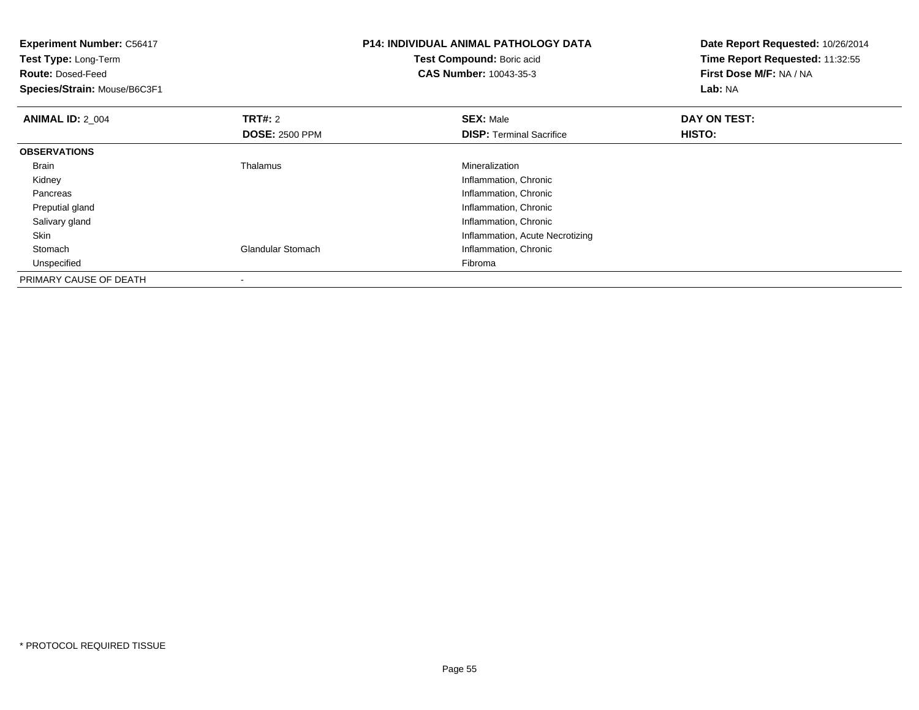| <b>Experiment Number: C56417</b><br>Test Type: Long-Term<br><b>Route: Dosed-Feed</b><br>Species/Strain: Mouse/B6C3F1 |                          | <b>P14: INDIVIDUAL ANIMAL PATHOLOGY DATA</b><br>Test Compound: Boric acid<br><b>CAS Number: 10043-35-3</b> | Date Report Requested: 10/26/2014<br>Time Report Requested: 11:32:55<br>First Dose M/F: NA / NA<br>Lab: NA |
|----------------------------------------------------------------------------------------------------------------------|--------------------------|------------------------------------------------------------------------------------------------------------|------------------------------------------------------------------------------------------------------------|
| <b>ANIMAL ID: 2_004</b>                                                                                              | TRT#: 2                  | <b>SEX: Male</b>                                                                                           | DAY ON TEST:                                                                                               |
|                                                                                                                      | <b>DOSE: 2500 PPM</b>    | <b>DISP:</b> Terminal Sacrifice                                                                            | <b>HISTO:</b>                                                                                              |
| <b>OBSERVATIONS</b>                                                                                                  |                          |                                                                                                            |                                                                                                            |
| <b>Brain</b>                                                                                                         | Thalamus                 | Mineralization                                                                                             |                                                                                                            |
| Kidney                                                                                                               |                          | Inflammation, Chronic                                                                                      |                                                                                                            |
| Pancreas                                                                                                             |                          | Inflammation, Chronic                                                                                      |                                                                                                            |
| Preputial gland                                                                                                      |                          | Inflammation, Chronic                                                                                      |                                                                                                            |
| Salivary gland                                                                                                       |                          | Inflammation, Chronic                                                                                      |                                                                                                            |
| Skin                                                                                                                 |                          | Inflammation, Acute Necrotizing                                                                            |                                                                                                            |
| Stomach                                                                                                              | <b>Glandular Stomach</b> | Inflammation, Chronic                                                                                      |                                                                                                            |
| Unspecified                                                                                                          |                          | Fibroma                                                                                                    |                                                                                                            |
| PRIMARY CAUSE OF DEATH                                                                                               |                          |                                                                                                            |                                                                                                            |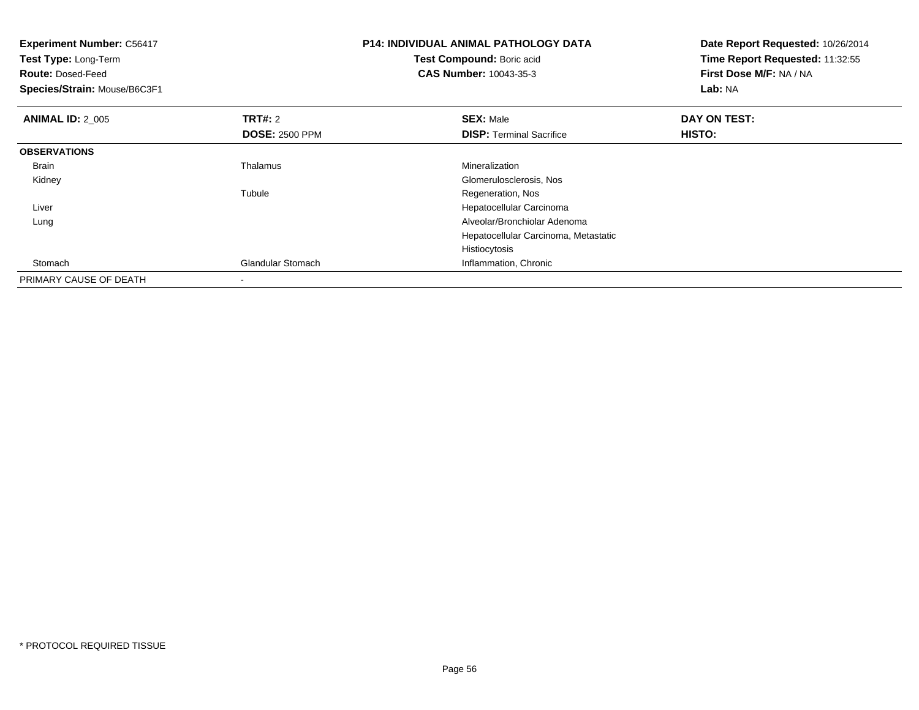| <b>Experiment Number: C56417</b><br>Test Type: Long-Term<br><b>Route: Dosed-Feed</b><br>Species/Strain: Mouse/B6C3F1 |                       | <b>P14: INDIVIDUAL ANIMAL PATHOLOGY DATA</b><br>Date Report Requested: 10/26/2014<br>Test Compound: Boric acid<br>Time Report Requested: 11:32:55<br>First Dose M/F: NA / NA<br><b>CAS Number: 10043-35-3</b><br>Lab: NA |               |
|----------------------------------------------------------------------------------------------------------------------|-----------------------|--------------------------------------------------------------------------------------------------------------------------------------------------------------------------------------------------------------------------|---------------|
| <b>ANIMAL ID: 2 005</b>                                                                                              | <b>TRT#: 2</b>        | <b>SEX: Male</b>                                                                                                                                                                                                         | DAY ON TEST:  |
|                                                                                                                      | <b>DOSE: 2500 PPM</b> | <b>DISP: Terminal Sacrifice</b>                                                                                                                                                                                          | <b>HISTO:</b> |
| <b>OBSERVATIONS</b>                                                                                                  |                       |                                                                                                                                                                                                                          |               |
| <b>Brain</b>                                                                                                         | Thalamus              | Mineralization                                                                                                                                                                                                           |               |
| Kidney                                                                                                               |                       | Glomerulosclerosis, Nos                                                                                                                                                                                                  |               |
|                                                                                                                      | Tubule                | Regeneration, Nos                                                                                                                                                                                                        |               |
| Liver                                                                                                                |                       | Hepatocellular Carcinoma                                                                                                                                                                                                 |               |
| Lung                                                                                                                 |                       | Alveolar/Bronchiolar Adenoma                                                                                                                                                                                             |               |
|                                                                                                                      |                       | Hepatocellular Carcinoma, Metastatic                                                                                                                                                                                     |               |
|                                                                                                                      |                       | Histiocytosis                                                                                                                                                                                                            |               |
| Stomach                                                                                                              | Glandular Stomach     | Inflammation, Chronic                                                                                                                                                                                                    |               |
| PRIMARY CAUSE OF DEATH                                                                                               |                       |                                                                                                                                                                                                                          |               |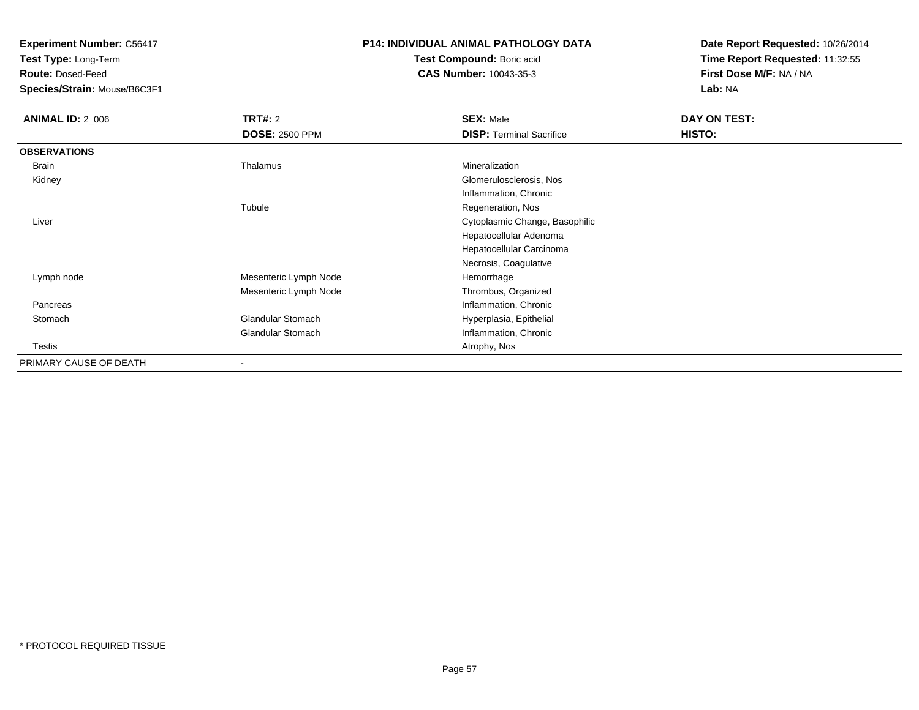**Test Type:** Long-Term

**Route:** Dosed-Feed

**Species/Strain:** Mouse/B6C3F1

### **P14: INDIVIDUAL ANIMAL PATHOLOGY DATA**

**Test Compound:** Boric acid**CAS Number:** 10043-35-3

| <b>ANIMAL ID: 2_006</b> | <b>TRT#:</b> 2           | <b>SEX: Male</b>                | DAY ON TEST:  |  |
|-------------------------|--------------------------|---------------------------------|---------------|--|
|                         | <b>DOSE: 2500 PPM</b>    | <b>DISP: Terminal Sacrifice</b> | <b>HISTO:</b> |  |
| <b>OBSERVATIONS</b>     |                          |                                 |               |  |
| Brain                   | Thalamus                 | Mineralization                  |               |  |
| Kidney                  |                          | Glomerulosclerosis, Nos         |               |  |
|                         |                          | Inflammation, Chronic           |               |  |
|                         | Tubule                   | Regeneration, Nos               |               |  |
| Liver                   |                          | Cytoplasmic Change, Basophilic  |               |  |
|                         |                          | Hepatocellular Adenoma          |               |  |
|                         |                          | Hepatocellular Carcinoma        |               |  |
|                         |                          | Necrosis, Coagulative           |               |  |
| Lymph node              | Mesenteric Lymph Node    | Hemorrhage                      |               |  |
|                         | Mesenteric Lymph Node    | Thrombus, Organized             |               |  |
| Pancreas                |                          | Inflammation, Chronic           |               |  |
| Stomach                 | <b>Glandular Stomach</b> | Hyperplasia, Epithelial         |               |  |
|                         | <b>Glandular Stomach</b> | Inflammation, Chronic           |               |  |
| Testis                  |                          | Atrophy, Nos                    |               |  |
| PRIMARY CAUSE OF DEATH  | $\blacksquare$           |                                 |               |  |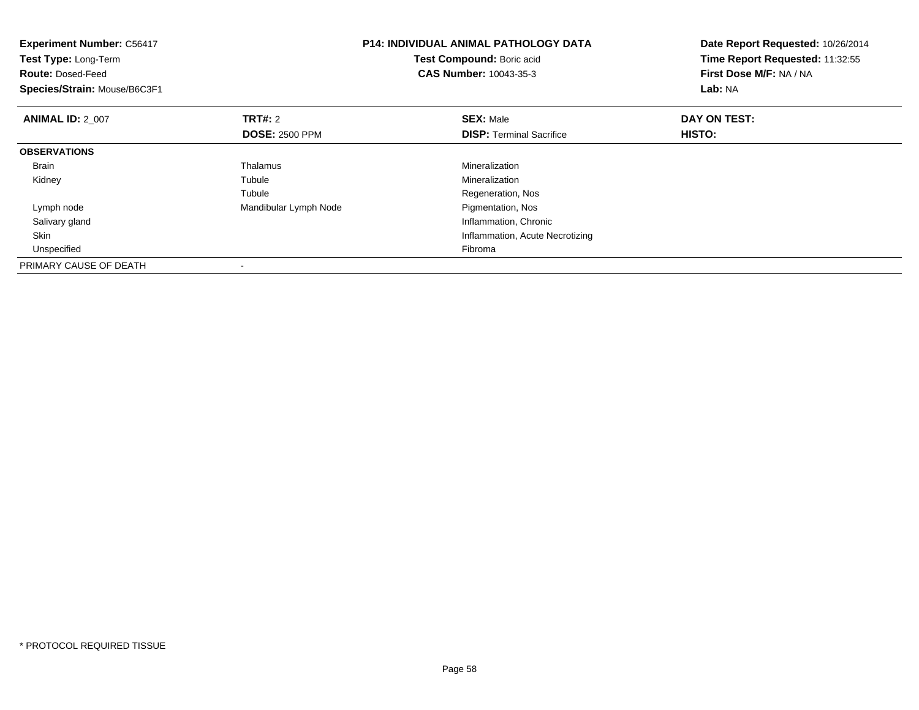| <b>Experiment Number: C56417</b><br>Test Type: Long-Term<br><b>Route: Dosed-Feed</b><br>Species/Strain: Mouse/B6C3F1 |                       | <b>P14: INDIVIDUAL ANIMAL PATHOLOGY DATA</b><br>Test Compound: Boric acid<br><b>CAS Number: 10043-35-3</b> | Date Report Requested: 10/26/2014<br>Time Report Requested: 11:32:55<br>First Dose M/F: NA / NA<br>Lab: NA |
|----------------------------------------------------------------------------------------------------------------------|-----------------------|------------------------------------------------------------------------------------------------------------|------------------------------------------------------------------------------------------------------------|
| <b>ANIMAL ID: 2_007</b>                                                                                              | <b>TRT#:</b> 2        | <b>SEX: Male</b>                                                                                           | DAY ON TEST:                                                                                               |
|                                                                                                                      | <b>DOSE: 2500 PPM</b> | <b>DISP:</b> Terminal Sacrifice                                                                            | HISTO:                                                                                                     |
| <b>OBSERVATIONS</b>                                                                                                  |                       |                                                                                                            |                                                                                                            |
| Brain                                                                                                                | <b>Thalamus</b>       | Mineralization                                                                                             |                                                                                                            |
| Kidney                                                                                                               | Tubule                | Mineralization                                                                                             |                                                                                                            |
|                                                                                                                      | Tubule                | Regeneration, Nos                                                                                          |                                                                                                            |
| Lymph node                                                                                                           | Mandibular Lymph Node | Pigmentation, Nos                                                                                          |                                                                                                            |
| Salivary gland                                                                                                       |                       | Inflammation, Chronic                                                                                      |                                                                                                            |
| <b>Skin</b>                                                                                                          |                       | Inflammation, Acute Necrotizing                                                                            |                                                                                                            |
| Unspecified                                                                                                          |                       | Fibroma                                                                                                    |                                                                                                            |
| PRIMARY CAUSE OF DEATH                                                                                               |                       |                                                                                                            |                                                                                                            |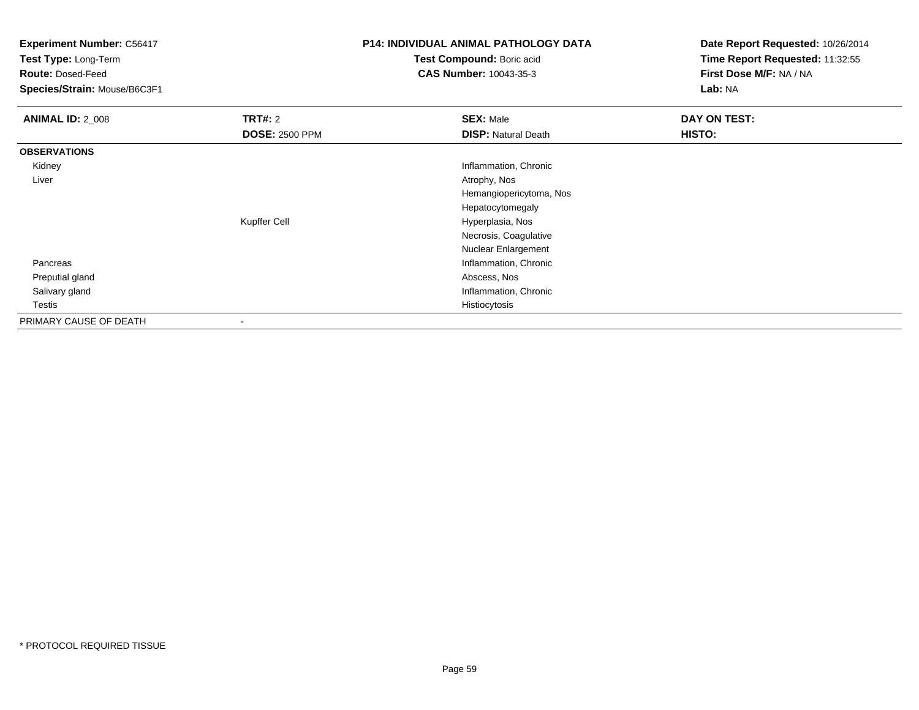**Test Type:** Long-Term

**Route:** Dosed-Feed

**Species/Strain:** Mouse/B6C3F1

## **P14: INDIVIDUAL ANIMAL PATHOLOGY DATA**

**Test Compound:** Boric acid**CAS Number:** 10043-35-3

| <b>ANIMAL ID: 2_008</b> | TRT#: 2               | <b>SEX: Male</b>           | DAY ON TEST: |
|-------------------------|-----------------------|----------------------------|--------------|
|                         | <b>DOSE: 2500 PPM</b> | <b>DISP: Natural Death</b> | HISTO:       |
| <b>OBSERVATIONS</b>     |                       |                            |              |
| Kidney                  |                       | Inflammation, Chronic      |              |
| Liver                   |                       | Atrophy, Nos               |              |
|                         |                       | Hemangiopericytoma, Nos    |              |
|                         |                       | Hepatocytomegaly           |              |
|                         | Kupffer Cell          | Hyperplasia, Nos           |              |
|                         |                       | Necrosis, Coagulative      |              |
|                         |                       | Nuclear Enlargement        |              |
| Pancreas                |                       | Inflammation, Chronic      |              |
| Preputial gland         |                       | Abscess, Nos               |              |
| Salivary gland          |                       | Inflammation, Chronic      |              |
| Testis                  |                       | Histiocytosis              |              |
| PRIMARY CAUSE OF DEATH  |                       |                            |              |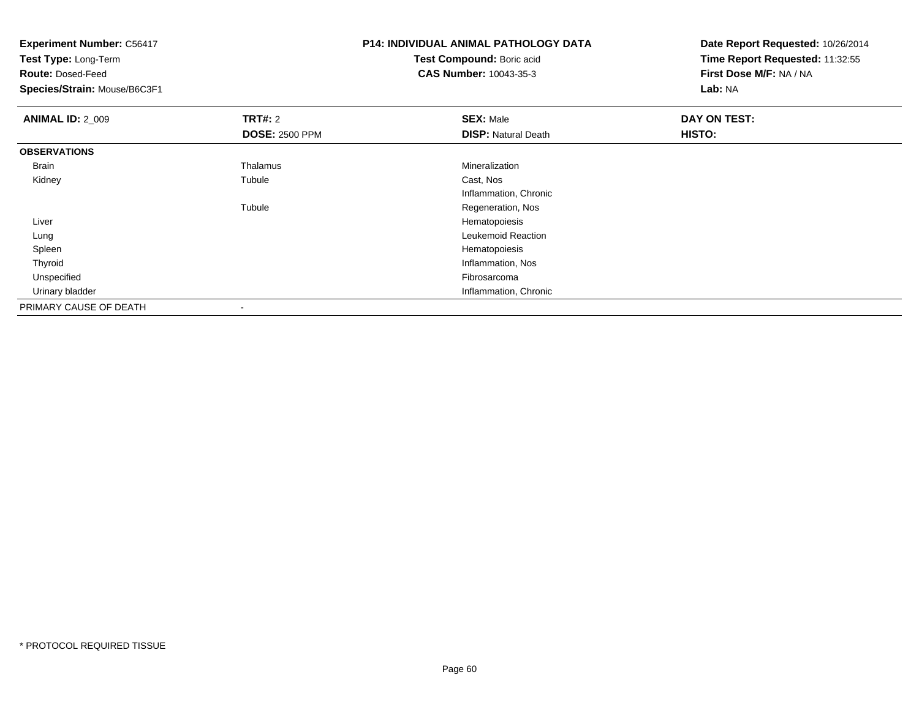**Experiment Number:** C56417**Test Type:** Long-Term**Route:** Dosed-Feed **Species/Strain:** Mouse/B6C3F1**P14: INDIVIDUAL ANIMAL PATHOLOGY DATATest Compound:** Boric acid **CAS Number:** 10043-35-3**Date Report Requested:** 10/26/2014**Time Report Requested:** 11:32:55**First Dose M/F:** NA / NA**Lab:** NA**ANIMAL ID: 2 009 TRT#:** 2 **SEX:** Male **DAY ON TEST: DOSE:** 2500 PPM**DISP:** Natural Death **HISTO: OBSERVATIONS** Brain Thalamus Mineralization Kidneyy the contract of the contract of the contract of the contract of the contract of the contract of the contract of the contract of the contract of the contract of the contract of the contract of the contract of the contract Tubule Cast, Nos Inflammation, ChronicTubule Regeneration, Nos Liver Hematopoiesisg **Exercía e European a Company a Company a Company a Company a Company a Company a Leukemoid Reaction**  Lung Spleenn and the state of the state of the state of the state of the state of the state of the state of the state of the state of the state of the state of the state of the state of the state of the state of the state of the stat Thyroid Inflammation, Nos Unspecifiedd **Example 2018** and the control of the control of the control of the control of the control of the control of the control of the control of the control of the control of the control of the control of the control of the co Urinary bladder Inflammation, ChronicPRIMARY CAUSE OF DEATH-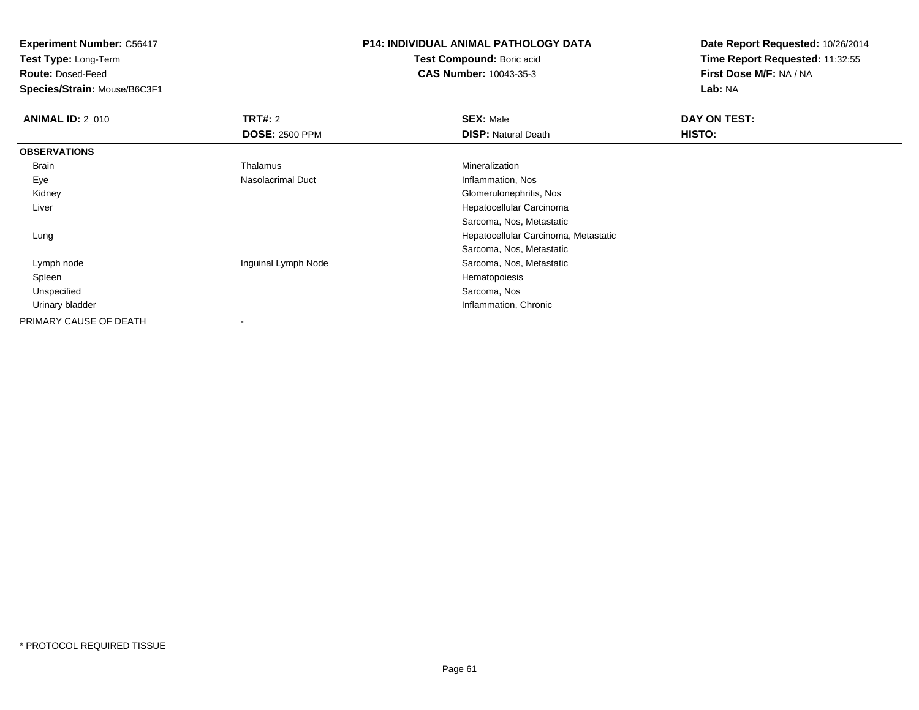**Test Type:** Long-Term

**Route:** Dosed-Feed

**Species/Strain:** Mouse/B6C3F1

## **P14: INDIVIDUAL ANIMAL PATHOLOGY DATA**

**Test Compound:** Boric acid**CAS Number:** 10043-35-3

| <b>ANIMAL ID: 2_010</b> | TRT#: 2               | <b>SEX: Male</b>                     | DAY ON TEST: |
|-------------------------|-----------------------|--------------------------------------|--------------|
|                         | <b>DOSE: 2500 PPM</b> | <b>DISP: Natural Death</b>           | HISTO:       |
| <b>OBSERVATIONS</b>     |                       |                                      |              |
| Brain                   | Thalamus              | Mineralization                       |              |
| Eye                     | Nasolacrimal Duct     | Inflammation, Nos                    |              |
| Kidney                  |                       | Glomerulonephritis, Nos              |              |
| Liver                   |                       | Hepatocellular Carcinoma             |              |
|                         |                       | Sarcoma, Nos, Metastatic             |              |
| Lung                    |                       | Hepatocellular Carcinoma, Metastatic |              |
|                         |                       | Sarcoma, Nos, Metastatic             |              |
| Lymph node              | Inguinal Lymph Node   | Sarcoma, Nos, Metastatic             |              |
| Spleen                  |                       | Hematopoiesis                        |              |
| Unspecified             |                       | Sarcoma, Nos                         |              |
| Urinary bladder         |                       | Inflammation, Chronic                |              |
| PRIMARY CAUSE OF DEATH  |                       |                                      |              |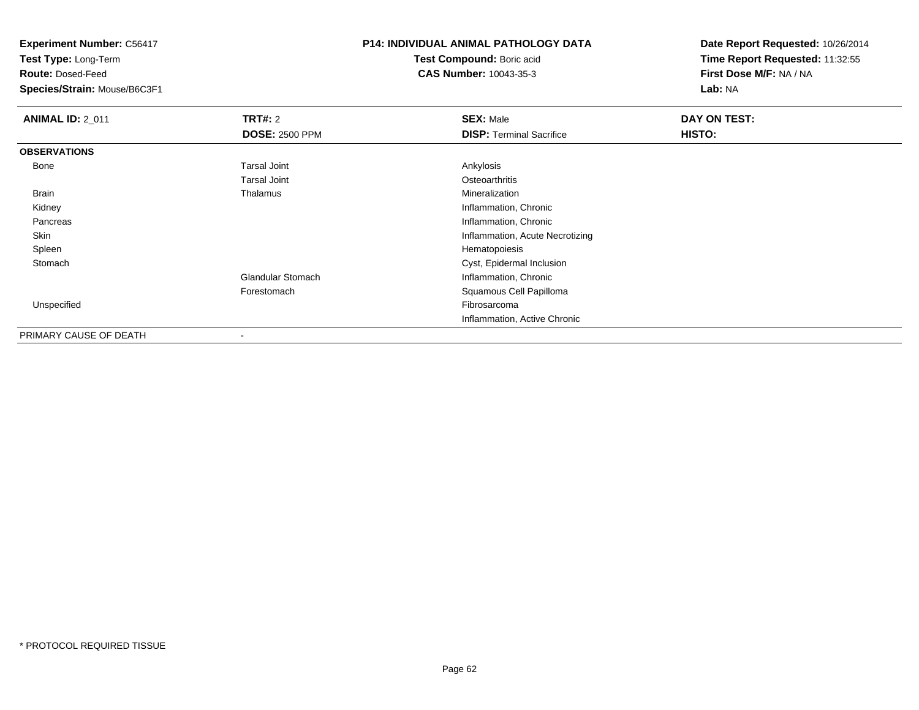**Test Type:** Long-Term

**Route:** Dosed-Feed

**Species/Strain:** Mouse/B6C3F1

# **P14: INDIVIDUAL ANIMAL PATHOLOGY DATA**

**Test Compound:** Boric acid**CAS Number:** 10043-35-3

| <b>ANIMAL ID: 2_011</b> | TRT#: 2                  | <b>SEX: Male</b>                | DAY ON TEST: |  |
|-------------------------|--------------------------|---------------------------------|--------------|--|
|                         | <b>DOSE: 2500 PPM</b>    | <b>DISP: Terminal Sacrifice</b> | HISTO:       |  |
| <b>OBSERVATIONS</b>     |                          |                                 |              |  |
| Bone                    | <b>Tarsal Joint</b>      | Ankylosis                       |              |  |
|                         | <b>Tarsal Joint</b>      | Osteoarthritis                  |              |  |
| Brain                   | Thalamus                 | Mineralization                  |              |  |
| Kidney                  |                          | Inflammation, Chronic           |              |  |
| Pancreas                |                          | Inflammation, Chronic           |              |  |
| Skin                    |                          | Inflammation, Acute Necrotizing |              |  |
| Spleen                  |                          | Hematopoiesis                   |              |  |
| Stomach                 |                          | Cyst, Epidermal Inclusion       |              |  |
|                         | <b>Glandular Stomach</b> | Inflammation, Chronic           |              |  |
|                         | Forestomach              | Squamous Cell Papilloma         |              |  |
| Unspecified             |                          | Fibrosarcoma                    |              |  |
|                         |                          | Inflammation, Active Chronic    |              |  |
| PRIMARY CAUSE OF DEATH  |                          |                                 |              |  |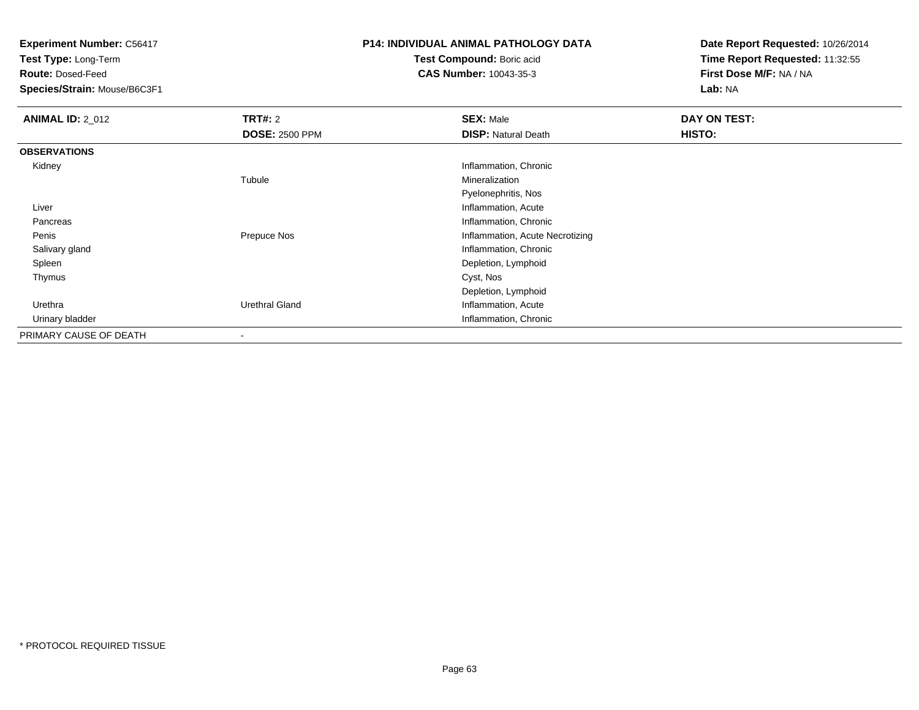**Test Type:** Long-Term

**Route:** Dosed-Feed

**Species/Strain:** Mouse/B6C3F1

### **P14: INDIVIDUAL ANIMAL PATHOLOGY DATA**

**Test Compound:** Boric acid**CAS Number:** 10043-35-3

| <b>ANIMAL ID: 2_012</b> | TRT#: 2                  | <b>SEX: Male</b>                | DAY ON TEST: |
|-------------------------|--------------------------|---------------------------------|--------------|
|                         | <b>DOSE: 2500 PPM</b>    | <b>DISP: Natural Death</b>      | HISTO:       |
| <b>OBSERVATIONS</b>     |                          |                                 |              |
| Kidney                  |                          | Inflammation, Chronic           |              |
|                         | Tubule                   | Mineralization                  |              |
|                         |                          | Pyelonephritis, Nos             |              |
| Liver                   |                          | Inflammation, Acute             |              |
| Pancreas                |                          | Inflammation, Chronic           |              |
| Penis                   | Prepuce Nos              | Inflammation, Acute Necrotizing |              |
| Salivary gland          |                          | Inflammation, Chronic           |              |
| Spleen                  |                          | Depletion, Lymphoid             |              |
| Thymus                  |                          | Cyst, Nos                       |              |
|                         |                          | Depletion, Lymphoid             |              |
| Urethra                 | Urethral Gland           | Inflammation, Acute             |              |
| Urinary bladder         |                          | Inflammation, Chronic           |              |
| PRIMARY CAUSE OF DEATH  | $\overline{\phantom{a}}$ |                                 |              |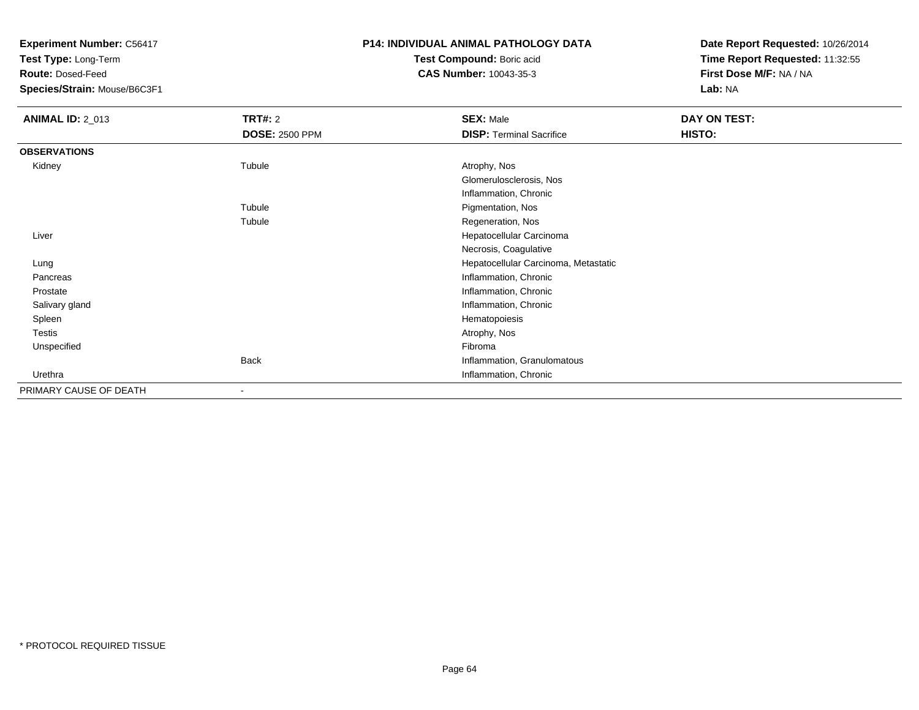**Test Type:** Long-Term

**Route:** Dosed-Feed

**Species/Strain:** Mouse/B6C3F1

### **P14: INDIVIDUAL ANIMAL PATHOLOGY DATA**

**Test Compound:** Boric acid**CAS Number:** 10043-35-3

| <b>ANIMAL ID: 2_013</b> | <b>TRT#: 2</b>           | <b>SEX: Male</b>                     | DAY ON TEST: |  |
|-------------------------|--------------------------|--------------------------------------|--------------|--|
|                         | <b>DOSE: 2500 PPM</b>    | <b>DISP: Terminal Sacrifice</b>      | HISTO:       |  |
| <b>OBSERVATIONS</b>     |                          |                                      |              |  |
| Kidney                  | Tubule                   | Atrophy, Nos                         |              |  |
|                         |                          | Glomerulosclerosis, Nos              |              |  |
|                         |                          | Inflammation, Chronic                |              |  |
|                         | Tubule                   | Pigmentation, Nos                    |              |  |
|                         | Tubule                   | Regeneration, Nos                    |              |  |
| Liver                   |                          | Hepatocellular Carcinoma             |              |  |
|                         |                          | Necrosis, Coagulative                |              |  |
| Lung                    |                          | Hepatocellular Carcinoma, Metastatic |              |  |
| Pancreas                |                          | Inflammation, Chronic                |              |  |
| Prostate                |                          | Inflammation, Chronic                |              |  |
| Salivary gland          |                          | Inflammation, Chronic                |              |  |
| Spleen                  |                          | Hematopoiesis                        |              |  |
| Testis                  |                          | Atrophy, Nos                         |              |  |
| Unspecified             |                          | Fibroma                              |              |  |
|                         | <b>Back</b>              | Inflammation, Granulomatous          |              |  |
| Urethra                 |                          | Inflammation, Chronic                |              |  |
| PRIMARY CAUSE OF DEATH  | $\overline{\phantom{a}}$ |                                      |              |  |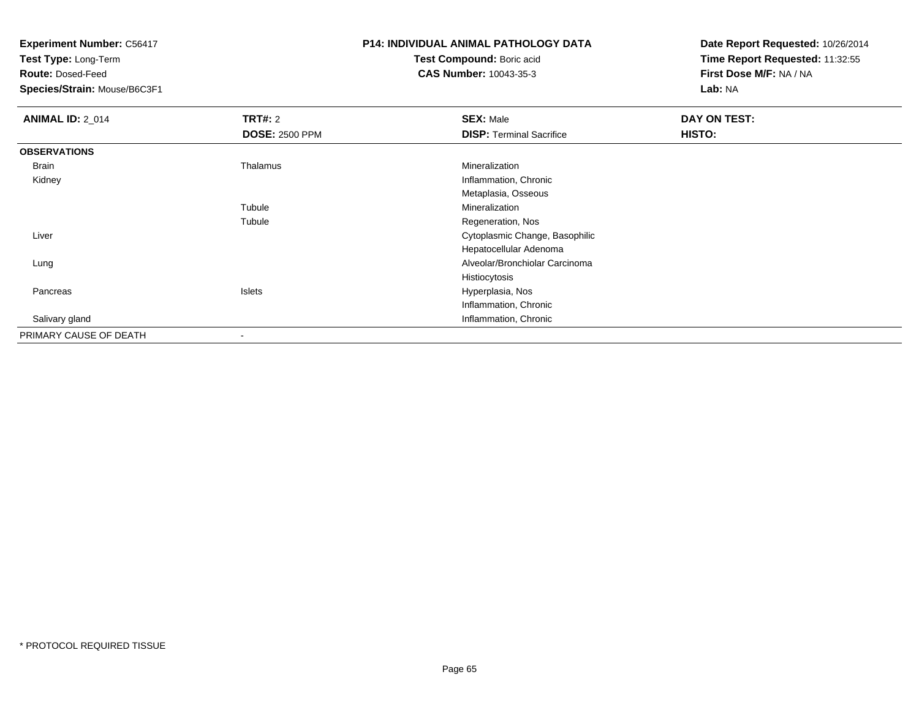**Test Type:** Long-Term

**Route:** Dosed-Feed

**Species/Strain:** Mouse/B6C3F1

## **P14: INDIVIDUAL ANIMAL PATHOLOGY DATA**

**Test Compound:** Boric acid**CAS Number:** 10043-35-3

| <b>ANIMAL ID: 2_014</b> | TRT#: 2               | <b>SEX: Male</b>                | DAY ON TEST: |
|-------------------------|-----------------------|---------------------------------|--------------|
|                         | <b>DOSE: 2500 PPM</b> | <b>DISP: Terminal Sacrifice</b> | HISTO:       |
| <b>OBSERVATIONS</b>     |                       |                                 |              |
| Brain                   | Thalamus              | Mineralization                  |              |
| Kidney                  |                       | Inflammation, Chronic           |              |
|                         |                       | Metaplasia, Osseous             |              |
|                         | Tubule                | Mineralization                  |              |
|                         | Tubule                | Regeneration, Nos               |              |
| Liver                   |                       | Cytoplasmic Change, Basophilic  |              |
|                         |                       | Hepatocellular Adenoma          |              |
| Lung                    |                       | Alveolar/Bronchiolar Carcinoma  |              |
|                         |                       | Histiocytosis                   |              |
| Pancreas                | Islets                | Hyperplasia, Nos                |              |
|                         |                       | Inflammation, Chronic           |              |
| Salivary gland          |                       | Inflammation, Chronic           |              |
| PRIMARY CAUSE OF DEATH  |                       |                                 |              |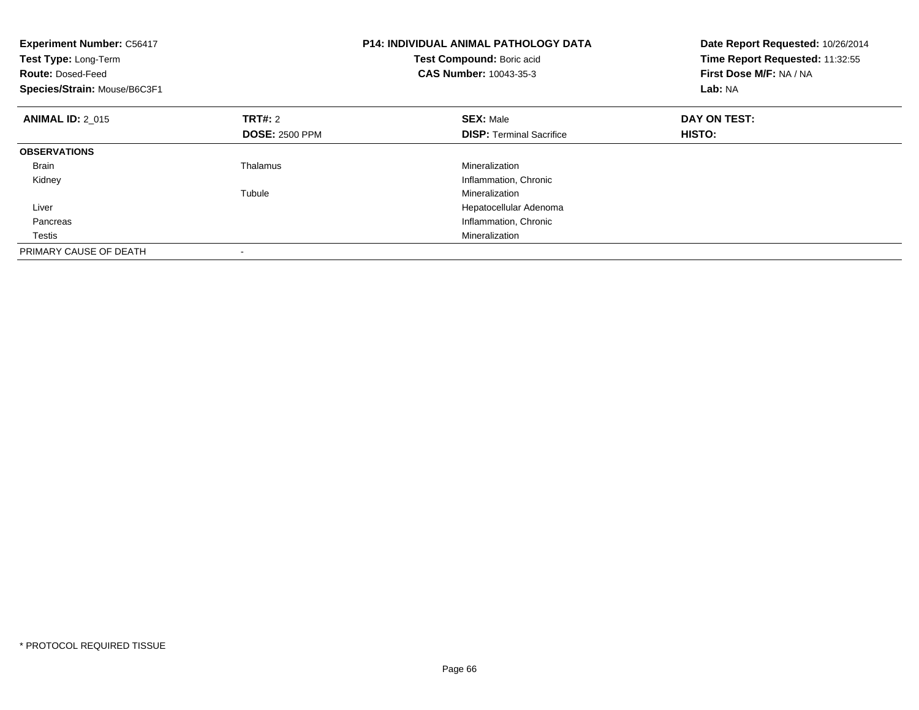| P14: INDIVIDUAL ANIMAL PATHOLOGY DATA<br><b>Experiment Number: C56417</b><br>Test Type: Long-Term<br>Test Compound: Boric acid<br><b>CAS Number: 10043-35-3</b><br><b>Route: Dosed-Feed</b><br>Species/Strain: Mouse/B6C3F1 |                       | Date Report Requested: 10/26/2014<br>Time Report Requested: 11:32:55<br>First Dose M/F: NA / NA<br>Lab: NA |              |
|-----------------------------------------------------------------------------------------------------------------------------------------------------------------------------------------------------------------------------|-----------------------|------------------------------------------------------------------------------------------------------------|--------------|
| <b>ANIMAL ID: 2 015</b>                                                                                                                                                                                                     | <b>TRT#: 2</b>        | <b>SEX: Male</b>                                                                                           | DAY ON TEST: |
|                                                                                                                                                                                                                             | <b>DOSE: 2500 PPM</b> | <b>DISP:</b> Terminal Sacrifice                                                                            | HISTO:       |
| <b>OBSERVATIONS</b>                                                                                                                                                                                                         |                       |                                                                                                            |              |
| <b>Brain</b>                                                                                                                                                                                                                | Thalamus              | Mineralization                                                                                             |              |
| Kidney                                                                                                                                                                                                                      |                       | Inflammation, Chronic                                                                                      |              |
|                                                                                                                                                                                                                             | Tubule                | Mineralization                                                                                             |              |
| Liver                                                                                                                                                                                                                       |                       | Hepatocellular Adenoma                                                                                     |              |
| Pancreas                                                                                                                                                                                                                    |                       | Inflammation, Chronic                                                                                      |              |
| Testis                                                                                                                                                                                                                      |                       | Mineralization                                                                                             |              |
| PRIMARY CAUSE OF DEATH                                                                                                                                                                                                      |                       |                                                                                                            |              |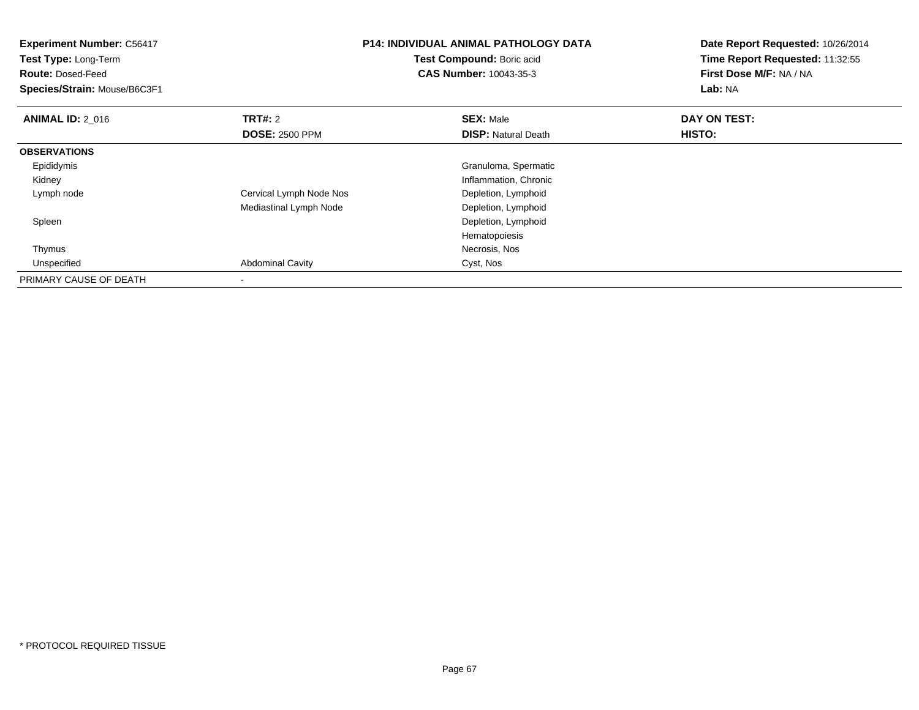| <b>Experiment Number: C56417</b><br>Test Type: Long-Term<br><b>Route: Dosed-Feed</b><br>Species/Strain: Mouse/B6C3F1 |                         | <b>P14: INDIVIDUAL ANIMAL PATHOLOGY DATA</b><br>Test Compound: Boric acid<br>CAS Number: 10043-35-3 | Date Report Requested: 10/26/2014<br>Time Report Requested: 11:32:55<br>First Dose M/F: NA / NA<br>Lab: NA |
|----------------------------------------------------------------------------------------------------------------------|-------------------------|-----------------------------------------------------------------------------------------------------|------------------------------------------------------------------------------------------------------------|
| <b>ANIMAL ID: 2 016</b>                                                                                              | <b>TRT#: 2</b>          | <b>SEX: Male</b>                                                                                    | DAY ON TEST:                                                                                               |
|                                                                                                                      | <b>DOSE: 2500 PPM</b>   | <b>DISP:</b> Natural Death                                                                          | <b>HISTO:</b>                                                                                              |
| <b>OBSERVATIONS</b>                                                                                                  |                         |                                                                                                     |                                                                                                            |
| Epididymis                                                                                                           |                         | Granuloma, Spermatic                                                                                |                                                                                                            |
| Kidney                                                                                                               |                         | Inflammation, Chronic                                                                               |                                                                                                            |
| Lymph node                                                                                                           | Cervical Lymph Node Nos | Depletion, Lymphoid                                                                                 |                                                                                                            |
|                                                                                                                      | Mediastinal Lymph Node  | Depletion, Lymphoid                                                                                 |                                                                                                            |
| Spleen                                                                                                               |                         | Depletion, Lymphoid                                                                                 |                                                                                                            |
|                                                                                                                      |                         | Hematopoiesis                                                                                       |                                                                                                            |
| Thymus                                                                                                               |                         | Necrosis, Nos                                                                                       |                                                                                                            |
| Unspecified                                                                                                          | <b>Abdominal Cavity</b> | Cyst, Nos                                                                                           |                                                                                                            |
| PRIMARY CAUSE OF DEATH                                                                                               | $\blacksquare$          |                                                                                                     |                                                                                                            |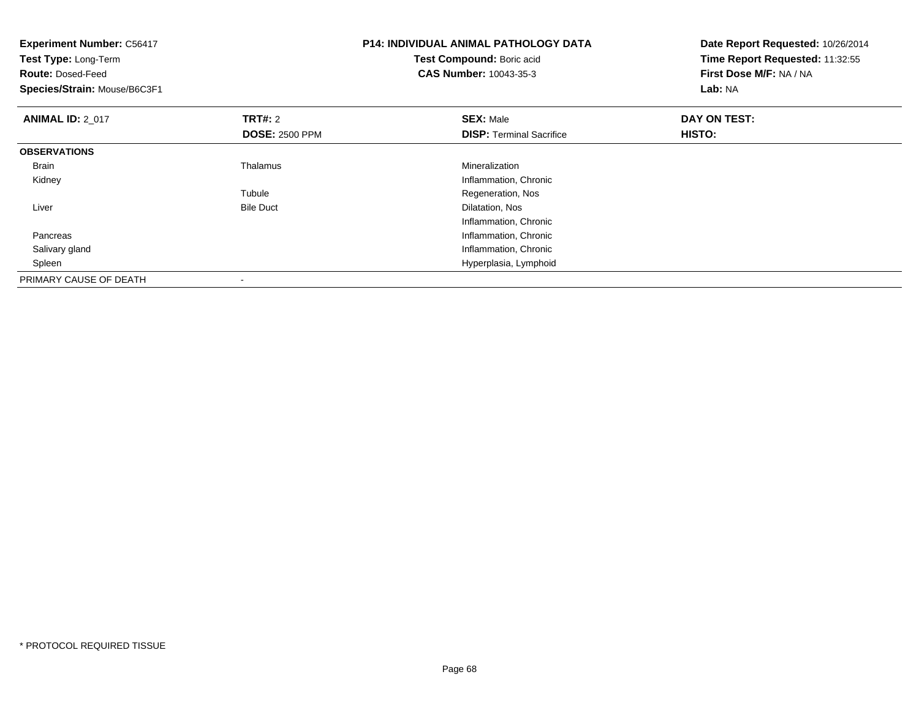| <b>Experiment Number: C56417</b><br>Test Type: Long-Term<br><b>Route: Dosed-Feed</b><br>Species/Strain: Mouse/B6C3F1 |                                         | <b>P14: INDIVIDUAL ANIMAL PATHOLOGY DATA</b><br>Test Compound: Boric acid<br><b>CAS Number: 10043-35-3</b> | Date Report Requested: 10/26/2014<br>Time Report Requested: 11:32:55<br>First Dose M/F: NA / NA<br>Lab: NA |  |
|----------------------------------------------------------------------------------------------------------------------|-----------------------------------------|------------------------------------------------------------------------------------------------------------|------------------------------------------------------------------------------------------------------------|--|
| <b>ANIMAL ID: 2 017</b>                                                                                              | <b>TRT#: 2</b><br><b>DOSE: 2500 PPM</b> | <b>SEX: Male</b><br><b>DISP: Terminal Sacrifice</b>                                                        | DAY ON TEST:<br>HISTO:                                                                                     |  |
| <b>OBSERVATIONS</b>                                                                                                  |                                         |                                                                                                            |                                                                                                            |  |
| Brain                                                                                                                | Thalamus                                | Mineralization                                                                                             |                                                                                                            |  |
| Kidney                                                                                                               |                                         | Inflammation, Chronic                                                                                      |                                                                                                            |  |
|                                                                                                                      | Tubule                                  | Regeneration, Nos                                                                                          |                                                                                                            |  |
| Liver                                                                                                                | <b>Bile Duct</b>                        | Dilatation, Nos                                                                                            |                                                                                                            |  |
|                                                                                                                      |                                         | Inflammation, Chronic                                                                                      |                                                                                                            |  |
| Pancreas                                                                                                             |                                         | Inflammation, Chronic                                                                                      |                                                                                                            |  |
| Salivary gland                                                                                                       |                                         | Inflammation, Chronic                                                                                      |                                                                                                            |  |
| Spleen                                                                                                               |                                         | Hyperplasia, Lymphoid                                                                                      |                                                                                                            |  |
| PRIMARY CAUSE OF DEATH                                                                                               |                                         |                                                                                                            |                                                                                                            |  |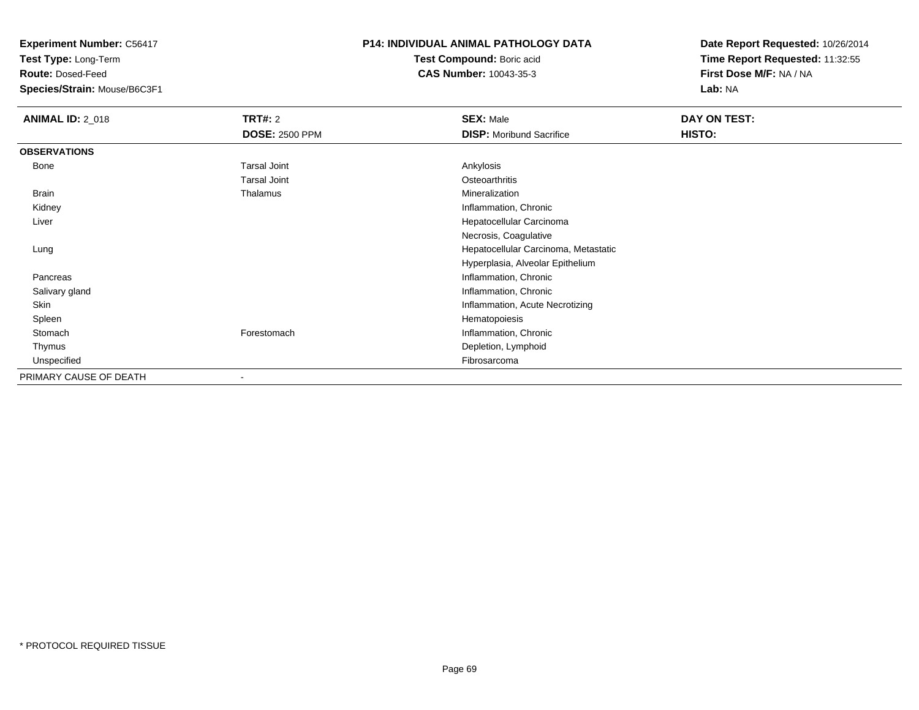**Test Type:** Long-Term

**Route:** Dosed-Feed

**Species/Strain:** Mouse/B6C3F1

### **P14: INDIVIDUAL ANIMAL PATHOLOGY DATA**

**Test Compound:** Boric acid**CAS Number:** 10043-35-3

| <b>ANIMAL ID: 2_018</b> | <b>TRT#: 2</b>        | <b>SEX: Male</b>                     | DAY ON TEST: |
|-------------------------|-----------------------|--------------------------------------|--------------|
|                         | <b>DOSE: 2500 PPM</b> | <b>DISP:</b> Moribund Sacrifice      | HISTO:       |
| <b>OBSERVATIONS</b>     |                       |                                      |              |
| Bone                    | <b>Tarsal Joint</b>   | Ankylosis                            |              |
|                         | <b>Tarsal Joint</b>   | Osteoarthritis                       |              |
| Brain                   | Thalamus              | Mineralization                       |              |
| Kidney                  |                       | Inflammation, Chronic                |              |
| Liver                   |                       | Hepatocellular Carcinoma             |              |
|                         |                       | Necrosis, Coagulative                |              |
| Lung                    |                       | Hepatocellular Carcinoma, Metastatic |              |
|                         |                       | Hyperplasia, Alveolar Epithelium     |              |
| Pancreas                |                       | Inflammation, Chronic                |              |
| Salivary gland          |                       | Inflammation, Chronic                |              |
| Skin                    |                       | Inflammation, Acute Necrotizing      |              |
| Spleen                  |                       | Hematopoiesis                        |              |
| Stomach                 | Forestomach           | Inflammation, Chronic                |              |
| Thymus                  |                       | Depletion, Lymphoid                  |              |
| Unspecified             |                       | Fibrosarcoma                         |              |
| PRIMARY CAUSE OF DEATH  |                       |                                      |              |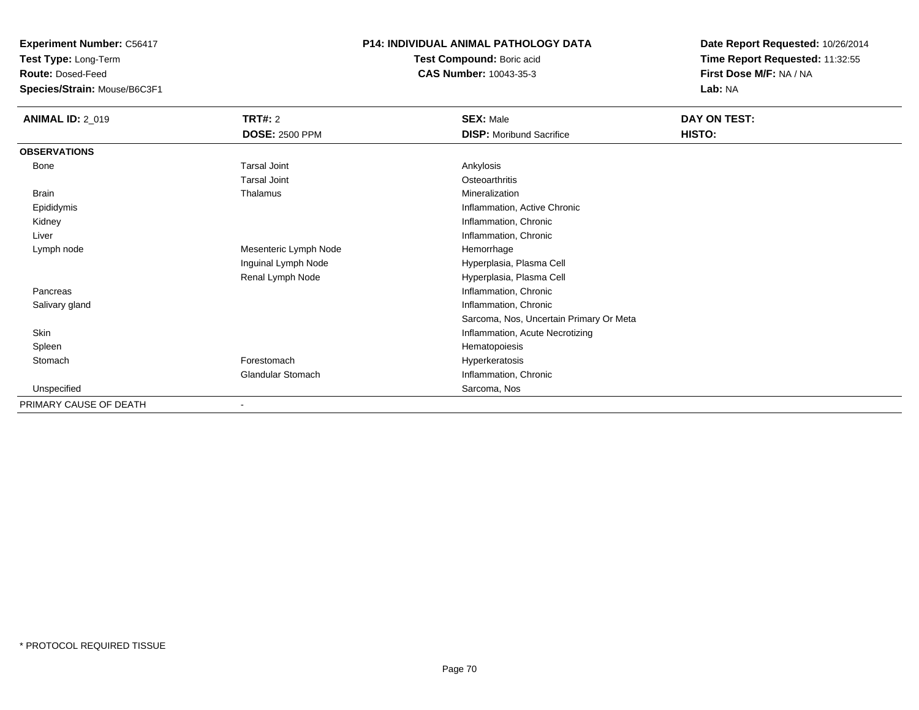**Test Type:** Long-Term

**Route:** Dosed-Feed

**Species/Strain:** Mouse/B6C3F1

#### **P14: INDIVIDUAL ANIMAL PATHOLOGY DATA**

**Test Compound:** Boric acid**CAS Number:** 10043-35-3

| <b>ANIMAL ID: 2_019</b> | <b>TRT#: 2</b>        | <b>SEX: Male</b>                        | DAY ON TEST: |
|-------------------------|-----------------------|-----------------------------------------|--------------|
|                         | <b>DOSE: 2500 PPM</b> | <b>DISP:</b> Moribund Sacrifice         | HISTO:       |
| <b>OBSERVATIONS</b>     |                       |                                         |              |
| Bone                    | <b>Tarsal Joint</b>   | Ankylosis                               |              |
|                         | <b>Tarsal Joint</b>   | Osteoarthritis                          |              |
| <b>Brain</b>            | Thalamus              | Mineralization                          |              |
| Epididymis              |                       | Inflammation, Active Chronic            |              |
| Kidney                  |                       | Inflammation, Chronic                   |              |
| Liver                   |                       | Inflammation, Chronic                   |              |
| Lymph node              | Mesenteric Lymph Node | Hemorrhage                              |              |
|                         | Inguinal Lymph Node   | Hyperplasia, Plasma Cell                |              |
|                         | Renal Lymph Node      | Hyperplasia, Plasma Cell                |              |
| Pancreas                |                       | Inflammation, Chronic                   |              |
| Salivary gland          |                       | Inflammation, Chronic                   |              |
|                         |                       | Sarcoma, Nos, Uncertain Primary Or Meta |              |
| Skin                    |                       | Inflammation, Acute Necrotizing         |              |
| Spleen                  |                       | Hematopoiesis                           |              |
| Stomach                 | Forestomach           | Hyperkeratosis                          |              |
|                         | Glandular Stomach     | Inflammation, Chronic                   |              |
| Unspecified             |                       | Sarcoma, Nos                            |              |
| PRIMARY CAUSE OF DEATH  |                       |                                         |              |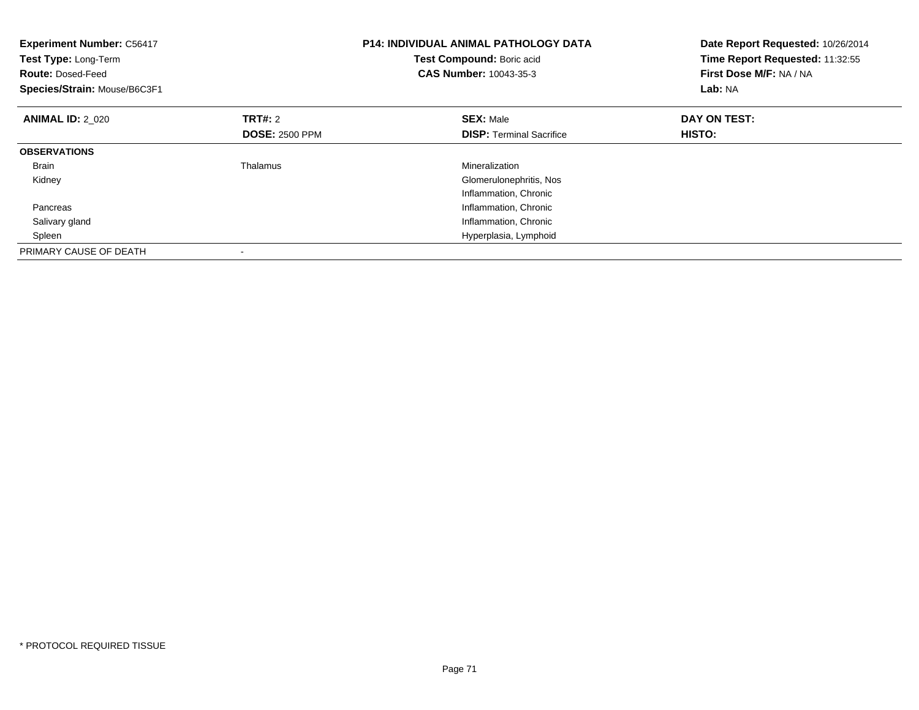| <b>Experiment Number: C56417</b><br>Test Type: Long-Term<br><b>Route: Dosed-Feed</b><br>Species/Strain: Mouse/B6C3F1 |                       | <b>P14: INDIVIDUAL ANIMAL PATHOLOGY DATA</b><br>Test Compound: Boric acid<br><b>CAS Number: 10043-35-3</b> | Date Report Requested: 10/26/2014<br>Time Report Requested: 11:32:55<br>First Dose M/F: NA / NA<br>Lab: NA |
|----------------------------------------------------------------------------------------------------------------------|-----------------------|------------------------------------------------------------------------------------------------------------|------------------------------------------------------------------------------------------------------------|
| <b>ANIMAL ID: 2 020</b>                                                                                              | <b>TRT#: 2</b>        | <b>SEX: Male</b>                                                                                           | DAY ON TEST:                                                                                               |
|                                                                                                                      | <b>DOSE: 2500 PPM</b> | <b>DISP:</b> Terminal Sacrifice                                                                            | HISTO:                                                                                                     |
| <b>OBSERVATIONS</b>                                                                                                  |                       |                                                                                                            |                                                                                                            |
| <b>Brain</b>                                                                                                         | Thalamus              | Mineralization                                                                                             |                                                                                                            |
| Kidney                                                                                                               |                       | Glomerulonephritis, Nos                                                                                    |                                                                                                            |
|                                                                                                                      |                       | Inflammation, Chronic                                                                                      |                                                                                                            |
| Pancreas                                                                                                             |                       | Inflammation, Chronic                                                                                      |                                                                                                            |
| Salivary gland                                                                                                       |                       | Inflammation, Chronic                                                                                      |                                                                                                            |
| Spleen                                                                                                               |                       | Hyperplasia, Lymphoid                                                                                      |                                                                                                            |
| PRIMARY CAUSE OF DEATH                                                                                               |                       |                                                                                                            |                                                                                                            |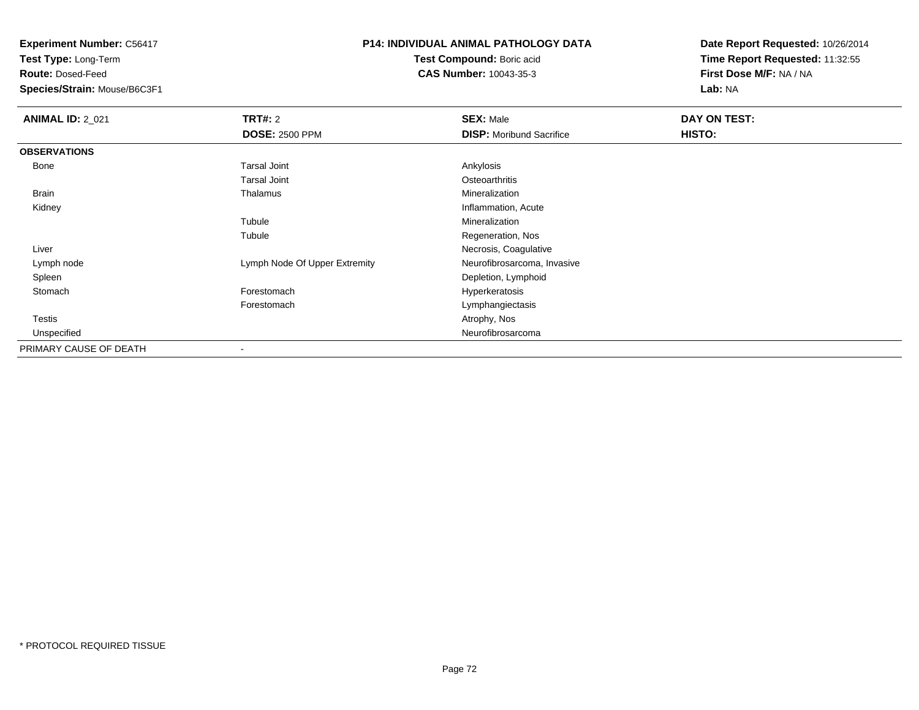**Test Type:** Long-Term

**Route:** Dosed-Feed

**Species/Strain:** Mouse/B6C3F1

## **P14: INDIVIDUAL ANIMAL PATHOLOGY DATA**

**Test Compound:** Boric acid**CAS Number:** 10043-35-3

| <b>ANIMAL ID: 2_021</b> | TRT#: 2                       | <b>SEX: Male</b>                | DAY ON TEST: |
|-------------------------|-------------------------------|---------------------------------|--------------|
|                         | <b>DOSE: 2500 PPM</b>         | <b>DISP:</b> Moribund Sacrifice | HISTO:       |
| <b>OBSERVATIONS</b>     |                               |                                 |              |
| Bone                    | Tarsal Joint                  | Ankylosis                       |              |
|                         | <b>Tarsal Joint</b>           | Osteoarthritis                  |              |
| Brain                   | Thalamus                      | Mineralization                  |              |
| Kidney                  |                               | Inflammation, Acute             |              |
|                         | Tubule                        | Mineralization                  |              |
|                         | Tubule                        | Regeneration, Nos               |              |
| Liver                   |                               | Necrosis, Coagulative           |              |
| Lymph node              | Lymph Node Of Upper Extremity | Neurofibrosarcoma, Invasive     |              |
| Spleen                  |                               | Depletion, Lymphoid             |              |
| Stomach                 | Forestomach                   | Hyperkeratosis                  |              |
|                         | Forestomach                   | Lymphangiectasis                |              |
| <b>Testis</b>           |                               | Atrophy, Nos                    |              |
| Unspecified             |                               | Neurofibrosarcoma               |              |
| PRIMARY CAUSE OF DEATH  | $\overline{\phantom{a}}$      |                                 |              |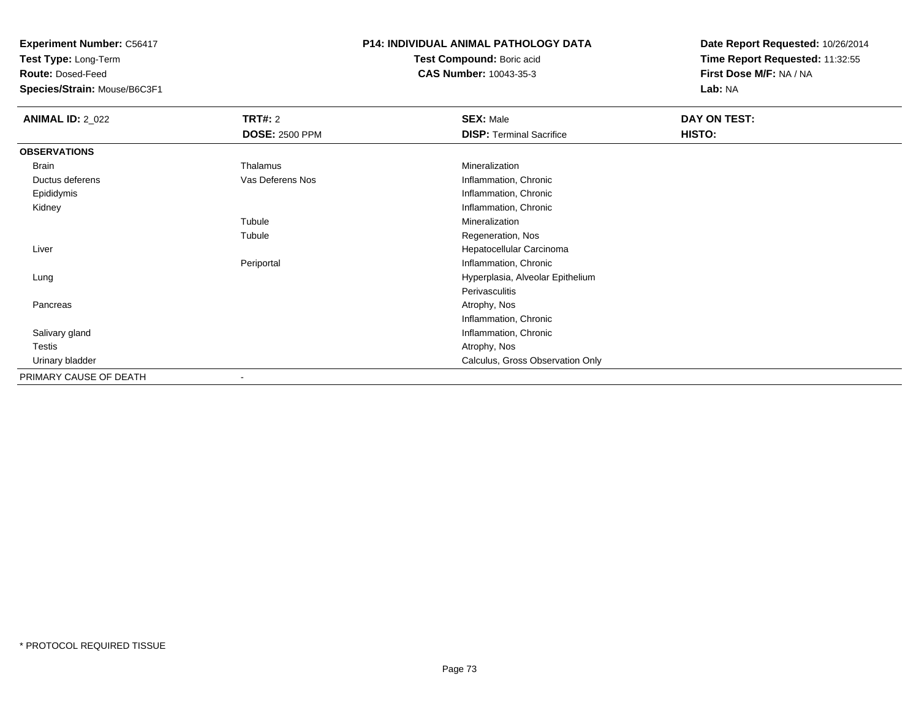**Test Type:** Long-Term

**Route:** Dosed-Feed

**Species/Strain:** Mouse/B6C3F1

#### **P14: INDIVIDUAL ANIMAL PATHOLOGY DATA**

**Test Compound:** Boric acid**CAS Number:** 10043-35-3

| <b>ANIMAL ID: 2_022</b> | TRT#: 2               | <b>SEX: Male</b>                 | DAY ON TEST:  |  |
|-------------------------|-----------------------|----------------------------------|---------------|--|
|                         | <b>DOSE: 2500 PPM</b> | <b>DISP: Terminal Sacrifice</b>  | <b>HISTO:</b> |  |
| <b>OBSERVATIONS</b>     |                       |                                  |               |  |
| Brain                   | Thalamus              | Mineralization                   |               |  |
| Ductus deferens         | Vas Deferens Nos      | Inflammation, Chronic            |               |  |
| Epididymis              |                       | Inflammation, Chronic            |               |  |
| Kidney                  |                       | Inflammation, Chronic            |               |  |
|                         | Tubule                | Mineralization                   |               |  |
|                         | Tubule                | Regeneration, Nos                |               |  |
| Liver                   |                       | Hepatocellular Carcinoma         |               |  |
|                         | Periportal            | Inflammation, Chronic            |               |  |
| Lung                    |                       | Hyperplasia, Alveolar Epithelium |               |  |
|                         |                       | Perivasculitis                   |               |  |
| Pancreas                |                       | Atrophy, Nos                     |               |  |
|                         |                       | Inflammation, Chronic            |               |  |
| Salivary gland          |                       | Inflammation, Chronic            |               |  |
| Testis                  |                       | Atrophy, Nos                     |               |  |
| Urinary bladder         |                       | Calculus, Gross Observation Only |               |  |
| PRIMARY CAUSE OF DEATH  |                       |                                  |               |  |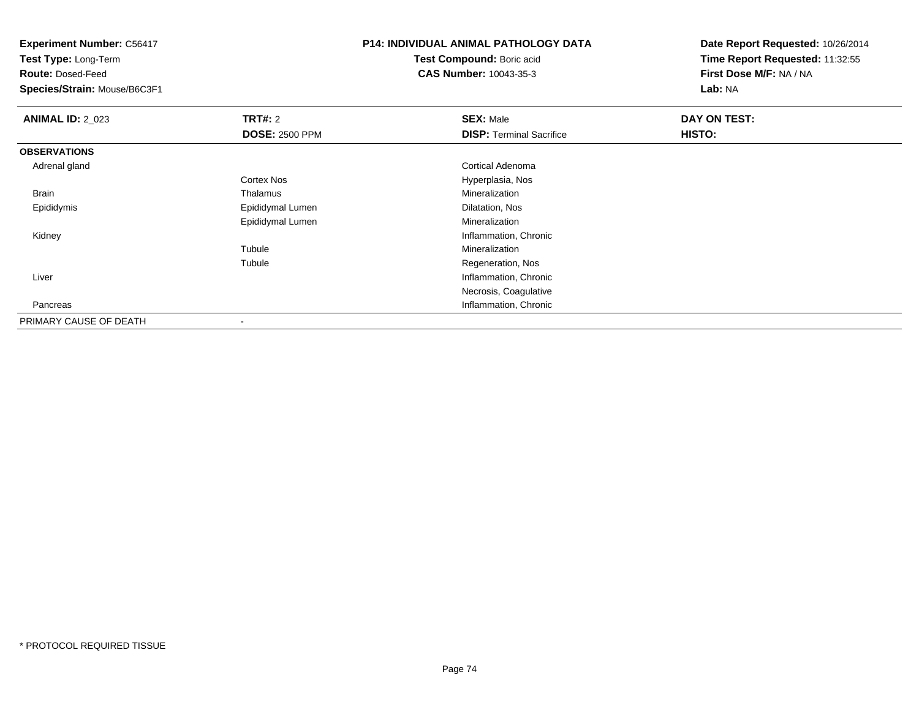**Test Type:** Long-Term

**Route:** Dosed-Feed

**Species/Strain:** Mouse/B6C3F1

## **P14: INDIVIDUAL ANIMAL PATHOLOGY DATA**

**Test Compound:** Boric acid**CAS Number:** 10043-35-3

| <b>ANIMAL ID: 2_023</b> | TRT#: 2               | <b>SEX: Male</b>                | DAY ON TEST: |  |
|-------------------------|-----------------------|---------------------------------|--------------|--|
|                         | <b>DOSE: 2500 PPM</b> | <b>DISP: Terminal Sacrifice</b> | HISTO:       |  |
| <b>OBSERVATIONS</b>     |                       |                                 |              |  |
| Adrenal gland           |                       | <b>Cortical Adenoma</b>         |              |  |
|                         | <b>Cortex Nos</b>     | Hyperplasia, Nos                |              |  |
| Brain                   | Thalamus              | Mineralization                  |              |  |
| Epididymis              | Epididymal Lumen      | Dilatation, Nos                 |              |  |
|                         | Epididymal Lumen      | Mineralization                  |              |  |
| Kidney                  |                       | Inflammation, Chronic           |              |  |
|                         | Tubule                | Mineralization                  |              |  |
|                         | Tubule                | Regeneration, Nos               |              |  |
| Liver                   |                       | Inflammation, Chronic           |              |  |
|                         |                       | Necrosis, Coagulative           |              |  |
| Pancreas                |                       | Inflammation, Chronic           |              |  |
| PRIMARY CAUSE OF DEATH  |                       |                                 |              |  |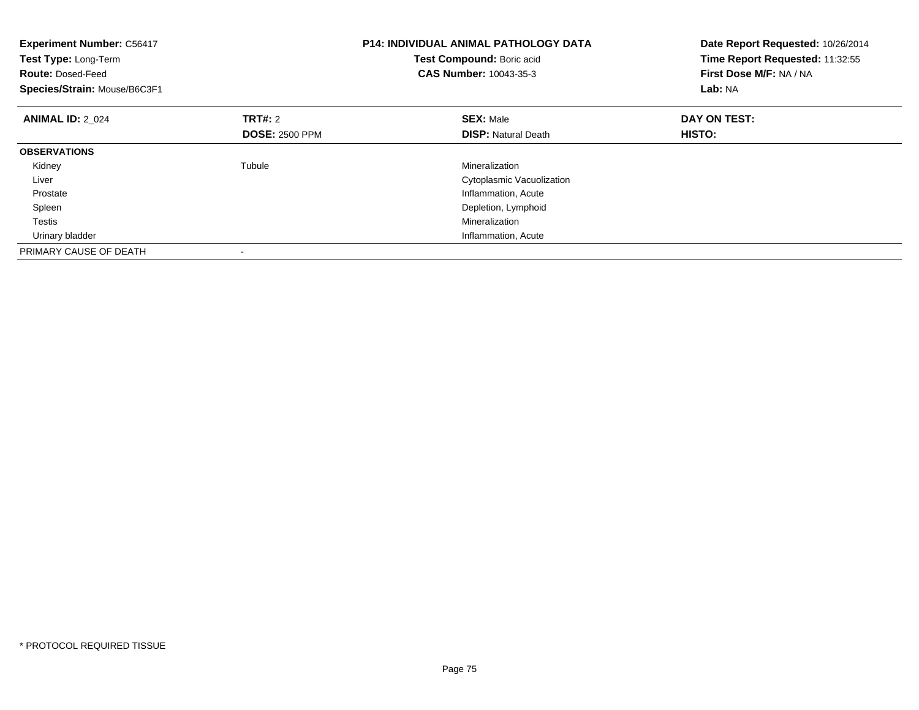| <b>Experiment Number: C56417</b><br>Test Type: Long-Term<br><b>Route: Dosed-Feed</b><br>Species/Strain: Mouse/B6C3F1 |                       | <b>P14: INDIVIDUAL ANIMAL PATHOLOGY DATA</b><br>Test Compound: Boric acid<br><b>CAS Number: 10043-35-3</b> | Date Report Requested: 10/26/2014<br>Time Report Requested: 11:32:55<br>First Dose M/F: NA / NA<br>Lab: NA |
|----------------------------------------------------------------------------------------------------------------------|-----------------------|------------------------------------------------------------------------------------------------------------|------------------------------------------------------------------------------------------------------------|
| <b>ANIMAL ID: 2_024</b>                                                                                              | <b>TRT#: 2</b>        | <b>SEX: Male</b>                                                                                           | DAY ON TEST:                                                                                               |
|                                                                                                                      | <b>DOSE: 2500 PPM</b> | <b>DISP:</b> Natural Death                                                                                 | <b>HISTO:</b>                                                                                              |
| <b>OBSERVATIONS</b>                                                                                                  |                       |                                                                                                            |                                                                                                            |
| Kidney                                                                                                               | Tubule                | Mineralization                                                                                             |                                                                                                            |
| Liver                                                                                                                |                       | Cytoplasmic Vacuolization                                                                                  |                                                                                                            |
| Prostate                                                                                                             |                       | Inflammation, Acute                                                                                        |                                                                                                            |
| Spleen                                                                                                               |                       | Depletion, Lymphoid                                                                                        |                                                                                                            |
| <b>Testis</b>                                                                                                        |                       | Mineralization                                                                                             |                                                                                                            |
| Urinary bladder                                                                                                      |                       | Inflammation, Acute                                                                                        |                                                                                                            |
| PRIMARY CAUSE OF DEATH                                                                                               |                       |                                                                                                            |                                                                                                            |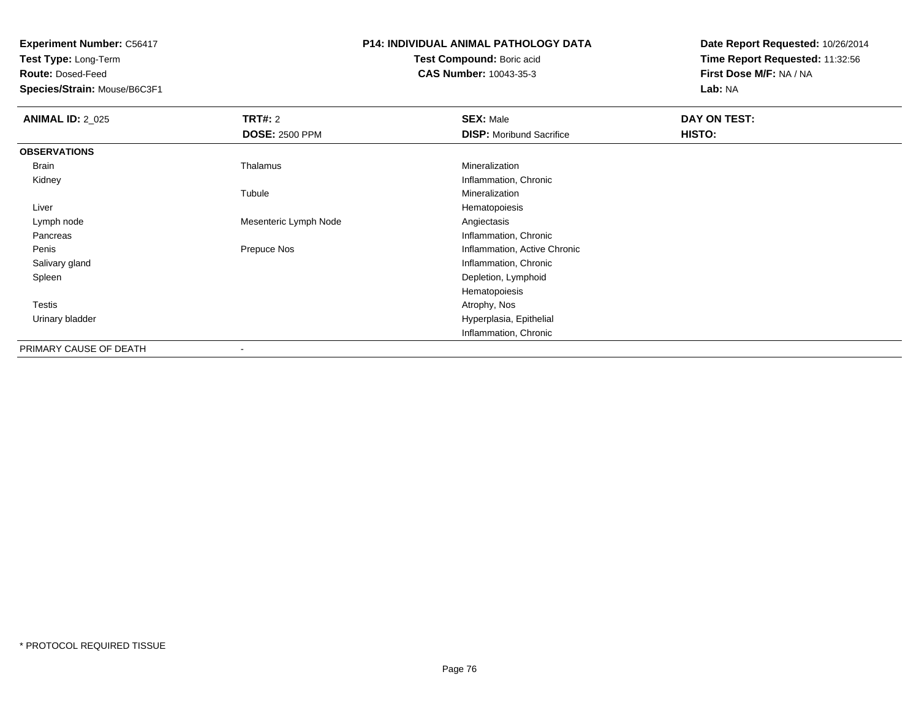**Test Type:** Long-Term

**Route:** Dosed-Feed

**Species/Strain:** Mouse/B6C3F1

#### **P14: INDIVIDUAL ANIMAL PATHOLOGY DATA**

**Test Compound:** Boric acid**CAS Number:** 10043-35-3

| <b>ANIMAL ID: 2_025</b> | <b>TRT#:</b> 2<br><b>DOSE: 2500 PPM</b> | <b>SEX: Male</b><br><b>DISP:</b> Moribund Sacrifice | DAY ON TEST:<br>HISTO: |
|-------------------------|-----------------------------------------|-----------------------------------------------------|------------------------|
|                         |                                         |                                                     |                        |
| <b>OBSERVATIONS</b>     |                                         |                                                     |                        |
| Brain                   | Thalamus                                | Mineralization                                      |                        |
| Kidney                  |                                         | Inflammation, Chronic                               |                        |
|                         | Tubule                                  | Mineralization                                      |                        |
| Liver                   |                                         | Hematopoiesis                                       |                        |
| Lymph node              | Mesenteric Lymph Node                   | Angiectasis                                         |                        |
| Pancreas                |                                         | Inflammation, Chronic                               |                        |
| Penis                   | Prepuce Nos                             | Inflammation, Active Chronic                        |                        |
| Salivary gland          |                                         | Inflammation, Chronic                               |                        |
| Spleen                  |                                         | Depletion, Lymphoid                                 |                        |
|                         |                                         | Hematopoiesis                                       |                        |
| <b>Testis</b>           |                                         | Atrophy, Nos                                        |                        |
| Urinary bladder         |                                         | Hyperplasia, Epithelial                             |                        |
|                         |                                         | Inflammation, Chronic                               |                        |
| PRIMARY CAUSE OF DEATH  |                                         |                                                     |                        |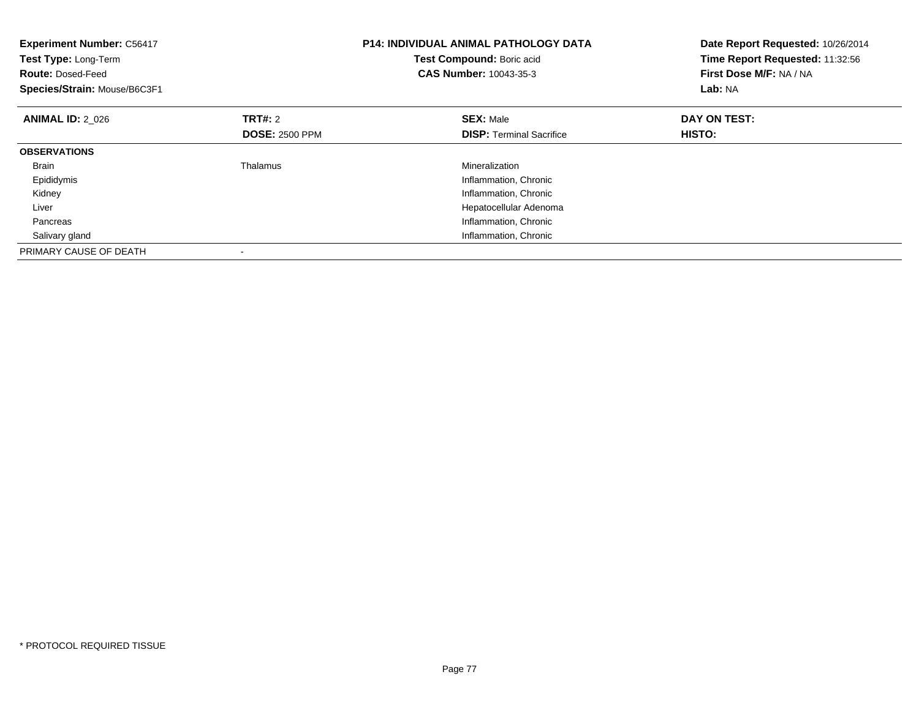| <b>Experiment Number: C56417</b><br>Test Type: Long-Term<br><b>Route: Dosed-Feed</b><br>Species/Strain: Mouse/B6C3F1 |                       | <b>P14: INDIVIDUAL ANIMAL PATHOLOGY DATA</b><br>Test Compound: Boric acid<br><b>CAS Number: 10043-35-3</b> | Date Report Requested: 10/26/2014<br>Time Report Requested: 11:32:56<br>First Dose M/F: NA / NA<br>Lab: NA |
|----------------------------------------------------------------------------------------------------------------------|-----------------------|------------------------------------------------------------------------------------------------------------|------------------------------------------------------------------------------------------------------------|
| <b>ANIMAL ID: 2 026</b>                                                                                              | <b>TRT#: 2</b>        | <b>SEX: Male</b>                                                                                           | DAY ON TEST:                                                                                               |
|                                                                                                                      | <b>DOSE: 2500 PPM</b> | <b>DISP:</b> Terminal Sacrifice                                                                            | HISTO:                                                                                                     |
| <b>OBSERVATIONS</b>                                                                                                  |                       |                                                                                                            |                                                                                                            |
| <b>Brain</b>                                                                                                         | Thalamus              | Mineralization                                                                                             |                                                                                                            |
| Epididymis                                                                                                           |                       | Inflammation, Chronic                                                                                      |                                                                                                            |
| Kidney                                                                                                               |                       | Inflammation, Chronic                                                                                      |                                                                                                            |
| Liver                                                                                                                |                       | Hepatocellular Adenoma                                                                                     |                                                                                                            |
| Pancreas                                                                                                             |                       | Inflammation, Chronic                                                                                      |                                                                                                            |
| Salivary gland                                                                                                       |                       | Inflammation, Chronic                                                                                      |                                                                                                            |
| PRIMARY CAUSE OF DEATH                                                                                               |                       |                                                                                                            |                                                                                                            |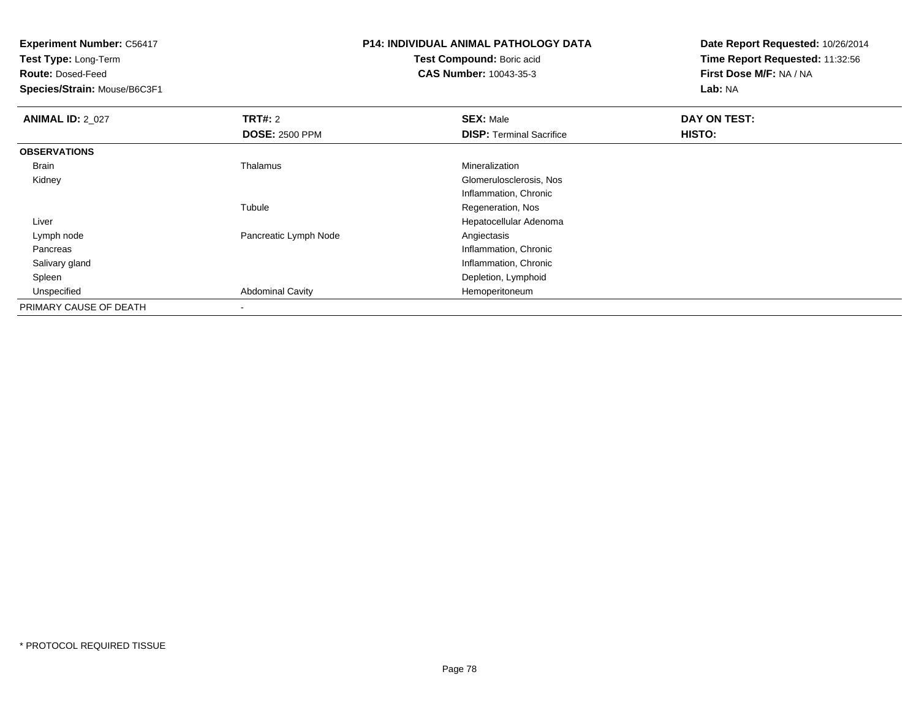**Test Type:** Long-Term

**Route:** Dosed-Feed

**Species/Strain:** Mouse/B6C3F1

# **P14: INDIVIDUAL ANIMAL PATHOLOGY DATA**

**Test Compound:** Boric acid**CAS Number:** 10043-35-3

| <b>ANIMAL ID: 2_027</b> | TRT#: 2                 | <b>SEX: Male</b>                | DAY ON TEST: |
|-------------------------|-------------------------|---------------------------------|--------------|
|                         | <b>DOSE: 2500 PPM</b>   | <b>DISP: Terminal Sacrifice</b> | HISTO:       |
| <b>OBSERVATIONS</b>     |                         |                                 |              |
| Brain                   | Thalamus                | Mineralization                  |              |
| Kidney                  |                         | Glomerulosclerosis, Nos         |              |
|                         |                         | Inflammation, Chronic           |              |
|                         | Tubule                  | Regeneration, Nos               |              |
| Liver                   |                         | Hepatocellular Adenoma          |              |
| Lymph node              | Pancreatic Lymph Node   | Angiectasis                     |              |
| Pancreas                |                         | Inflammation, Chronic           |              |
| Salivary gland          |                         | Inflammation, Chronic           |              |
| Spleen                  |                         | Depletion, Lymphoid             |              |
| Unspecified             | <b>Abdominal Cavity</b> | Hemoperitoneum                  |              |
| PRIMARY CAUSE OF DEATH  | $\,$                    |                                 |              |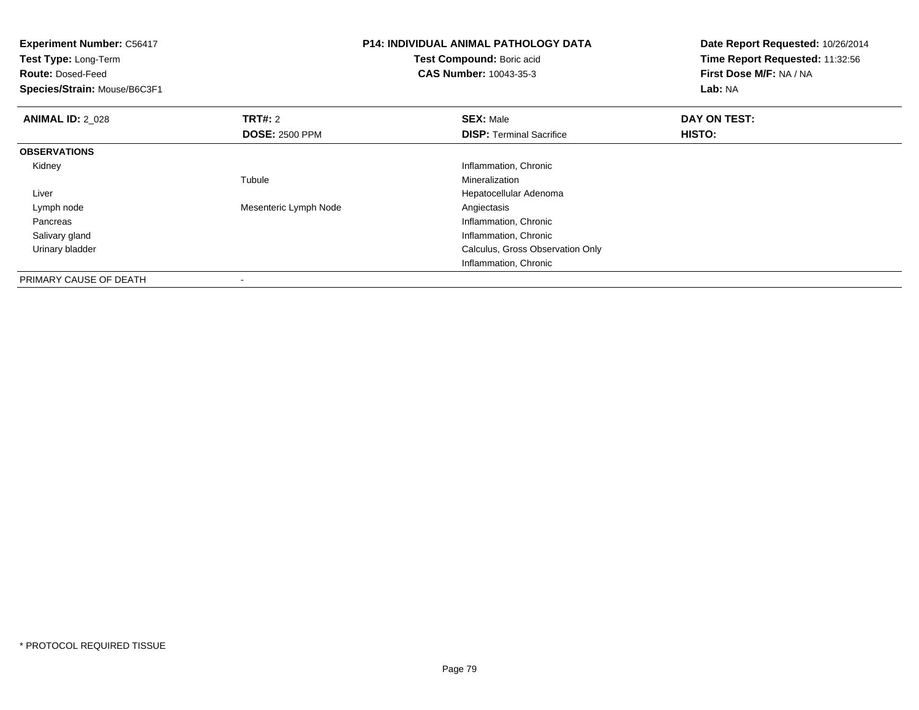| <b>Experiment Number: C56417</b><br>Test Type: Long-Term<br><b>Route: Dosed-Feed</b><br>Species/Strain: Mouse/B6C3F1 |                       | <b>P14: INDIVIDUAL ANIMAL PATHOLOGY DATA</b><br>Test Compound: Boric acid<br><b>CAS Number: 10043-35-3</b> | Date Report Requested: 10/26/2014<br>Time Report Requested: 11:32:56<br>First Dose M/F: NA / NA<br>Lab: NA |
|----------------------------------------------------------------------------------------------------------------------|-----------------------|------------------------------------------------------------------------------------------------------------|------------------------------------------------------------------------------------------------------------|
| <b>ANIMAL ID: 2_028</b>                                                                                              | <b>TRT#: 2</b>        | <b>SEX: Male</b>                                                                                           | DAY ON TEST:                                                                                               |
|                                                                                                                      | <b>DOSE: 2500 PPM</b> | <b>DISP:</b> Terminal Sacrifice                                                                            | HISTO:                                                                                                     |
| <b>OBSERVATIONS</b>                                                                                                  |                       |                                                                                                            |                                                                                                            |
| Kidney                                                                                                               |                       | Inflammation, Chronic                                                                                      |                                                                                                            |
|                                                                                                                      | Tubule                | Mineralization                                                                                             |                                                                                                            |
| Liver                                                                                                                |                       | Hepatocellular Adenoma                                                                                     |                                                                                                            |
| Lymph node                                                                                                           | Mesenteric Lymph Node | Angiectasis                                                                                                |                                                                                                            |
| Pancreas                                                                                                             |                       | Inflammation, Chronic                                                                                      |                                                                                                            |
| Salivary gland                                                                                                       |                       | Inflammation, Chronic                                                                                      |                                                                                                            |
| Urinary bladder                                                                                                      |                       | Calculus, Gross Observation Only                                                                           |                                                                                                            |
|                                                                                                                      |                       | Inflammation, Chronic                                                                                      |                                                                                                            |
| PRIMARY CAUSE OF DEATH                                                                                               |                       |                                                                                                            |                                                                                                            |

-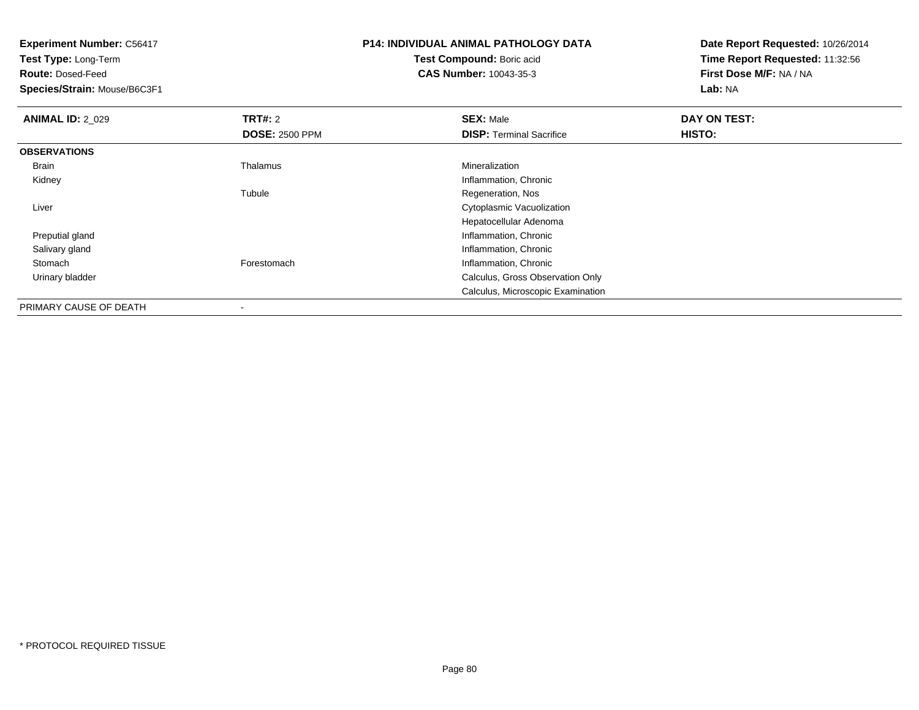**Experiment Number:** C56417**Test Type:** Long-Term**Route:** Dosed-Feed **Species/Strain:** Mouse/B6C3F1**P14: INDIVIDUAL ANIMAL PATHOLOGY DATATest Compound:** Boric acid **CAS Number:** 10043-35-3**Date Report Requested:** 10/26/2014**Time Report Requested:** 11:32:56**First Dose M/F:** NA / NA**Lab:** NA**ANIMAL ID: 2 029 TRT#:** 2 **SEX:** Male **DAY ON TEST: DOSE:** 2500 PPM**DISP:** Terminal Sacrifice **HISTO: OBSERVATIONS** Brain Thalamus Mineralization Kidney Inflammation, Chronic Tubule Regeneration, Nos Liver Cytoplasmic VacuolizationHepatocellular Adenoma Preputial gland Inflammation, Chronic Salivary glandInflammation, Chronic<br>
Inflammation, Chronic<br>
Inflammation, Chronic StomachInflammation, Chronic Urinary bladder Calculus, Gross Observation OnlyCalculus, Microscopic Examination

PRIMARY CAUSE OF DEATH-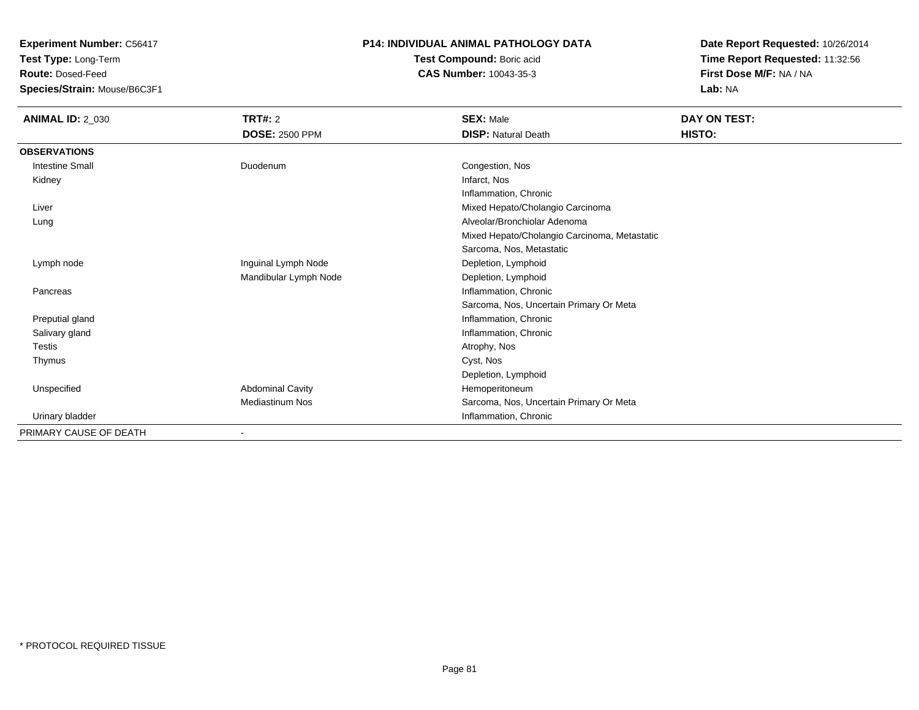**Test Type:** Long-Term

**Route:** Dosed-Feed

**Species/Strain:** Mouse/B6C3F1

### **P14: INDIVIDUAL ANIMAL PATHOLOGY DATA**

**Test Compound:** Boric acid**CAS Number:** 10043-35-3

| <b>ANIMAL ID: 2_030</b> | TRT#: 2                  | <b>SEX: Male</b>                             | DAY ON TEST: |  |
|-------------------------|--------------------------|----------------------------------------------|--------------|--|
|                         | <b>DOSE: 2500 PPM</b>    | <b>DISP: Natural Death</b>                   | HISTO:       |  |
| <b>OBSERVATIONS</b>     |                          |                                              |              |  |
| <b>Intestine Small</b>  | Duodenum                 | Congestion, Nos                              |              |  |
| Kidney                  |                          | Infarct, Nos                                 |              |  |
|                         |                          | Inflammation, Chronic                        |              |  |
| Liver                   |                          | Mixed Hepato/Cholangio Carcinoma             |              |  |
| Lung                    |                          | Alveolar/Bronchiolar Adenoma                 |              |  |
|                         |                          | Mixed Hepato/Cholangio Carcinoma, Metastatic |              |  |
|                         |                          | Sarcoma, Nos, Metastatic                     |              |  |
| Lymph node              | Inguinal Lymph Node      | Depletion, Lymphoid                          |              |  |
|                         | Mandibular Lymph Node    | Depletion, Lymphoid                          |              |  |
| Pancreas                |                          | Inflammation, Chronic                        |              |  |
|                         |                          | Sarcoma, Nos, Uncertain Primary Or Meta      |              |  |
| Preputial gland         |                          | Inflammation, Chronic                        |              |  |
| Salivary gland          |                          | Inflammation, Chronic                        |              |  |
| Testis                  |                          | Atrophy, Nos                                 |              |  |
| Thymus                  |                          | Cyst, Nos                                    |              |  |
|                         |                          | Depletion, Lymphoid                          |              |  |
| Unspecified             | <b>Abdominal Cavity</b>  | Hemoperitoneum                               |              |  |
|                         | Mediastinum Nos          | Sarcoma, Nos, Uncertain Primary Or Meta      |              |  |
| Urinary bladder         |                          | Inflammation, Chronic                        |              |  |
| PRIMARY CAUSE OF DEATH  | $\overline{\phantom{a}}$ |                                              |              |  |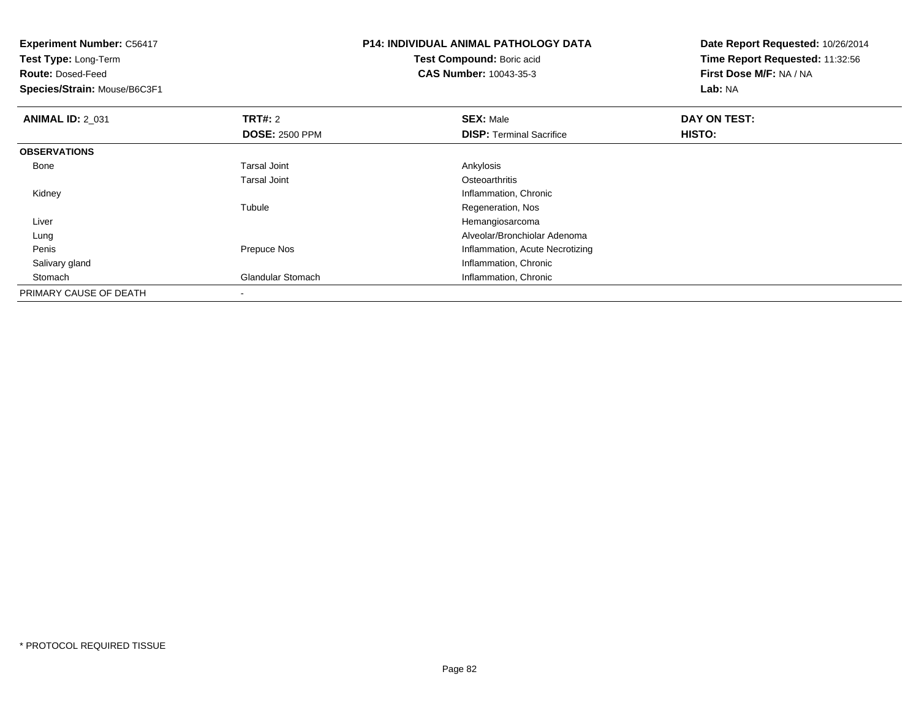| <b>Experiment Number: C56417</b><br>Test Type: Long-Term |                       | <b>P14: INDIVIDUAL ANIMAL PATHOLOGY DATA</b> | Date Report Requested: 10/26/2014 |
|----------------------------------------------------------|-----------------------|----------------------------------------------|-----------------------------------|
|                                                          |                       | Test Compound: Boric acid                    | Time Report Requested: 11:32:56   |
| <b>Route: Dosed-Feed</b>                                 |                       | <b>CAS Number: 10043-35-3</b>                | First Dose M/F: NA / NA           |
| Species/Strain: Mouse/B6C3F1                             |                       |                                              | Lab: NA                           |
| <b>ANIMAL ID: 2 031</b>                                  | <b>TRT#: 2</b>        | <b>SEX: Male</b>                             | DAY ON TEST:                      |
|                                                          | <b>DOSE: 2500 PPM</b> | <b>DISP:</b> Terminal Sacrifice              | HISTO:                            |
| <b>OBSERVATIONS</b>                                      |                       |                                              |                                   |
| Bone                                                     | <b>Tarsal Joint</b>   | Ankylosis                                    |                                   |
|                                                          | <b>Tarsal Joint</b>   | Osteoarthritis                               |                                   |
| Kidney                                                   |                       | Inflammation, Chronic                        |                                   |
|                                                          | Tubule                | Regeneration, Nos                            |                                   |
| Liver                                                    |                       | Hemangiosarcoma                              |                                   |
| Lung                                                     |                       | Alveolar/Bronchiolar Adenoma                 |                                   |
| Penis                                                    | Prepuce Nos           | Inflammation, Acute Necrotizing              |                                   |
| Salivary gland                                           |                       | Inflammation, Chronic                        |                                   |
| Stomach                                                  | Glandular Stomach     | Inflammation, Chronic                        |                                   |
| PRIMARY CAUSE OF DEATH                                   |                       |                                              |                                   |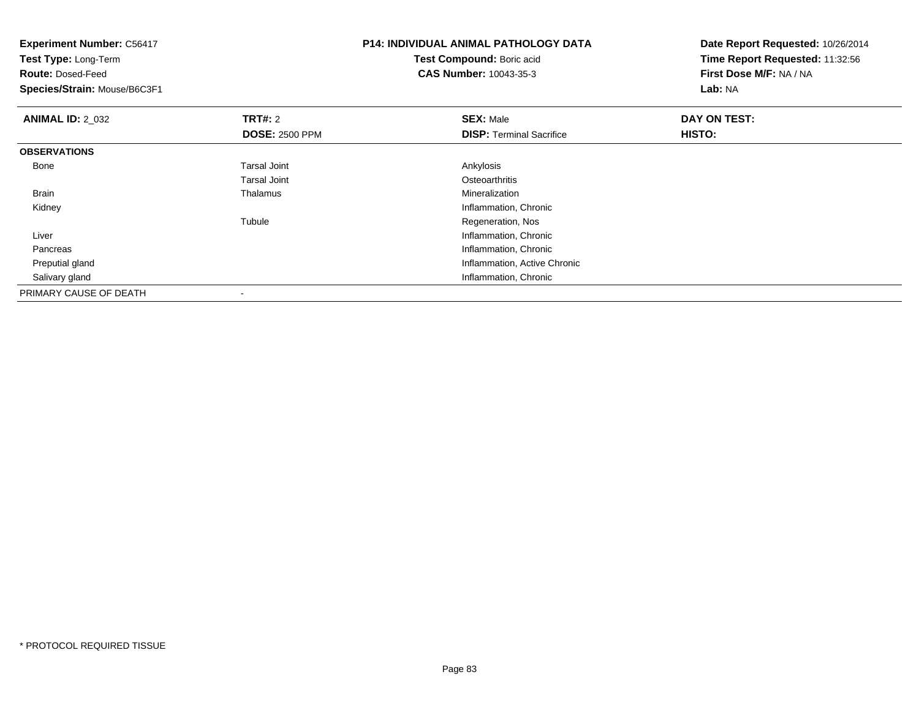| <b>Experiment Number: C56417</b><br>Test Type: Long-Term<br><b>Route: Dosed-Feed</b><br>Species/Strain: Mouse/B6C3F1 |                                         | <b>P14: INDIVIDUAL ANIMAL PATHOLOGY DATA</b><br>Test Compound: Boric acid<br><b>CAS Number: 10043-35-3</b> | Date Report Requested: 10/26/2014<br>Time Report Requested: 11:32:56<br>First Dose M/F: NA / NA<br>Lab: NA |
|----------------------------------------------------------------------------------------------------------------------|-----------------------------------------|------------------------------------------------------------------------------------------------------------|------------------------------------------------------------------------------------------------------------|
| <b>ANIMAL ID: 2 032</b>                                                                                              | <b>TRT#: 2</b><br><b>DOSE: 2500 PPM</b> | <b>SEX: Male</b><br><b>DISP:</b> Terminal Sacrifice                                                        | DAY ON TEST:<br>HISTO:                                                                                     |
| <b>OBSERVATIONS</b>                                                                                                  |                                         |                                                                                                            |                                                                                                            |
| Bone                                                                                                                 | <b>Tarsal Joint</b>                     | Ankylosis                                                                                                  |                                                                                                            |
|                                                                                                                      | <b>Tarsal Joint</b>                     | Osteoarthritis                                                                                             |                                                                                                            |
| <b>Brain</b>                                                                                                         | Thalamus                                | Mineralization                                                                                             |                                                                                                            |
| Kidney                                                                                                               |                                         | Inflammation, Chronic                                                                                      |                                                                                                            |
|                                                                                                                      | Tubule                                  | Regeneration, Nos                                                                                          |                                                                                                            |
| Liver                                                                                                                |                                         | Inflammation, Chronic                                                                                      |                                                                                                            |
| Pancreas                                                                                                             |                                         | Inflammation, Chronic                                                                                      |                                                                                                            |
| Preputial gland                                                                                                      |                                         | Inflammation, Active Chronic                                                                               |                                                                                                            |
| Salivary gland                                                                                                       |                                         | Inflammation, Chronic                                                                                      |                                                                                                            |
| PRIMARY CAUSE OF DEATH                                                                                               |                                         |                                                                                                            |                                                                                                            |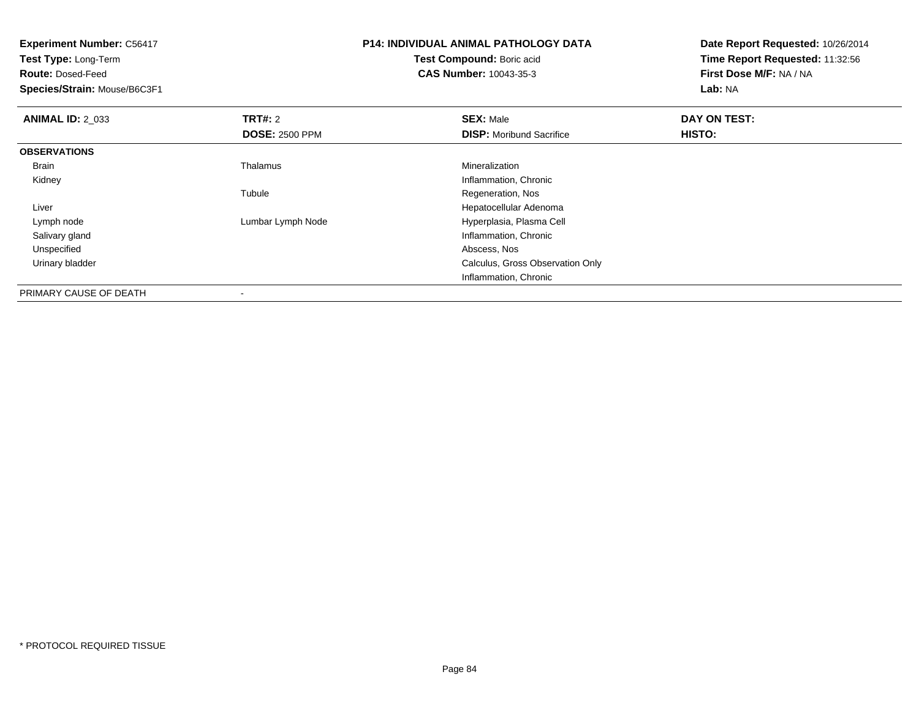| <b>Experiment Number: C56417</b><br>Test Type: Long-Term |                       | <b>P14: INDIVIDUAL ANIMAL PATHOLOGY DATA</b> | Date Report Requested: 10/26/2014 |
|----------------------------------------------------------|-----------------------|----------------------------------------------|-----------------------------------|
|                                                          |                       | Test Compound: Boric acid                    | Time Report Requested: 11:32:56   |
| <b>Route: Dosed-Feed</b>                                 |                       | <b>CAS Number: 10043-35-3</b>                | First Dose M/F: NA / NA           |
| Species/Strain: Mouse/B6C3F1                             |                       |                                              | Lab: NA                           |
| <b>ANIMAL ID: 2 033</b>                                  | <b>TRT#: 2</b>        | <b>SEX: Male</b>                             | DAY ON TEST:                      |
|                                                          | <b>DOSE: 2500 PPM</b> | <b>DISP:</b> Moribund Sacrifice              | HISTO:                            |
| <b>OBSERVATIONS</b>                                      |                       |                                              |                                   |
| Brain                                                    | Thalamus              | Mineralization                               |                                   |
| Kidney                                                   |                       | Inflammation, Chronic                        |                                   |
|                                                          | Tubule                | Regeneration, Nos                            |                                   |
| Liver                                                    |                       | Hepatocellular Adenoma                       |                                   |
| Lymph node                                               | Lumbar Lymph Node     | Hyperplasia, Plasma Cell                     |                                   |
| Salivary gland                                           |                       | Inflammation, Chronic                        |                                   |
| Unspecified                                              |                       | Abscess, Nos                                 |                                   |
| Urinary bladder                                          |                       | Calculus, Gross Observation Only             |                                   |
|                                                          |                       | Inflammation, Chronic                        |                                   |
| P <sub>1</sub>                                           |                       |                                              |                                   |

PRIMARY CAUSE OF DEATH-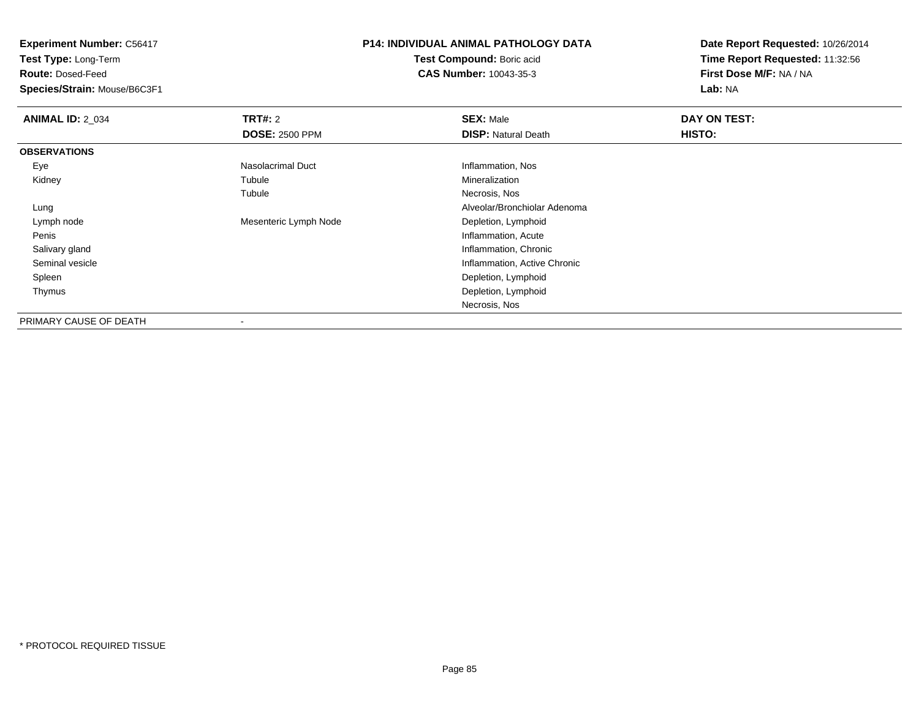**Test Type:** Long-Term

**Route:** Dosed-Feed

**Species/Strain:** Mouse/B6C3F1

## **P14: INDIVIDUAL ANIMAL PATHOLOGY DATA**

**Test Compound:** Boric acid**CAS Number:** 10043-35-3

| <b>ANIMAL ID: 2_034</b> | TRT#: 2                  | <b>SEX: Male</b>             | DAY ON TEST: |  |
|-------------------------|--------------------------|------------------------------|--------------|--|
|                         | <b>DOSE: 2500 PPM</b>    | <b>DISP: Natural Death</b>   | HISTO:       |  |
| <b>OBSERVATIONS</b>     |                          |                              |              |  |
| Eye                     | Nasolacrimal Duct        | Inflammation, Nos            |              |  |
| Kidney                  | Tubule                   | Mineralization               |              |  |
|                         | Tubule                   | Necrosis, Nos                |              |  |
| Lung                    |                          | Alveolar/Bronchiolar Adenoma |              |  |
| Lymph node              | Mesenteric Lymph Node    | Depletion, Lymphoid          |              |  |
| Penis                   |                          | Inflammation, Acute          |              |  |
| Salivary gland          |                          | Inflammation, Chronic        |              |  |
| Seminal vesicle         |                          | Inflammation, Active Chronic |              |  |
| Spleen                  |                          | Depletion, Lymphoid          |              |  |
| Thymus                  |                          | Depletion, Lymphoid          |              |  |
|                         |                          | Necrosis, Nos                |              |  |
| PRIMARY CAUSE OF DEATH  | $\overline{\phantom{a}}$ |                              |              |  |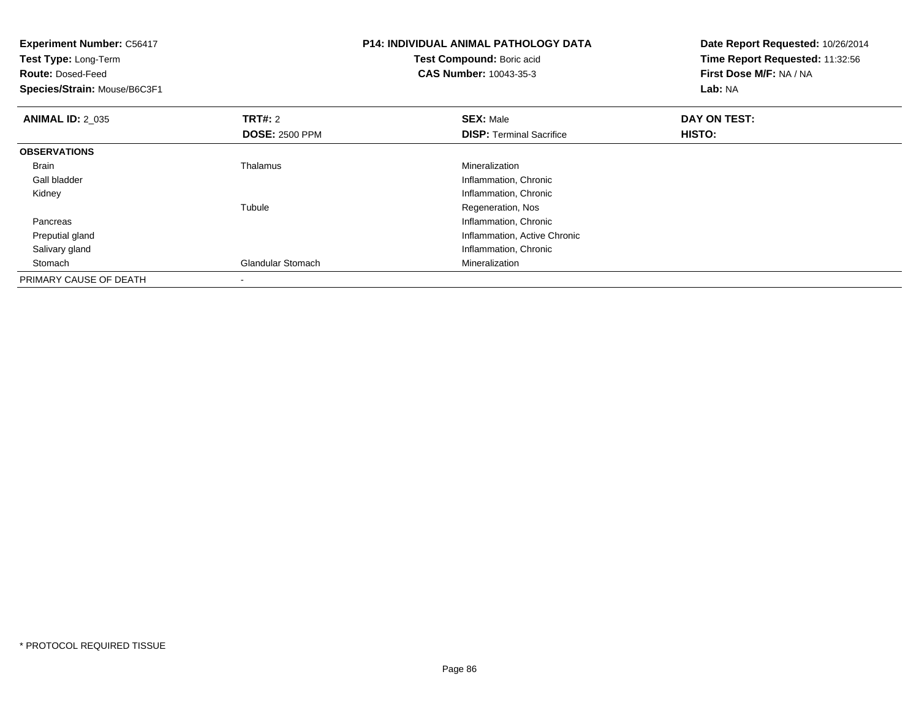| <b>Experiment Number: C56417</b><br>Test Type: Long-Term<br><b>Route: Dosed-Feed</b><br>Species/Strain: Mouse/B6C3F1 |                       | <b>P14: INDIVIDUAL ANIMAL PATHOLOGY DATA</b><br>Test Compound: Boric acid<br><b>CAS Number: 10043-35-3</b> | Date Report Requested: 10/26/2014<br>Time Report Requested: 11:32:56<br>First Dose M/F: NA / NA<br>Lab: NA |
|----------------------------------------------------------------------------------------------------------------------|-----------------------|------------------------------------------------------------------------------------------------------------|------------------------------------------------------------------------------------------------------------|
| <b>ANIMAL ID: 2 035</b>                                                                                              | <b>TRT#: 2</b>        | <b>SEX: Male</b>                                                                                           | DAY ON TEST:                                                                                               |
|                                                                                                                      | <b>DOSE: 2500 PPM</b> | <b>DISP: Terminal Sacrifice</b>                                                                            | HISTO:                                                                                                     |
| <b>OBSERVATIONS</b>                                                                                                  |                       |                                                                                                            |                                                                                                            |
| <b>Brain</b>                                                                                                         | Thalamus              | Mineralization                                                                                             |                                                                                                            |
| Gall bladder                                                                                                         |                       | Inflammation, Chronic                                                                                      |                                                                                                            |
| Kidney                                                                                                               |                       | Inflammation, Chronic                                                                                      |                                                                                                            |
|                                                                                                                      | Tubule                | Regeneration, Nos                                                                                          |                                                                                                            |
| Pancreas                                                                                                             |                       | Inflammation, Chronic                                                                                      |                                                                                                            |
| Preputial gland                                                                                                      |                       | Inflammation, Active Chronic                                                                               |                                                                                                            |
| Salivary gland                                                                                                       |                       | Inflammation, Chronic                                                                                      |                                                                                                            |
| Stomach                                                                                                              | Glandular Stomach     | Mineralization                                                                                             |                                                                                                            |
| PRIMARY CAUSE OF DEATH                                                                                               |                       |                                                                                                            |                                                                                                            |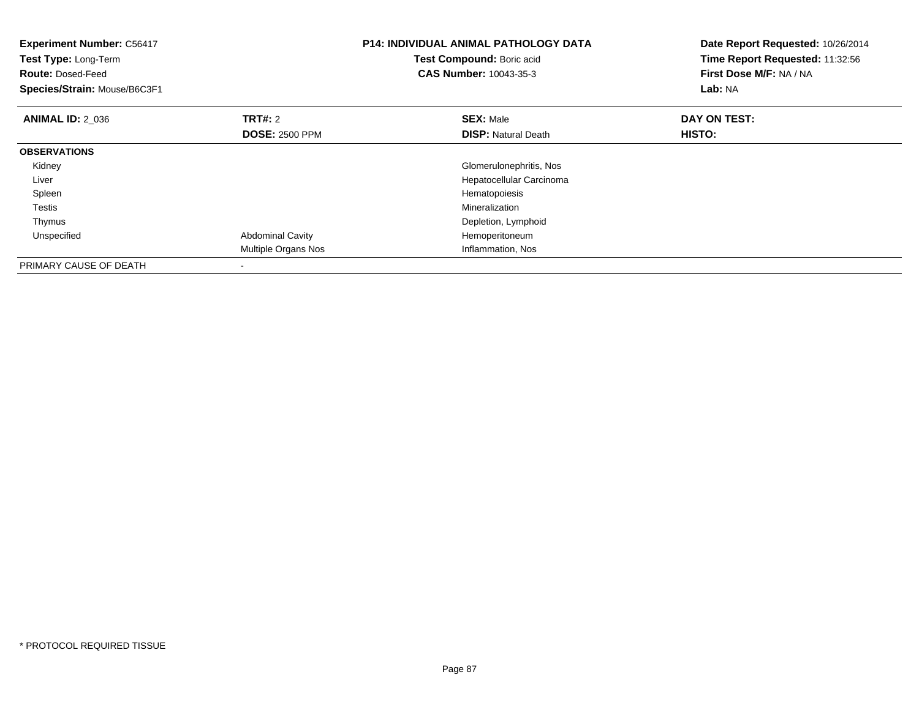| <b>Experiment Number: C56417</b><br>Test Compound: Boric acid<br>Test Type: Long-Term<br><b>CAS Number: 10043-35-3</b><br><b>Route: Dosed-Feed</b><br>Species/Strain: Mouse/B6C3F1 |                         | <b>P14: INDIVIDUAL ANIMAL PATHOLOGY DATA</b> | Date Report Requested: 10/26/2014<br>Time Report Requested: 11:32:56<br>First Dose M/F: NA / NA<br>Lab: NA |
|------------------------------------------------------------------------------------------------------------------------------------------------------------------------------------|-------------------------|----------------------------------------------|------------------------------------------------------------------------------------------------------------|
| <b>ANIMAL ID: 2 036</b>                                                                                                                                                            | <b>TRT#:</b> 2          | <b>SEX: Male</b>                             | DAY ON TEST:                                                                                               |
|                                                                                                                                                                                    | <b>DOSE: 2500 PPM</b>   | <b>DISP:</b> Natural Death                   | HISTO:                                                                                                     |
| <b>OBSERVATIONS</b>                                                                                                                                                                |                         |                                              |                                                                                                            |
| Kidney                                                                                                                                                                             |                         | Glomerulonephritis, Nos                      |                                                                                                            |
| Liver                                                                                                                                                                              |                         | Hepatocellular Carcinoma                     |                                                                                                            |
| Spleen                                                                                                                                                                             |                         | Hematopoiesis                                |                                                                                                            |
| Testis                                                                                                                                                                             |                         | Mineralization                               |                                                                                                            |
| Thymus                                                                                                                                                                             |                         | Depletion, Lymphoid                          |                                                                                                            |
| Unspecified                                                                                                                                                                        | <b>Abdominal Cavity</b> | Hemoperitoneum                               |                                                                                                            |
|                                                                                                                                                                                    | Multiple Organs Nos     | Inflammation, Nos                            |                                                                                                            |
| PRIMARY CAUSE OF DEATH                                                                                                                                                             |                         |                                              |                                                                                                            |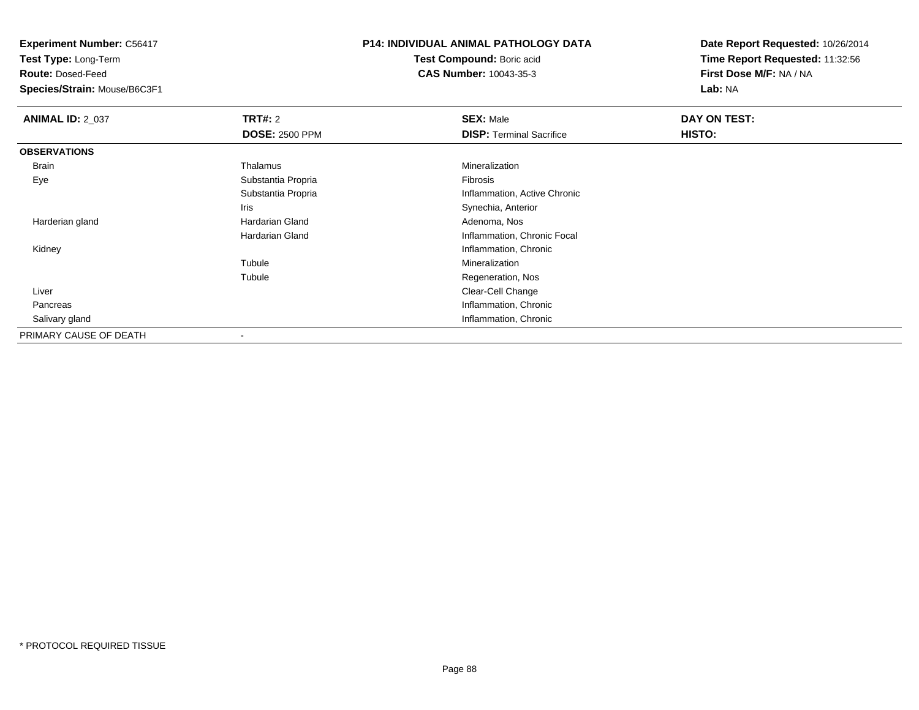**Test Type:** Long-Term

**Route:** Dosed-Feed

**Species/Strain:** Mouse/B6C3F1

## **P14: INDIVIDUAL ANIMAL PATHOLOGY DATA**

**Test Compound:** Boric acid**CAS Number:** 10043-35-3

| <b>ANIMAL ID: 2 037</b> | TRT#: 2               | <b>SEX: Male</b>                | DAY ON TEST: |
|-------------------------|-----------------------|---------------------------------|--------------|
|                         | <b>DOSE: 2500 PPM</b> | <b>DISP: Terminal Sacrifice</b> | HISTO:       |
| <b>OBSERVATIONS</b>     |                       |                                 |              |
| <b>Brain</b>            | Thalamus              | Mineralization                  |              |
| Eye                     | Substantia Propria    | Fibrosis                        |              |
|                         | Substantia Propria    | Inflammation, Active Chronic    |              |
|                         | Iris                  | Synechia, Anterior              |              |
| Harderian gland         | Hardarian Gland       | Adenoma, Nos                    |              |
|                         | Hardarian Gland       | Inflammation, Chronic Focal     |              |
| Kidney                  |                       | Inflammation, Chronic           |              |
|                         | Tubule                | Mineralization                  |              |
|                         | Tubule                | Regeneration, Nos               |              |
| Liver                   |                       | Clear-Cell Change               |              |
| Pancreas                |                       | Inflammation, Chronic           |              |
| Salivary gland          |                       | Inflammation, Chronic           |              |
| PRIMARY CAUSE OF DEATH  |                       |                                 |              |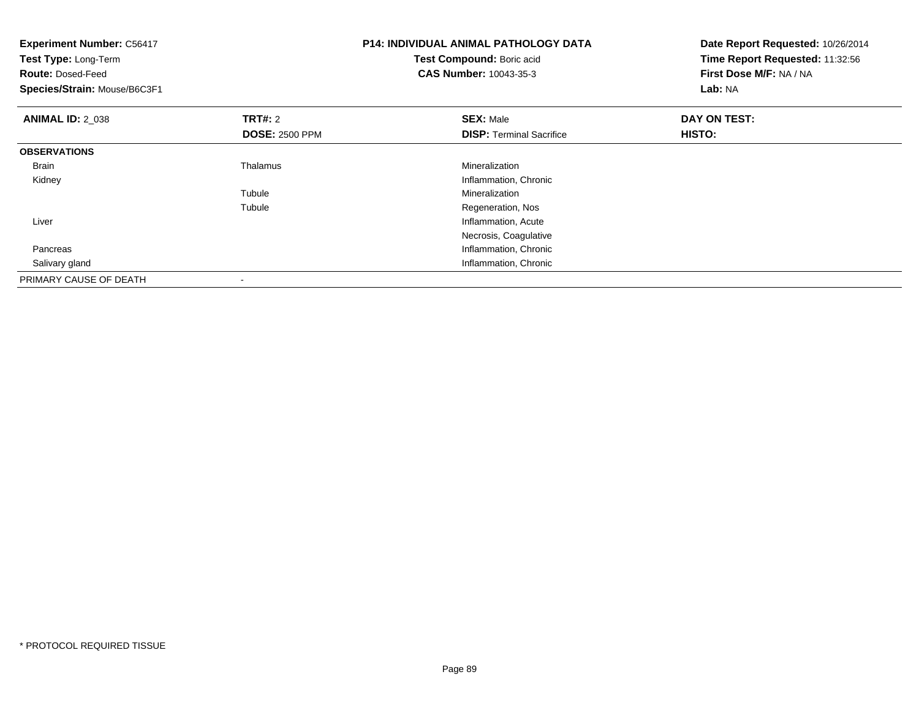| <b>Experiment Number: C56417</b><br>Test Type: Long-Term<br><b>Route: Dosed-Feed</b><br>Species/Strain: Mouse/B6C3F1 |                                         | <b>P14: INDIVIDUAL ANIMAL PATHOLOGY DATA</b><br>Test Compound: Boric acid<br>CAS Number: 10043-35-3 | Date Report Requested: 10/26/2014<br>Time Report Requested: 11:32:56<br>First Dose M/F: NA / NA<br>Lab: NA |
|----------------------------------------------------------------------------------------------------------------------|-----------------------------------------|-----------------------------------------------------------------------------------------------------|------------------------------------------------------------------------------------------------------------|
| <b>ANIMAL ID: 2_038</b>                                                                                              | <b>TRT#: 2</b><br><b>DOSE: 2500 PPM</b> | <b>SEX: Male</b><br><b>DISP: Terminal Sacrifice</b>                                                 | DAY ON TEST:<br>HISTO:                                                                                     |
| <b>OBSERVATIONS</b>                                                                                                  |                                         |                                                                                                     |                                                                                                            |
| Brain                                                                                                                | Thalamus                                | Mineralization                                                                                      |                                                                                                            |
| Kidney                                                                                                               |                                         | Inflammation, Chronic                                                                               |                                                                                                            |
|                                                                                                                      | Tubule                                  | Mineralization                                                                                      |                                                                                                            |
|                                                                                                                      | Tubule                                  | Regeneration, Nos                                                                                   |                                                                                                            |
| Liver                                                                                                                |                                         | Inflammation, Acute                                                                                 |                                                                                                            |
|                                                                                                                      |                                         | Necrosis, Coagulative                                                                               |                                                                                                            |
| Pancreas                                                                                                             |                                         | Inflammation, Chronic                                                                               |                                                                                                            |
| Salivary gland                                                                                                       |                                         | Inflammation, Chronic                                                                               |                                                                                                            |
| PRIMARY CAUSE OF DEATH                                                                                               |                                         |                                                                                                     |                                                                                                            |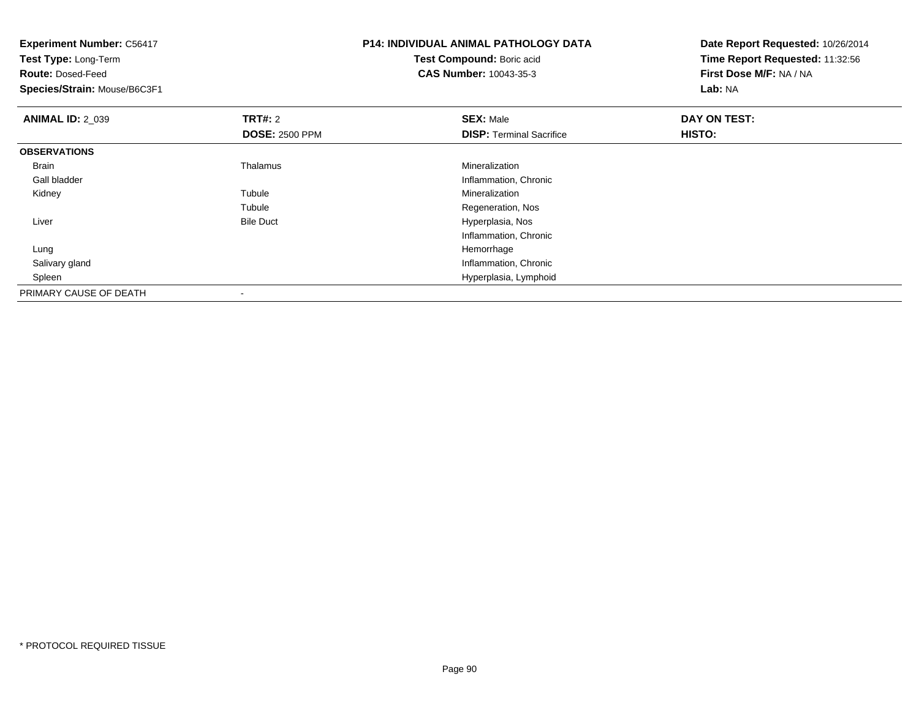| <b>Experiment Number: C56417</b><br>Test Type: Long-Term<br><b>Route: Dosed-Feed</b><br>Species/Strain: Mouse/B6C3F1 |                       | <b>P14: INDIVIDUAL ANIMAL PATHOLOGY DATA</b><br>Test Compound: Boric acid<br><b>CAS Number: 10043-35-3</b> | Date Report Requested: 10/26/2014<br>Time Report Requested: 11:32:56<br>First Dose M/F: NA / NA<br>Lab: NA |  |
|----------------------------------------------------------------------------------------------------------------------|-----------------------|------------------------------------------------------------------------------------------------------------|------------------------------------------------------------------------------------------------------------|--|
| <b>ANIMAL ID: 2_039</b>                                                                                              | <b>TRT#: 2</b>        | <b>SEX: Male</b>                                                                                           | DAY ON TEST:                                                                                               |  |
|                                                                                                                      | <b>DOSE: 2500 PPM</b> | <b>DISP: Terminal Sacrifice</b>                                                                            | <b>HISTO:</b>                                                                                              |  |
| <b>OBSERVATIONS</b>                                                                                                  |                       |                                                                                                            |                                                                                                            |  |
| <b>Brain</b>                                                                                                         | Thalamus              | Mineralization                                                                                             |                                                                                                            |  |
| Gall bladder                                                                                                         |                       | Inflammation, Chronic                                                                                      |                                                                                                            |  |
| Kidney                                                                                                               | Tubule                | Mineralization                                                                                             |                                                                                                            |  |
|                                                                                                                      | Tubule                | Regeneration, Nos                                                                                          |                                                                                                            |  |
| Liver                                                                                                                | <b>Bile Duct</b>      | Hyperplasia, Nos                                                                                           |                                                                                                            |  |
|                                                                                                                      |                       | Inflammation, Chronic                                                                                      |                                                                                                            |  |
| Lung                                                                                                                 |                       | Hemorrhage                                                                                                 |                                                                                                            |  |
| Salivary gland                                                                                                       |                       | Inflammation, Chronic                                                                                      |                                                                                                            |  |
| Spleen                                                                                                               |                       | Hyperplasia, Lymphoid                                                                                      |                                                                                                            |  |
| PRIMARY CAUSE OF DEATH                                                                                               |                       |                                                                                                            |                                                                                                            |  |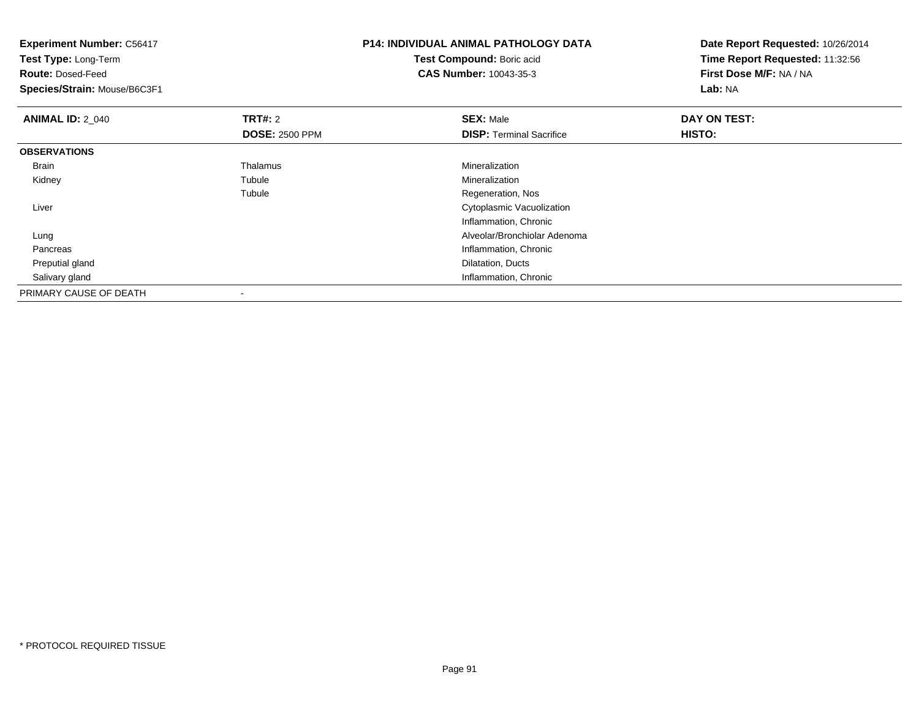| <b>P14: INDIVIDUAL ANIMAL PATHOLOGY DATA</b><br><b>Experiment Number: C56417</b><br>Test Compound: Boric acid<br>Test Type: Long-Term<br><b>CAS Number: 10043-35-3</b><br><b>Route: Dosed-Feed</b><br>Species/Strain: Mouse/B6C3F1 |                                         | Date Report Requested: 10/26/2014<br>Time Report Requested: 11:32:56<br>First Dose M/F: NA / NA<br>Lab: NA |                        |
|------------------------------------------------------------------------------------------------------------------------------------------------------------------------------------------------------------------------------------|-----------------------------------------|------------------------------------------------------------------------------------------------------------|------------------------|
| <b>ANIMAL ID: 2_040</b>                                                                                                                                                                                                            | <b>TRT#: 2</b><br><b>DOSE: 2500 PPM</b> | <b>SEX: Male</b><br><b>DISP:</b> Terminal Sacrifice                                                        | DAY ON TEST:<br>HISTO: |
| <b>OBSERVATIONS</b>                                                                                                                                                                                                                |                                         |                                                                                                            |                        |
| Brain                                                                                                                                                                                                                              | Thalamus                                | Mineralization                                                                                             |                        |
| Kidney                                                                                                                                                                                                                             | Tubule                                  | Mineralization                                                                                             |                        |
|                                                                                                                                                                                                                                    | Tubule                                  | Regeneration, Nos                                                                                          |                        |
| Liver                                                                                                                                                                                                                              |                                         | Cytoplasmic Vacuolization                                                                                  |                        |
|                                                                                                                                                                                                                                    |                                         | Inflammation, Chronic                                                                                      |                        |
| Lung                                                                                                                                                                                                                               |                                         | Alveolar/Bronchiolar Adenoma                                                                               |                        |
| Pancreas                                                                                                                                                                                                                           |                                         | Inflammation, Chronic                                                                                      |                        |
| Preputial gland                                                                                                                                                                                                                    |                                         | Dilatation, Ducts                                                                                          |                        |
| Salivary gland                                                                                                                                                                                                                     |                                         | Inflammation, Chronic                                                                                      |                        |
| PRIMARY CAUSE OF DEATH                                                                                                                                                                                                             |                                         |                                                                                                            |                        |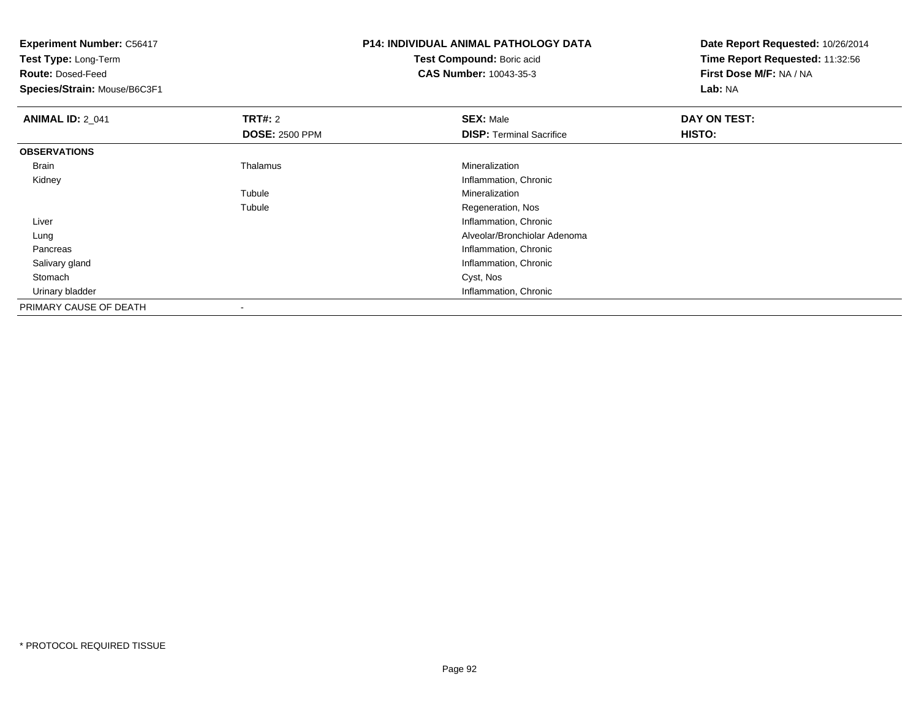| <b>Experiment Number: C56417</b> |                       | <b>P14: INDIVIDUAL ANIMAL PATHOLOGY DATA</b> | Date Report Requested: 10/26/2014 |
|----------------------------------|-----------------------|----------------------------------------------|-----------------------------------|
| Test Type: Long-Term             |                       | Test Compound: Boric acid                    | Time Report Requested: 11:32:56   |
| <b>Route: Dosed-Feed</b>         |                       | <b>CAS Number: 10043-35-3</b>                | First Dose M/F: NA / NA           |
| Species/Strain: Mouse/B6C3F1     |                       |                                              | Lab: NA                           |
| <b>ANIMAL ID: 2_041</b>          | <b>TRT#: 2</b>        | <b>SEX: Male</b>                             | DAY ON TEST:                      |
|                                  | <b>DOSE: 2500 PPM</b> | <b>DISP:</b> Terminal Sacrifice              | HISTO:                            |
| <b>OBSERVATIONS</b>              |                       |                                              |                                   |
| Brain                            | Thalamus              | Mineralization                               |                                   |
| Kidney                           |                       | Inflammation, Chronic                        |                                   |
|                                  | Tubule                | Mineralization                               |                                   |
|                                  | Tubule                | Regeneration, Nos                            |                                   |
| Liver                            |                       | Inflammation, Chronic                        |                                   |
| Lung                             |                       | Alveolar/Bronchiolar Adenoma                 |                                   |
| Pancreas                         |                       | Inflammation, Chronic                        |                                   |
| Salivary gland                   |                       | Inflammation, Chronic                        |                                   |
| Stomach                          |                       | Cyst, Nos                                    |                                   |
| Urinary bladder                  |                       | Inflammation, Chronic                        |                                   |
| PRIMARY CAUSE OF DEATH           |                       |                                              |                                   |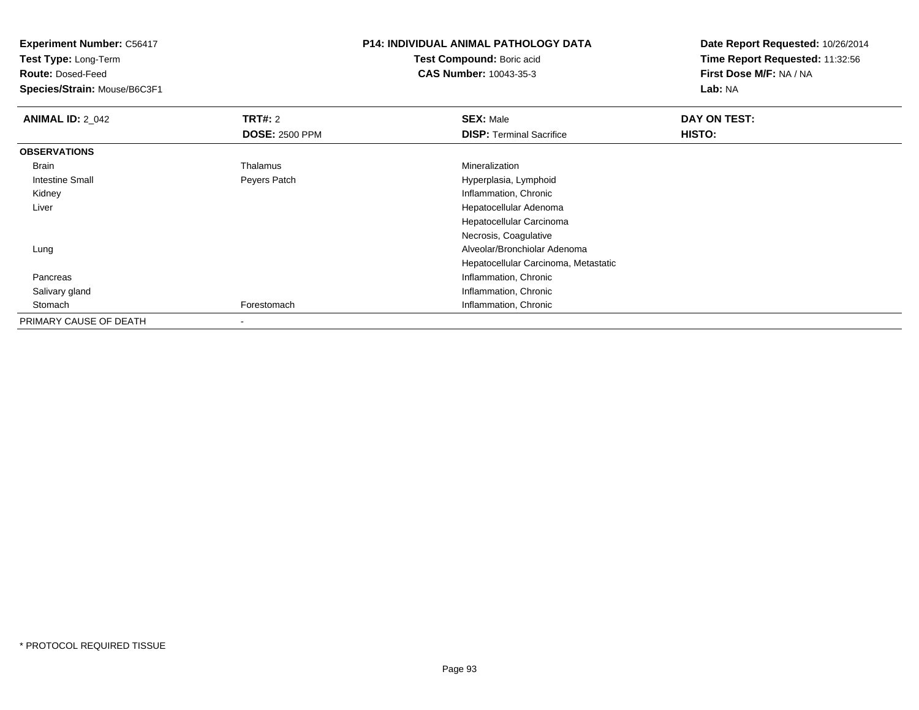**Experiment Number:** C56417**Test Type:** Long-Term**Route:** Dosed-Feed **Species/Strain:** Mouse/B6C3F1**P14: INDIVIDUAL ANIMAL PATHOLOGY DATATest Compound:** Boric acid **CAS Number:** 10043-35-3**Date Report Requested:** 10/26/2014**Time Report Requested:** 11:32:56**First Dose M/F:** NA / NA**Lab:** NA**ANIMAL ID: 2 042 TRT#:** <sup>2</sup> **SEX:** Male **DAY ON TEST: DOSE:** 2500 PPM**DISP:** Terminal Sacrifice **HISTO: OBSERVATIONS** Brain Thalamus Mineralization Intestine Small Peyers Patch Hyperplasia, Lymphoid Kidney Inflammation, Chronic Liver Hepatocellular Adenoma Hepatocellular CarcinomaNecrosis, Coagulative Alveolar/Bronchiolar Adenoma LungHepatocellular Carcinoma, Metastatic Pancreas Inflammation, Chronic Salivary gland Inflammation, Chronic StomachForestomach **Inflammation**, Chronic

PRIMARY CAUSE OF DEATH-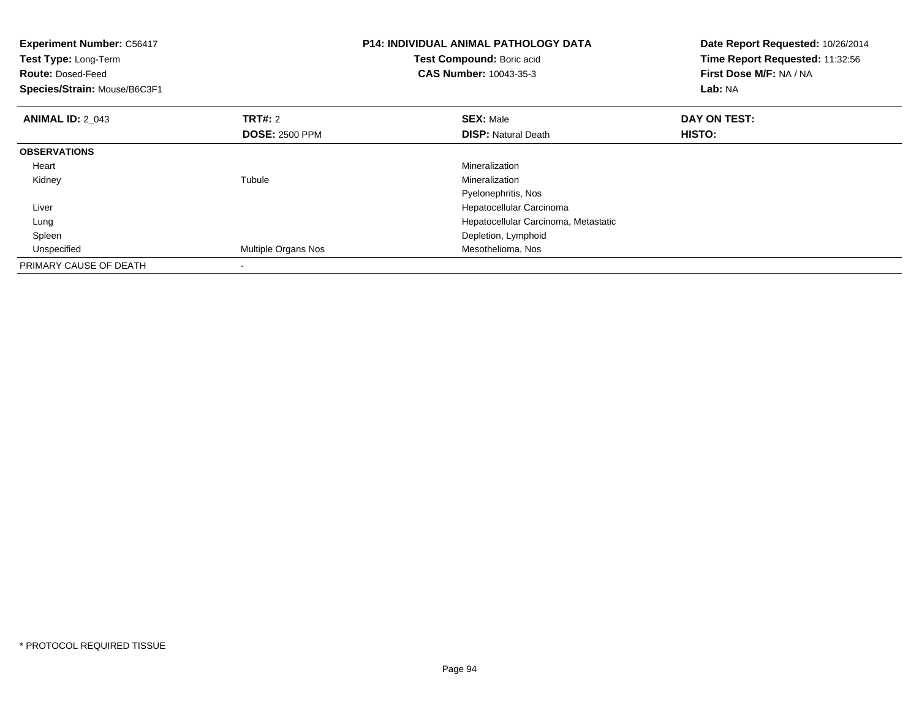| <b>Experiment Number: C56417</b><br><b>P14: INDIVIDUAL ANIMAL PATHOLOGY DATA</b><br>Test Compound: Boric acid<br>Test Type: Long-Term<br><b>CAS Number: 10043-35-3</b><br><b>Route: Dosed-Feed</b><br>Species/Strain: Mouse/B6C3F1 |                       | Date Report Requested: 10/26/2014<br>Time Report Requested: 11:32:56<br>First Dose M/F: NA / NA<br><b>Lab: NA</b> |              |
|------------------------------------------------------------------------------------------------------------------------------------------------------------------------------------------------------------------------------------|-----------------------|-------------------------------------------------------------------------------------------------------------------|--------------|
| <b>ANIMAL ID: 2 043</b>                                                                                                                                                                                                            | TRT#: 2               | <b>SEX: Male</b>                                                                                                  | DAY ON TEST: |
|                                                                                                                                                                                                                                    | <b>DOSE: 2500 PPM</b> | <b>DISP:</b> Natural Death                                                                                        | HISTO:       |
| <b>OBSERVATIONS</b>                                                                                                                                                                                                                |                       |                                                                                                                   |              |
| Heart                                                                                                                                                                                                                              |                       | Mineralization                                                                                                    |              |
| Kidney                                                                                                                                                                                                                             | Tubule                | Mineralization                                                                                                    |              |
|                                                                                                                                                                                                                                    |                       | Pyelonephritis, Nos                                                                                               |              |
| Liver                                                                                                                                                                                                                              |                       | Hepatocellular Carcinoma                                                                                          |              |
| Lung                                                                                                                                                                                                                               |                       | Hepatocellular Carcinoma, Metastatic                                                                              |              |
| Spleen                                                                                                                                                                                                                             |                       | Depletion, Lymphoid                                                                                               |              |
| Unspecified                                                                                                                                                                                                                        | Multiple Organs Nos   | Mesothelioma, Nos                                                                                                 |              |
| PRIMARY CAUSE OF DEATH                                                                                                                                                                                                             |                       |                                                                                                                   |              |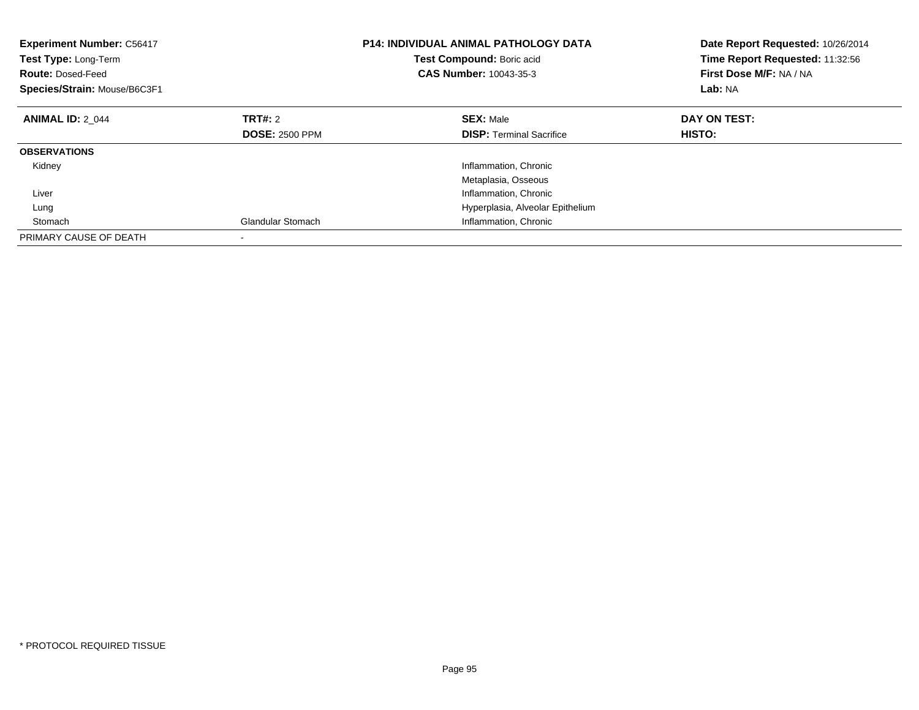| <b>Experiment Number: C56417</b><br>Test Type: Long-Term<br><b>Route: Dosed-Feed</b><br>Species/Strain: Mouse/B6C3F1 |                          | <b>P14: INDIVIDUAL ANIMAL PATHOLOGY DATA</b><br>Test Compound: Boric acid<br>CAS Number: 10043-35-3 | Date Report Requested: 10/26/2014<br>Time Report Requested: 11:32:56<br>First Dose M/F: NA / NA<br>Lab: NA |
|----------------------------------------------------------------------------------------------------------------------|--------------------------|-----------------------------------------------------------------------------------------------------|------------------------------------------------------------------------------------------------------------|
| <b>ANIMAL ID: 2 044</b>                                                                                              | TRT#: 2                  | <b>SEX: Male</b>                                                                                    | DAY ON TEST:                                                                                               |
|                                                                                                                      | <b>DOSE: 2500 PPM</b>    | <b>DISP:</b> Terminal Sacrifice                                                                     | HISTO:                                                                                                     |
| <b>OBSERVATIONS</b>                                                                                                  |                          |                                                                                                     |                                                                                                            |
| Kidney                                                                                                               |                          | Inflammation, Chronic                                                                               |                                                                                                            |
|                                                                                                                      |                          | Metaplasia, Osseous                                                                                 |                                                                                                            |
| Liver                                                                                                                |                          | Inflammation, Chronic                                                                               |                                                                                                            |
| Lung                                                                                                                 |                          | Hyperplasia, Alveolar Epithelium                                                                    |                                                                                                            |
| Stomach                                                                                                              | <b>Glandular Stomach</b> | Inflammation, Chronic                                                                               |                                                                                                            |
| PRIMARY CAUSE OF DEATH                                                                                               |                          |                                                                                                     |                                                                                                            |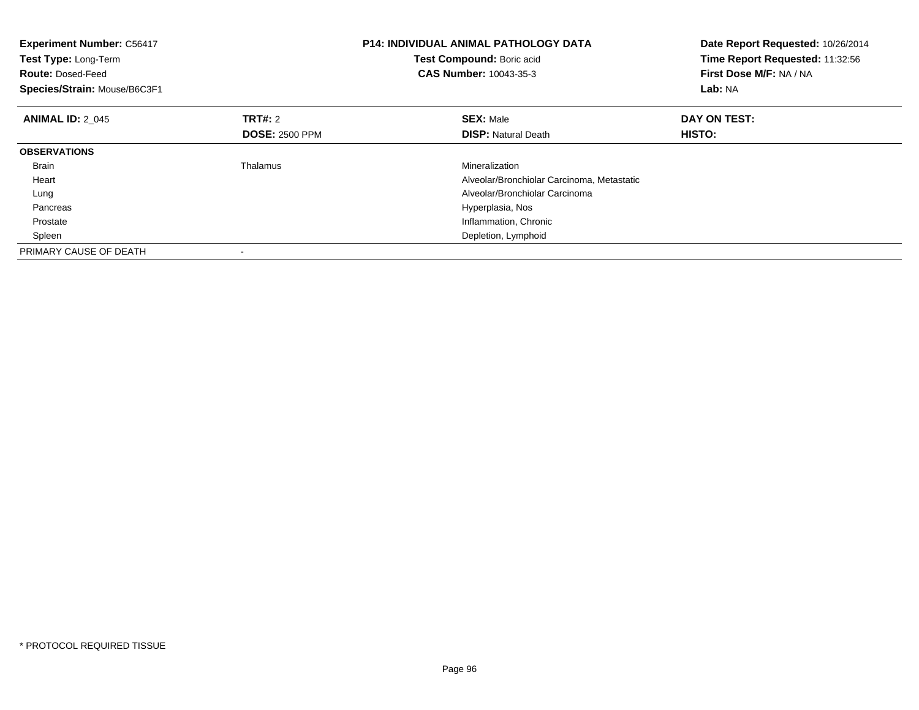| <b>Experiment Number: C56417</b><br>Test Type: Long-Term<br><b>Route: Dosed-Feed</b><br>Species/Strain: Mouse/B6C3F1 |                       | <b>P14: INDIVIDUAL ANIMAL PATHOLOGY DATA</b><br>Test Compound: Boric acid<br><b>CAS Number: 10043-35-3</b> | Date Report Requested: 10/26/2014<br>Time Report Requested: 11:32:56<br>First Dose M/F: NA / NA<br>Lab: NA |
|----------------------------------------------------------------------------------------------------------------------|-----------------------|------------------------------------------------------------------------------------------------------------|------------------------------------------------------------------------------------------------------------|
| <b>ANIMAL ID: 2 045</b>                                                                                              | <b>TRT#:</b> 2        | <b>SEX: Male</b>                                                                                           | DAY ON TEST:                                                                                               |
|                                                                                                                      | <b>DOSE: 2500 PPM</b> | <b>DISP:</b> Natural Death                                                                                 | HISTO:                                                                                                     |
| <b>OBSERVATIONS</b>                                                                                                  |                       |                                                                                                            |                                                                                                            |
| Brain                                                                                                                | Thalamus              | Mineralization                                                                                             |                                                                                                            |
| Heart                                                                                                                |                       | Alveolar/Bronchiolar Carcinoma, Metastatic                                                                 |                                                                                                            |
| Lung                                                                                                                 |                       | Alveolar/Bronchiolar Carcinoma                                                                             |                                                                                                            |
| Pancreas                                                                                                             |                       | Hyperplasia, Nos                                                                                           |                                                                                                            |
| Prostate                                                                                                             |                       | Inflammation, Chronic                                                                                      |                                                                                                            |
| Spleen                                                                                                               |                       | Depletion, Lymphoid                                                                                        |                                                                                                            |
| PRIMARY CAUSE OF DEATH                                                                                               |                       |                                                                                                            |                                                                                                            |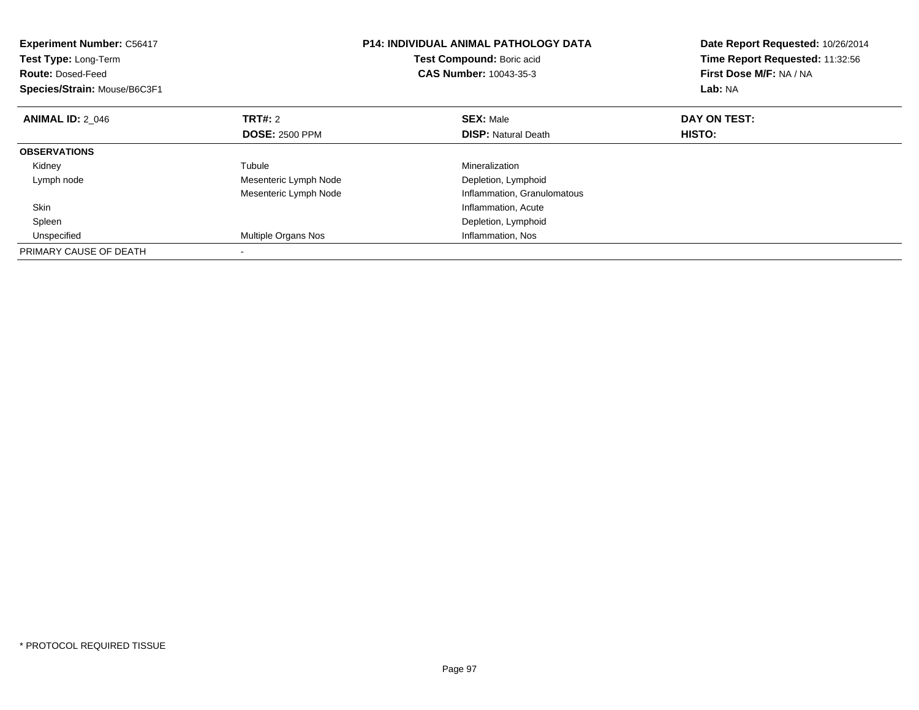| <b>Experiment Number: C56417</b><br>Test Type: Long-Term<br><b>Route: Dosed-Feed</b><br>Species/Strain: Mouse/B6C3F1 |                       | <b>P14: INDIVIDUAL ANIMAL PATHOLOGY DATA</b><br>Test Compound: Boric acid<br><b>CAS Number: 10043-35-3</b> | Date Report Requested: 10/26/2014<br>Time Report Requested: 11:32:56<br>First Dose M/F: NA / NA<br>Lab: NA |
|----------------------------------------------------------------------------------------------------------------------|-----------------------|------------------------------------------------------------------------------------------------------------|------------------------------------------------------------------------------------------------------------|
| <b>ANIMAL ID: 2 046</b>                                                                                              | <b>TRT#: 2</b>        | <b>SEX: Male</b>                                                                                           | DAY ON TEST:                                                                                               |
|                                                                                                                      | <b>DOSE: 2500 PPM</b> | <b>DISP:</b> Natural Death                                                                                 | <b>HISTO:</b>                                                                                              |
| <b>OBSERVATIONS</b>                                                                                                  |                       |                                                                                                            |                                                                                                            |
| Kidney                                                                                                               | Tubule                | Mineralization                                                                                             |                                                                                                            |
| Lymph node                                                                                                           | Mesenteric Lymph Node | Depletion, Lymphoid                                                                                        |                                                                                                            |
|                                                                                                                      | Mesenteric Lymph Node | Inflammation, Granulomatous                                                                                |                                                                                                            |
| Skin                                                                                                                 |                       | Inflammation, Acute                                                                                        |                                                                                                            |
| Spleen                                                                                                               |                       | Depletion, Lymphoid                                                                                        |                                                                                                            |
| Unspecified                                                                                                          | Multiple Organs Nos   | Inflammation, Nos                                                                                          |                                                                                                            |
| PRIMARY CAUSE OF DEATH                                                                                               |                       |                                                                                                            |                                                                                                            |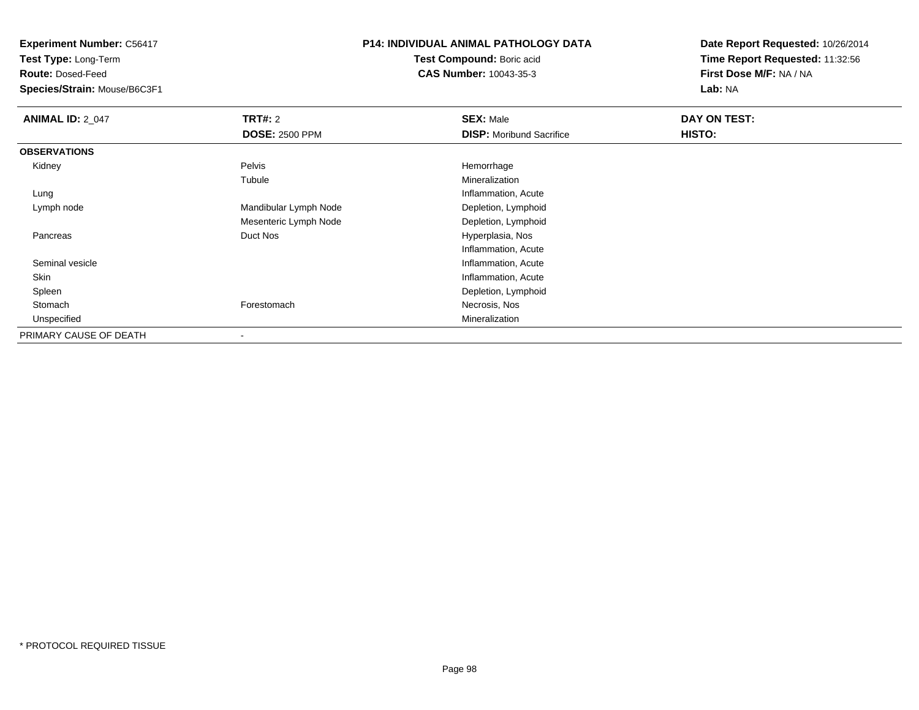**Test Type:** Long-Term

**Route:** Dosed-Feed

**Species/Strain:** Mouse/B6C3F1

#### **P14: INDIVIDUAL ANIMAL PATHOLOGY DATA**

**Test Compound:** Boric acid**CAS Number:** 10043-35-3

| <b>ANIMAL ID: 2_047</b> | TRT#: 2               | <b>SEX: Male</b>                | DAY ON TEST: |  |
|-------------------------|-----------------------|---------------------------------|--------------|--|
|                         | <b>DOSE: 2500 PPM</b> | <b>DISP:</b> Moribund Sacrifice | HISTO:       |  |
| <b>OBSERVATIONS</b>     |                       |                                 |              |  |
| Kidney                  | Pelvis                | Hemorrhage                      |              |  |
|                         | Tubule                | Mineralization                  |              |  |
| Lung                    |                       | Inflammation, Acute             |              |  |
| Lymph node              | Mandibular Lymph Node | Depletion, Lymphoid             |              |  |
|                         | Mesenteric Lymph Node | Depletion, Lymphoid             |              |  |
| Pancreas                | Duct Nos              | Hyperplasia, Nos                |              |  |
|                         |                       | Inflammation, Acute             |              |  |
| Seminal vesicle         |                       | Inflammation, Acute             |              |  |
| Skin                    |                       | Inflammation, Acute             |              |  |
| Spleen                  |                       | Depletion, Lymphoid             |              |  |
| Stomach                 | Forestomach           | Necrosis, Nos                   |              |  |
| Unspecified             |                       | Mineralization                  |              |  |
| PRIMARY CAUSE OF DEATH  |                       |                                 |              |  |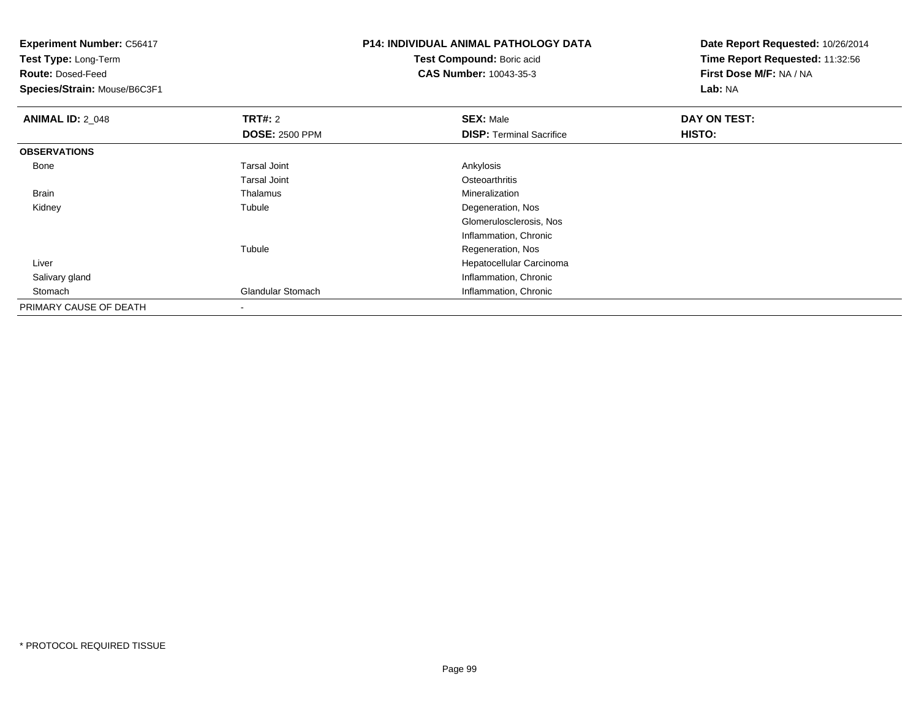**Experiment Number:** C56417**Test Type:** Long-Term**Route:** Dosed-Feed **Species/Strain:** Mouse/B6C3F1**P14: INDIVIDUAL ANIMAL PATHOLOGY DATATest Compound:** Boric acid **CAS Number:** 10043-35-3**Date Report Requested:** 10/26/2014**Time Report Requested:** 11:32:56**First Dose M/F:** NA / NA**Lab:** NA**ANIMAL ID: 2 048 REX:** Male **DAY ON TEST: CONSIST: SEX:** Male **DOSE:** 2500 PPM**DISP:** Terminal Sacrifice **HISTO: OBSERVATIONS** Bonee and the set of the set of the set of the set of the set of the set of the set of the set of the set of the s Tarsal Joint**Osteoarthritis** Mineralization Brain Thalamus Mineralization Kidneyy the contract of the contract of the contract of the contract of the contract of the contract of the contract of the contract of the contract of the contract of the contract of the contract of the contract of the contract Tubule **Degeneration**, Nos Glomerulosclerosis, NosInflammation, ChronicTubule Regeneration, Nos Liver Hepatocellular Carcinoma Salivary glandInflammation, Chronic<br>
Glandular Stomach (Internation, Chronic bronic) StomachInflammation, Chronic PRIMARY CAUSE OF DEATH-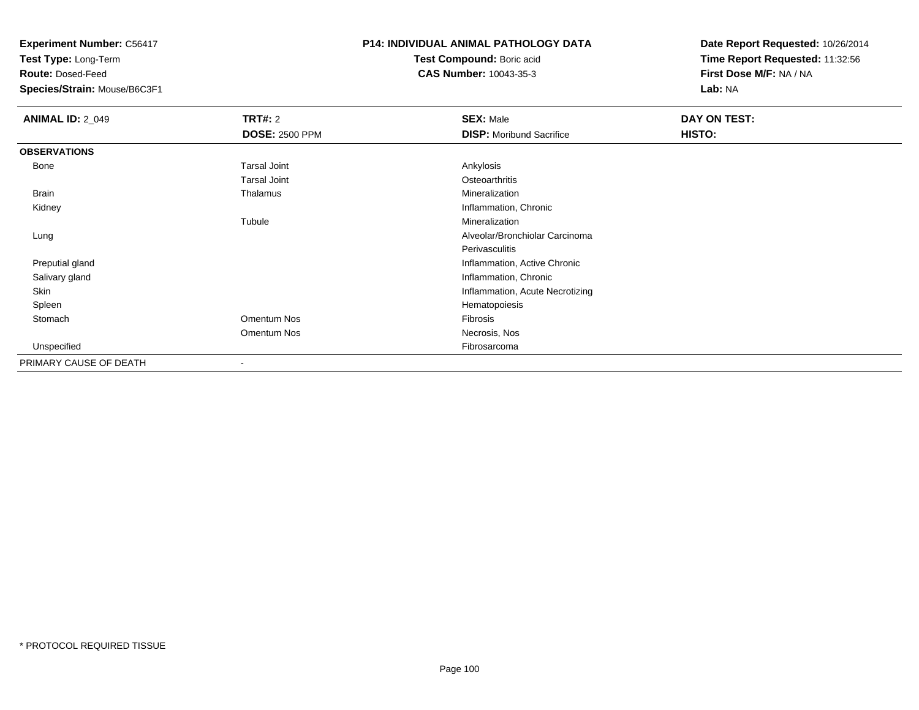**Test Type:** Long-Term

**Route:** Dosed-Feed

**Species/Strain:** Mouse/B6C3F1

## **P14: INDIVIDUAL ANIMAL PATHOLOGY DATA**

**Test Compound:** Boric acid**CAS Number:** 10043-35-3

| <b>ANIMAL ID: 2_049</b> | <b>TRT#: 2</b>           | <b>SEX: Male</b>                | <b>DAY ON TEST:</b> |  |
|-------------------------|--------------------------|---------------------------------|---------------------|--|
|                         | <b>DOSE: 2500 PPM</b>    | <b>DISP:</b> Moribund Sacrifice | HISTO:              |  |
| <b>OBSERVATIONS</b>     |                          |                                 |                     |  |
| Bone                    | <b>Tarsal Joint</b>      | Ankylosis                       |                     |  |
|                         | <b>Tarsal Joint</b>      | Osteoarthritis                  |                     |  |
| Brain                   | Thalamus                 | Mineralization                  |                     |  |
| Kidney                  |                          | Inflammation, Chronic           |                     |  |
|                         | Tubule                   | Mineralization                  |                     |  |
| Lung                    |                          | Alveolar/Bronchiolar Carcinoma  |                     |  |
|                         |                          | Perivasculitis                  |                     |  |
| Preputial gland         |                          | Inflammation, Active Chronic    |                     |  |
| Salivary gland          |                          | Inflammation, Chronic           |                     |  |
| Skin                    |                          | Inflammation, Acute Necrotizing |                     |  |
| Spleen                  |                          | Hematopoiesis                   |                     |  |
| Stomach                 | Omentum Nos              | Fibrosis                        |                     |  |
|                         | Omentum Nos              | Necrosis, Nos                   |                     |  |
| Unspecified             |                          | Fibrosarcoma                    |                     |  |
| PRIMARY CAUSE OF DEATH  | $\overline{\phantom{a}}$ |                                 |                     |  |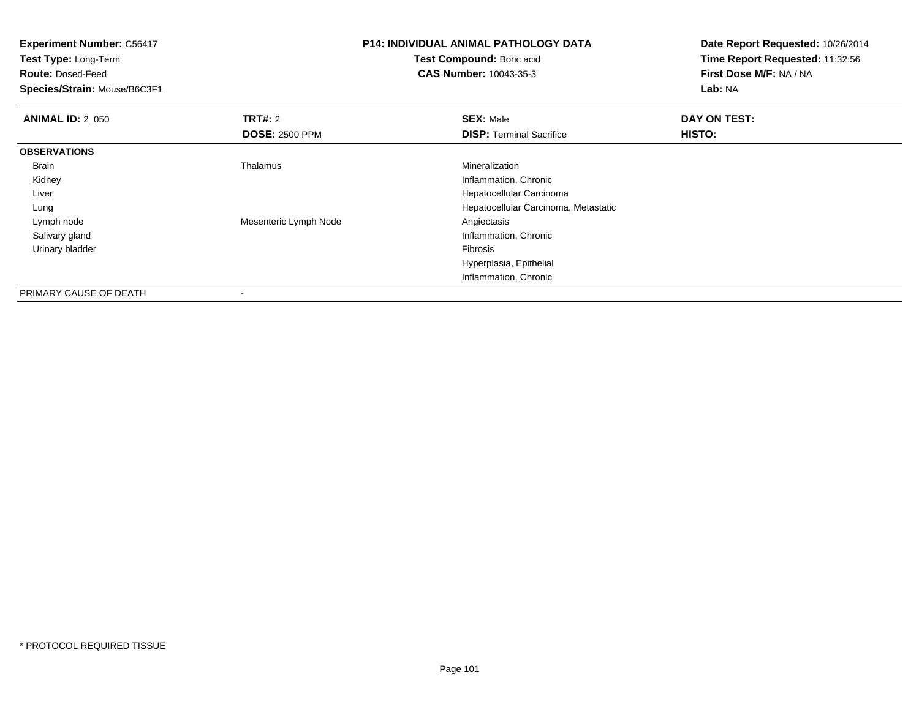|                       |                                      | Date Report Requested: 10/26/2014<br>Time Report Requested: 11:32:56<br>First Dose M/F: NA / NA |  |
|-----------------------|--------------------------------------|-------------------------------------------------------------------------------------------------|--|
|                       | Test Compound: Boric acid            |                                                                                                 |  |
|                       | <b>CAS Number: 10043-35-3</b>        |                                                                                                 |  |
|                       |                                      | Lab: NA                                                                                         |  |
| <b>TRT#: 2</b>        | <b>SEX: Male</b>                     | DAY ON TEST:                                                                                    |  |
| <b>DOSE: 2500 PPM</b> | <b>DISP:</b> Terminal Sacrifice      | HISTO:                                                                                          |  |
|                       |                                      |                                                                                                 |  |
| Thalamus              | Mineralization                       |                                                                                                 |  |
|                       | Inflammation, Chronic                |                                                                                                 |  |
|                       | Hepatocellular Carcinoma             |                                                                                                 |  |
|                       | Hepatocellular Carcinoma, Metastatic |                                                                                                 |  |
| Mesenteric Lymph Node | Angiectasis                          |                                                                                                 |  |
|                       | Inflammation, Chronic                |                                                                                                 |  |
|                       | Fibrosis                             |                                                                                                 |  |
|                       | Hyperplasia, Epithelial              |                                                                                                 |  |
|                       | Inflammation, Chronic                |                                                                                                 |  |
|                       |                                      | <b>P14: INDIVIDUAL ANIMAL PATHOLOGY DATA</b>                                                    |  |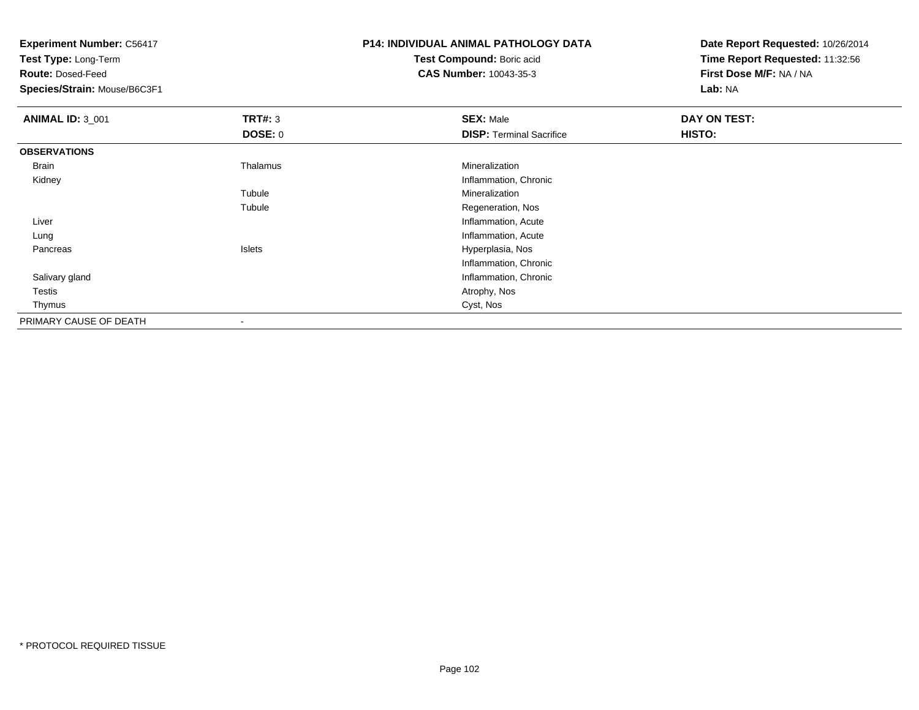**Experiment Number:** C56417**Test Type:** Long-Term**Route:** Dosed-Feed **Species/Strain:** Mouse/B6C3F1**P14: INDIVIDUAL ANIMAL PATHOLOGY DATATest Compound:** Boric acid **CAS Number:** 10043-35-3**Date Report Requested:** 10/26/2014**Time Report Requested:** 11:32:56**First Dose M/F:** NA / NA**Lab:** NA**ANIMAL ID:** 3\_001**TRT#:** 3 **SEX:** Male **DAY ON TEST: DOSE:** 0**DISP:** Terminal Sacrifice **HISTO: OBSERVATIONS** Brain Thalamus Mineralization Kidney Inflammation, Chronic Tubule Mineralization Tubule Regeneration, Nos Liver Inflammation, Acuteg and the state of the state of the state of the state of the state of the state of the state of the state of the state of the state of the state of the state of the state of the state of the state of the state of the stat Lung Pancreas Islets Hyperplasia, Nos Inflammation, Chronic**Inflammation, Chronic**  Salivary gland Testiss and the contract of the contract of the contract of the contract of the contract of the contract of the contract of the contract of the contract of the contract of the contract of the contract of the contract of the cont Thymuss and the contract of the contract of the contract of the contract of the contract of the contract of the contract of the contract of the contract of the contract of the contract of the contract of the contract of the cont PRIMARY CAUSE OF DEATH

-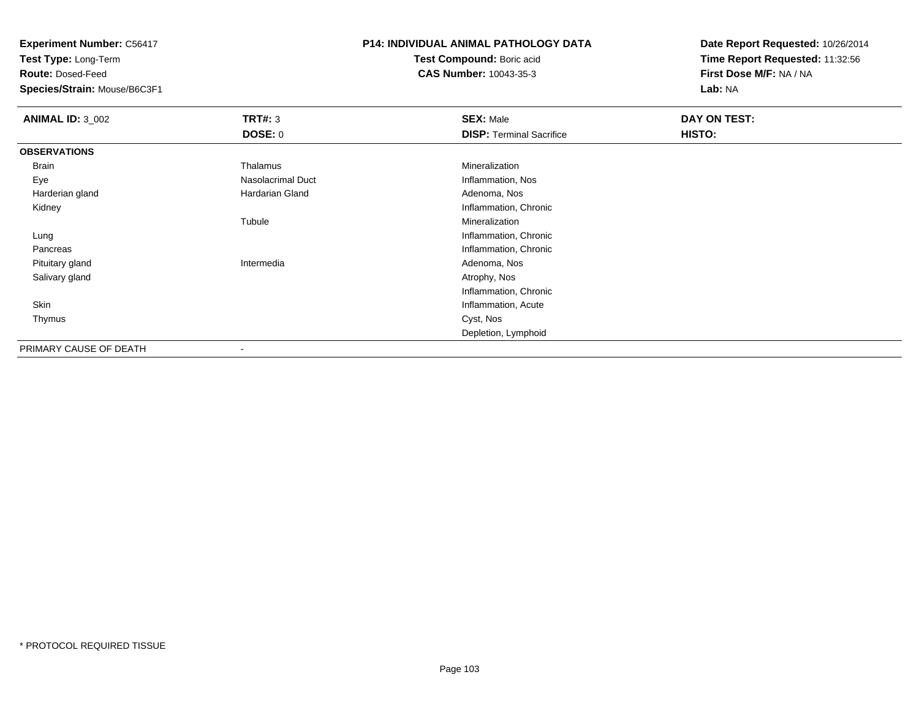**Test Type:** Long-Term

**Route:** Dosed-Feed

**Species/Strain:** Mouse/B6C3F1

#### **P14: INDIVIDUAL ANIMAL PATHOLOGY DATA**

**Test Compound:** Boric acid**CAS Number:** 10043-35-3

| <b>ANIMAL ID: 3_002</b> | TRT#: 3                  | <b>SEX: Male</b>                | DAY ON TEST: |  |
|-------------------------|--------------------------|---------------------------------|--------------|--|
|                         | DOSE: 0                  | <b>DISP: Terminal Sacrifice</b> | HISTO:       |  |
| <b>OBSERVATIONS</b>     |                          |                                 |              |  |
| Brain                   | Thalamus                 | Mineralization                  |              |  |
| Eye                     | <b>Nasolacrimal Duct</b> | Inflammation, Nos               |              |  |
| Harderian gland         | <b>Hardarian Gland</b>   | Adenoma, Nos                    |              |  |
| Kidney                  |                          | Inflammation, Chronic           |              |  |
|                         | Tubule                   | Mineralization                  |              |  |
| Lung                    |                          | Inflammation, Chronic           |              |  |
| Pancreas                |                          | Inflammation, Chronic           |              |  |
| Pituitary gland         | Intermedia               | Adenoma, Nos                    |              |  |
| Salivary gland          |                          | Atrophy, Nos                    |              |  |
|                         |                          | Inflammation, Chronic           |              |  |
| Skin                    |                          | Inflammation, Acute             |              |  |
| Thymus                  |                          | Cyst, Nos                       |              |  |
|                         |                          | Depletion, Lymphoid             |              |  |
| PRIMARY CAUSE OF DEATH  | ۰                        |                                 |              |  |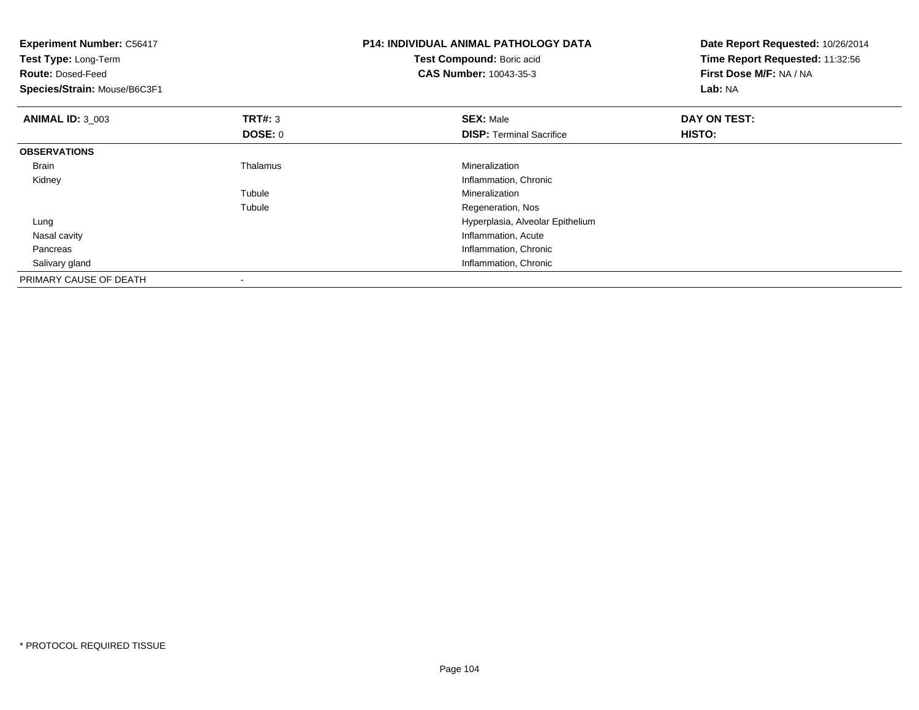| <b>Experiment Number: C56417</b><br>Test Type: Long-Term<br><b>Route: Dosed-Feed</b><br>Species/Strain: Mouse/B6C3F1 |                | <b>P14: INDIVIDUAL ANIMAL PATHOLOGY DATA</b><br>Test Compound: Boric acid<br><b>CAS Number: 10043-35-3</b> | Date Report Requested: 10/26/2014<br>Time Report Requested: 11:32:56<br>First Dose M/F: NA / NA<br>Lab: NA |  |
|----------------------------------------------------------------------------------------------------------------------|----------------|------------------------------------------------------------------------------------------------------------|------------------------------------------------------------------------------------------------------------|--|
| <b>ANIMAL ID: 3 003</b>                                                                                              | <b>TRT#: 3</b> | <b>SEX: Male</b>                                                                                           | DAY ON TEST:                                                                                               |  |
|                                                                                                                      | DOSE: 0        | <b>DISP:</b> Terminal Sacrifice                                                                            | <b>HISTO:</b>                                                                                              |  |
| <b>OBSERVATIONS</b>                                                                                                  |                |                                                                                                            |                                                                                                            |  |
| <b>Brain</b>                                                                                                         | Thalamus       | Mineralization                                                                                             |                                                                                                            |  |
| Kidney                                                                                                               |                | Inflammation, Chronic                                                                                      |                                                                                                            |  |
|                                                                                                                      | Tubule         | Mineralization                                                                                             |                                                                                                            |  |
|                                                                                                                      | Tubule         | Regeneration, Nos                                                                                          |                                                                                                            |  |
| Lung                                                                                                                 |                | Hyperplasia, Alveolar Epithelium                                                                           |                                                                                                            |  |
| Nasal cavity                                                                                                         |                | Inflammation, Acute                                                                                        |                                                                                                            |  |
| Pancreas                                                                                                             |                | Inflammation, Chronic                                                                                      |                                                                                                            |  |
| Salivary gland                                                                                                       |                | Inflammation, Chronic                                                                                      |                                                                                                            |  |
| PRIMARY CAUSE OF DEATH                                                                                               |                |                                                                                                            |                                                                                                            |  |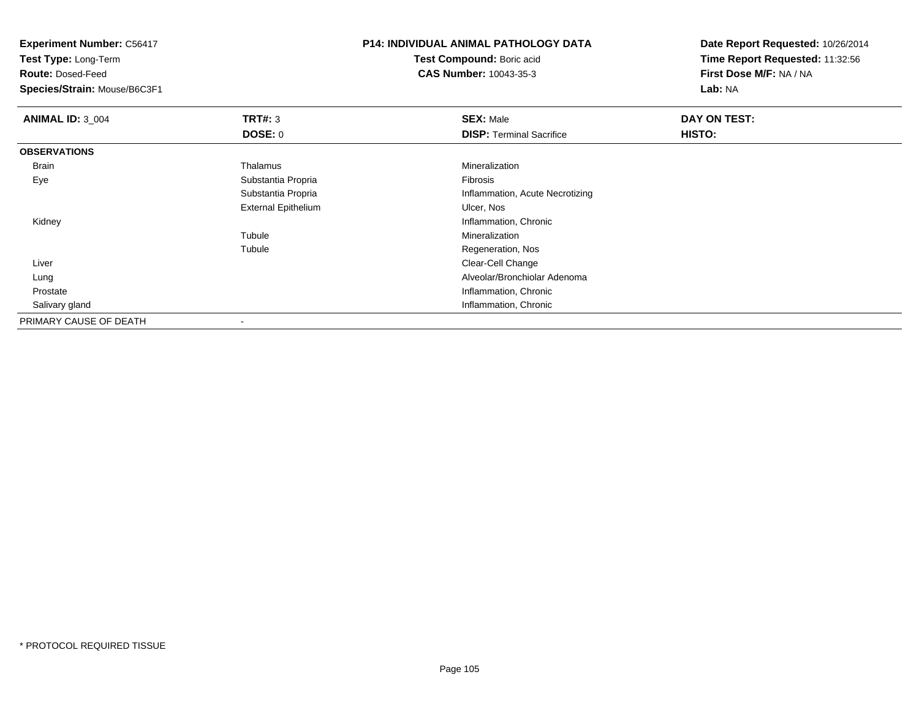**Test Type:** Long-Term

**Route:** Dosed-Feed

**Species/Strain:** Mouse/B6C3F1

## **P14: INDIVIDUAL ANIMAL PATHOLOGY DATA**

**Test Compound:** Boric acid**CAS Number:** 10043-35-3

| <b>ANIMAL ID: 3_004</b> | TRT#: 3                    | <b>SEX: Male</b>                | DAY ON TEST: |
|-------------------------|----------------------------|---------------------------------|--------------|
|                         | <b>DOSE: 0</b>             | <b>DISP: Terminal Sacrifice</b> | HISTO:       |
| <b>OBSERVATIONS</b>     |                            |                                 |              |
| <b>Brain</b>            | Thalamus                   | Mineralization                  |              |
| Eye                     | Substantia Propria         | Fibrosis                        |              |
|                         | Substantia Propria         | Inflammation, Acute Necrotizing |              |
|                         | <b>External Epithelium</b> | Ulcer, Nos                      |              |
| Kidney                  |                            | Inflammation, Chronic           |              |
|                         | Tubule                     | Mineralization                  |              |
|                         | Tubule                     | Regeneration, Nos               |              |
| Liver                   |                            | Clear-Cell Change               |              |
| Lung                    |                            | Alveolar/Bronchiolar Adenoma    |              |
| Prostate                |                            | Inflammation, Chronic           |              |
| Salivary gland          |                            | Inflammation, Chronic           |              |
| PRIMARY CAUSE OF DEATH  |                            |                                 |              |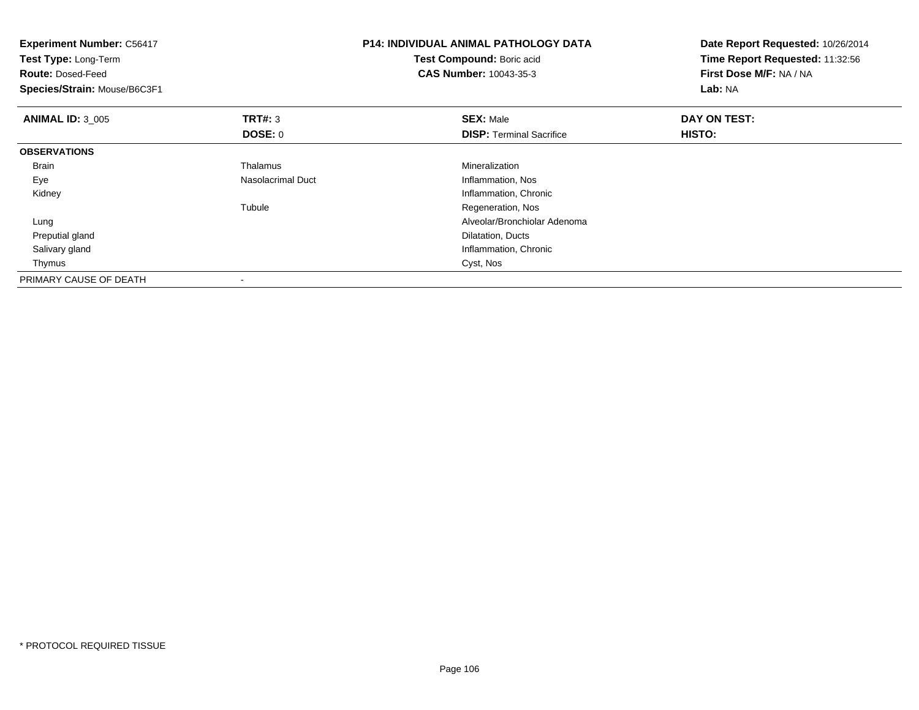| <b>Experiment Number: C56417</b><br>Test Type: Long-Term<br><b>Route: Dosed-Feed</b><br>Species/Strain: Mouse/B6C3F1 |                   | P14: INDIVIDUAL ANIMAL PATHOLOGY DATA<br>Test Compound: Boric acid<br><b>CAS Number: 10043-35-3</b> | Date Report Requested: 10/26/2014<br>Time Report Requested: 11:32:56<br>First Dose M/F: NA / NA<br>Lab: NA |
|----------------------------------------------------------------------------------------------------------------------|-------------------|-----------------------------------------------------------------------------------------------------|------------------------------------------------------------------------------------------------------------|
| <b>ANIMAL ID: 3 005</b>                                                                                              | <b>TRT#: 3</b>    | <b>SEX: Male</b>                                                                                    | DAY ON TEST:                                                                                               |
|                                                                                                                      | DOSE: 0           | <b>DISP:</b> Terminal Sacrifice                                                                     | <b>HISTO:</b>                                                                                              |
| <b>OBSERVATIONS</b>                                                                                                  |                   |                                                                                                     |                                                                                                            |
| <b>Brain</b>                                                                                                         | Thalamus          | <b>Mineralization</b>                                                                               |                                                                                                            |
| Eye                                                                                                                  | Nasolacrimal Duct | Inflammation, Nos                                                                                   |                                                                                                            |
| Kidney                                                                                                               |                   | Inflammation, Chronic                                                                               |                                                                                                            |
|                                                                                                                      | Tubule            | Regeneration, Nos                                                                                   |                                                                                                            |
| Lung                                                                                                                 |                   | Alveolar/Bronchiolar Adenoma                                                                        |                                                                                                            |
| Preputial gland                                                                                                      |                   | Dilatation, Ducts                                                                                   |                                                                                                            |
| Salivary gland                                                                                                       |                   | Inflammation, Chronic                                                                               |                                                                                                            |
| Thymus                                                                                                               |                   | Cyst, Nos                                                                                           |                                                                                                            |
| PRIMARY CAUSE OF DEATH                                                                                               |                   |                                                                                                     |                                                                                                            |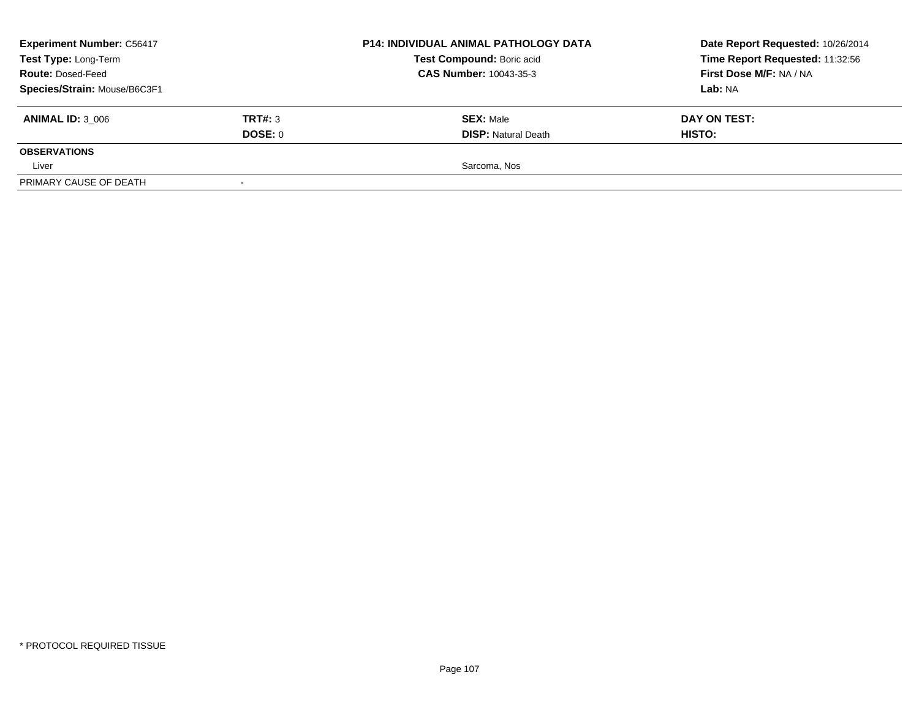| <b>Experiment Number: C56417</b>                                                                                                               |         | <b>P14: INDIVIDUAL ANIMAL PATHOLOGY DATA</b> | Date Report Requested: 10/26/2014                          |  |
|------------------------------------------------------------------------------------------------------------------------------------------------|---------|----------------------------------------------|------------------------------------------------------------|--|
| Test Compound: Boric acid<br>Test Type: Long-Term<br><b>CAS Number: 10043-35-3</b><br><b>Route: Dosed-Feed</b><br>Species/Strain: Mouse/B6C3F1 |         |                                              | Time Report Requested: 11:32:56<br>First Dose M/F: NA / NA |  |
|                                                                                                                                                |         |                                              |                                                            |  |
|                                                                                                                                                |         | Lab: NA                                      |                                                            |  |
| <b>ANIMAL ID: 3 006</b>                                                                                                                        | TRT#: 3 | <b>SEX: Male</b>                             | DAY ON TEST:                                               |  |
|                                                                                                                                                | DOSE: 0 | <b>DISP: Natural Death</b>                   | <b>HISTO:</b>                                              |  |
| <b>OBSERVATIONS</b>                                                                                                                            |         |                                              |                                                            |  |
| Liver                                                                                                                                          |         | Sarcoma, Nos                                 |                                                            |  |
| PRIMARY CAUSE OF DEATH                                                                                                                         |         |                                              |                                                            |  |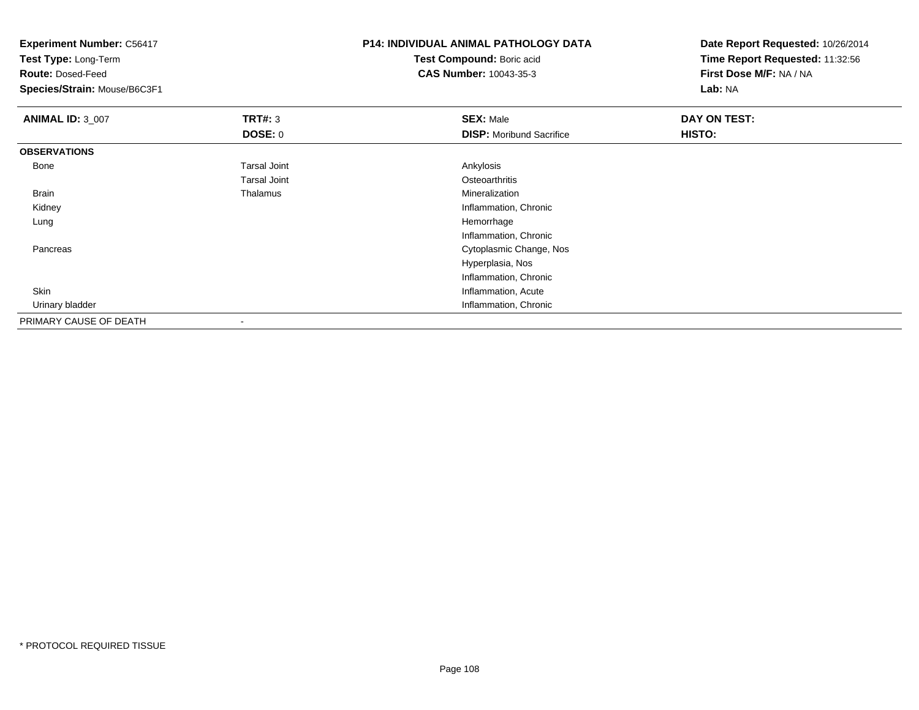**Test Type:** Long-Term

**Route:** Dosed-Feed

**Species/Strain:** Mouse/B6C3F1

# **P14: INDIVIDUAL ANIMAL PATHOLOGY DATA**

**Test Compound:** Boric acid**CAS Number:** 10043-35-3

| <b>ANIMAL ID: 3_007</b> | <b>TRT#: 3</b>      | <b>SEX: Male</b>                | DAY ON TEST: |  |
|-------------------------|---------------------|---------------------------------|--------------|--|
|                         | <b>DOSE: 0</b>      | <b>DISP:</b> Moribund Sacrifice | HISTO:       |  |
| <b>OBSERVATIONS</b>     |                     |                                 |              |  |
| Bone                    | <b>Tarsal Joint</b> | Ankylosis                       |              |  |
|                         | <b>Tarsal Joint</b> | Osteoarthritis                  |              |  |
| <b>Brain</b>            | Thalamus            | Mineralization                  |              |  |
| Kidney                  |                     | Inflammation, Chronic           |              |  |
| Lung                    |                     | Hemorrhage                      |              |  |
|                         |                     | Inflammation, Chronic           |              |  |
| Pancreas                |                     | Cytoplasmic Change, Nos         |              |  |
|                         |                     | Hyperplasia, Nos                |              |  |
|                         |                     | Inflammation, Chronic           |              |  |
| Skin                    |                     | Inflammation, Acute             |              |  |
| Urinary bladder         |                     | Inflammation, Chronic           |              |  |
| PRIMARY CAUSE OF DEATH  |                     |                                 |              |  |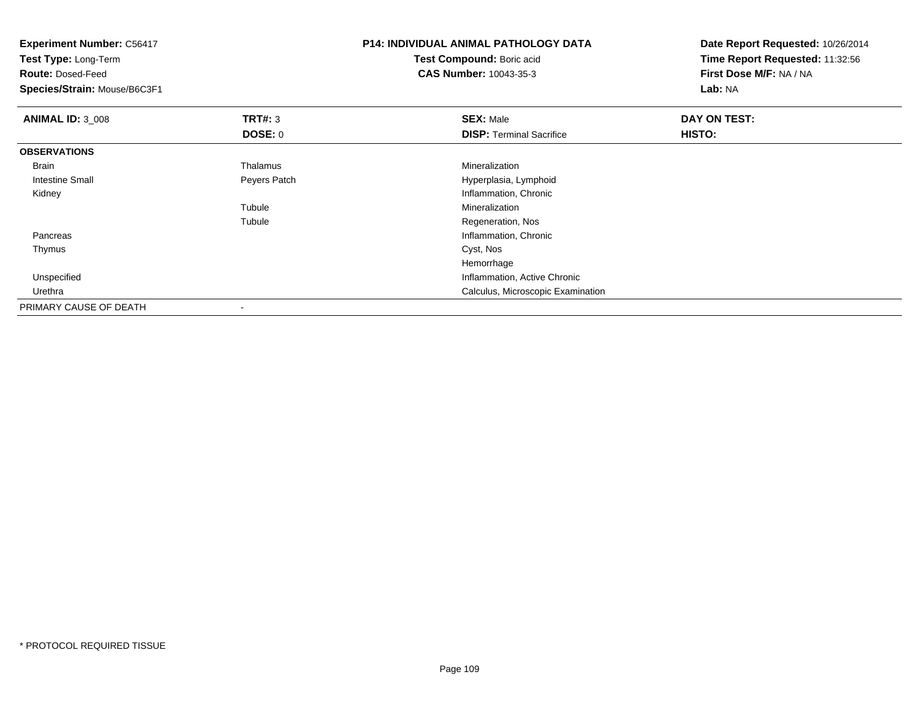| <b>Experiment Number: C56417</b><br>Test Type: Long-Term<br><b>Route: Dosed-Feed</b> |                | <b>P14: INDIVIDUAL ANIMAL PATHOLOGY DATA</b><br>Test Compound: Boric acid<br><b>CAS Number: 10043-35-3</b> | Date Report Requested: 10/26/2014<br>Time Report Requested: 11:32:56<br>First Dose M/F: NA / NA |  |
|--------------------------------------------------------------------------------------|----------------|------------------------------------------------------------------------------------------------------------|-------------------------------------------------------------------------------------------------|--|
| Species/Strain: Mouse/B6C3F1                                                         |                |                                                                                                            | Lab: NA                                                                                         |  |
| <b>ANIMAL ID: 3_008</b>                                                              | <b>TRT#: 3</b> | <b>SEX: Male</b>                                                                                           | DAY ON TEST:                                                                                    |  |
|                                                                                      | <b>DOSE: 0</b> | <b>DISP: Terminal Sacrifice</b>                                                                            | HISTO:                                                                                          |  |
| <b>OBSERVATIONS</b>                                                                  |                |                                                                                                            |                                                                                                 |  |
| Brain                                                                                | Thalamus       | Mineralization                                                                                             |                                                                                                 |  |
| <b>Intestine Small</b>                                                               | Peyers Patch   | Hyperplasia, Lymphoid                                                                                      |                                                                                                 |  |
| Kidney                                                                               |                | Inflammation, Chronic                                                                                      |                                                                                                 |  |
|                                                                                      | Tubule         | Mineralization                                                                                             |                                                                                                 |  |
|                                                                                      | Tubule         | Regeneration, Nos                                                                                          |                                                                                                 |  |
| Pancreas                                                                             |                | Inflammation, Chronic                                                                                      |                                                                                                 |  |
| Thymus                                                                               |                | Cyst, Nos                                                                                                  |                                                                                                 |  |
|                                                                                      |                | Hemorrhage                                                                                                 |                                                                                                 |  |
| Unspecified                                                                          |                | Inflammation, Active Chronic                                                                               |                                                                                                 |  |
| Urethra                                                                              |                | Calculus, Microscopic Examination                                                                          |                                                                                                 |  |
| PRIMARY CAUSE OF DEATH                                                               |                |                                                                                                            |                                                                                                 |  |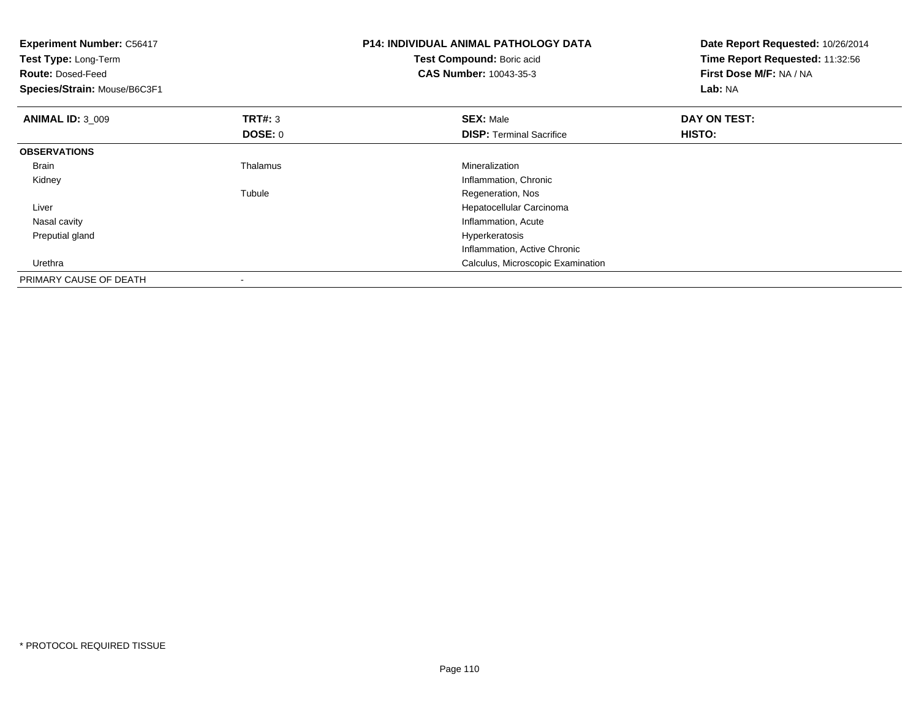| <b>Experiment Number: C56417</b><br>Test Type: Long-Term<br><b>Route: Dosed-Feed</b><br>Species/Strain: Mouse/B6C3F1 |                | <b>P14: INDIVIDUAL ANIMAL PATHOLOGY DATA</b><br>Test Compound: Boric acid<br><b>CAS Number: 10043-35-3</b> | Date Report Requested: 10/26/2014<br>Time Report Requested: 11:32:56<br>First Dose M/F: NA / NA<br>Lab: NA |
|----------------------------------------------------------------------------------------------------------------------|----------------|------------------------------------------------------------------------------------------------------------|------------------------------------------------------------------------------------------------------------|
| <b>ANIMAL ID: 3_009</b>                                                                                              | <b>TRT#: 3</b> | <b>SEX: Male</b>                                                                                           | DAY ON TEST:                                                                                               |
|                                                                                                                      | <b>DOSE: 0</b> | <b>DISP: Terminal Sacrifice</b>                                                                            | <b>HISTO:</b>                                                                                              |
| <b>OBSERVATIONS</b>                                                                                                  |                |                                                                                                            |                                                                                                            |
| <b>Brain</b>                                                                                                         | Thalamus       | Mineralization                                                                                             |                                                                                                            |
| Kidney                                                                                                               |                | Inflammation, Chronic                                                                                      |                                                                                                            |
|                                                                                                                      | Tubule         | Regeneration, Nos                                                                                          |                                                                                                            |
| Liver                                                                                                                |                | Hepatocellular Carcinoma                                                                                   |                                                                                                            |
| Nasal cavity                                                                                                         |                | Inflammation, Acute                                                                                        |                                                                                                            |
| Preputial gland                                                                                                      |                | Hyperkeratosis                                                                                             |                                                                                                            |
|                                                                                                                      |                | Inflammation, Active Chronic                                                                               |                                                                                                            |
| Urethra                                                                                                              |                | Calculus, Microscopic Examination                                                                          |                                                                                                            |
| PRIMARY CAUSE OF DEATH                                                                                               |                |                                                                                                            |                                                                                                            |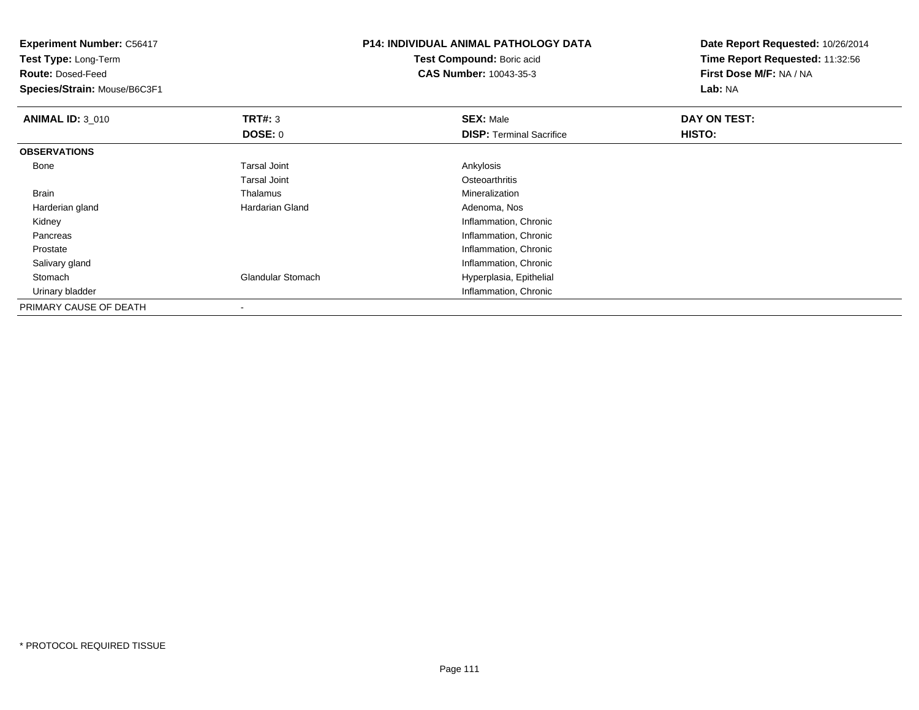| <b>Experiment Number: C56417</b><br>Test Type: Long-Term |                     | <b>P14: INDIVIDUAL ANIMAL PATHOLOGY DATA</b> | Date Report Requested: 10/26/2014 |
|----------------------------------------------------------|---------------------|----------------------------------------------|-----------------------------------|
|                                                          |                     | Test Compound: Boric acid                    | Time Report Requested: 11:32:56   |
| <b>Route: Dosed-Feed</b>                                 |                     | <b>CAS Number: 10043-35-3</b>                | First Dose M/F: NA / NA           |
| Species/Strain: Mouse/B6C3F1                             |                     |                                              | Lab: NA                           |
| <b>ANIMAL ID: 3_010</b>                                  | TRT#: 3             | <b>SEX: Male</b>                             | DAY ON TEST:                      |
|                                                          | DOSE: 0             | <b>DISP: Terminal Sacrifice</b>              | HISTO:                            |
| <b>OBSERVATIONS</b>                                      |                     |                                              |                                   |
| Bone                                                     | <b>Tarsal Joint</b> | Ankylosis                                    |                                   |
|                                                          | <b>Tarsal Joint</b> | Osteoarthritis                               |                                   |
| Brain                                                    | Thalamus            | Mineralization                               |                                   |
| Harderian gland                                          | Hardarian Gland     | Adenoma, Nos                                 |                                   |
| Kidney                                                   |                     | Inflammation, Chronic                        |                                   |
| Pancreas                                                 |                     | Inflammation, Chronic                        |                                   |
| Prostate                                                 |                     | Inflammation, Chronic                        |                                   |
| Salivary gland                                           |                     | Inflammation, Chronic                        |                                   |
| Stomach                                                  | Glandular Stomach   | Hyperplasia, Epithelial                      |                                   |
| Urinary bladder                                          |                     | Inflammation, Chronic                        |                                   |
| PRIMARY CAUSE OF DEATH                                   |                     |                                              |                                   |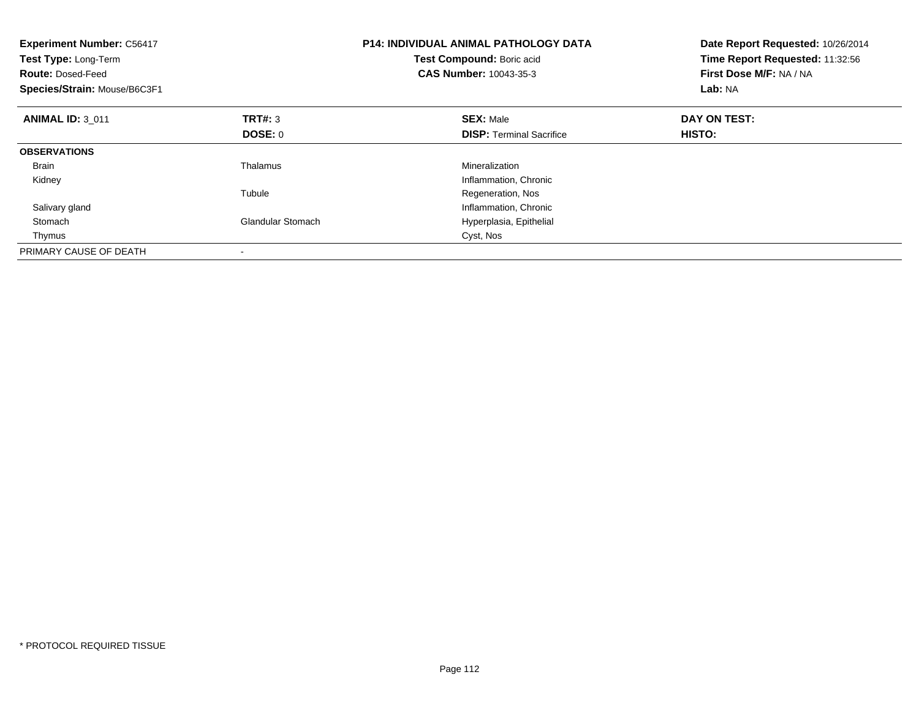| <b>Experiment Number: C56417</b><br>Test Type: Long-Term<br><b>Route: Dosed-Feed</b><br>Species/Strain: Mouse/B6C3F1 |                          | <b>P14: INDIVIDUAL ANIMAL PATHOLOGY DATA</b><br>Test Compound: Boric acid<br><b>CAS Number: 10043-35-3</b> | Date Report Requested: 10/26/2014<br>Time Report Requested: 11:32:56<br>First Dose M/F: NA / NA<br>Lab: NA |
|----------------------------------------------------------------------------------------------------------------------|--------------------------|------------------------------------------------------------------------------------------------------------|------------------------------------------------------------------------------------------------------------|
| <b>ANIMAL ID: 3 011</b>                                                                                              | <b>TRT#: 3</b>           | <b>SEX: Male</b>                                                                                           | DAY ON TEST:                                                                                               |
|                                                                                                                      | DOSE: 0                  | <b>DISP:</b> Terminal Sacrifice                                                                            | HISTO:                                                                                                     |
| <b>OBSERVATIONS</b>                                                                                                  |                          |                                                                                                            |                                                                                                            |
| <b>Brain</b>                                                                                                         | Thalamus                 | Mineralization                                                                                             |                                                                                                            |
| Kidney                                                                                                               |                          | Inflammation, Chronic                                                                                      |                                                                                                            |
|                                                                                                                      | Tubule                   | Regeneration, Nos                                                                                          |                                                                                                            |
| Salivary gland                                                                                                       |                          | Inflammation, Chronic                                                                                      |                                                                                                            |
| Stomach                                                                                                              | <b>Glandular Stomach</b> | Hyperplasia, Epithelial                                                                                    |                                                                                                            |
| Thymus                                                                                                               |                          | Cyst, Nos                                                                                                  |                                                                                                            |
| PRIMARY CAUSE OF DEATH                                                                                               |                          |                                                                                                            |                                                                                                            |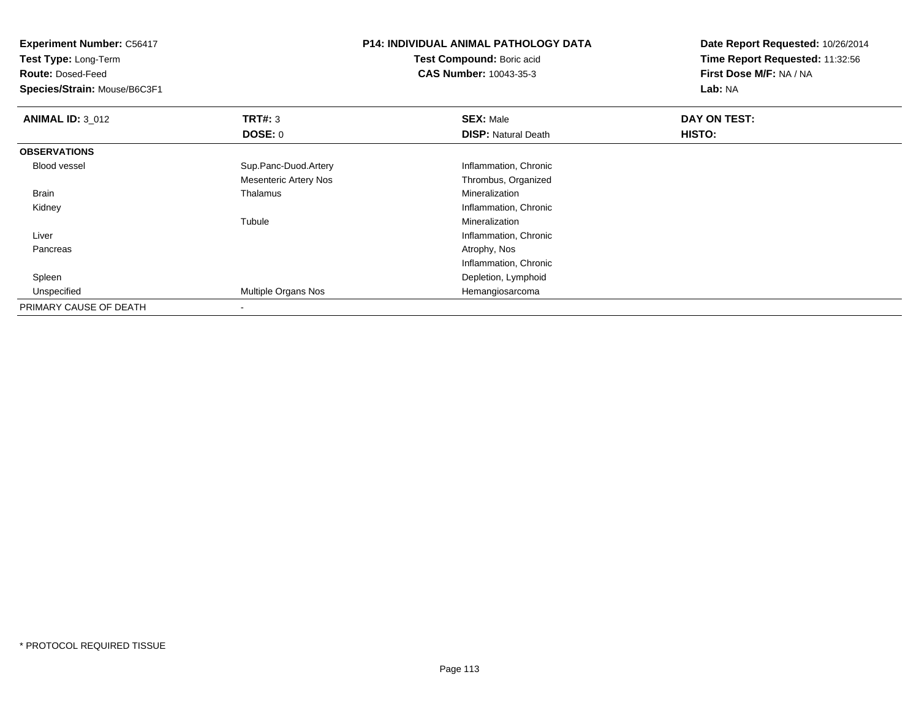| <b>Experiment Number: C56417</b><br>Test Type: Long-Term |                       | <b>P14: INDIVIDUAL ANIMAL PATHOLOGY DATA</b> | Date Report Requested: 10/26/2014<br>Time Report Requested: 11:32:56 |
|----------------------------------------------------------|-----------------------|----------------------------------------------|----------------------------------------------------------------------|
|                                                          |                       | Test Compound: Boric acid                    |                                                                      |
| <b>Route: Dosed-Feed</b>                                 |                       | <b>CAS Number: 10043-35-3</b>                | First Dose M/F: NA / NA                                              |
| Species/Strain: Mouse/B6C3F1                             |                       |                                              | Lab: NA                                                              |
| <b>ANIMAL ID: 3_012</b>                                  | <b>TRT#: 3</b>        | <b>SEX: Male</b>                             | DAY ON TEST:                                                         |
|                                                          | DOSE: 0               | <b>DISP:</b> Natural Death                   | HISTO:                                                               |
| <b>OBSERVATIONS</b>                                      |                       |                                              |                                                                      |
| <b>Blood vessel</b>                                      | Sup.Panc-Duod.Artery  | Inflammation, Chronic                        |                                                                      |
|                                                          | Mesenteric Artery Nos | Thrombus, Organized                          |                                                                      |
| Brain                                                    | Thalamus              | Mineralization                               |                                                                      |
| Kidney                                                   |                       | Inflammation, Chronic                        |                                                                      |
|                                                          | Tubule                | Mineralization                               |                                                                      |
| Liver                                                    |                       | Inflammation, Chronic                        |                                                                      |
| Pancreas                                                 |                       | Atrophy, Nos                                 |                                                                      |
|                                                          |                       | Inflammation, Chronic                        |                                                                      |
| Spleen                                                   |                       | Depletion, Lymphoid                          |                                                                      |
| Unspecified                                              | Multiple Organs Nos   | Hemangiosarcoma                              |                                                                      |
| PRIMARY CAUSE OF DEATH                                   |                       |                                              |                                                                      |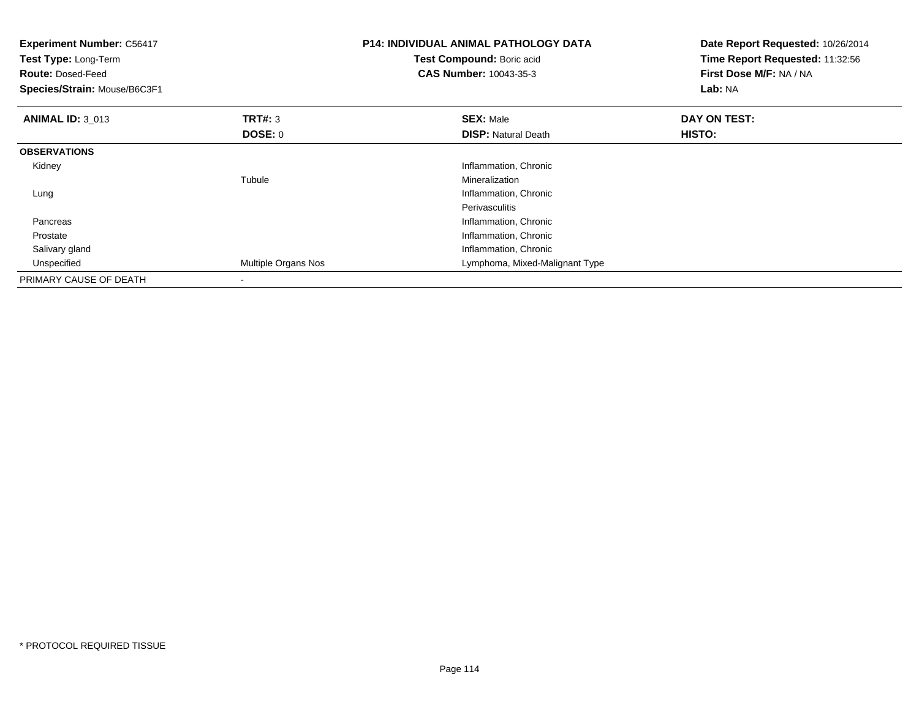| <b>Experiment Number: C56417</b><br>Test Type: Long-Term<br><b>Route: Dosed-Feed</b><br>Species/Strain: Mouse/B6C3F1 |                     | <b>P14: INDIVIDUAL ANIMAL PATHOLOGY DATA</b><br>Test Compound: Boric acid<br><b>CAS Number: 10043-35-3</b> | Date Report Requested: 10/26/2014<br>Time Report Requested: 11:32:56<br>First Dose M/F: NA / NA<br>Lab: NA |
|----------------------------------------------------------------------------------------------------------------------|---------------------|------------------------------------------------------------------------------------------------------------|------------------------------------------------------------------------------------------------------------|
| <b>ANIMAL ID: 3_013</b>                                                                                              | TRT#: 3             | <b>SEX: Male</b>                                                                                           | DAY ON TEST:                                                                                               |
|                                                                                                                      | DOSE: 0             | <b>DISP:</b> Natural Death                                                                                 | HISTO:                                                                                                     |
| <b>OBSERVATIONS</b>                                                                                                  |                     |                                                                                                            |                                                                                                            |
| Kidney                                                                                                               |                     | Inflammation, Chronic                                                                                      |                                                                                                            |
|                                                                                                                      | Tubule              | Mineralization                                                                                             |                                                                                                            |
| Lung                                                                                                                 |                     | Inflammation, Chronic                                                                                      |                                                                                                            |
|                                                                                                                      |                     | Perivasculitis                                                                                             |                                                                                                            |
| Pancreas                                                                                                             |                     | Inflammation, Chronic                                                                                      |                                                                                                            |
| Prostate                                                                                                             |                     | Inflammation, Chronic                                                                                      |                                                                                                            |
| Salivary gland                                                                                                       |                     | Inflammation, Chronic                                                                                      |                                                                                                            |
| Unspecified                                                                                                          | Multiple Organs Nos | Lymphoma, Mixed-Malignant Type                                                                             |                                                                                                            |
| PRIMARY CAUSE OF DEATH                                                                                               |                     |                                                                                                            |                                                                                                            |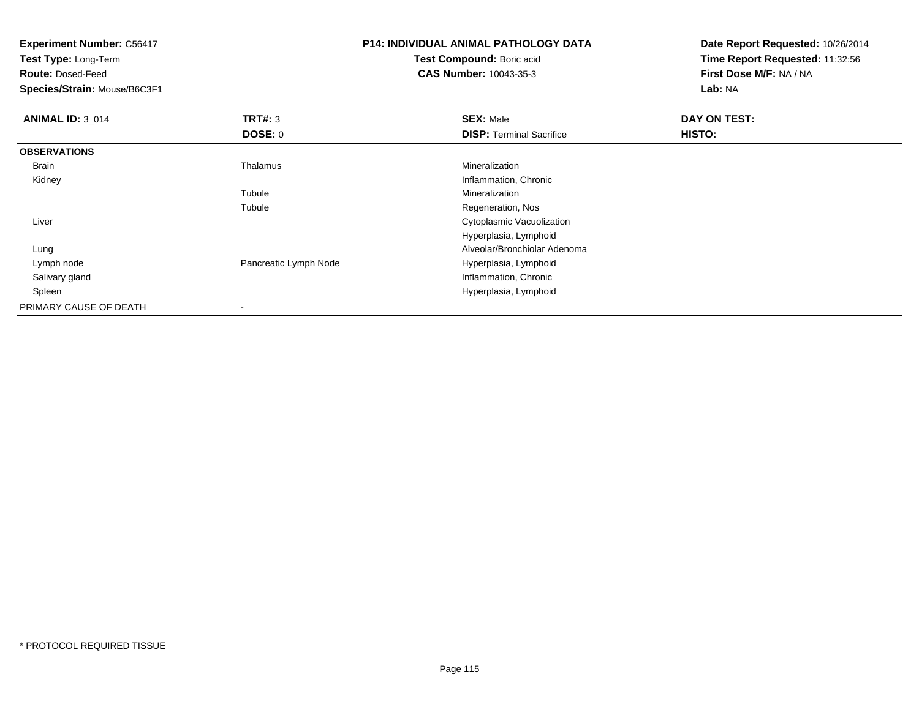| <b>Experiment Number: C56417</b><br><b>Test Type: Long-Term</b> |                       | <b>P14: INDIVIDUAL ANIMAL PATHOLOGY DATA</b> | Date Report Requested: 10/26/2014<br>Time Report Requested: 11:32:56 |
|-----------------------------------------------------------------|-----------------------|----------------------------------------------|----------------------------------------------------------------------|
|                                                                 |                       | Test Compound: Boric acid                    |                                                                      |
| <b>Route: Dosed-Feed</b>                                        |                       | <b>CAS Number: 10043-35-3</b>                | First Dose M/F: NA / NA                                              |
| Species/Strain: Mouse/B6C3F1                                    |                       |                                              | Lab: NA                                                              |
| <b>ANIMAL ID: 3_014</b>                                         | <b>TRT#: 3</b>        | <b>SEX: Male</b>                             | DAY ON TEST:                                                         |
|                                                                 | DOSE: 0               | <b>DISP: Terminal Sacrifice</b>              | HISTO:                                                               |
| <b>OBSERVATIONS</b>                                             |                       |                                              |                                                                      |
| Brain                                                           | Thalamus              | Mineralization                               |                                                                      |
| Kidney                                                          |                       | Inflammation, Chronic                        |                                                                      |
|                                                                 | Tubule                | Mineralization                               |                                                                      |
|                                                                 | Tubule                | Regeneration, Nos                            |                                                                      |
| Liver                                                           |                       | Cytoplasmic Vacuolization                    |                                                                      |
|                                                                 |                       | Hyperplasia, Lymphoid                        |                                                                      |
| Lung                                                            |                       | Alveolar/Bronchiolar Adenoma                 |                                                                      |
| Lymph node                                                      | Pancreatic Lymph Node | Hyperplasia, Lymphoid                        |                                                                      |
| Salivary gland                                                  |                       | Inflammation, Chronic                        |                                                                      |
| Spleen                                                          |                       | Hyperplasia, Lymphoid                        |                                                                      |
| PRIMARY CAUSE OF DEATH                                          |                       |                                              |                                                                      |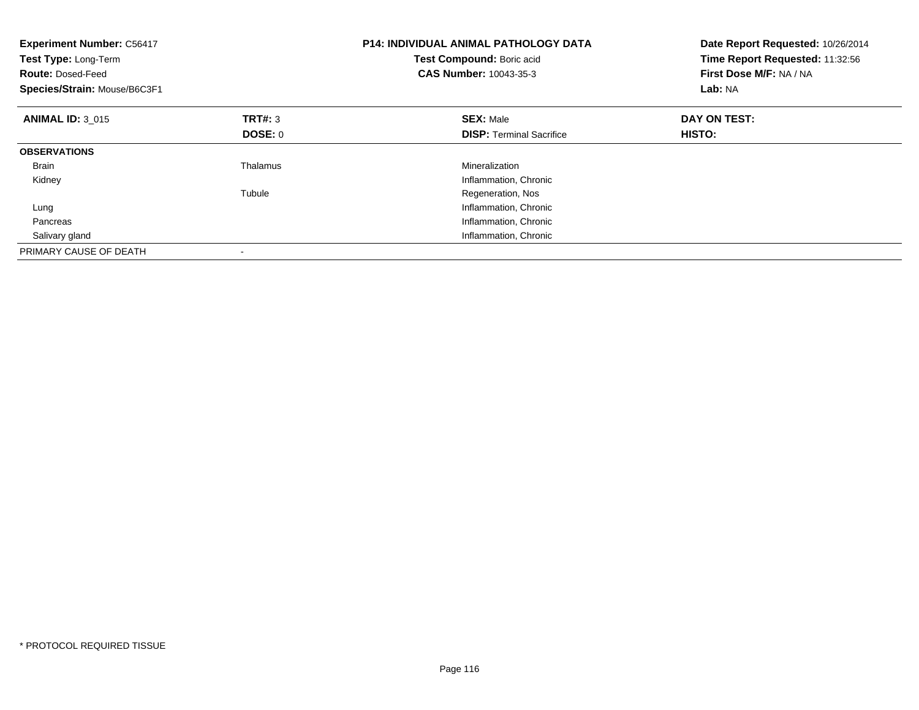| <b>Experiment Number: C56417</b><br>Test Type: Long-Term<br><b>Route: Dosed-Feed</b><br>Species/Strain: Mouse/B6C3F1 |                | <b>P14: INDIVIDUAL ANIMAL PATHOLOGY DATA</b><br>Test Compound: Boric acid<br><b>CAS Number: 10043-35-3</b> | Date Report Requested: 10/26/2014<br>Time Report Requested: 11:32:56<br>First Dose M/F: NA / NA<br>Lab: NA |
|----------------------------------------------------------------------------------------------------------------------|----------------|------------------------------------------------------------------------------------------------------------|------------------------------------------------------------------------------------------------------------|
| <b>ANIMAL ID: 3 015</b>                                                                                              | <b>TRT#:</b> 3 | <b>SEX: Male</b>                                                                                           | DAY ON TEST:                                                                                               |
|                                                                                                                      | DOSE: 0        | <b>DISP:</b> Terminal Sacrifice                                                                            | HISTO:                                                                                                     |
| <b>OBSERVATIONS</b>                                                                                                  |                |                                                                                                            |                                                                                                            |
| <b>Brain</b>                                                                                                         | Thalamus       | Mineralization                                                                                             |                                                                                                            |
| Kidney                                                                                                               |                | Inflammation, Chronic                                                                                      |                                                                                                            |
|                                                                                                                      | Tubule         | Regeneration, Nos                                                                                          |                                                                                                            |
| Lung                                                                                                                 |                | Inflammation, Chronic                                                                                      |                                                                                                            |
| Pancreas                                                                                                             |                | Inflammation, Chronic                                                                                      |                                                                                                            |
| Salivary gland                                                                                                       |                | Inflammation, Chronic                                                                                      |                                                                                                            |
| PRIMARY CAUSE OF DEATH                                                                                               |                |                                                                                                            |                                                                                                            |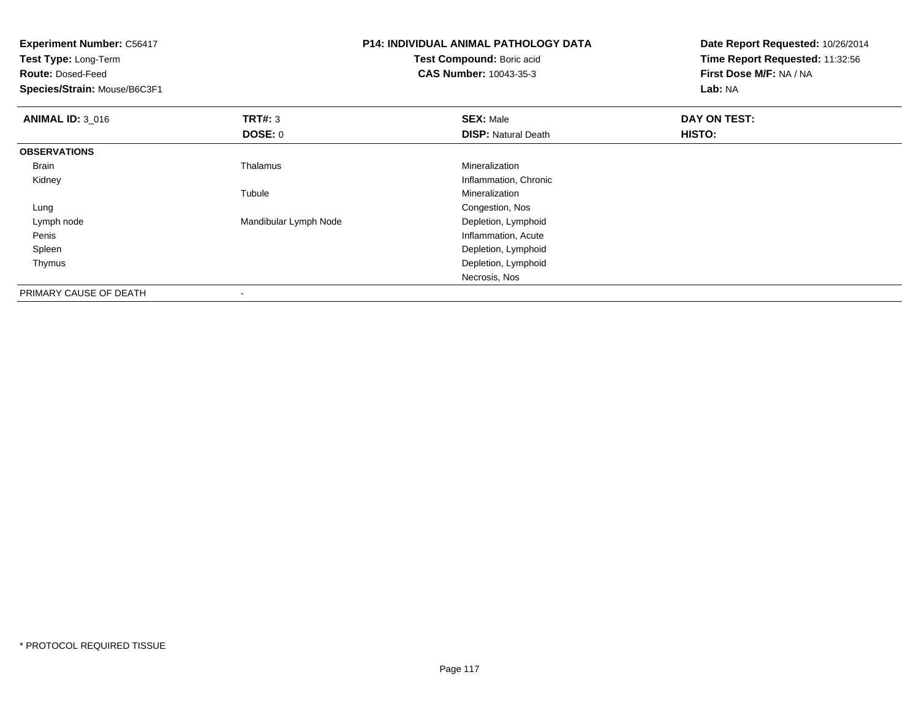| <b>Experiment Number: C56417</b><br>Test Type: Long-Term<br><b>Route: Dosed-Feed</b><br>Species/Strain: Mouse/B6C3F1 |                       | <b>P14: INDIVIDUAL ANIMAL PATHOLOGY DATA</b><br>Test Compound: Boric acid<br><b>CAS Number: 10043-35-3</b> | Date Report Requested: 10/26/2014<br>Time Report Requested: 11:32:56<br>First Dose M/F: NA / NA<br>Lab: NA |
|----------------------------------------------------------------------------------------------------------------------|-----------------------|------------------------------------------------------------------------------------------------------------|------------------------------------------------------------------------------------------------------------|
| <b>ANIMAL ID: 3_016</b>                                                                                              | <b>TRT#: 3</b>        | <b>SEX: Male</b>                                                                                           | DAY ON TEST:                                                                                               |
|                                                                                                                      | DOSE: 0               | <b>DISP: Natural Death</b>                                                                                 | HISTO:                                                                                                     |
| <b>OBSERVATIONS</b>                                                                                                  |                       |                                                                                                            |                                                                                                            |
| Brain                                                                                                                | Thalamus              | Mineralization                                                                                             |                                                                                                            |
| Kidney                                                                                                               |                       | Inflammation, Chronic                                                                                      |                                                                                                            |
|                                                                                                                      | Tubule                | Mineralization                                                                                             |                                                                                                            |
| Lung                                                                                                                 |                       | Congestion, Nos                                                                                            |                                                                                                            |
| Lymph node                                                                                                           | Mandibular Lymph Node | Depletion, Lymphoid                                                                                        |                                                                                                            |
| Penis                                                                                                                |                       | Inflammation, Acute                                                                                        |                                                                                                            |
| Spleen                                                                                                               |                       | Depletion, Lymphoid                                                                                        |                                                                                                            |
| Thymus                                                                                                               |                       | Depletion, Lymphoid                                                                                        |                                                                                                            |
|                                                                                                                      |                       | Necrosis, Nos                                                                                              |                                                                                                            |
| PRIMARY CAUSE OF DEATH                                                                                               |                       |                                                                                                            |                                                                                                            |

-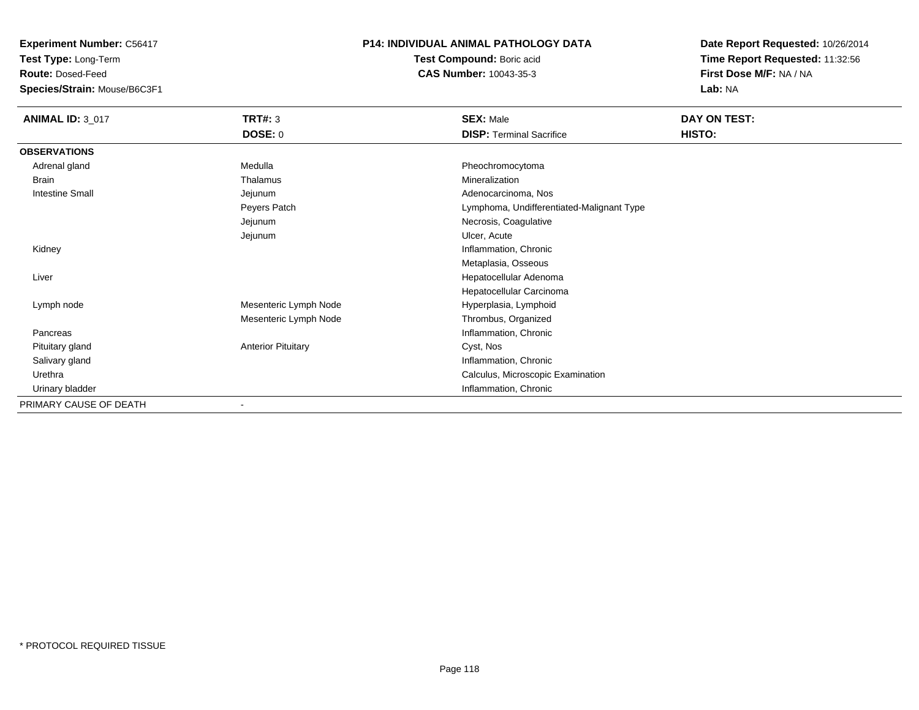**Test Type:** Long-Term

**Route:** Dosed-Feed

**Species/Strain:** Mouse/B6C3F1

# **P14: INDIVIDUAL ANIMAL PATHOLOGY DATA**

**Test Compound:** Boric acid**CAS Number:** 10043-35-3

| <b>ANIMAL ID: 3_017</b> | TRT#: 3                   | <b>SEX: Male</b>                          | DAY ON TEST: |
|-------------------------|---------------------------|-------------------------------------------|--------------|
|                         | <b>DOSE: 0</b>            | <b>DISP: Terminal Sacrifice</b>           | HISTO:       |
| <b>OBSERVATIONS</b>     |                           |                                           |              |
| Adrenal gland           | Medulla                   | Pheochromocytoma                          |              |
| Brain                   | Thalamus                  | Mineralization                            |              |
| <b>Intestine Small</b>  | Jejunum                   | Adenocarcinoma, Nos                       |              |
|                         | Peyers Patch              | Lymphoma, Undifferentiated-Malignant Type |              |
|                         | Jejunum                   | Necrosis, Coagulative                     |              |
|                         | Jejunum                   | Ulcer, Acute                              |              |
| Kidney                  |                           | Inflammation, Chronic                     |              |
|                         |                           | Metaplasia, Osseous                       |              |
| Liver                   |                           | Hepatocellular Adenoma                    |              |
|                         |                           | Hepatocellular Carcinoma                  |              |
| Lymph node              | Mesenteric Lymph Node     | Hyperplasia, Lymphoid                     |              |
|                         | Mesenteric Lymph Node     | Thrombus, Organized                       |              |
| Pancreas                |                           | Inflammation, Chronic                     |              |
| Pituitary gland         | <b>Anterior Pituitary</b> | Cyst, Nos                                 |              |
| Salivary gland          |                           | Inflammation, Chronic                     |              |
| Urethra                 |                           | Calculus, Microscopic Examination         |              |
| Urinary bladder         |                           | Inflammation, Chronic                     |              |
| PRIMARY CAUSE OF DEATH  |                           |                                           |              |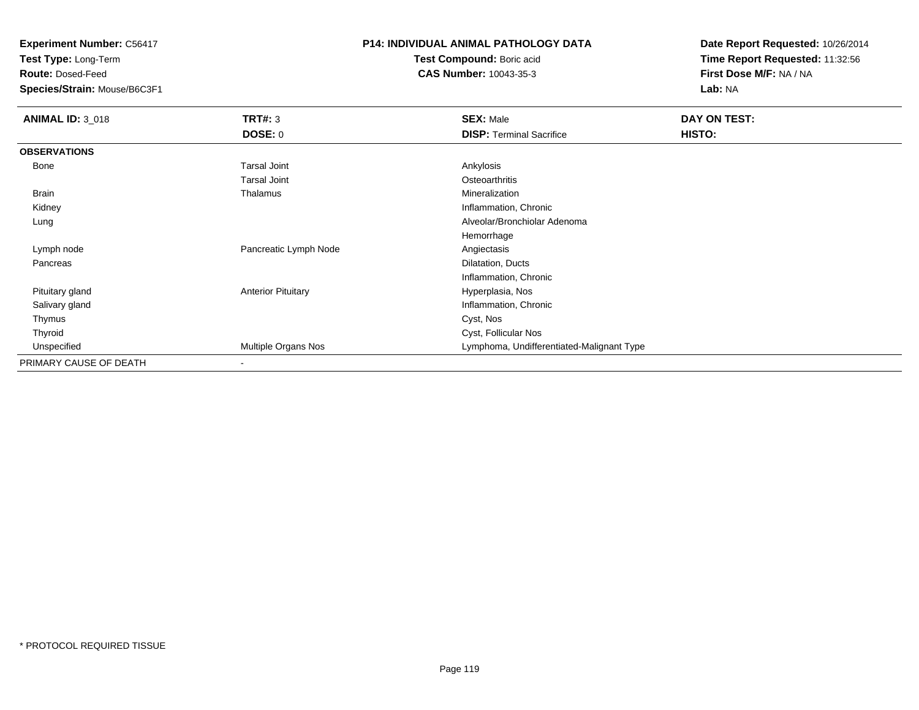**Test Type:** Long-Term

**Route:** Dosed-Feed

**Species/Strain:** Mouse/B6C3F1

# **P14: INDIVIDUAL ANIMAL PATHOLOGY DATA**

**Test Compound:** Boric acid**CAS Number:** 10043-35-3

| <b>ANIMAL ID: 3_018</b> | <b>TRT#: 3</b>            | <b>SEX: Male</b>                          | DAY ON TEST: |
|-------------------------|---------------------------|-------------------------------------------|--------------|
|                         | <b>DOSE: 0</b>            | <b>DISP: Terminal Sacrifice</b>           | HISTO:       |
| <b>OBSERVATIONS</b>     |                           |                                           |              |
| Bone                    | <b>Tarsal Joint</b>       | Ankylosis                                 |              |
|                         | <b>Tarsal Joint</b>       | Osteoarthritis                            |              |
| Brain                   | Thalamus                  | Mineralization                            |              |
| Kidney                  |                           | Inflammation, Chronic                     |              |
| Lung                    |                           | Alveolar/Bronchiolar Adenoma              |              |
|                         |                           | Hemorrhage                                |              |
| Lymph node              | Pancreatic Lymph Node     | Angiectasis                               |              |
| Pancreas                |                           | Dilatation, Ducts                         |              |
|                         |                           | Inflammation, Chronic                     |              |
| Pituitary gland         | <b>Anterior Pituitary</b> | Hyperplasia, Nos                          |              |
| Salivary gland          |                           | Inflammation, Chronic                     |              |
| Thymus                  |                           | Cyst, Nos                                 |              |
| Thyroid                 |                           | Cyst, Follicular Nos                      |              |
| Unspecified             | Multiple Organs Nos       | Lymphoma, Undifferentiated-Malignant Type |              |
| PRIMARY CAUSE OF DEATH  | $\,$ – $\,$               |                                           |              |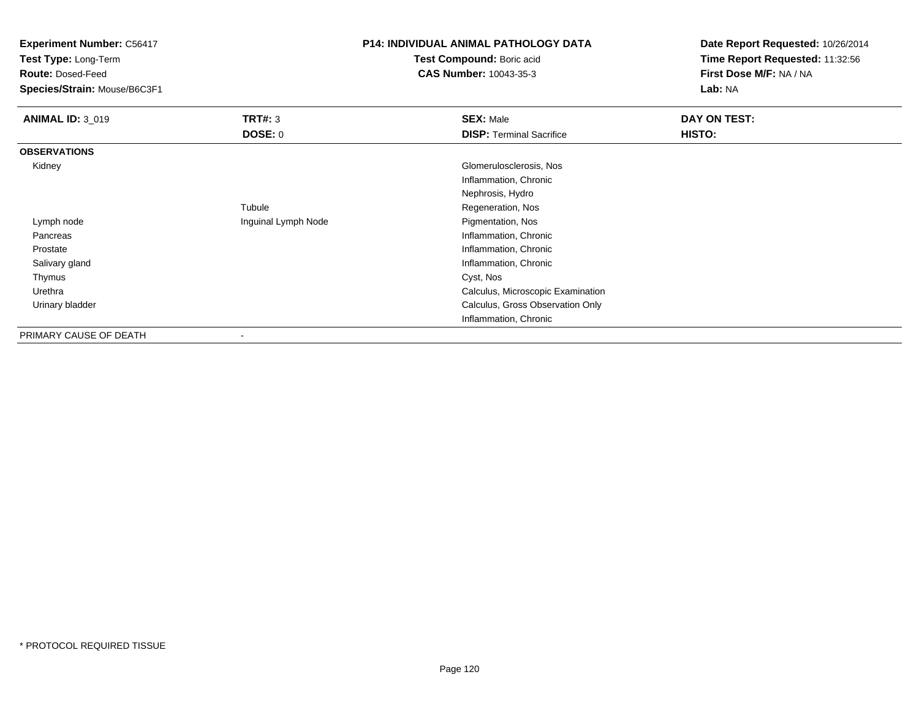| <b>Experiment Number: C56417</b><br>Test Type: Long-Term |                     | <b>P14: INDIVIDUAL ANIMAL PATHOLOGY DATA</b> | Date Report Requested: 10/26/2014 |
|----------------------------------------------------------|---------------------|----------------------------------------------|-----------------------------------|
|                                                          |                     | Test Compound: Boric acid                    | Time Report Requested: 11:32:56   |
| <b>Route: Dosed-Feed</b>                                 |                     | <b>CAS Number: 10043-35-3</b>                | First Dose M/F: NA / NA           |
| Species/Strain: Mouse/B6C3F1                             |                     |                                              | Lab: NA                           |
| <b>ANIMAL ID: 3_019</b>                                  | <b>TRT#: 3</b>      | <b>SEX: Male</b>                             | DAY ON TEST:                      |
|                                                          | <b>DOSE: 0</b>      | <b>DISP: Terminal Sacrifice</b>              | HISTO:                            |
| <b>OBSERVATIONS</b>                                      |                     |                                              |                                   |
| Kidney                                                   |                     | Glomerulosclerosis, Nos                      |                                   |
|                                                          |                     | Inflammation, Chronic                        |                                   |
|                                                          |                     | Nephrosis, Hydro                             |                                   |
|                                                          | Tubule              | Regeneration, Nos                            |                                   |
| Lymph node                                               | Inguinal Lymph Node | Pigmentation, Nos                            |                                   |
| Pancreas                                                 |                     | Inflammation, Chronic                        |                                   |
| Prostate                                                 |                     | Inflammation, Chronic                        |                                   |
| Salivary gland                                           |                     | Inflammation, Chronic                        |                                   |
| Thymus                                                   |                     | Cyst, Nos                                    |                                   |
| Urethra                                                  |                     | Calculus, Microscopic Examination            |                                   |
| Urinary bladder                                          |                     | Calculus, Gross Observation Only             |                                   |
|                                                          |                     | Inflammation, Chronic                        |                                   |
| PRIMARY CAUSE OF DEATH                                   |                     |                                              |                                   |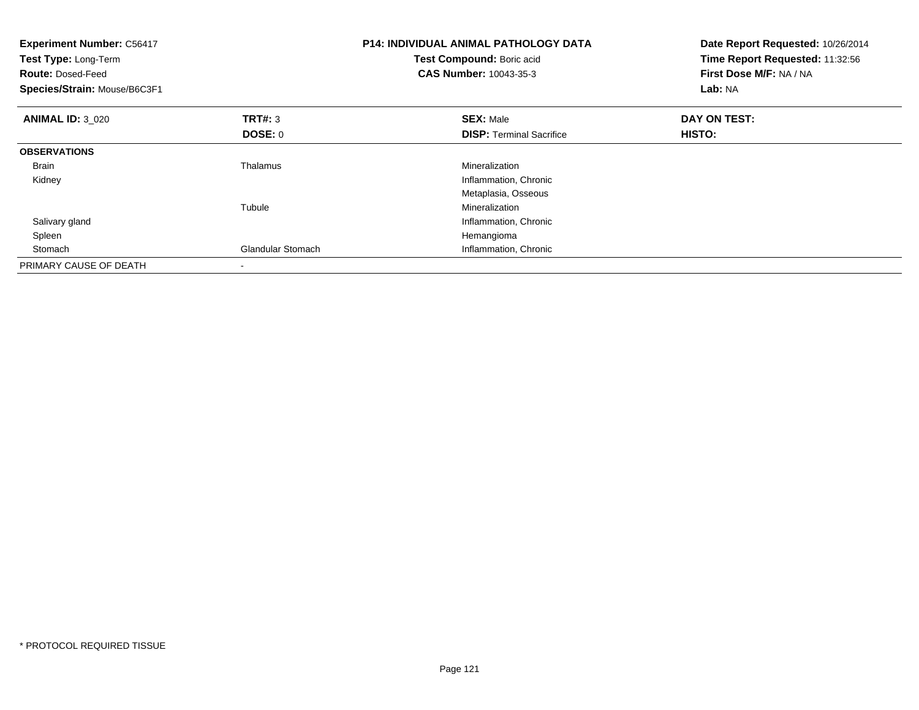| <b>Experiment Number: C56417</b><br>Test Type: Long-Term<br><b>Route: Dosed-Feed</b><br>Species/Strain: Mouse/B6C3F1 |                          | <b>P14: INDIVIDUAL ANIMAL PATHOLOGY DATA</b><br>Test Compound: Boric acid<br><b>CAS Number: 10043-35-3</b> | Date Report Requested: 10/26/2014<br>Time Report Requested: 11:32:56<br>First Dose M/F: NA / NA<br>Lab: NA |
|----------------------------------------------------------------------------------------------------------------------|--------------------------|------------------------------------------------------------------------------------------------------------|------------------------------------------------------------------------------------------------------------|
| <b>ANIMAL ID: 3_020</b>                                                                                              | <b>TRT#: 3</b>           | <b>SEX: Male</b>                                                                                           | DAY ON TEST:                                                                                               |
|                                                                                                                      | <b>DOSE: 0</b>           | <b>DISP:</b> Terminal Sacrifice                                                                            | HISTO:                                                                                                     |
| <b>OBSERVATIONS</b>                                                                                                  |                          |                                                                                                            |                                                                                                            |
| <b>Brain</b>                                                                                                         | Thalamus                 | Mineralization                                                                                             |                                                                                                            |
| Kidney                                                                                                               |                          | Inflammation, Chronic                                                                                      |                                                                                                            |
|                                                                                                                      |                          | Metaplasia, Osseous                                                                                        |                                                                                                            |
|                                                                                                                      | Tubule                   | Mineralization                                                                                             |                                                                                                            |
| Salivary gland                                                                                                       |                          | Inflammation, Chronic                                                                                      |                                                                                                            |
| Spleen                                                                                                               |                          | Hemangioma                                                                                                 |                                                                                                            |
| Stomach                                                                                                              | <b>Glandular Stomach</b> | Inflammation, Chronic                                                                                      |                                                                                                            |
| PRIMARY CAUSE OF DEATH                                                                                               |                          |                                                                                                            |                                                                                                            |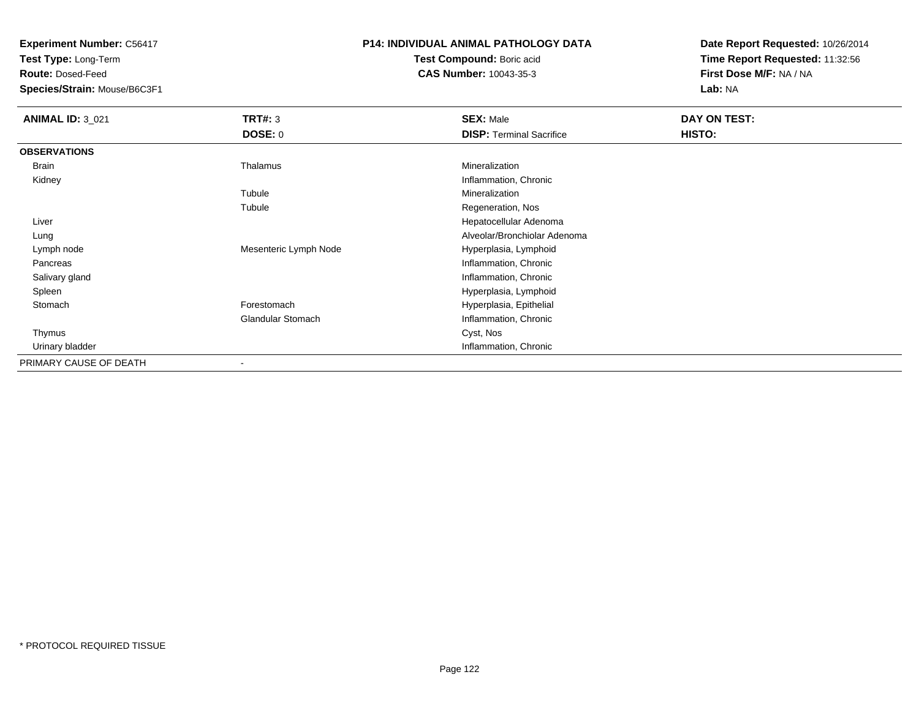**Test Type:** Long-Term

**Route:** Dosed-Feed

**Species/Strain:** Mouse/B6C3F1

## **P14: INDIVIDUAL ANIMAL PATHOLOGY DATA**

**Test Compound:** Boric acid**CAS Number:** 10043-35-3

| <b>ANIMAL ID: 3_021</b> | TRT#: 3                  | <b>SEX: Male</b>                | DAY ON TEST: |
|-------------------------|--------------------------|---------------------------------|--------------|
|                         | DOSE: 0                  | <b>DISP: Terminal Sacrifice</b> | HISTO:       |
| <b>OBSERVATIONS</b>     |                          |                                 |              |
| Brain                   | Thalamus                 | Mineralization                  |              |
| Kidney                  |                          | Inflammation, Chronic           |              |
|                         | Tubule                   | Mineralization                  |              |
|                         | Tubule                   | Regeneration, Nos               |              |
| Liver                   |                          | Hepatocellular Adenoma          |              |
| Lung                    |                          | Alveolar/Bronchiolar Adenoma    |              |
| Lymph node              | Mesenteric Lymph Node    | Hyperplasia, Lymphoid           |              |
| Pancreas                |                          | Inflammation, Chronic           |              |
| Salivary gland          |                          | Inflammation, Chronic           |              |
| Spleen                  |                          | Hyperplasia, Lymphoid           |              |
| Stomach                 | Forestomach              | Hyperplasia, Epithelial         |              |
|                         | <b>Glandular Stomach</b> | Inflammation, Chronic           |              |
| Thymus                  |                          | Cyst, Nos                       |              |
| Urinary bladder         |                          | Inflammation, Chronic           |              |
| PRIMARY CAUSE OF DEATH  | $\blacksquare$           |                                 |              |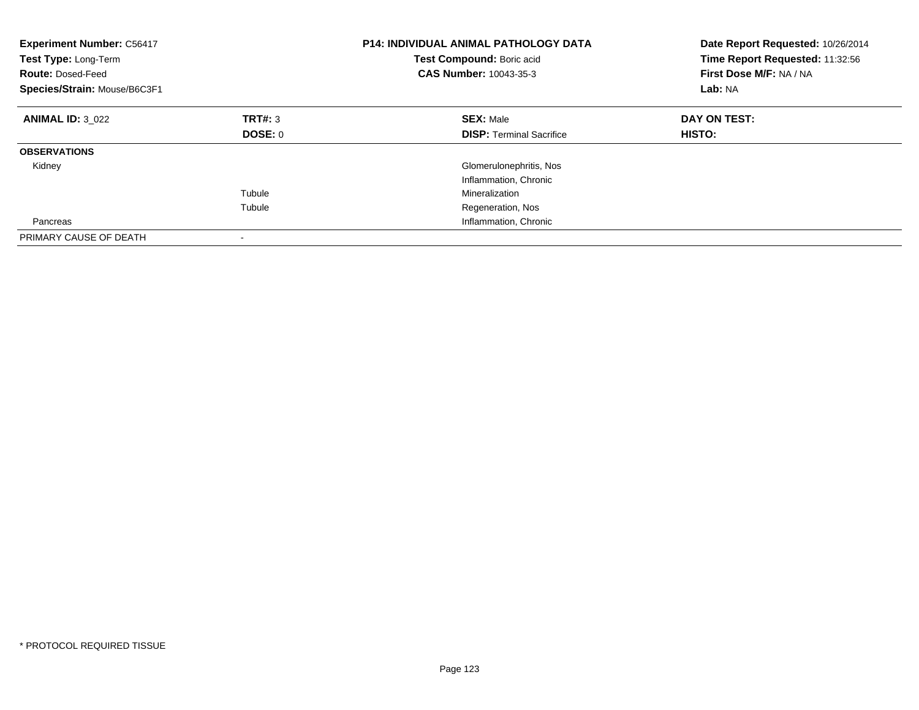| <b>Experiment Number: C56417</b><br>Test Type: Long-Term<br><b>Route: Dosed-Feed</b><br>Species/Strain: Mouse/B6C3F1 |                | <b>P14: INDIVIDUAL ANIMAL PATHOLOGY DATA</b><br>Test Compound: Boric acid<br>CAS Number: 10043-35-3 | Date Report Requested: 10/26/2014<br>Time Report Requested: 11:32:56<br>First Dose M/F: NA / NA<br>Lab: NA |
|----------------------------------------------------------------------------------------------------------------------|----------------|-----------------------------------------------------------------------------------------------------|------------------------------------------------------------------------------------------------------------|
| <b>ANIMAL ID: 3 022</b>                                                                                              | TRT#: 3        | <b>SEX: Male</b>                                                                                    | DAY ON TEST:                                                                                               |
|                                                                                                                      | <b>DOSE: 0</b> | <b>DISP:</b> Terminal Sacrifice                                                                     | HISTO:                                                                                                     |
| <b>OBSERVATIONS</b>                                                                                                  |                |                                                                                                     |                                                                                                            |
| Kidney                                                                                                               |                | Glomerulonephritis, Nos                                                                             |                                                                                                            |
|                                                                                                                      |                | Inflammation, Chronic                                                                               |                                                                                                            |
|                                                                                                                      | Tubule         | Mineralization                                                                                      |                                                                                                            |
|                                                                                                                      | Tubule         | Regeneration, Nos                                                                                   |                                                                                                            |
| Pancreas                                                                                                             |                | Inflammation, Chronic                                                                               |                                                                                                            |
| PRIMARY CAUSE OF DEATH                                                                                               |                |                                                                                                     |                                                                                                            |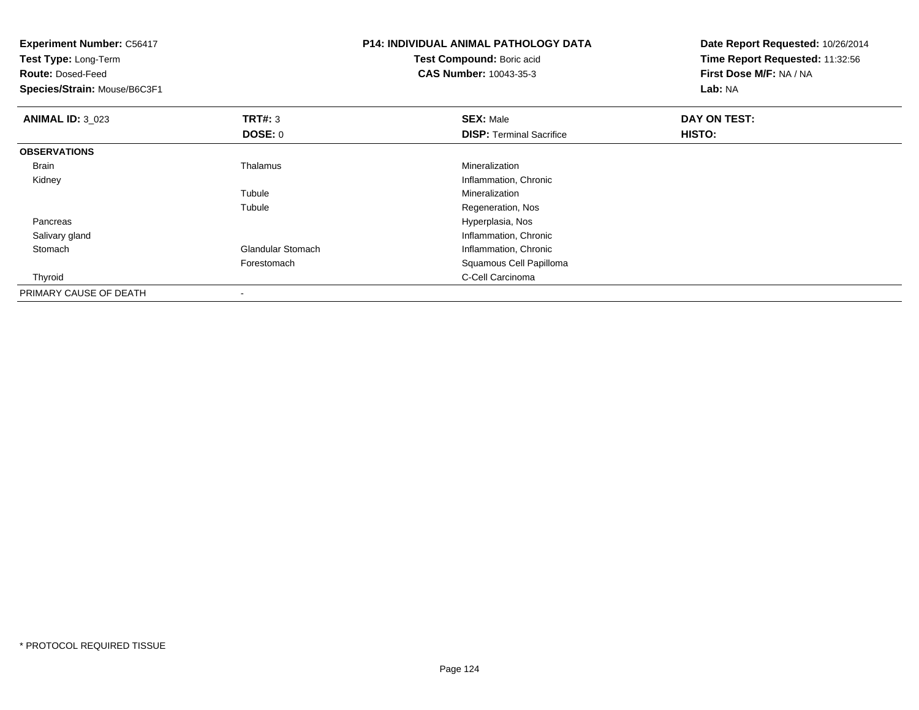| <b>Experiment Number: C56417</b><br>Test Type: Long-Term<br><b>Route: Dosed-Feed</b><br>Species/Strain: Mouse/B6C3F1 |                          | P14: INDIVIDUAL ANIMAL PATHOLOGY DATA<br>Test Compound: Boric acid<br><b>CAS Number: 10043-35-3</b> | Date Report Requested: 10/26/2014<br>Time Report Requested: 11:32:56<br>First Dose M/F: NA / NA<br><b>Lab: NA</b> |
|----------------------------------------------------------------------------------------------------------------------|--------------------------|-----------------------------------------------------------------------------------------------------|-------------------------------------------------------------------------------------------------------------------|
| <b>ANIMAL ID: 3_023</b>                                                                                              | TRT#: 3                  | <b>SEX: Male</b>                                                                                    | DAY ON TEST:                                                                                                      |
|                                                                                                                      | DOSE: 0                  | <b>DISP: Terminal Sacrifice</b>                                                                     | <b>HISTO:</b>                                                                                                     |
| <b>OBSERVATIONS</b>                                                                                                  |                          |                                                                                                     |                                                                                                                   |
| Brain                                                                                                                | Thalamus                 | Mineralization                                                                                      |                                                                                                                   |
| Kidney                                                                                                               |                          | Inflammation, Chronic                                                                               |                                                                                                                   |
|                                                                                                                      | Tubule                   | Mineralization                                                                                      |                                                                                                                   |
|                                                                                                                      | Tubule                   | Regeneration, Nos                                                                                   |                                                                                                                   |
| Pancreas                                                                                                             |                          | Hyperplasia, Nos                                                                                    |                                                                                                                   |
| Salivary gland                                                                                                       |                          | Inflammation, Chronic                                                                               |                                                                                                                   |
| Stomach                                                                                                              | <b>Glandular Stomach</b> | Inflammation, Chronic                                                                               |                                                                                                                   |
|                                                                                                                      | Forestomach              | Squamous Cell Papilloma                                                                             |                                                                                                                   |
| Thyroid                                                                                                              |                          | C-Cell Carcinoma                                                                                    |                                                                                                                   |
| PRIMARY CAUSE OF DEATH                                                                                               |                          |                                                                                                     |                                                                                                                   |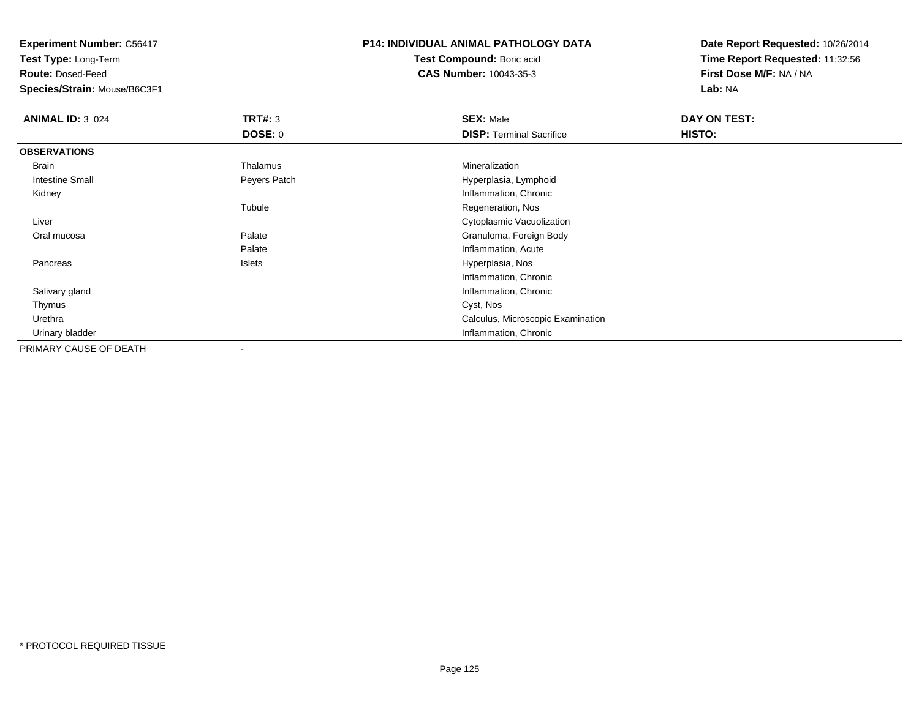**Test Type:** Long-Term

**Route:** Dosed-Feed

**Species/Strain:** Mouse/B6C3F1

### **P14: INDIVIDUAL ANIMAL PATHOLOGY DATA**

**Test Compound:** Boric acid**CAS Number:** 10043-35-3

| <b>ANIMAL ID: 3_024</b> | TRT#: 3        | <b>SEX: Male</b>                  | DAY ON TEST: |  |
|-------------------------|----------------|-----------------------------------|--------------|--|
|                         | <b>DOSE: 0</b> | <b>DISP: Terminal Sacrifice</b>   | HISTO:       |  |
| <b>OBSERVATIONS</b>     |                |                                   |              |  |
| Brain                   | Thalamus       | Mineralization                    |              |  |
| Intestine Small         | Peyers Patch   | Hyperplasia, Lymphoid             |              |  |
| Kidney                  |                | Inflammation, Chronic             |              |  |
|                         | Tubule         | Regeneration, Nos                 |              |  |
| Liver                   |                | Cytoplasmic Vacuolization         |              |  |
| Oral mucosa             | Palate         | Granuloma, Foreign Body           |              |  |
|                         | Palate         | Inflammation, Acute               |              |  |
| Pancreas                | Islets         | Hyperplasia, Nos                  |              |  |
|                         |                | Inflammation, Chronic             |              |  |
| Salivary gland          |                | Inflammation, Chronic             |              |  |
| Thymus                  |                | Cyst, Nos                         |              |  |
| Urethra                 |                | Calculus, Microscopic Examination |              |  |
| Urinary bladder         |                | Inflammation, Chronic             |              |  |
| PRIMARY CAUSE OF DEATH  |                |                                   |              |  |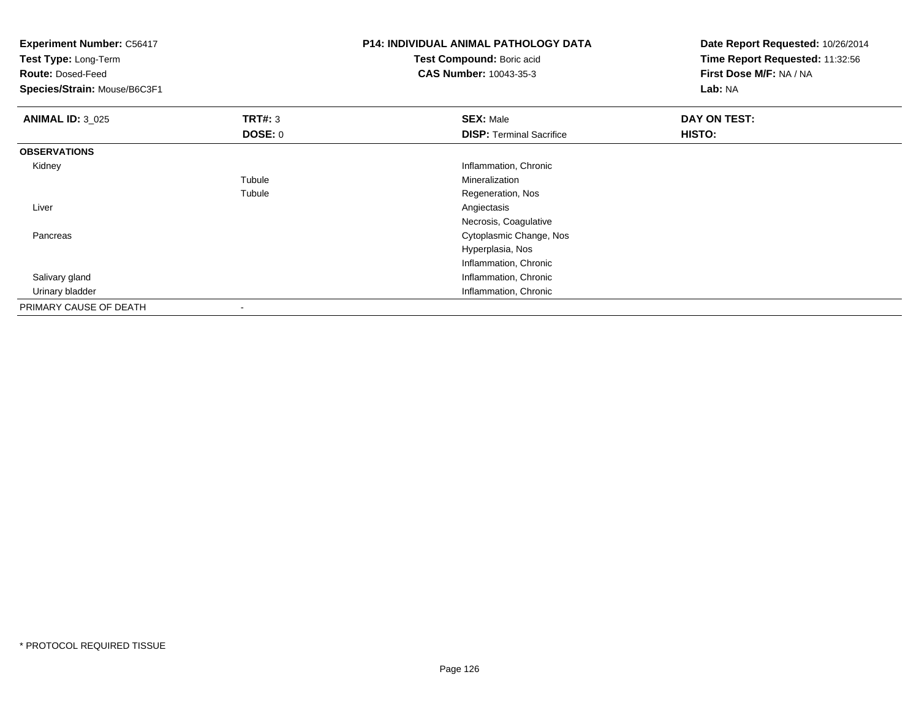| <b>Experiment Number: C56417</b><br>Test Type: Long-Term<br><b>Route: Dosed-Feed</b> |                           | <b>P14: INDIVIDUAL ANIMAL PATHOLOGY DATA</b><br>Test Compound: Boric acid<br><b>CAS Number: 10043-35-3</b> | Date Report Requested: 10/26/2014<br>Time Report Requested: 11:32:56<br>First Dose M/F: NA / NA |
|--------------------------------------------------------------------------------------|---------------------------|------------------------------------------------------------------------------------------------------------|-------------------------------------------------------------------------------------------------|
| Species/Strain: Mouse/B6C3F1                                                         |                           |                                                                                                            | Lab: NA                                                                                         |
| <b>ANIMAL ID: 3_025</b>                                                              | TRT#: 3<br><b>DOSE: 0</b> | <b>SEX: Male</b><br><b>DISP: Terminal Sacrifice</b>                                                        | DAY ON TEST:<br>HISTO:                                                                          |
| <b>OBSERVATIONS</b>                                                                  |                           |                                                                                                            |                                                                                                 |
| Kidney                                                                               |                           | Inflammation, Chronic                                                                                      |                                                                                                 |
|                                                                                      | Tubule                    | Mineralization                                                                                             |                                                                                                 |
|                                                                                      | Tubule                    | Regeneration, Nos                                                                                          |                                                                                                 |
| Liver                                                                                |                           | Angiectasis                                                                                                |                                                                                                 |
|                                                                                      |                           | Necrosis, Coagulative                                                                                      |                                                                                                 |
| Pancreas                                                                             |                           | Cytoplasmic Change, Nos                                                                                    |                                                                                                 |
|                                                                                      |                           | Hyperplasia, Nos                                                                                           |                                                                                                 |
|                                                                                      |                           | Inflammation, Chronic                                                                                      |                                                                                                 |
| Salivary gland                                                                       |                           | Inflammation, Chronic                                                                                      |                                                                                                 |
| Urinary bladder                                                                      |                           | Inflammation, Chronic                                                                                      |                                                                                                 |
| PRIMARY CAUSE OF DEATH                                                               |                           |                                                                                                            |                                                                                                 |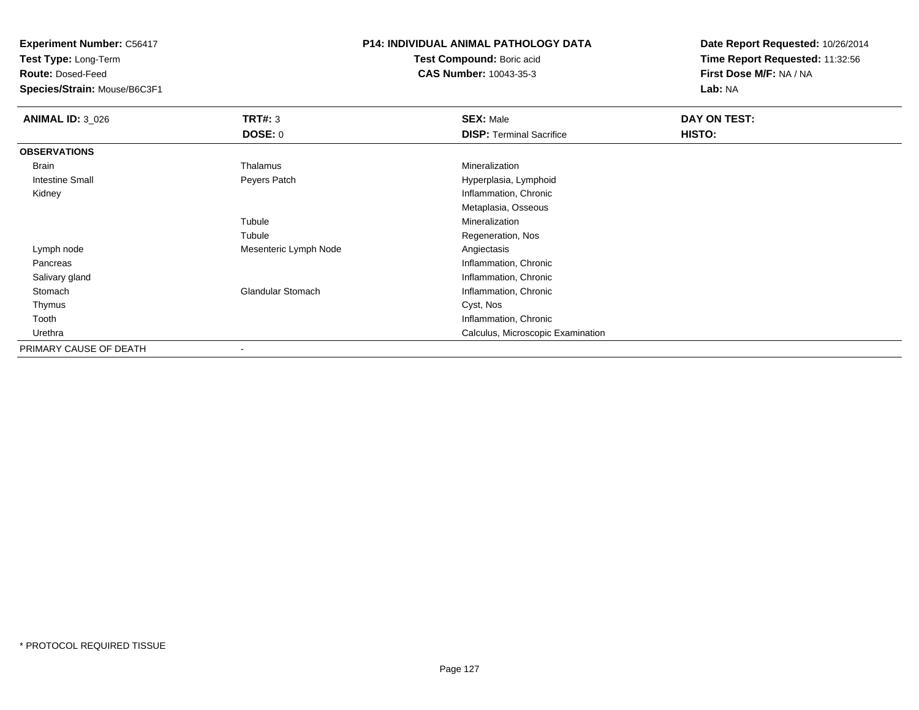**Test Type:** Long-Term

**Route:** Dosed-Feed

**Species/Strain:** Mouse/B6C3F1

#### **P14: INDIVIDUAL ANIMAL PATHOLOGY DATA**

**Test Compound:** Boric acid**CAS Number:** 10043-35-3

| <b>ANIMAL ID: 3_026</b> | TRT#: 3               | <b>SEX: Male</b>                  | DAY ON TEST: |  |
|-------------------------|-----------------------|-----------------------------------|--------------|--|
|                         | <b>DOSE: 0</b>        | <b>DISP: Terminal Sacrifice</b>   | HISTO:       |  |
| <b>OBSERVATIONS</b>     |                       |                                   |              |  |
| Brain                   | Thalamus              | Mineralization                    |              |  |
| Intestine Small         | Peyers Patch          | Hyperplasia, Lymphoid             |              |  |
| Kidney                  |                       | Inflammation, Chronic             |              |  |
|                         |                       | Metaplasia, Osseous               |              |  |
|                         | Tubule                | Mineralization                    |              |  |
|                         | Tubule                | Regeneration, Nos                 |              |  |
| Lymph node              | Mesenteric Lymph Node | Angiectasis                       |              |  |
| Pancreas                |                       | Inflammation, Chronic             |              |  |
| Salivary gland          |                       | Inflammation, Chronic             |              |  |
| Stomach                 | Glandular Stomach     | Inflammation, Chronic             |              |  |
| Thymus                  |                       | Cyst, Nos                         |              |  |
| Tooth                   |                       | Inflammation, Chronic             |              |  |
| Urethra                 |                       | Calculus, Microscopic Examination |              |  |
| PRIMARY CAUSE OF DEATH  | -                     |                                   |              |  |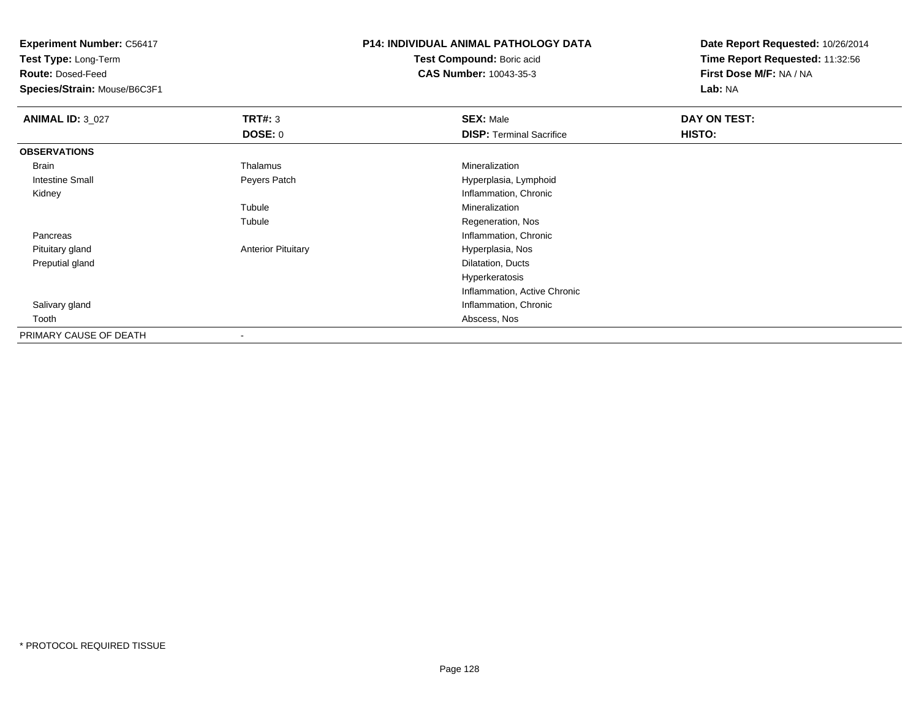**Test Type:** Long-Term

**Route:** Dosed-Feed

**Species/Strain:** Mouse/B6C3F1

# **P14: INDIVIDUAL ANIMAL PATHOLOGY DATA**

**Test Compound:** Boric acid**CAS Number:** 10043-35-3

| <b>ANIMAL ID: 3_027</b> | TRT#: 3                   | <b>SEX: Male</b>                | DAY ON TEST: |
|-------------------------|---------------------------|---------------------------------|--------------|
|                         | <b>DOSE: 0</b>            | <b>DISP: Terminal Sacrifice</b> | HISTO:       |
| <b>OBSERVATIONS</b>     |                           |                                 |              |
| Brain                   | Thalamus                  | Mineralization                  |              |
| <b>Intestine Small</b>  | Peyers Patch              | Hyperplasia, Lymphoid           |              |
| Kidney                  |                           | Inflammation, Chronic           |              |
|                         | Tubule                    | Mineralization                  |              |
|                         | Tubule                    | Regeneration, Nos               |              |
| Pancreas                |                           | Inflammation, Chronic           |              |
| Pituitary gland         | <b>Anterior Pituitary</b> | Hyperplasia, Nos                |              |
| Preputial gland         |                           | Dilatation, Ducts               |              |
|                         |                           | Hyperkeratosis                  |              |
|                         |                           | Inflammation, Active Chronic    |              |
| Salivary gland          |                           | Inflammation, Chronic           |              |
| Tooth                   |                           | Abscess, Nos                    |              |
| PRIMARY CAUSE OF DEATH  |                           |                                 |              |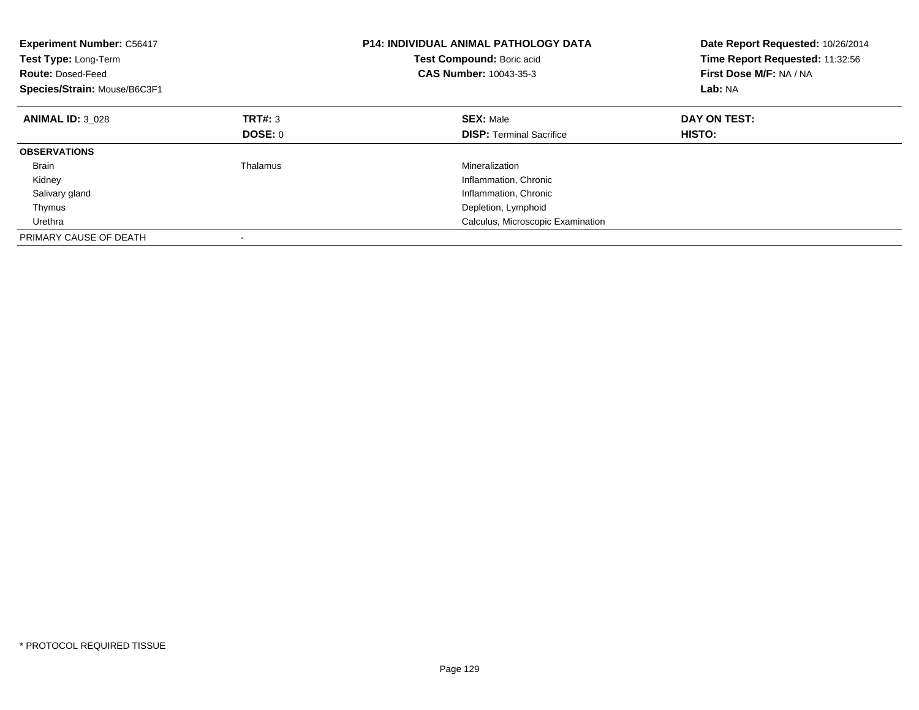| <b>Experiment Number: C56417</b><br>Test Type: Long-Term<br><b>Route: Dosed-Feed</b><br>Species/Strain: Mouse/B6C3F1 |          | <b>P14: INDIVIDUAL ANIMAL PATHOLOGY DATA</b><br>Test Compound: Boric acid<br>CAS Number: 10043-35-3 | Date Report Requested: 10/26/2014<br>Time Report Requested: 11:32:56<br>First Dose M/F: NA / NA<br>Lab: NA |
|----------------------------------------------------------------------------------------------------------------------|----------|-----------------------------------------------------------------------------------------------------|------------------------------------------------------------------------------------------------------------|
| <b>ANIMAL ID: 3 028</b>                                                                                              | TRT#: 3  | <b>SEX: Male</b>                                                                                    | DAY ON TEST:                                                                                               |
|                                                                                                                      | DOSE: 0  | <b>DISP:</b> Terminal Sacrifice                                                                     | <b>HISTO:</b>                                                                                              |
| <b>OBSERVATIONS</b>                                                                                                  |          |                                                                                                     |                                                                                                            |
| <b>Brain</b>                                                                                                         | Thalamus | Mineralization                                                                                      |                                                                                                            |
| Kidney                                                                                                               |          | Inflammation, Chronic                                                                               |                                                                                                            |
| Salivary gland                                                                                                       |          | Inflammation, Chronic                                                                               |                                                                                                            |
| Thymus                                                                                                               |          | Depletion, Lymphoid                                                                                 |                                                                                                            |
| Urethra                                                                                                              |          | Calculus, Microscopic Examination                                                                   |                                                                                                            |
| PRIMARY CAUSE OF DEATH                                                                                               |          |                                                                                                     |                                                                                                            |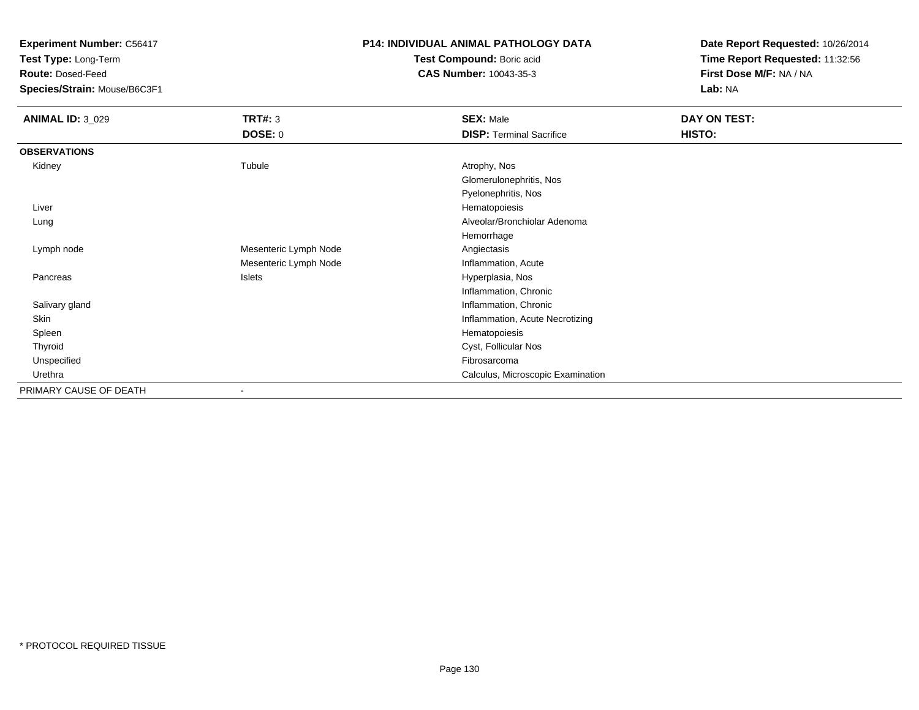**Test Type:** Long-Term

**Route:** Dosed-Feed

**Species/Strain:** Mouse/B6C3F1

## **P14: INDIVIDUAL ANIMAL PATHOLOGY DATA**

**Test Compound:** Boric acid**CAS Number:** 10043-35-3

| <b>ANIMAL ID: 3_029</b> | <b>TRT#: 3</b>        | <b>SEX: Male</b>                  | DAY ON TEST: |
|-------------------------|-----------------------|-----------------------------------|--------------|
|                         | <b>DOSE: 0</b>        | <b>DISP: Terminal Sacrifice</b>   | HISTO:       |
| <b>OBSERVATIONS</b>     |                       |                                   |              |
| Kidney                  | Tubule                | Atrophy, Nos                      |              |
|                         |                       | Glomerulonephritis, Nos           |              |
|                         |                       | Pyelonephritis, Nos               |              |
| Liver                   |                       | Hematopoiesis                     |              |
| Lung                    |                       | Alveolar/Bronchiolar Adenoma      |              |
|                         |                       | Hemorrhage                        |              |
| Lymph node              | Mesenteric Lymph Node | Angiectasis                       |              |
|                         | Mesenteric Lymph Node | Inflammation, Acute               |              |
| Pancreas                | Islets                | Hyperplasia, Nos                  |              |
|                         |                       | Inflammation, Chronic             |              |
| Salivary gland          |                       | Inflammation, Chronic             |              |
| Skin                    |                       | Inflammation, Acute Necrotizing   |              |
| Spleen                  |                       | Hematopoiesis                     |              |
| Thyroid                 |                       | Cyst, Follicular Nos              |              |
| Unspecified             |                       | Fibrosarcoma                      |              |
| Urethra                 |                       | Calculus, Microscopic Examination |              |
| PRIMARY CAUSE OF DEATH  | -                     |                                   |              |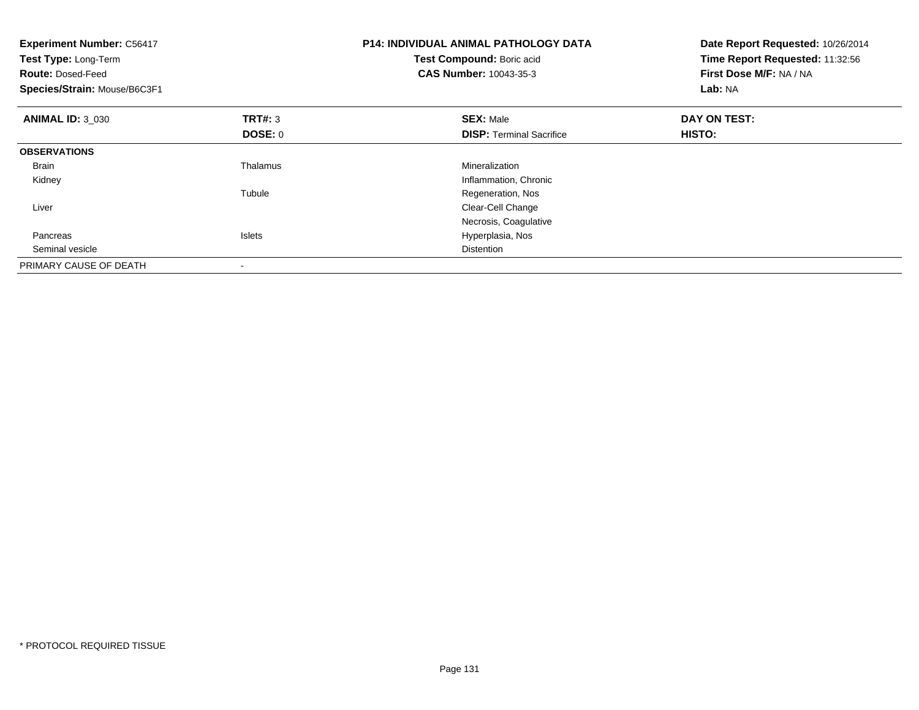| <b>Experiment Number: C56417</b><br>Test Type: Long-Term<br><b>Route: Dosed-Feed</b><br>Species/Strain: Mouse/B6C3F1 |               | <b>P14: INDIVIDUAL ANIMAL PATHOLOGY DATA</b><br>Test Compound: Boric acid<br><b>CAS Number: 10043-35-3</b> | Date Report Requested: 10/26/2014<br>Time Report Requested: 11:32:56<br>First Dose M/F: NA / NA<br>Lab: NA |
|----------------------------------------------------------------------------------------------------------------------|---------------|------------------------------------------------------------------------------------------------------------|------------------------------------------------------------------------------------------------------------|
| <b>ANIMAL ID: 3 030</b>                                                                                              | TRT#: 3       | <b>SEX: Male</b>                                                                                           | DAY ON TEST:                                                                                               |
|                                                                                                                      | DOSE: 0       | <b>DISP:</b> Terminal Sacrifice                                                                            | HISTO:                                                                                                     |
| <b>OBSERVATIONS</b>                                                                                                  |               |                                                                                                            |                                                                                                            |
| <b>Brain</b>                                                                                                         | Thalamus      | Mineralization                                                                                             |                                                                                                            |
| Kidney                                                                                                               |               | Inflammation, Chronic                                                                                      |                                                                                                            |
|                                                                                                                      | Tubule        | Regeneration, Nos                                                                                          |                                                                                                            |
| Liver                                                                                                                |               | Clear-Cell Change                                                                                          |                                                                                                            |
|                                                                                                                      |               | Necrosis, Coagulative                                                                                      |                                                                                                            |
| Pancreas                                                                                                             | <b>Islets</b> | Hyperplasia, Nos                                                                                           |                                                                                                            |
| Seminal vesicle                                                                                                      |               | <b>Distention</b>                                                                                          |                                                                                                            |
| PRIMARY CAUSE OF DEATH                                                                                               |               |                                                                                                            |                                                                                                            |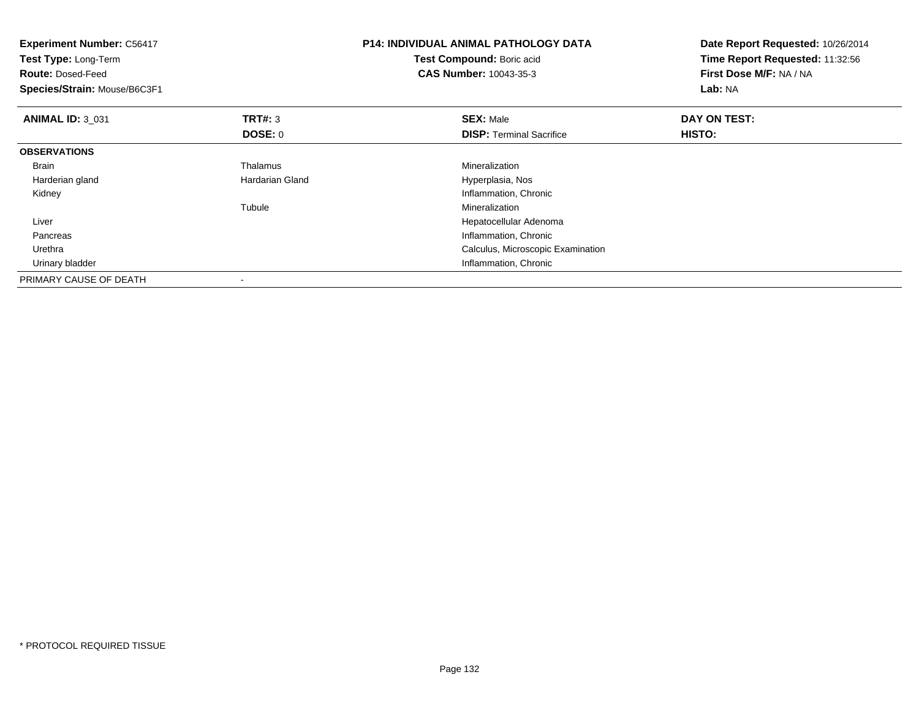| <b>Experiment Number: C56417</b><br>Test Type: Long-Term<br><b>Route: Dosed-Feed</b><br>Species/Strain: Mouse/B6C3F1 |                 | <b>P14: INDIVIDUAL ANIMAL PATHOLOGY DATA</b><br>Test Compound: Boric acid<br><b>CAS Number: 10043-35-3</b> | Date Report Requested: 10/26/2014<br>Time Report Requested: 11:32:56<br><b>First Dose M/F: NA / NA</b><br>Lab: NA |
|----------------------------------------------------------------------------------------------------------------------|-----------------|------------------------------------------------------------------------------------------------------------|-------------------------------------------------------------------------------------------------------------------|
| <b>ANIMAL ID: 3_031</b>                                                                                              | TRT#: 3         | <b>SEX: Male</b>                                                                                           | DAY ON TEST:                                                                                                      |
|                                                                                                                      | DOSE: 0         | <b>DISP:</b> Terminal Sacrifice                                                                            | HISTO:                                                                                                            |
| <b>OBSERVATIONS</b>                                                                                                  |                 |                                                                                                            |                                                                                                                   |
| <b>Brain</b>                                                                                                         | Thalamus        | Mineralization                                                                                             |                                                                                                                   |
| Harderian gland                                                                                                      | Hardarian Gland | Hyperplasia, Nos                                                                                           |                                                                                                                   |
| Kidney                                                                                                               |                 | Inflammation, Chronic                                                                                      |                                                                                                                   |
|                                                                                                                      | Tubule          | Mineralization                                                                                             |                                                                                                                   |
| Liver                                                                                                                |                 | Hepatocellular Adenoma                                                                                     |                                                                                                                   |
| Pancreas                                                                                                             |                 | Inflammation, Chronic                                                                                      |                                                                                                                   |
| Urethra                                                                                                              |                 | Calculus, Microscopic Examination                                                                          |                                                                                                                   |
| Urinary bladder                                                                                                      |                 | Inflammation, Chronic                                                                                      |                                                                                                                   |
| PRIMARY CAUSE OF DEATH                                                                                               |                 |                                                                                                            |                                                                                                                   |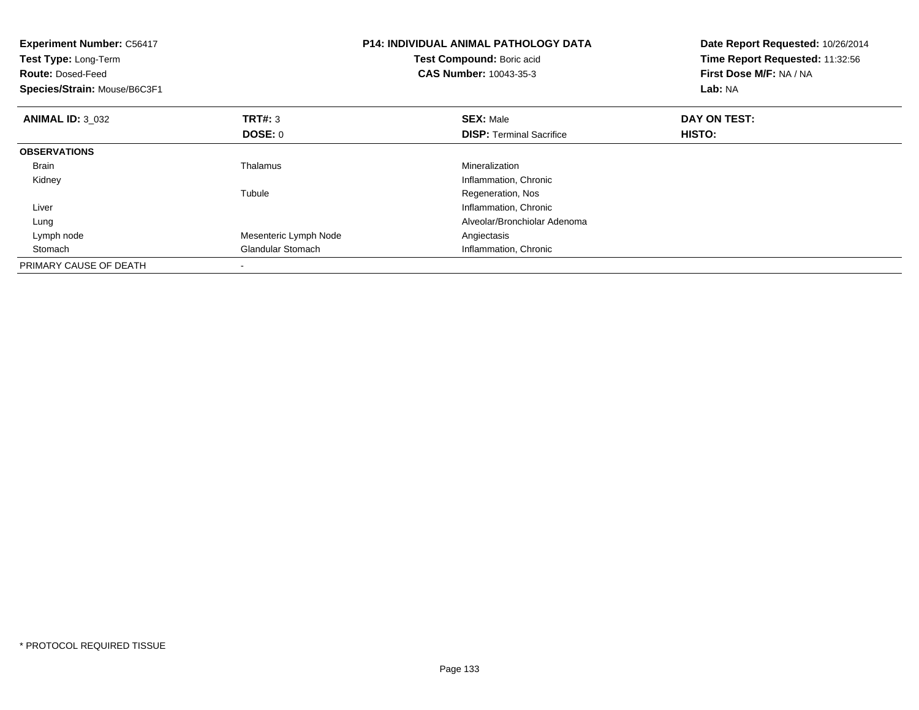| <b>Experiment Number: C56417</b><br>Test Type: Long-Term<br><b>Route: Dosed-Feed</b><br>Species/Strain: Mouse/B6C3F1 |                       | <b>P14: INDIVIDUAL ANIMAL PATHOLOGY DATA</b><br>Test Compound: Boric acid<br><b>CAS Number: 10043-35-3</b> | Date Report Requested: 10/26/2014<br>Time Report Requested: 11:32:56<br>First Dose M/F: NA / NA<br>Lab: NA |
|----------------------------------------------------------------------------------------------------------------------|-----------------------|------------------------------------------------------------------------------------------------------------|------------------------------------------------------------------------------------------------------------|
| <b>ANIMAL ID: 3_032</b>                                                                                              | <b>TRT#: 3</b>        | <b>SEX: Male</b>                                                                                           | DAY ON TEST:                                                                                               |
|                                                                                                                      | DOSE: 0               | <b>DISP:</b> Terminal Sacrifice                                                                            | HISTO:                                                                                                     |
| <b>OBSERVATIONS</b>                                                                                                  |                       |                                                                                                            |                                                                                                            |
| <b>Brain</b>                                                                                                         | Thalamus              | Mineralization                                                                                             |                                                                                                            |
| Kidney                                                                                                               |                       | Inflammation, Chronic                                                                                      |                                                                                                            |
|                                                                                                                      | Tubule                | Regeneration, Nos                                                                                          |                                                                                                            |
| Liver                                                                                                                |                       | Inflammation, Chronic                                                                                      |                                                                                                            |
| Lung                                                                                                                 |                       | Alveolar/Bronchiolar Adenoma                                                                               |                                                                                                            |
| Lymph node                                                                                                           | Mesenteric Lymph Node | Angiectasis                                                                                                |                                                                                                            |
| Stomach                                                                                                              | Glandular Stomach     | Inflammation, Chronic                                                                                      |                                                                                                            |
| PRIMARY CAUSE OF DEATH                                                                                               |                       |                                                                                                            |                                                                                                            |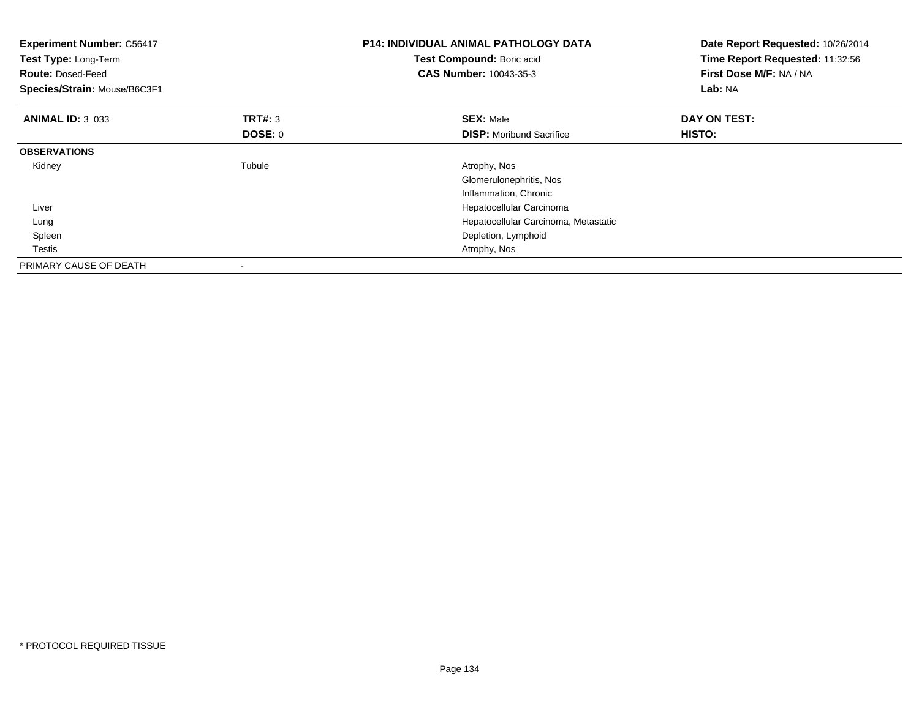| <b>Experiment Number: C56417</b><br>Test Type: Long-Term<br><b>Route: Dosed-Feed</b><br>Species/Strain: Mouse/B6C3F1 |                | <b>P14: INDIVIDUAL ANIMAL PATHOLOGY DATA</b><br>Test Compound: Boric acid<br><b>CAS Number: 10043-35-3</b> | Date Report Requested: 10/26/2014<br>Time Report Requested: 11:32:56<br>First Dose M/F: NA / NA<br>Lab: NA |
|----------------------------------------------------------------------------------------------------------------------|----------------|------------------------------------------------------------------------------------------------------------|------------------------------------------------------------------------------------------------------------|
| <b>ANIMAL ID: 3 033</b>                                                                                              | <b>TRT#: 3</b> | <b>SEX: Male</b>                                                                                           | DAY ON TEST:                                                                                               |
|                                                                                                                      | <b>DOSE: 0</b> | <b>DISP:</b> Moribund Sacrifice                                                                            | HISTO:                                                                                                     |
| <b>OBSERVATIONS</b>                                                                                                  |                |                                                                                                            |                                                                                                            |
| Kidney                                                                                                               | Tubule         | Atrophy, Nos                                                                                               |                                                                                                            |
|                                                                                                                      |                | Glomerulonephritis, Nos                                                                                    |                                                                                                            |
|                                                                                                                      |                | Inflammation, Chronic                                                                                      |                                                                                                            |
| Liver                                                                                                                |                | Hepatocellular Carcinoma                                                                                   |                                                                                                            |
| Lung                                                                                                                 |                | Hepatocellular Carcinoma, Metastatic                                                                       |                                                                                                            |
| Spleen                                                                                                               |                | Depletion, Lymphoid                                                                                        |                                                                                                            |
| Testis                                                                                                               |                | Atrophy, Nos                                                                                               |                                                                                                            |
| PRIMARY CAUSE OF DEATH                                                                                               |                |                                                                                                            |                                                                                                            |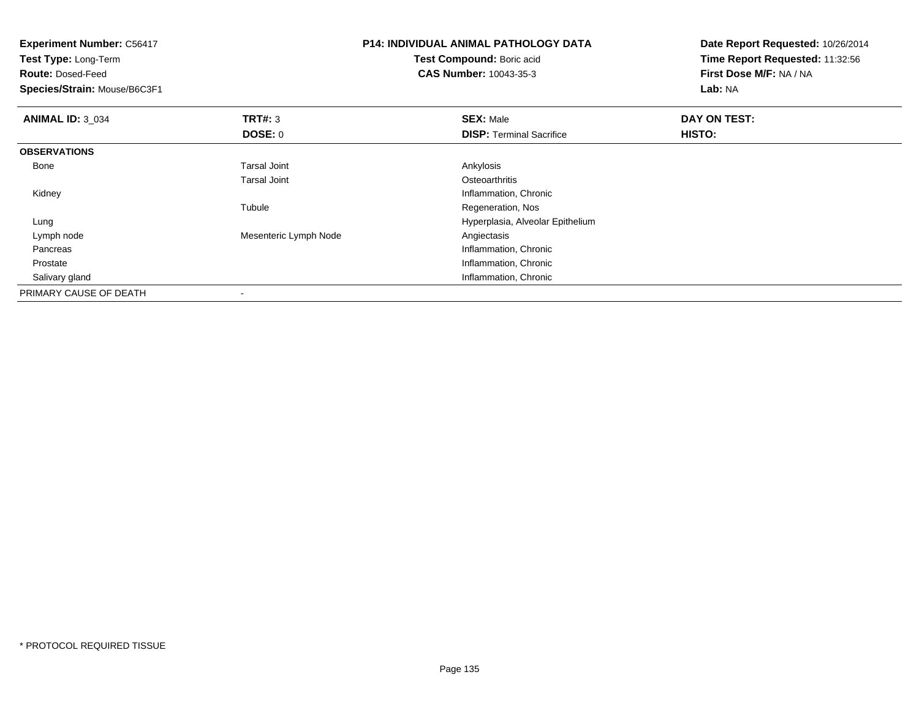| <b>Experiment Number: C56417</b><br>Test Type: Long-Term |                       | <b>P14: INDIVIDUAL ANIMAL PATHOLOGY DATA</b> | Date Report Requested: 10/26/2014<br>Time Report Requested: 11:32:56 |  |
|----------------------------------------------------------|-----------------------|----------------------------------------------|----------------------------------------------------------------------|--|
|                                                          |                       | Test Compound: Boric acid                    |                                                                      |  |
| <b>Route: Dosed-Feed</b>                                 |                       | <b>CAS Number: 10043-35-3</b>                | First Dose M/F: NA / NA                                              |  |
| Species/Strain: Mouse/B6C3F1                             |                       |                                              | Lab: NA                                                              |  |
| <b>ANIMAL ID: 3 034</b>                                  | <b>TRT#: 3</b>        | <b>SEX: Male</b>                             | DAY ON TEST:                                                         |  |
|                                                          | DOSE: 0               | <b>DISP:</b> Terminal Sacrifice              | HISTO:                                                               |  |
| <b>OBSERVATIONS</b>                                      |                       |                                              |                                                                      |  |
| Bone                                                     | <b>Tarsal Joint</b>   | Ankylosis                                    |                                                                      |  |
|                                                          | <b>Tarsal Joint</b>   | Osteoarthritis                               |                                                                      |  |
| Kidney                                                   |                       | Inflammation, Chronic                        |                                                                      |  |
|                                                          | Tubule                | Regeneration, Nos                            |                                                                      |  |
| Lung                                                     |                       | Hyperplasia, Alveolar Epithelium             |                                                                      |  |
| Lymph node                                               | Mesenteric Lymph Node | Angiectasis                                  |                                                                      |  |
| Pancreas                                                 |                       | Inflammation, Chronic                        |                                                                      |  |
| Prostate                                                 |                       | Inflammation, Chronic                        |                                                                      |  |
| Salivary gland                                           |                       | Inflammation, Chronic                        |                                                                      |  |
| PRIMARY CAUSE OF DEATH                                   |                       |                                              |                                                                      |  |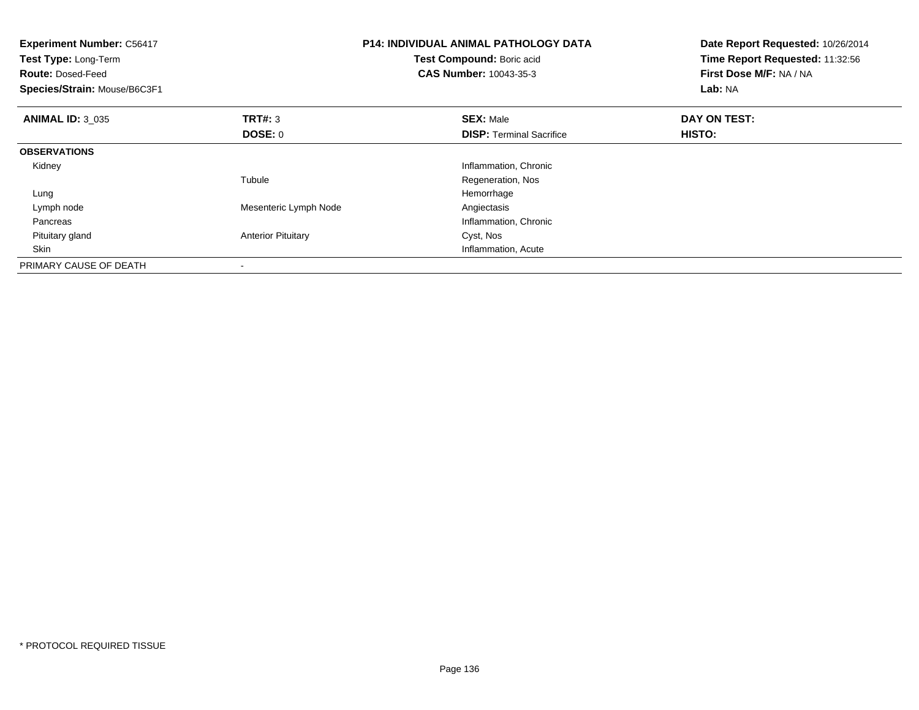| <b>Experiment Number: C56417</b><br>Test Type: Long-Term<br><b>Route: Dosed-Feed</b><br>Species/Strain: Mouse/B6C3F1 |                           | <b>P14: INDIVIDUAL ANIMAL PATHOLOGY DATA</b><br>Test Compound: Boric acid<br><b>CAS Number: 10043-35-3</b> | Date Report Requested: 10/26/2014<br>Time Report Requested: 11:32:56<br>First Dose M/F: NA / NA<br>Lab: NA |
|----------------------------------------------------------------------------------------------------------------------|---------------------------|------------------------------------------------------------------------------------------------------------|------------------------------------------------------------------------------------------------------------|
| <b>ANIMAL ID: 3_035</b>                                                                                              | <b>TRT#: 3</b><br>DOSE: 0 | <b>SEX: Male</b><br><b>DISP:</b> Terminal Sacrifice                                                        | DAY ON TEST:<br>HISTO:                                                                                     |
| <b>OBSERVATIONS</b>                                                                                                  |                           |                                                                                                            |                                                                                                            |
| Kidney                                                                                                               |                           | Inflammation, Chronic                                                                                      |                                                                                                            |
|                                                                                                                      | Tubule                    | Regeneration, Nos                                                                                          |                                                                                                            |
| Lung                                                                                                                 |                           | Hemorrhage                                                                                                 |                                                                                                            |
| Lymph node                                                                                                           | Mesenteric Lymph Node     | Angiectasis                                                                                                |                                                                                                            |
| Pancreas                                                                                                             |                           | Inflammation, Chronic                                                                                      |                                                                                                            |
| Pituitary gland                                                                                                      | <b>Anterior Pituitary</b> | Cyst, Nos                                                                                                  |                                                                                                            |
| Skin                                                                                                                 |                           | Inflammation, Acute                                                                                        |                                                                                                            |
| PRIMARY CAUSE OF DEATH                                                                                               |                           |                                                                                                            |                                                                                                            |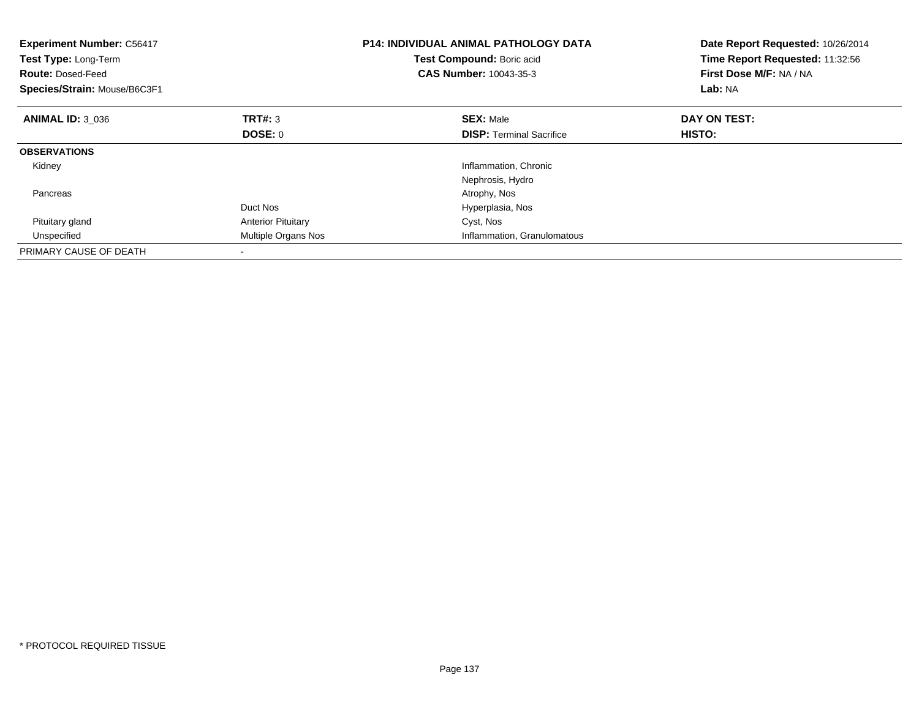| <b>Experiment Number: C56417</b><br>Test Type: Long-Term<br><b>Route: Dosed-Feed</b><br>Species/Strain: Mouse/B6C3F1 |                           | <b>P14: INDIVIDUAL ANIMAL PATHOLOGY DATA</b><br>Test Compound: Boric acid<br><b>CAS Number: 10043-35-3</b> | Date Report Requested: 10/26/2014<br>Time Report Requested: 11:32:56<br>First Dose M/F: NA / NA<br>Lab: NA |
|----------------------------------------------------------------------------------------------------------------------|---------------------------|------------------------------------------------------------------------------------------------------------|------------------------------------------------------------------------------------------------------------|
| <b>ANIMAL ID: 3 036</b>                                                                                              | TRT#: 3                   | <b>SEX: Male</b>                                                                                           | DAY ON TEST:                                                                                               |
|                                                                                                                      | DOSE: 0                   | <b>DISP:</b> Terminal Sacrifice                                                                            | <b>HISTO:</b>                                                                                              |
| <b>OBSERVATIONS</b>                                                                                                  |                           |                                                                                                            |                                                                                                            |
| Kidney                                                                                                               |                           | Inflammation, Chronic                                                                                      |                                                                                                            |
|                                                                                                                      |                           | Nephrosis, Hydro                                                                                           |                                                                                                            |
| Pancreas                                                                                                             |                           | Atrophy, Nos                                                                                               |                                                                                                            |
|                                                                                                                      | Duct Nos                  | Hyperplasia, Nos                                                                                           |                                                                                                            |
| Pituitary gland                                                                                                      | <b>Anterior Pituitary</b> | Cyst, Nos                                                                                                  |                                                                                                            |
| Unspecified                                                                                                          | Multiple Organs Nos       | Inflammation, Granulomatous                                                                                |                                                                                                            |
| PRIMARY CAUSE OF DEATH                                                                                               |                           |                                                                                                            |                                                                                                            |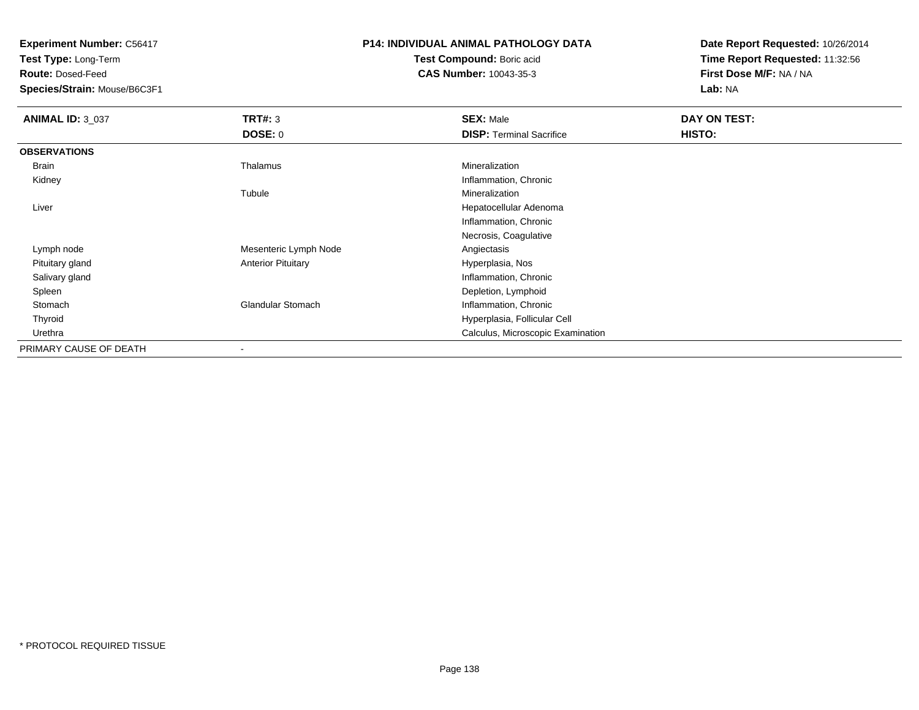**Test Type:** Long-Term

**Route:** Dosed-Feed

**Species/Strain:** Mouse/B6C3F1

# **P14: INDIVIDUAL ANIMAL PATHOLOGY DATA**

**Test Compound:** Boric acid**CAS Number:** 10043-35-3

| <b>ANIMAL ID: 3_037</b> | TRT#: 3                   | <b>SEX: Male</b>                  | DAY ON TEST: |
|-------------------------|---------------------------|-----------------------------------|--------------|
|                         | <b>DOSE: 0</b>            | <b>DISP: Terminal Sacrifice</b>   | HISTO:       |
| <b>OBSERVATIONS</b>     |                           |                                   |              |
| Brain                   | Thalamus                  | Mineralization                    |              |
| Kidney                  |                           | Inflammation, Chronic             |              |
|                         | Tubule                    | Mineralization                    |              |
| Liver                   |                           | Hepatocellular Adenoma            |              |
|                         |                           | Inflammation, Chronic             |              |
|                         |                           | Necrosis, Coagulative             |              |
| Lymph node              | Mesenteric Lymph Node     | Angiectasis                       |              |
| Pituitary gland         | <b>Anterior Pituitary</b> | Hyperplasia, Nos                  |              |
| Salivary gland          |                           | Inflammation, Chronic             |              |
| Spleen                  |                           | Depletion, Lymphoid               |              |
| Stomach                 | <b>Glandular Stomach</b>  | Inflammation, Chronic             |              |
| Thyroid                 |                           | Hyperplasia, Follicular Cell      |              |
| Urethra                 |                           | Calculus, Microscopic Examination |              |
| PRIMARY CAUSE OF DEATH  |                           |                                   |              |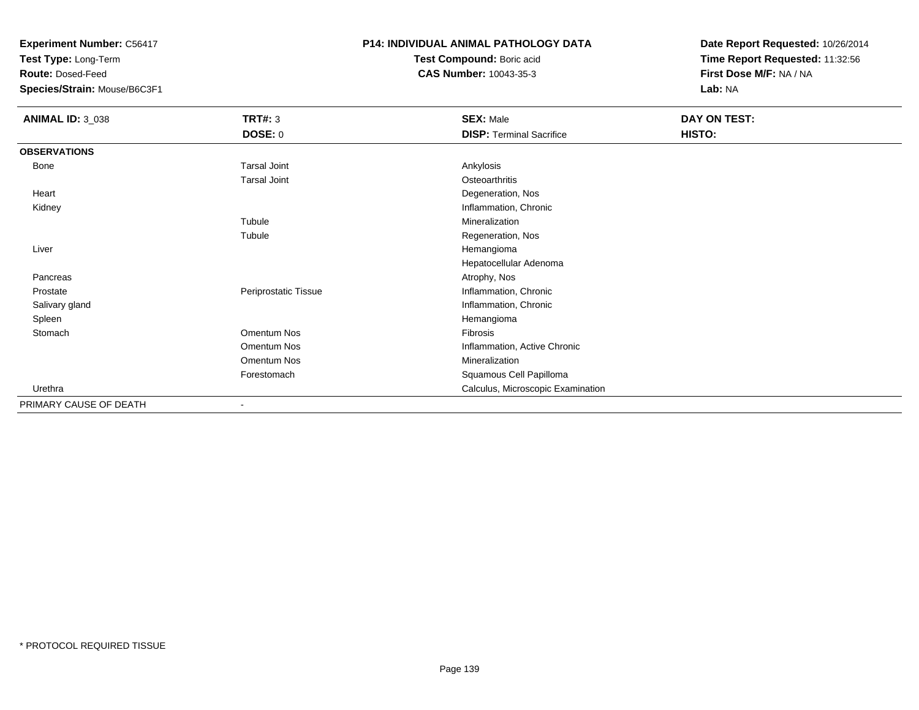**Test Type:** Long-Term

**Route:** Dosed-Feed

**Species/Strain:** Mouse/B6C3F1

### **P14: INDIVIDUAL ANIMAL PATHOLOGY DATA**

**Test Compound:** Boric acid**CAS Number:** 10043-35-3

| <b>ANIMAL ID: 3_038</b> | <b>TRT#: 3</b>       | <b>SEX: Male</b>                  | DAY ON TEST: |  |
|-------------------------|----------------------|-----------------------------------|--------------|--|
|                         | <b>DOSE: 0</b>       | <b>DISP: Terminal Sacrifice</b>   | HISTO:       |  |
| <b>OBSERVATIONS</b>     |                      |                                   |              |  |
| Bone                    | <b>Tarsal Joint</b>  | Ankylosis                         |              |  |
|                         | <b>Tarsal Joint</b>  | Osteoarthritis                    |              |  |
| Heart                   |                      | Degeneration, Nos                 |              |  |
| Kidney                  |                      | Inflammation, Chronic             |              |  |
|                         | Tubule               | Mineralization                    |              |  |
|                         | Tubule               | Regeneration, Nos                 |              |  |
| Liver                   |                      | Hemangioma                        |              |  |
|                         |                      | Hepatocellular Adenoma            |              |  |
| Pancreas                |                      | Atrophy, Nos                      |              |  |
| Prostate                | Periprostatic Tissue | Inflammation, Chronic             |              |  |
| Salivary gland          |                      | Inflammation, Chronic             |              |  |
| Spleen                  |                      | Hemangioma                        |              |  |
| Stomach                 | Omentum Nos          | Fibrosis                          |              |  |
|                         | Omentum Nos          | Inflammation, Active Chronic      |              |  |
|                         | Omentum Nos          | Mineralization                    |              |  |
|                         | Forestomach          | Squamous Cell Papilloma           |              |  |
| Urethra                 |                      | Calculus, Microscopic Examination |              |  |
| PRIMARY CAUSE OF DEATH  |                      |                                   |              |  |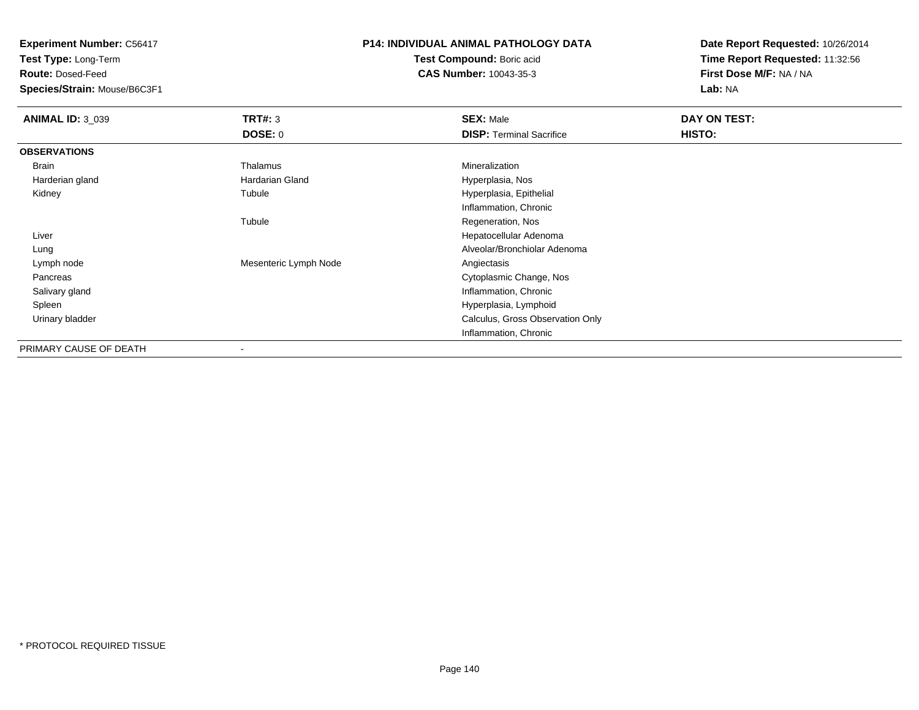**Test Type:** Long-Term

**Route:** Dosed-Feed

**Species/Strain:** Mouse/B6C3F1

## **P14: INDIVIDUAL ANIMAL PATHOLOGY DATA**

**Test Compound:** Boric acid**CAS Number:** 10043-35-3

| <b>ANIMAL ID: 3 039</b> | TRT#: 3<br><b>DOSE: 0</b> | <b>SEX: Male</b><br><b>DISP: Terminal Sacrifice</b> | DAY ON TEST:<br>HISTO: |
|-------------------------|---------------------------|-----------------------------------------------------|------------------------|
|                         |                           |                                                     |                        |
| <b>OBSERVATIONS</b>     |                           |                                                     |                        |
| Brain                   | Thalamus                  | Mineralization                                      |                        |
| Harderian gland         | Hardarian Gland           | Hyperplasia, Nos                                    |                        |
| Kidney                  | Tubule                    | Hyperplasia, Epithelial                             |                        |
|                         |                           | Inflammation, Chronic                               |                        |
|                         | Tubule                    | Regeneration, Nos                                   |                        |
| Liver                   |                           | Hepatocellular Adenoma                              |                        |
| Lung                    |                           | Alveolar/Bronchiolar Adenoma                        |                        |
| Lymph node              | Mesenteric Lymph Node     | Angiectasis                                         |                        |
| Pancreas                |                           | Cytoplasmic Change, Nos                             |                        |
| Salivary gland          |                           | Inflammation, Chronic                               |                        |
| Spleen                  |                           | Hyperplasia, Lymphoid                               |                        |
| Urinary bladder         |                           | Calculus, Gross Observation Only                    |                        |
|                         |                           | Inflammation, Chronic                               |                        |
| PRIMARY CAUSE OF DEATH  | $\overline{\phantom{a}}$  |                                                     |                        |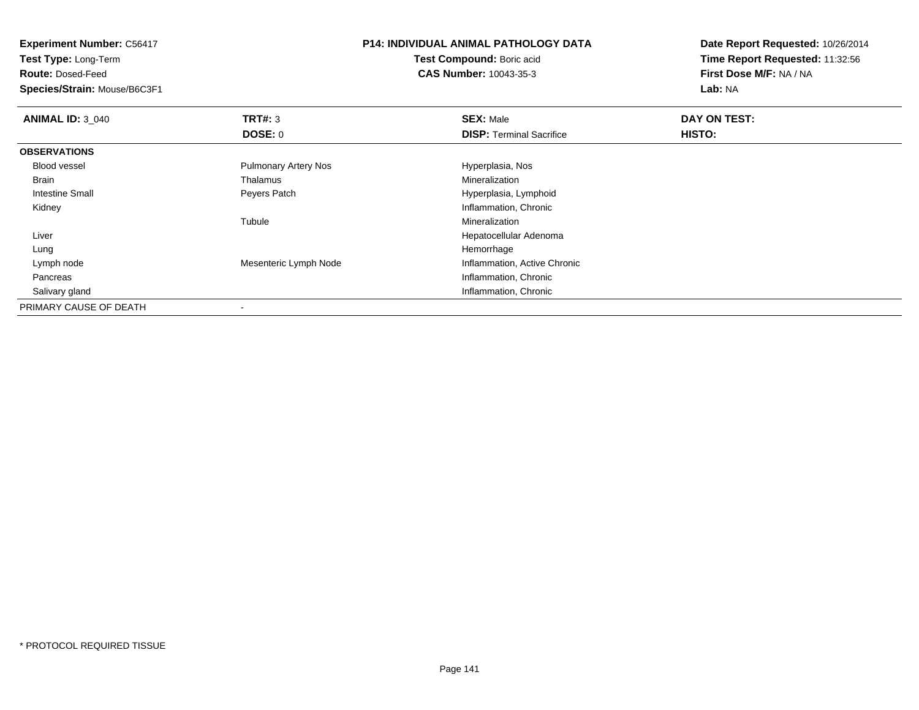**Experiment Number:** C56417**Test Type:** Long-Term**Route:** Dosed-Feed **Species/Strain:** Mouse/B6C3F1**P14: INDIVIDUAL ANIMAL PATHOLOGY DATATest Compound:** Boric acid **CAS Number:** 10043-35-3**Date Report Requested:** 10/26/2014**Time Report Requested:** 11:32:56**First Dose M/F:** NA / NA**Lab:** NA**ANIMAL ID: 3 040 C DAY ON TEST: TRT#:** 3 **SEX:** Male **SEX:** Male **DOSE:** 0**DISP:** Terminal Sacrifice **HISTO: OBSERVATIONS** Blood vessel Pulmonary Artery Nos Hyperplasia, Nos Brain Thalamus Mineralization Intestine Small Peyers Patch Hyperplasia, Lymphoid Kidney Inflammation, Chronic Tubule Mineralization Liver Hepatocellular Adenoma Lungg and the state of the state of the state of the state of the state of the state of the state of the state of the state of the state of the state of the state of the state of the state of the state of the state of the stat Lymph nodeMesenteric Lymph Node **Inflammation**, Active Chronic Pancreas Inflammation, Chronic Salivary gland Inflammation, Chronic PRIMARY CAUSE OF DEATH

-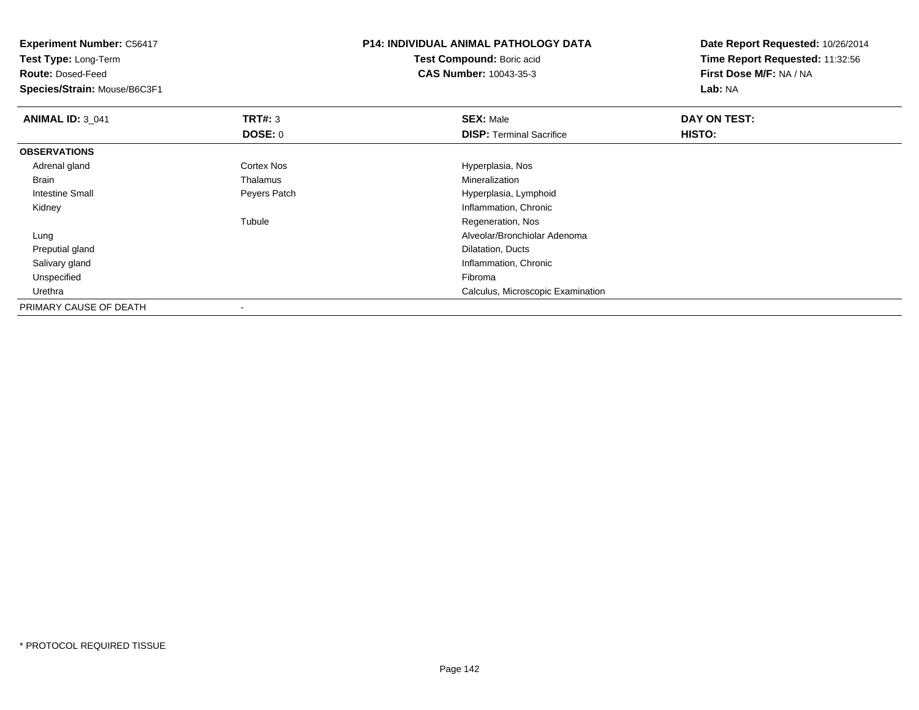| <b>Experiment Number: C56417</b> |                   | <b>P14: INDIVIDUAL ANIMAL PATHOLOGY DATA</b> | Date Report Requested: 10/26/2014 |
|----------------------------------|-------------------|----------------------------------------------|-----------------------------------|
| Test Type: Long-Term             |                   | Test Compound: Boric acid                    | Time Report Requested: 11:32:56   |
| <b>Route: Dosed-Feed</b>         |                   | <b>CAS Number: 10043-35-3</b>                | First Dose M/F: NA / NA           |
| Species/Strain: Mouse/B6C3F1     |                   |                                              | Lab: NA                           |
| <b>ANIMAL ID: 3_041</b>          | <b>TRT#: 3</b>    | <b>SEX: Male</b>                             | DAY ON TEST:                      |
|                                  | <b>DOSE: 0</b>    | <b>DISP: Terminal Sacrifice</b>              | HISTO:                            |
| <b>OBSERVATIONS</b>              |                   |                                              |                                   |
| Adrenal gland                    | <b>Cortex Nos</b> | Hyperplasia, Nos                             |                                   |
| Brain                            | Thalamus          | Mineralization                               |                                   |
| Intestine Small                  | Peyers Patch      | Hyperplasia, Lymphoid                        |                                   |
| Kidney                           |                   | Inflammation, Chronic                        |                                   |
|                                  | Tubule            | Regeneration, Nos                            |                                   |
| Lung                             |                   | Alveolar/Bronchiolar Adenoma                 |                                   |
| Preputial gland                  |                   | Dilatation, Ducts                            |                                   |
| Salivary gland                   |                   | Inflammation, Chronic                        |                                   |
| Unspecified                      |                   | Fibroma                                      |                                   |
| Urethra                          |                   | Calculus, Microscopic Examination            |                                   |
| PRIMARY CAUSE OF DEATH           |                   |                                              |                                   |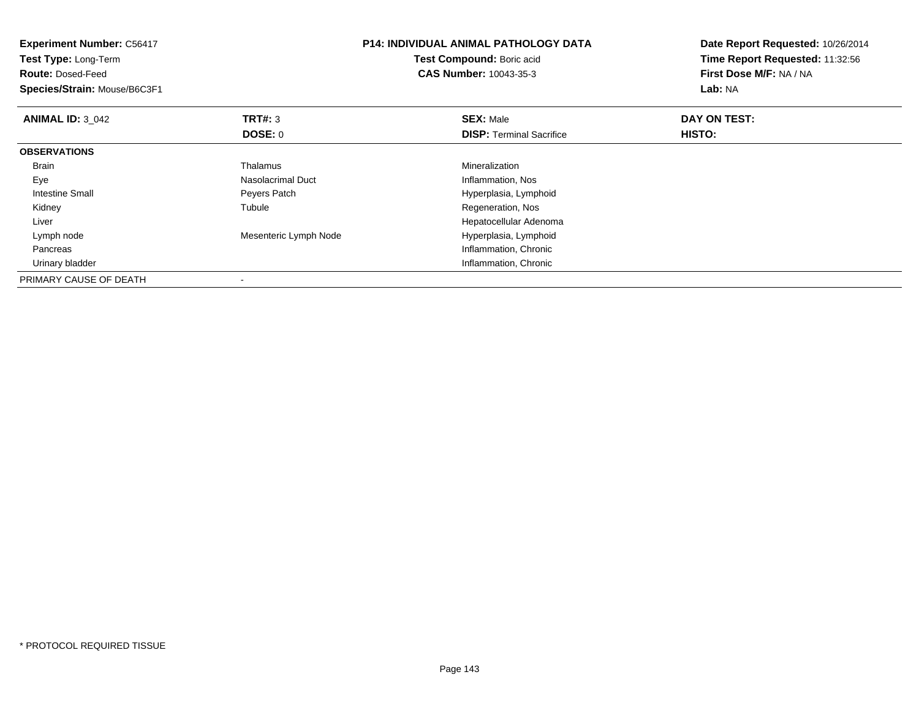| <b>Experiment Number: C56417</b><br>Test Type: Long-Term<br><b>Route: Dosed-Feed</b><br>Species/Strain: Mouse/B6C3F1 |                          | <b>P14: INDIVIDUAL ANIMAL PATHOLOGY DATA</b><br><b>Test Compound: Boric acid</b><br><b>CAS Number: 10043-35-3</b> | Date Report Requested: 10/26/2014<br>Time Report Requested: 11:32:56<br>First Dose M/F: NA / NA<br>Lab: NA |  |
|----------------------------------------------------------------------------------------------------------------------|--------------------------|-------------------------------------------------------------------------------------------------------------------|------------------------------------------------------------------------------------------------------------|--|
| <b>ANIMAL ID: 3 042</b>                                                                                              | TRT#: 3                  | <b>SEX: Male</b>                                                                                                  | DAY ON TEST:                                                                                               |  |
|                                                                                                                      | <b>DOSE: 0</b>           | <b>DISP:</b> Terminal Sacrifice                                                                                   | HISTO:                                                                                                     |  |
| <b>OBSERVATIONS</b>                                                                                                  |                          |                                                                                                                   |                                                                                                            |  |
| <b>Brain</b>                                                                                                         | Thalamus                 | Mineralization                                                                                                    |                                                                                                            |  |
| Eye                                                                                                                  | Nasolacrimal Duct        | Inflammation, Nos                                                                                                 |                                                                                                            |  |
| Intestine Small                                                                                                      | Peyers Patch             | Hyperplasia, Lymphoid                                                                                             |                                                                                                            |  |
| Kidney                                                                                                               | Tubule                   | Regeneration, Nos                                                                                                 |                                                                                                            |  |
| Liver                                                                                                                |                          | Hepatocellular Adenoma                                                                                            |                                                                                                            |  |
| Lymph node                                                                                                           | Mesenteric Lymph Node    | Hyperplasia, Lymphoid                                                                                             |                                                                                                            |  |
| Pancreas                                                                                                             |                          | Inflammation, Chronic                                                                                             |                                                                                                            |  |
| Urinary bladder                                                                                                      |                          | Inflammation, Chronic                                                                                             |                                                                                                            |  |
| PRIMARY CAUSE OF DEATH                                                                                               | $\overline{\phantom{a}}$ |                                                                                                                   |                                                                                                            |  |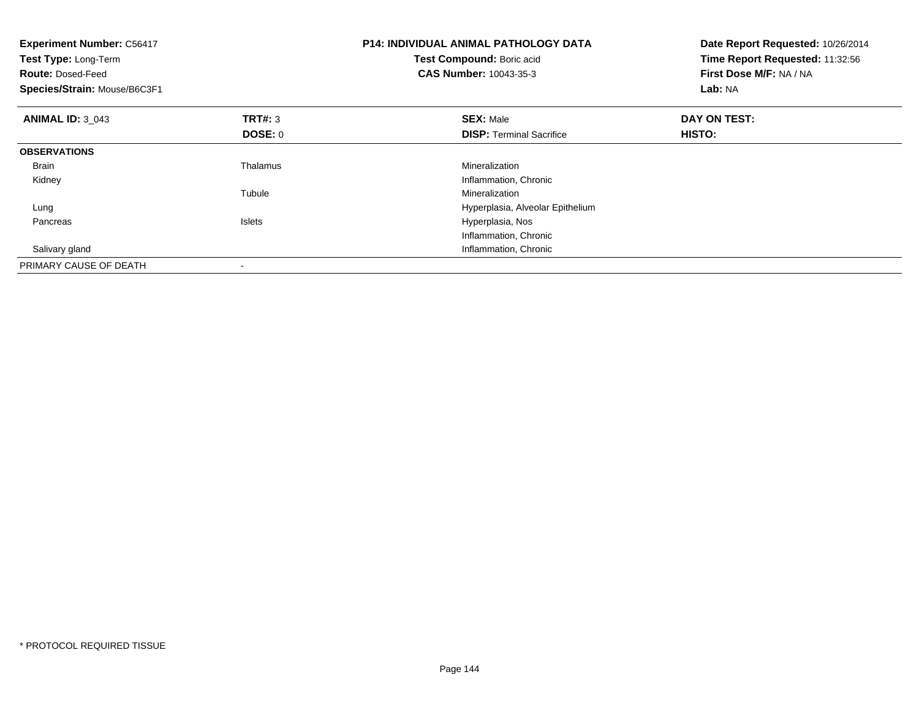| <b>Experiment Number: C56417</b><br>Test Type: Long-Term<br><b>Route: Dosed-Feed</b><br>Species/Strain: Mouse/B6C3F1 |                | <b>P14: INDIVIDUAL ANIMAL PATHOLOGY DATA</b><br>Test Compound: Boric acid<br><b>CAS Number: 10043-35-3</b> | Date Report Requested: 10/26/2014<br>Time Report Requested: 11:32:56<br>First Dose M/F: NA / NA<br>Lab: NA |
|----------------------------------------------------------------------------------------------------------------------|----------------|------------------------------------------------------------------------------------------------------------|------------------------------------------------------------------------------------------------------------|
| <b>ANIMAL ID: 3 043</b>                                                                                              | <b>TRT#:</b> 3 | <b>SEX: Male</b>                                                                                           | DAY ON TEST:                                                                                               |
|                                                                                                                      | DOSE: 0        | <b>DISP:</b> Terminal Sacrifice                                                                            | HISTO:                                                                                                     |
| <b>OBSERVATIONS</b>                                                                                                  |                |                                                                                                            |                                                                                                            |
| <b>Brain</b>                                                                                                         | Thalamus       | Mineralization                                                                                             |                                                                                                            |
| Kidney                                                                                                               |                | Inflammation, Chronic                                                                                      |                                                                                                            |
|                                                                                                                      | Tubule         | Mineralization                                                                                             |                                                                                                            |
| Lung                                                                                                                 |                | Hyperplasia, Alveolar Epithelium                                                                           |                                                                                                            |
| Pancreas                                                                                                             | <b>Islets</b>  | Hyperplasia, Nos                                                                                           |                                                                                                            |
|                                                                                                                      |                | Inflammation, Chronic                                                                                      |                                                                                                            |
| Salivary gland                                                                                                       |                | Inflammation, Chronic                                                                                      |                                                                                                            |
| PRIMARY CAUSE OF DEATH                                                                                               |                |                                                                                                            |                                                                                                            |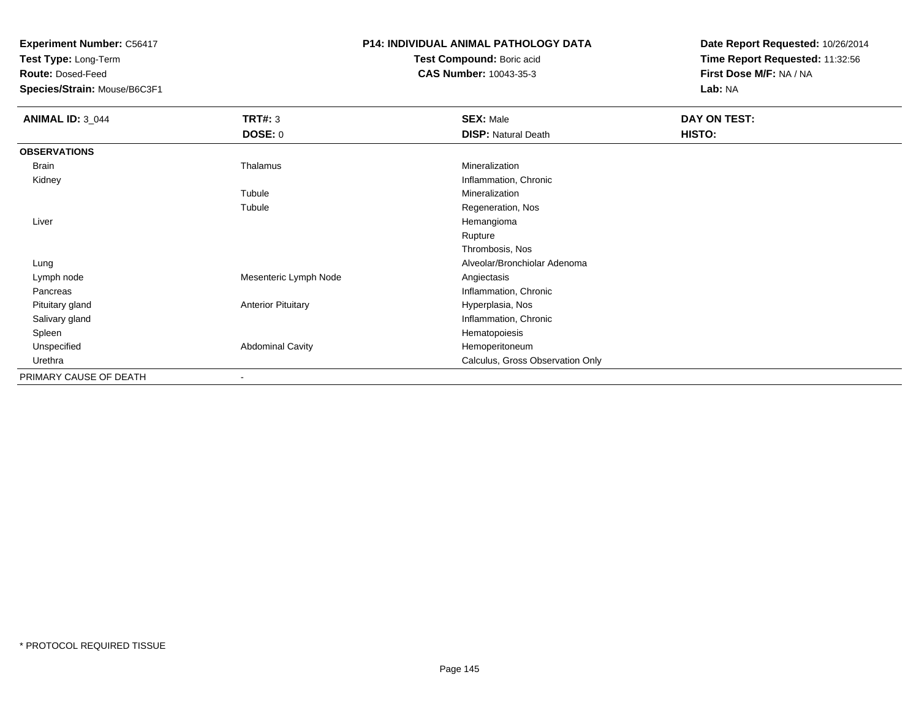**Test Type:** Long-Term

**Route:** Dosed-Feed

**Species/Strain:** Mouse/B6C3F1

### **P14: INDIVIDUAL ANIMAL PATHOLOGY DATA**

**Test Compound:** Boric acid**CAS Number:** 10043-35-3

| <b>ANIMAL ID: 3_044</b> | <b>TRT#: 3</b>            | <b>SEX: Male</b>                 | DAY ON TEST: |
|-------------------------|---------------------------|----------------------------------|--------------|
|                         | <b>DOSE: 0</b>            | <b>DISP: Natural Death</b>       | HISTO:       |
| <b>OBSERVATIONS</b>     |                           |                                  |              |
| Brain                   | Thalamus                  | Mineralization                   |              |
| Kidney                  |                           | Inflammation, Chronic            |              |
|                         | Tubule                    | Mineralization                   |              |
|                         | Tubule                    | Regeneration, Nos                |              |
| Liver                   |                           | Hemangioma                       |              |
|                         |                           | Rupture                          |              |
|                         |                           | Thrombosis, Nos                  |              |
| Lung                    |                           | Alveolar/Bronchiolar Adenoma     |              |
| Lymph node              | Mesenteric Lymph Node     | Angiectasis                      |              |
| Pancreas                |                           | Inflammation, Chronic            |              |
| Pituitary gland         | <b>Anterior Pituitary</b> | Hyperplasia, Nos                 |              |
| Salivary gland          |                           | Inflammation, Chronic            |              |
| Spleen                  |                           | Hematopoiesis                    |              |
| Unspecified             | <b>Abdominal Cavity</b>   | Hemoperitoneum                   |              |
| Urethra                 |                           | Calculus, Gross Observation Only |              |
| PRIMARY CAUSE OF DEATH  |                           |                                  |              |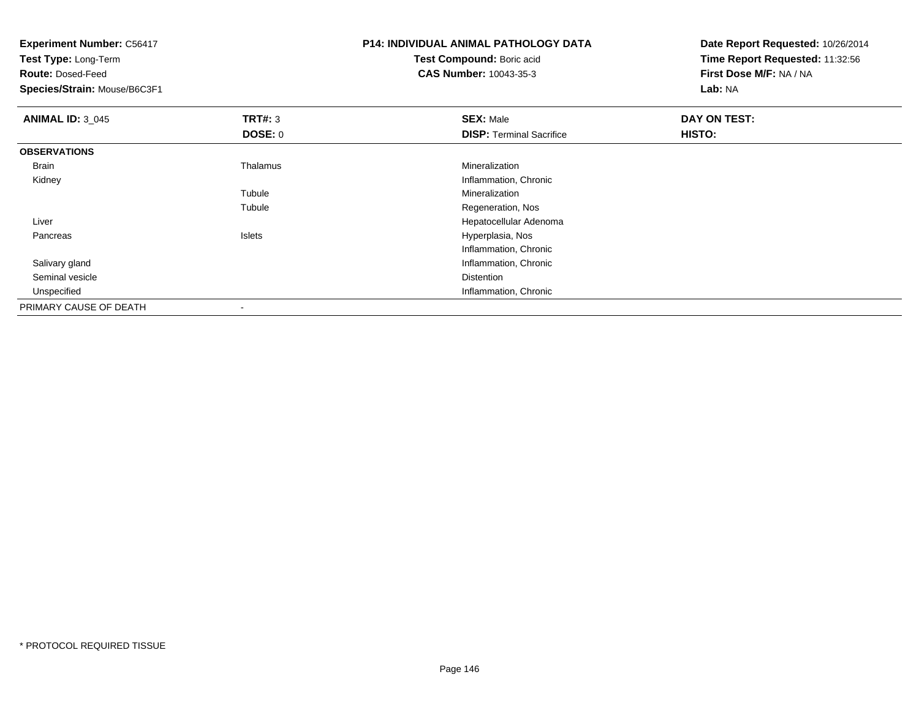|                | <b>P14: INDIVIDUAL ANIMAL PATHOLOGY DATA</b> | Date Report Requested: 10/26/2014                          |  |
|----------------|----------------------------------------------|------------------------------------------------------------|--|
|                | Test Compound: Boric acid                    | Time Report Requested: 11:32:56<br>First Dose M/F: NA / NA |  |
|                | <b>CAS Number: 10043-35-3</b>                |                                                            |  |
|                |                                              | Lab: NA                                                    |  |
| <b>TRT#: 3</b> | <b>SEX: Male</b>                             | DAY ON TEST:                                               |  |
| <b>DOSE: 0</b> | <b>DISP: Terminal Sacrifice</b>              | HISTO:                                                     |  |
|                |                                              |                                                            |  |
| Thalamus       | Mineralization                               |                                                            |  |
|                | Inflammation, Chronic                        |                                                            |  |
| Tubule         | Mineralization                               |                                                            |  |
| Tubule         | Regeneration, Nos                            |                                                            |  |
|                | Hepatocellular Adenoma                       |                                                            |  |
| Islets         | Hyperplasia, Nos                             |                                                            |  |
|                | Inflammation, Chronic                        |                                                            |  |
|                | Inflammation, Chronic                        |                                                            |  |
|                | Distention                                   |                                                            |  |
|                | Inflammation, Chronic                        |                                                            |  |
|                |                                              |                                                            |  |
|                |                                              |                                                            |  |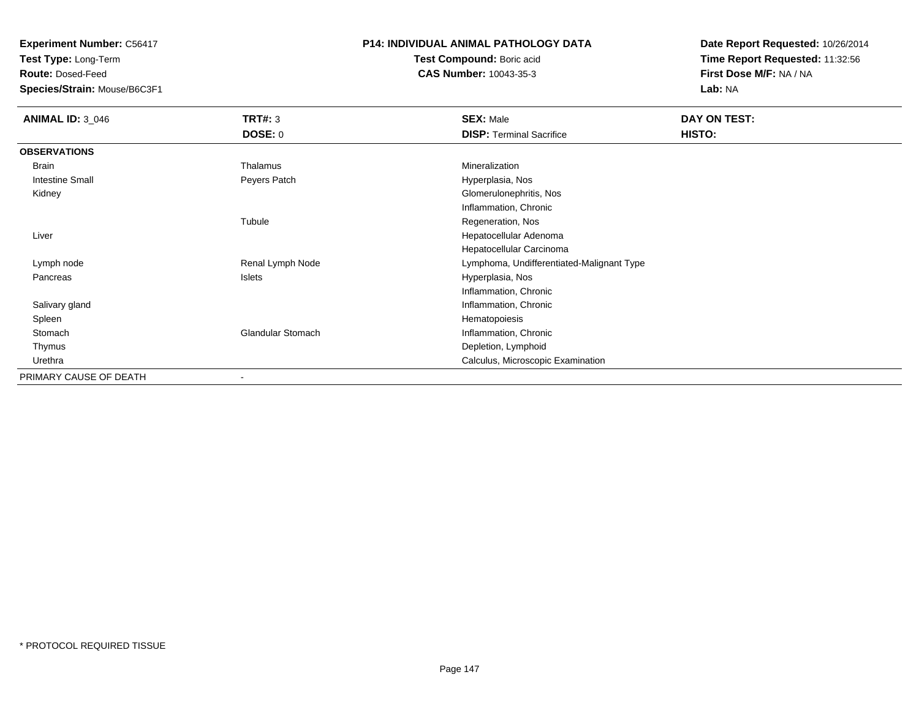**Test Type:** Long-Term

**Route:** Dosed-Feed

**Species/Strain:** Mouse/B6C3F1

#### **P14: INDIVIDUAL ANIMAL PATHOLOGY DATA**

**Test Compound:** Boric acid**CAS Number:** 10043-35-3

| <b>ANIMAL ID: 3_046</b> | <b>TRT#: 3</b>           | <b>SEX: Male</b>                          | DAY ON TEST: |  |
|-------------------------|--------------------------|-------------------------------------------|--------------|--|
|                         | <b>DOSE: 0</b>           | <b>DISP: Terminal Sacrifice</b>           | HISTO:       |  |
| <b>OBSERVATIONS</b>     |                          |                                           |              |  |
| Brain                   | Thalamus                 | Mineralization                            |              |  |
| <b>Intestine Small</b>  | Peyers Patch             | Hyperplasia, Nos                          |              |  |
| Kidney                  |                          | Glomerulonephritis, Nos                   |              |  |
|                         |                          | Inflammation, Chronic                     |              |  |
|                         | Tubule                   | Regeneration, Nos                         |              |  |
| Liver                   |                          | Hepatocellular Adenoma                    |              |  |
|                         |                          | Hepatocellular Carcinoma                  |              |  |
| Lymph node              | Renal Lymph Node         | Lymphoma, Undifferentiated-Malignant Type |              |  |
| Pancreas                | Islets                   | Hyperplasia, Nos                          |              |  |
|                         |                          | Inflammation, Chronic                     |              |  |
| Salivary gland          |                          | Inflammation, Chronic                     |              |  |
| Spleen                  |                          | Hematopoiesis                             |              |  |
| Stomach                 | Glandular Stomach        | Inflammation, Chronic                     |              |  |
| Thymus                  |                          | Depletion, Lymphoid                       |              |  |
| Urethra                 |                          | Calculus, Microscopic Examination         |              |  |
| PRIMARY CAUSE OF DEATH  | $\overline{\phantom{a}}$ |                                           |              |  |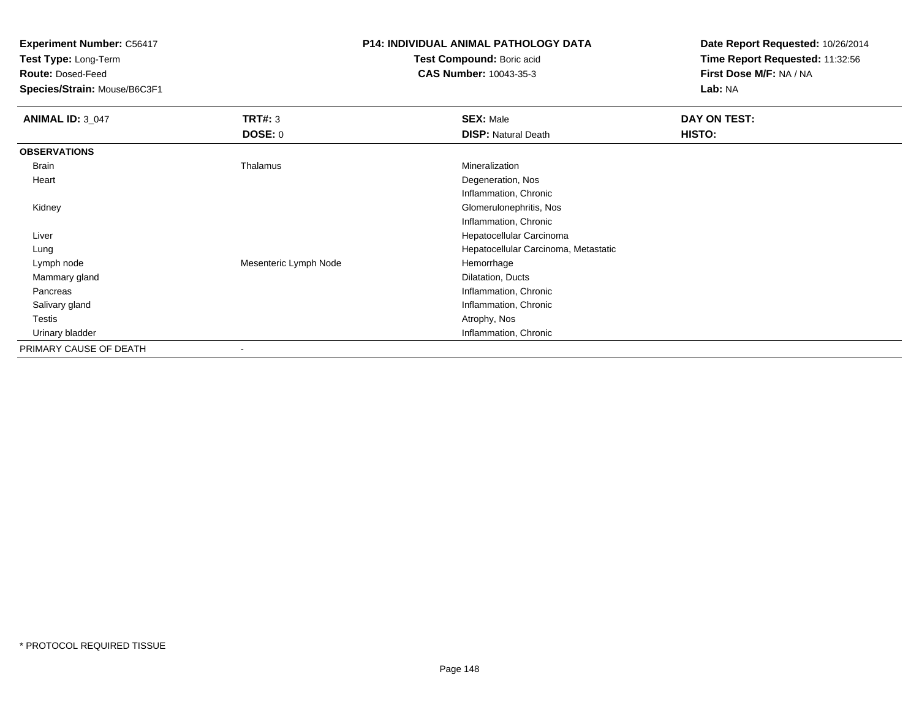**Test Type:** Long-Term

**Route:** Dosed-Feed

**Species/Strain:** Mouse/B6C3F1

### **P14: INDIVIDUAL ANIMAL PATHOLOGY DATA**

**Test Compound:** Boric acid**CAS Number:** 10043-35-3

| <b>ANIMAL ID: 3 047</b> | TRT#: 3<br><b>DOSE: 0</b> | <b>SEX: Male</b><br><b>DISP: Natural Death</b> | DAY ON TEST:<br>HISTO: |  |  |
|-------------------------|---------------------------|------------------------------------------------|------------------------|--|--|
| <b>OBSERVATIONS</b>     |                           |                                                |                        |  |  |
|                         |                           |                                                |                        |  |  |
| Brain                   | Thalamus                  | Mineralization                                 |                        |  |  |
| Heart                   |                           | Degeneration, Nos                              |                        |  |  |
|                         |                           | Inflammation, Chronic                          |                        |  |  |
| Kidney                  | Glomerulonephritis, Nos   |                                                |                        |  |  |
|                         |                           | Inflammation, Chronic                          |                        |  |  |
| Liver                   | Hepatocellular Carcinoma  |                                                |                        |  |  |
| Lung                    |                           | Hepatocellular Carcinoma, Metastatic           |                        |  |  |
| Lymph node              | Mesenteric Lymph Node     | Hemorrhage                                     |                        |  |  |
| Mammary gland           |                           | Dilatation, Ducts                              |                        |  |  |
| Pancreas                | Inflammation, Chronic     |                                                |                        |  |  |
| Salivary gland          | Inflammation, Chronic     |                                                |                        |  |  |
| Testis                  |                           | Atrophy, Nos                                   |                        |  |  |
| Urinary bladder         |                           | Inflammation, Chronic                          |                        |  |  |
| PRIMARY CAUSE OF DEATH  |                           |                                                |                        |  |  |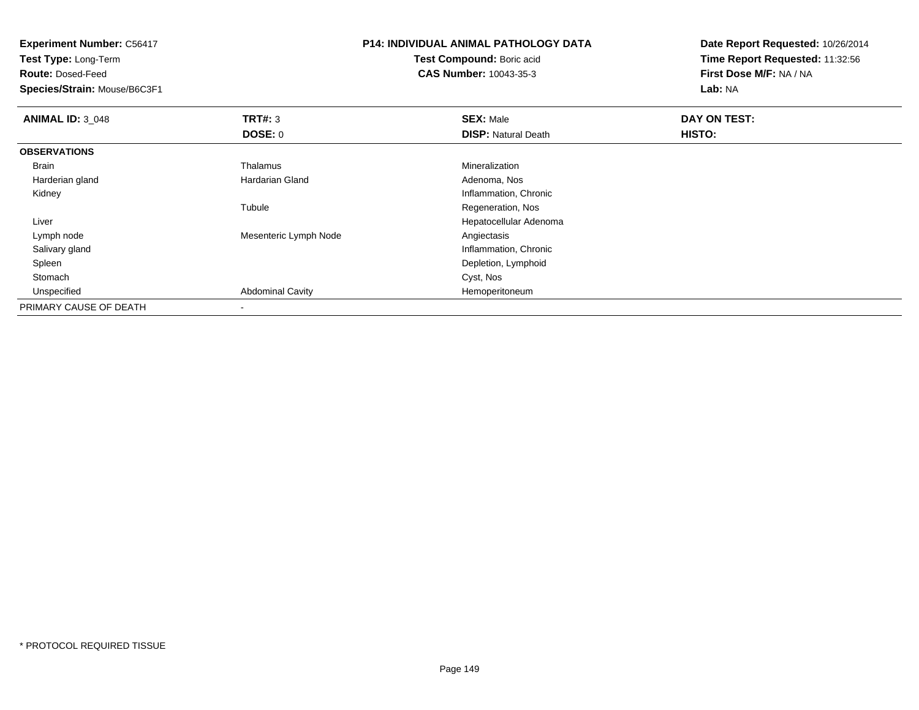**Test Type:** Long-Term

**Route:** Dosed-Feed

**Species/Strain:** Mouse/B6C3F1

## **P14: INDIVIDUAL ANIMAL PATHOLOGY DATA**

**Test Compound:** Boric acid**CAS Number:** 10043-35-3

| <b>ANIMAL ID: 3 048</b> | TRT#: 3                 | <b>SEX: Male</b>           | DAY ON TEST: |  |  |
|-------------------------|-------------------------|----------------------------|--------------|--|--|
|                         | <b>DOSE: 0</b>          | <b>DISP: Natural Death</b> | HISTO:       |  |  |
| <b>OBSERVATIONS</b>     |                         |                            |              |  |  |
| Brain                   | Thalamus                | Mineralization             |              |  |  |
| Harderian gland         | <b>Hardarian Gland</b>  | Adenoma, Nos               |              |  |  |
| Kidney                  |                         | Inflammation, Chronic      |              |  |  |
|                         | Tubule                  | Regeneration, Nos          |              |  |  |
| Liver                   |                         | Hepatocellular Adenoma     |              |  |  |
| Lymph node              | Mesenteric Lymph Node   | Angiectasis                |              |  |  |
| Salivary gland          |                         | Inflammation, Chronic      |              |  |  |
| Spleen                  |                         | Depletion, Lymphoid        |              |  |  |
| Stomach                 |                         | Cyst, Nos                  |              |  |  |
| Unspecified             | <b>Abdominal Cavity</b> | Hemoperitoneum             |              |  |  |
| PRIMARY CAUSE OF DEATH  | $\,$                    |                            |              |  |  |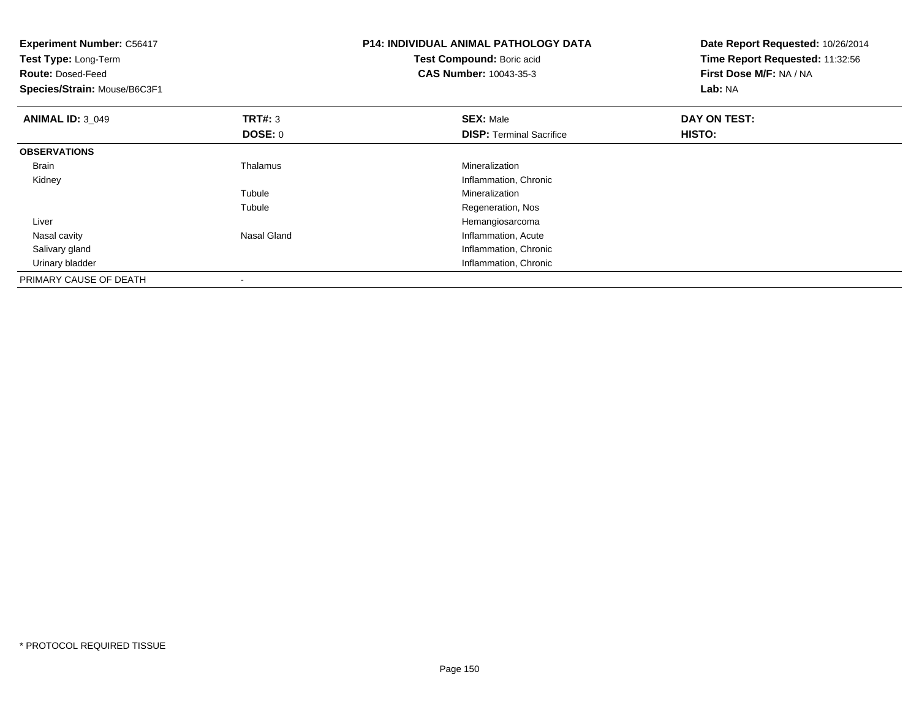| <b>Experiment Number: C56417</b><br>Test Type: Long-Term<br><b>Route: Dosed-Feed</b><br>Species/Strain: Mouse/B6C3F1 |                          | <b>P14: INDIVIDUAL ANIMAL PATHOLOGY DATA</b><br>Test Compound: Boric acid<br><b>CAS Number: 10043-35-3</b> | Date Report Requested: 10/26/2014<br>Time Report Requested: 11:32:56<br>First Dose M/F: NA / NA<br>Lab: NA |
|----------------------------------------------------------------------------------------------------------------------|--------------------------|------------------------------------------------------------------------------------------------------------|------------------------------------------------------------------------------------------------------------|
| <b>ANIMAL ID: 3 049</b>                                                                                              | <b>TRT#: 3</b>           | <b>SEX: Male</b>                                                                                           | DAY ON TEST:                                                                                               |
|                                                                                                                      | DOSE: 0                  | <b>DISP: Terminal Sacrifice</b>                                                                            | <b>HISTO:</b>                                                                                              |
| <b>OBSERVATIONS</b>                                                                                                  |                          |                                                                                                            |                                                                                                            |
| <b>Brain</b>                                                                                                         | Thalamus                 | Mineralization                                                                                             |                                                                                                            |
| Kidney                                                                                                               |                          | Inflammation, Chronic                                                                                      |                                                                                                            |
|                                                                                                                      | Tubule                   | Mineralization                                                                                             |                                                                                                            |
|                                                                                                                      | Tubule                   | Regeneration, Nos                                                                                          |                                                                                                            |
| Liver                                                                                                                |                          | Hemangiosarcoma                                                                                            |                                                                                                            |
| Nasal cavity                                                                                                         | Nasal Gland              | Inflammation, Acute                                                                                        |                                                                                                            |
| Salivary gland                                                                                                       |                          | Inflammation, Chronic                                                                                      |                                                                                                            |
| Urinary bladder                                                                                                      |                          | Inflammation, Chronic                                                                                      |                                                                                                            |
| PRIMARY CAUSE OF DEATH                                                                                               | $\overline{\phantom{a}}$ |                                                                                                            |                                                                                                            |